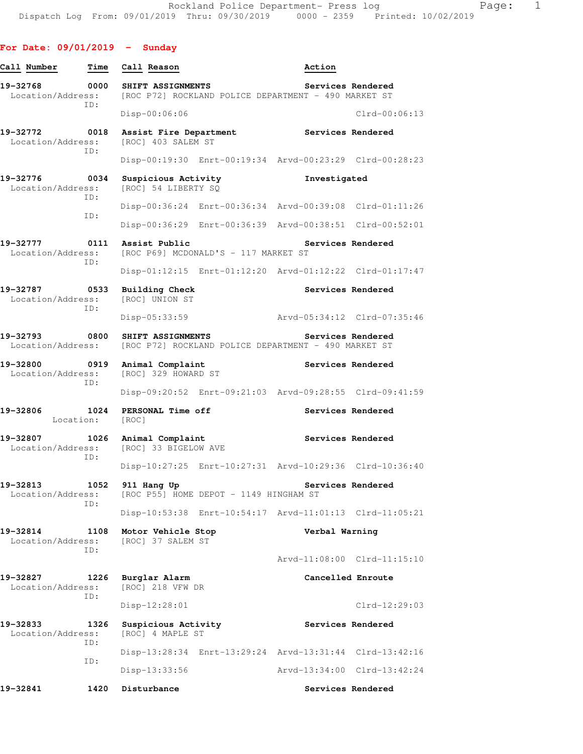| Call Number                   | Time              | Call Reason                                   |                                                         | Action            |                             |
|-------------------------------|-------------------|-----------------------------------------------|---------------------------------------------------------|-------------------|-----------------------------|
| 19-32768<br>Location/Address: | 0000<br>ID:       | SHIFT ASSIGNMENTS                             | [ROC P72] ROCKLAND POLICE DEPARTMENT - 490 MARKET ST    |                   | Services Rendered           |
|                               |                   | $Disp-00:06:06$                               |                                                         |                   | $Clrd-00:06:13$             |
| 19-32772<br>Location/Address: | 0018<br>ID:       | Assist Fire Department<br>[ROC] 403 SALEM ST  |                                                         | Services Rendered |                             |
|                               |                   |                                               | Disp-00:19:30 Enrt-00:19:34 Arvd-00:23:29 Clrd-00:28:23 |                   |                             |
| 19-32776<br>Location/Address: | 0034<br>ID:       | Suspicious Activity<br>[ROC] 54 LIBERTY SQ    |                                                         | Investigated      |                             |
|                               | ID:               |                                               | Disp-00:36:24 Enrt-00:36:34 Arvd-00:39:08 Clrd-01:11:26 |                   |                             |
|                               |                   |                                               | Disp-00:36:29 Enrt-00:36:39 Arvd-00:38:51 Clrd-00:52:01 |                   |                             |
| 19-32777<br>Location/Address: | ID:               | 0111 Assist Public                            | [ROC P69] MCDONALD'S - 117 MARKET ST                    |                   | Services Rendered           |
|                               |                   |                                               | Disp-01:12:15 Enrt-01:12:20 Arvd-01:12:22 Clrd-01:17:47 |                   |                             |
| 19-32787<br>Location/Address: | 0533<br>ID:       | <b>Building Check</b><br>[ROC] UNION ST       |                                                         |                   | Services Rendered           |
|                               |                   | Disp-05:33:59                                 |                                                         |                   | Arvd-05:34:12 Clrd-07:35:46 |
| 19-32793<br>Location/Address: | 0800              | SHIFT ASSIGNMENTS                             | [ROC P72] ROCKLAND POLICE DEPARTMENT - 490 MARKET ST    |                   | Services Rendered           |
| 19-32800<br>Location/Address: | 0919<br>ID:       | Animal Complaint<br>[ROC] 329 HOWARD ST       |                                                         |                   | Services Rendered           |
|                               |                   |                                               | Disp-09:20:52 Enrt-09:21:03 Arvd-09:28:55 Clrd-09:41:59 |                   |                             |
| 19-32806                      | 1024<br>Location: | PERSONAL Time off<br>[ROC]                    |                                                         |                   | Services Rendered           |
| 19-32807<br>Location/Address: | ID:               | 1026 Animal Complaint<br>[ROC] 33 BIGELOW AVE |                                                         |                   | Services Rendered           |
|                               |                   |                                               | Disp-10:27:25 Enrt-10:27:31 Arvd-10:29:36 Clrd-10:36:40 |                   |                             |
| 19-32813<br>Location/Address: | 1052<br>ID:       | 911 Hang Up                                   | [ROC P55] HOME DEPOT - 1149 HINGHAM ST                  |                   | Services Rendered           |
|                               |                   |                                               | Disp-10:53:38 Enrt-10:54:17 Arvd-11:01:13 Clrd-11:05:21 |                   |                             |
| 19-32814<br>Location/Address: | ID:               | 1108 Motor Vehicle Stop<br>[ROC] 37 SALEM ST  |                                                         | Verbal Warning    |                             |
|                               |                   |                                               |                                                         |                   | Arvd-11:08:00 Clrd-11:15:10 |
| 19-32827<br>Location/Address: | ID:               | 1226 Burglar Alarm<br>[ROC] 218 VFW DR        |                                                         |                   | Cancelled Enroute           |
|                               |                   | Disp-12:28:01                                 |                                                         |                   | $Clrd-12:29:03$             |
| 19-32833<br>Location/Address: | 1326<br>ID:       | Suspicious Activity<br>[ROC] 4 MAPLE ST       |                                                         |                   | Services Rendered           |
|                               | ID:               |                                               | Disp-13:28:34 Enrt-13:29:24 Arvd-13:31:44 Clrd-13:42:16 |                   |                             |
|                               |                   | Disp-13:33:56                                 |                                                         |                   | Arvd-13:34:00 Clrd-13:42:24 |
| 19-32841                      |                   | 1420 Disturbance                              |                                                         |                   | Services Rendered           |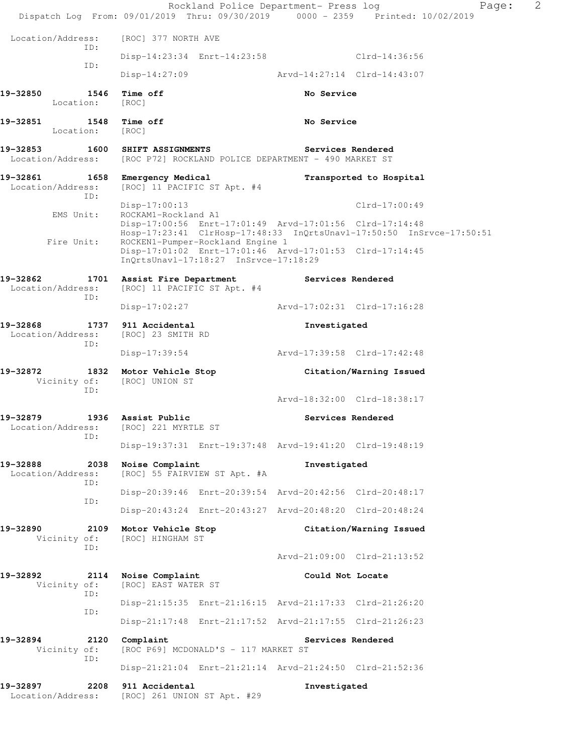|                                                          |                                                                                                   | Rockland Police Department- Press log<br>Page:<br>Dispatch Log From: 09/01/2019 Thru: 09/30/2019 0000 - 2359 Printed: 10/02/2019 | 2 |
|----------------------------------------------------------|---------------------------------------------------------------------------------------------------|----------------------------------------------------------------------------------------------------------------------------------|---|
| Location/Address:                                        | [ROC] 377 NORTH AVE                                                                               |                                                                                                                                  |   |
| ID:                                                      | Disp-14:23:34 Enrt-14:23:58                                                                       | Clrd-14:36:56                                                                                                                    |   |
| ID:                                                      | Disp-14:27:09                                                                                     | Arvd-14:27:14 Clrd-14:43:07                                                                                                      |   |
| 19-32850<br>1546<br>Location:                            | Time off<br>[ROC]                                                                                 | No Service                                                                                                                       |   |
| 19-32851<br>1548<br>Location:                            | Time off<br>[ROC]                                                                                 | No Service                                                                                                                       |   |
| 19-32853 1600                                            | SHIFT ASSIGNMENTS<br>Location/Address: [ROC P72] ROCKLAND POLICE DEPARTMENT - 490 MARKET ST       | Services Rendered                                                                                                                |   |
| 19-32861<br>Location/Address:<br>ID:                     | 1658 Emergency Medical<br>[ROC] 11 PACIFIC ST Apt. #4                                             | Transported to Hospital                                                                                                          |   |
| EMS Unit:                                                | $Disp-17:00:13$<br>ROCKAM1-Rockland A1<br>Disp-17:00:56 Enrt-17:01:49 Arvd-17:01:56 Clrd-17:14:48 | Clrd-17:00:49                                                                                                                    |   |
| Fire Unit:                                               | ROCKEN1-Pumper-Rockland Engine 1                                                                  | Hosp-17:23:41 ClrHosp-17:48:33 InQrtsUnavl-17:50:50 InSrvce-17:50:51                                                             |   |
|                                                          | Disp-17:01:02 Enrt-17:01:46 Arvd-17:01:53 Clrd-17:14:45<br>InOrtsUnav1-17:18:27 InSrvce-17:18:29  |                                                                                                                                  |   |
| 19-32862<br>Location/Address:<br>ID:                     | 1701 Assist Fire Department<br>[ROC] 11 PACIFIC ST Apt. #4                                        | Services Rendered                                                                                                                |   |
|                                                          | Disp-17:02:27                                                                                     | Arvd-17:02:31 Clrd-17:16:28                                                                                                      |   |
| 19-32868<br>Location/Address:<br>ID:                     | 1737 911 Accidental<br>[ROC] 23 SMITH RD                                                          | Investigated                                                                                                                     |   |
|                                                          | Disp-17:39:54                                                                                     | Arvd-17:39:58 Clrd-17:42:48                                                                                                      |   |
| 19-32872<br>Vicinity of:<br>ID:                          | 1832 Motor Vehicle Stop<br>[ROC] UNION ST                                                         | Citation/Warning Issued                                                                                                          |   |
|                                                          |                                                                                                   | Arvd-18:32:00 Clrd-18:38:17                                                                                                      |   |
| 19-32879<br>Location/Address: [ROC] 221 MYRTLE ST<br>ID: | 1936 Assist Public                                                                                | Services Rendered                                                                                                                |   |
|                                                          |                                                                                                   | Disp-19:37:31 Enrt-19:37:48 Arvd-19:41:20 Clrd-19:48:19                                                                          |   |
| 19-32888<br>2038<br>Location/Address:<br>ID:             | Noise Complaint<br>[ROC] 55 FAIRVIEW ST Apt. #A                                                   | Investigated                                                                                                                     |   |
| ID:                                                      |                                                                                                   | Disp-20:39:46 Enrt-20:39:54 Arvd-20:42:56 Clrd-20:48:17                                                                          |   |
|                                                          |                                                                                                   | Disp-20:43:24 Enrt-20:43:27 Arvd-20:48:20 Clrd-20:48:24                                                                          |   |
| 19-32890<br>2109<br>Vicinity of:<br>ID:                  | Motor Vehicle Stop<br>[ROC] HINGHAM ST                                                            | Citation/Warning Issued                                                                                                          |   |
|                                                          |                                                                                                   | Arvd-21:09:00 Clrd-21:13:52                                                                                                      |   |
| 19-32892<br>2114<br>Vicinity of:<br>ID:                  | Noise Complaint<br>[ROC] EAST WATER ST                                                            | Could Not Locate                                                                                                                 |   |
| ID:                                                      | Disp-21:15:35 Enrt-21:16:15 Arvd-21:17:33 Clrd-21:26:20                                           |                                                                                                                                  |   |
|                                                          |                                                                                                   | Disp-21:17:48 Enrt-21:17:52 Arvd-21:17:55 Clrd-21:26:23                                                                          |   |
| 2120<br>19-32894<br>Vicinity of:<br>ID:                  | Complaint<br>[ROC P69] MCDONALD'S - 117 MARKET ST                                                 | Services Rendered                                                                                                                |   |
|                                                          |                                                                                                   | Disp-21:21:04 Enrt-21:21:14 Arvd-21:24:50 Clrd-21:52:36                                                                          |   |
| 19-32897<br>2208<br>Location/Address:                    | 911 Accidental<br>[ROC] 261 UNION ST Apt. #29                                                     | Investigated                                                                                                                     |   |
|                                                          |                                                                                                   |                                                                                                                                  |   |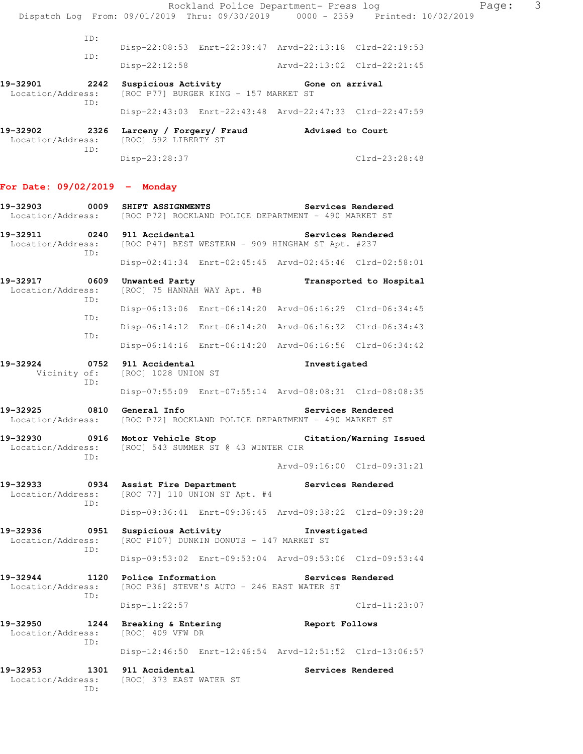Rockland Police Department- Press log Rage: 3 Dispatch Log From: 09/01/2019 Thru: 09/30/2019 0000 - 2359 Printed: 10/02/2019 ID: Disp-22:08:53 Enrt-22:09:47 Arvd-22:13:18 Clrd-22:19:53 ID: Disp-22:12:58 Arvd-22:13:02 Clrd-22:21:45 19-32901 2242 Suspicious Activity **Cone on arrival** Location/Address: [ROC P77] BURGER KING - 157 MARKET ST ID: Disp-22:43:03 Enrt-22:43:48 Arvd-22:47:33 Clrd-22:47:59 **19-32902 2326 Larceny / Forgery/ Fraud Advised to Court**  Location/Address: [ROC] 592 LIBERTY ST ID: Disp-23:28:37 Clrd-23:28:48 **For Date: 09/02/2019 - Monday 19-32903 0009 SHIFT ASSIGNMENTS Services Rendered**  Location/Address: [ROC P72] ROCKLAND POLICE DEPARTMENT - 490 MARKET ST **19-32911 0240 911 Accidental Services Rendered**<br>Location/Address: [ROC P47] BEST WESTERN - 909 HINGHAM ST Apt. #237 [ROC P47] BEST WESTERN - 909 HINGHAM ST Apt. #237 ID: Disp-02:41:34 Enrt-02:45:45 Arvd-02:45:46 Clrd-02:58:01 **19-32917 0609 Unwanted Party Transported to Hospital**  Location/Address: [ROC] 75 HANNAH WAY Apt. #B ID: Disp-06:13:06 Enrt-06:14:20 Arvd-06:16:29 Clrd-06:34:45 ID: Disp-06:14:12 Enrt-06:14:20 Arvd-06:16:32 Clrd-06:34:43 ID: Disp-06:14:16 Enrt-06:14:20 Arvd-06:16:56 Clrd-06:34:42 **19-32924 0752 911 Accidental Investigated**  Vicinity of: [ROC] 1028 UNION ST ID: Disp-07:55:09 Enrt-07:55:14 Arvd-08:08:31 Clrd-08:08:35 **19-32925 0810 General Info Services Rendered**  Location/Address: [ROC P72] ROCKLAND POLICE DEPARTMENT - 490 MARKET ST **19-32930 0916 Motor Vehicle Stop Citation/Warning Issued**  Location/Address: [ROC] 543 SUMMER ST @ 43 WINTER CIR ID: Arvd-09:16:00 Clrd-09:31:21 **19-32933 0934 Assist Fire Department Services Rendered**  Location/Address: [ROC 77] 110 UNION ST Apt. #4 ID: Disp-09:36:41 Enrt-09:36:45 Arvd-09:38:22 Clrd-09:39:28 **19-32936 0951 Suspicious Activity Investigated**  Location/Address: [ROC P107] DUNKIN DONUTS - 147 MARKET ST ID: Disp-09:53:02 Enrt-09:53:04 Arvd-09:53:06 Clrd-09:53:44 **19-32944 1120 Police Information Services Rendered**  Location/Address: [ROC P36] STEVE'S AUTO - 246 EAST WATER ST ID: Disp-11:22:57 Clrd-11:23:07 **19-32950 1244 Breaking & Entering 19-32950 1244 Breaking & Entering 19-32950 Report Follows** Location/Address: ID: Disp-12:46:50 Enrt-12:46:54 Arvd-12:51:52 Clrd-13:06:57 19-32953 1301 911 Accidental **19-32953** Services Rendered Location/Address: [ROC] 373 EAST WATER ST ID: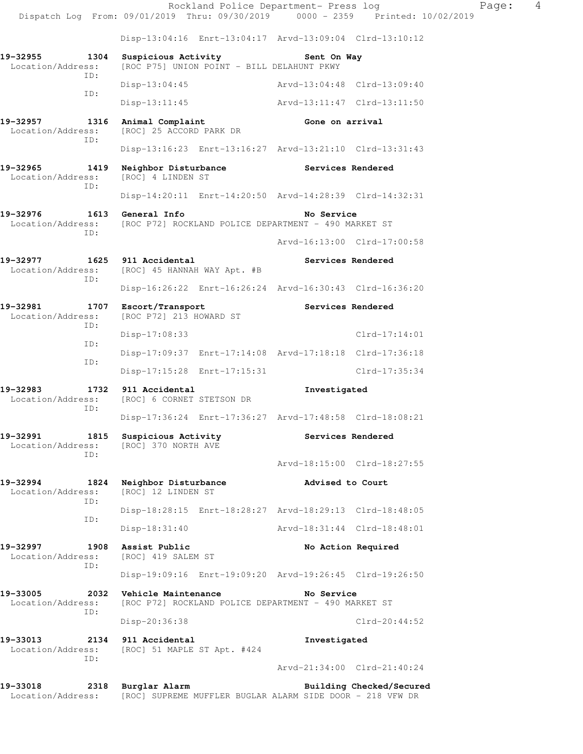Rockland Police Department- Press log Nage: 4 Dispatch Log From: 09/01/2019 Thru: 09/30/2019 0000 - 2359 Printed: 10/02/2019 Disp-13:04:16 Enrt-13:04:17 Arvd-13:09:04 Clrd-13:10:12 19-32955 1304 Suspicious Activity **Sent On Way**<br>Location/Address: [ROC P75] UNION POINT - BILL DELAHUNT PKWY [ROC P75] UNION POINT - BILL DELAHUNT PKWY ID: Disp-13:04:45 Arvd-13:04:48 Clrd-13:09:40 ID: Disp-13:11:45 Arvd-13:11:47 Clrd-13:11:50 19-32957 1316 Animal Complaint **Gone on arrival**  Location/Address: [ROC] 25 ACCORD PARK DR ID: Disp-13:16:23 Enrt-13:16:27 Arvd-13:21:10 Clrd-13:31:43 **19-32965 1419 Neighbor Disturbance Services Rendered**  Location/Address: [ROC] 4 LINDEN ST ID: Disp-14:20:11 Enrt-14:20:50 Arvd-14:28:39 Clrd-14:32:31 **19-32976 1613 General Info No Service**  Location/Address: [ROC P72] ROCKLAND POLICE DEPARTMENT - 490 MARKET ST ID: Arvd-16:13:00 Clrd-17:00:58 **19-32977 1625 911 Accidental Services Rendered**  Location/Address: [ROC] 45 HANNAH WAY Apt. #B ID: Disp-16:26:22 Enrt-16:26:24 Arvd-16:30:43 Clrd-16:36:20 **19-32981 1707 Escort/Transport Services Rendered**  Location/Address: [ROC P72] 213 HOWARD ST ID: Disp-17:08:33 Clrd-17:14:01 ID: Disp-17:09:37 Enrt-17:14:08 Arvd-17:18:18 Clrd-17:36:18 ID: Disp-17:15:28 Enrt-17:15:31 Clrd-17:35:34 **19-32983 1732 911 Accidental Investigated**  Location/Address: [ROC] 6 CORNET STETSON DR ID: Disp-17:36:24 Enrt-17:36:27 Arvd-17:48:58 Clrd-18:08:21 **19-32991 1815 Suspicious Activity Services Rendered**  Location/Address: [ROC] 370 NORTH AVE ID: Arvd-18:15:00 Clrd-18:27:55 **19-32994 1824 Neighbor Disturbance Advised to Court**  Location/Address: [ROC] 12 LINDEN ST ID: Disp-18:28:15 Enrt-18:28:27 Arvd-18:29:13 Clrd-18:48:05 ID: Disp-18:31:40 Arvd-18:31:44 Clrd-18:48:01 19-32997 1908 Assist Public **19-32997 1908 Assist Public**  Location/Address: [ROC] 419 SALEM ST ID: Disp-19:09:16 Enrt-19:09:20 Arvd-19:26:45 Clrd-19:26:50 **19-33005 2032 Vehicle Maintenance No Service**  Location/Address: [ROC P72] ROCKLAND POLICE DEPARTMENT - 490 MARKET ST ID: Disp-20:36:38 Clrd-20:44:52 **19-33013 2134 911 Accidental Investigated**  Location/Address: [ROC] 51 MAPLE ST Apt. #424 ID: Arvd-21:34:00 Clrd-21:40:24 **19-33018 2318 Burglar Alarm Building Checked/Secured** 

Location/Address: [ROC] SUPREME MUFFLER BUGLAR ALARM SIDE DOOR - 218 VFW DR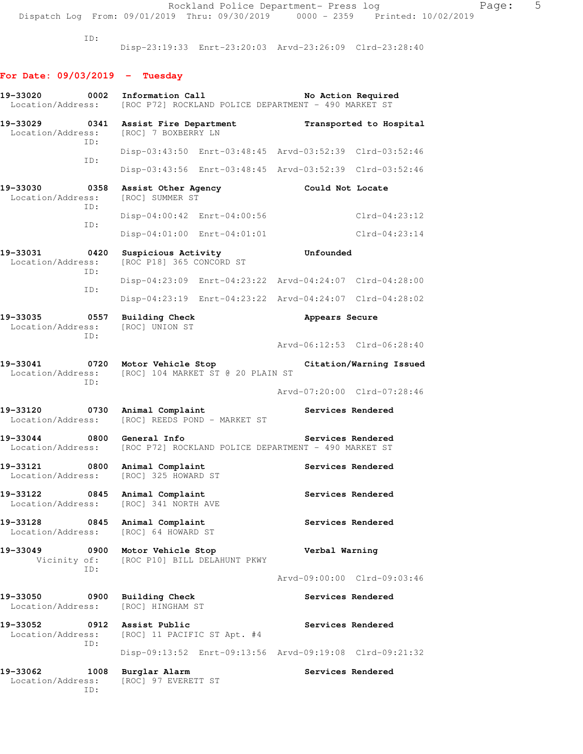Rockland Police Department- Press log entitled Page: 5 Dispatch Log From: 09/01/2019 Thru: 09/30/2019 0000 - 2359 Printed: 10/02/2019

ID:

Disp-23:19:33 Enrt-23:20:03 Arvd-23:26:09 Clrd-23:28:40

# **For Date: 09/03/2019 - Tuesday**

| 19-33020<br>0002<br>Location/Address:                        | Information Call<br>[ROC P72] ROCKLAND POLICE DEPARTMENT - 490 MARKET ST | No Action Required                                      |
|--------------------------------------------------------------|--------------------------------------------------------------------------|---------------------------------------------------------|
| 19-33029 0341<br>Location/Address:<br>ID:                    | Assist Fire Department<br>[ROC] 7 BOXBERRY LN                            | Transported to Hospital                                 |
|                                                              |                                                                          | Disp-03:43:50 Enrt-03:48:45 Arvd-03:52:39 Clrd-03:52:46 |
| ID:                                                          |                                                                          | Disp-03:43:56 Enrt-03:48:45 Arvd-03:52:39 Clrd-03:52:46 |
| 19-33030<br>0358<br>Location/Address:<br>ID:                 | Assist Other Agency<br>[ROC] SUMMER ST                                   | Could Not Locate                                        |
| ID:                                                          | Disp-04:00:42 Enrt-04:00:56                                              | $Clrd-04:23:12$                                         |
|                                                              | Disp-04:01:00 Enrt-04:01:01                                              | $Clrd-04:23:14$                                         |
| $\sim$ 0420<br>19-33031<br>Location/Address:<br>ID:          | Suspicious Activity<br>[ROC P18] 365 CONCORD ST                          | Unfounded                                               |
| ID:                                                          |                                                                          | Disp-04:23:09 Enrt-04:23:22 Arvd-04:24:07 Clrd-04:28:00 |
|                                                              |                                                                          | Disp-04:23:19 Enrt-04:23:22 Arvd-04:24:07 Clrd-04:28:02 |
| 19-33035<br>0557<br>Location/Address:<br>ID:                 | <b>Building Check</b><br>[ROC] UNION ST                                  | Appears Secure                                          |
|                                                              |                                                                          | Arvd-06:12:53 Clrd-06:28:40                             |
| 19-33041 0720 Motor Vehicle Stop<br>Location/Address:<br>ID: | [ROC] 104 MARKET ST @ 20 PLAIN ST                                        | Citation/Warning Issued                                 |
|                                                              |                                                                          | Arvd-07:20:00 Clrd-07:28:46                             |
| 19-33120<br>0730<br>Location/Address:                        | Animal Complaint<br>[ROC] REEDS POND - MARKET ST                         | Services Rendered                                       |
| 19-33044<br>$\overline{0800}$<br>Location/Address:           | General Info<br>[ROC P72] ROCKLAND POLICE DEPARTMENT - 490 MARKET ST     | Services Rendered                                       |
| 0800<br>19-33121<br>Location/Address:                        | Animal Complaint<br>[ROC] 325 HOWARD ST                                  | Services Rendered                                       |
| 19-33122<br>0845<br>Location/Address:                        | Animal Complaint<br>[ROC] 341 NORTH AVE                                  | Services Rendered                                       |
| 19-33128<br>0845<br>Location/Address:                        | Animal Complaint<br>[ROC] 64 HOWARD ST                                   | Services Rendered                                       |
| 19-33049<br>0900<br>Vicinity of:<br>ID:                      | Motor Vehicle Stop<br>[ROC P10] BILL DELAHUNT PKWY                       | Verbal Warning                                          |
|                                                              |                                                                          | Arvd-09:00:00 Clrd-09:03:46                             |
| 19-33050<br>0900<br>Location/Address:                        | <b>Building Check</b><br>[ROC] HINGHAM ST                                | Services Rendered                                       |
| 19-33052<br>0912<br>Location/Address:<br>ID:                 | Assist Public<br>[ROC] 11 PACIFIC ST Apt. #4                             | Services Rendered                                       |
|                                                              |                                                                          | Disp-09:13:52 Enrt-09:13:56 Arvd-09:19:08 Clrd-09:21:32 |
| 19-33062<br>1008<br>Location/Address:<br>ID:                 | Burglar Alarm<br>[ROC] 97 EVERETT ST                                     | Services Rendered                                       |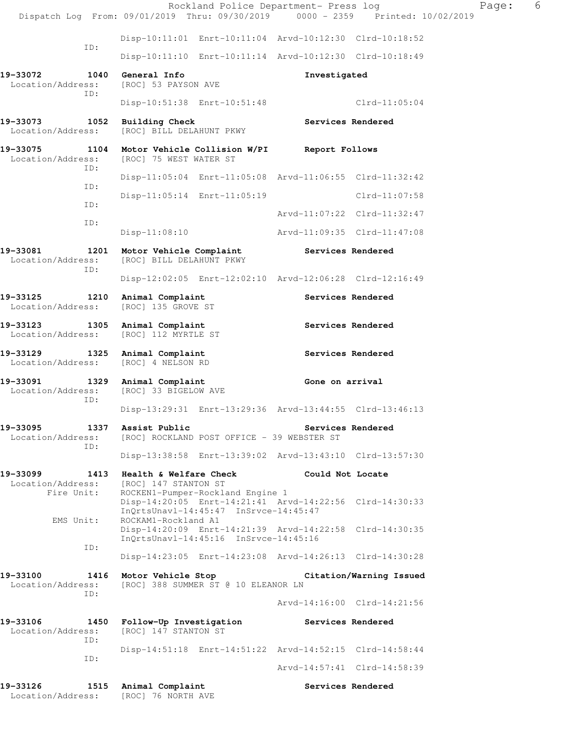|                                                                                                       |     |                                             | Rockland Police Department- Press log                                                                                                |                   | Dispatch Log From: 09/01/2019 Thru: 09/30/2019 0000 - 2359 Printed: 10/02/2019 | Page: | - 6 |
|-------------------------------------------------------------------------------------------------------|-----|---------------------------------------------|--------------------------------------------------------------------------------------------------------------------------------------|-------------------|--------------------------------------------------------------------------------|-------|-----|
|                                                                                                       |     |                                             | Disp-10:11:01 Enrt-10:11:04 Arvd-10:12:30 Clrd-10:18:52                                                                              |                   |                                                                                |       |     |
|                                                                                                       | ID: |                                             | Disp-10:11:10 Enrt-10:11:14 Arvd-10:12:30 Clrd-10:18:49                                                                              |                   |                                                                                |       |     |
| 19-33072<br>Location/Address:                                                                         |     | 1040 General Info<br>[ROC] 53 PAYSON AVE    |                                                                                                                                      | Investigated      |                                                                                |       |     |
|                                                                                                       | ID: |                                             | Disp-10:51:38 Enrt-10:51:48                                                                                                          |                   | $Clrd-11:05:04$                                                                |       |     |
| 19-33073 1052 Building Check<br>Location/Address:                                                     |     |                                             |                                                                                                                                      |                   | Services Rendered                                                              |       |     |
|                                                                                                       |     | [ROC] BILL DELAHUNT PKWY                    |                                                                                                                                      |                   |                                                                                |       |     |
| 19-33075 1104 Motor Vehicle Collision W/PI Report Follows<br>Location/Address: [ROC] 75 WEST WATER ST | ID: |                                             |                                                                                                                                      |                   |                                                                                |       |     |
|                                                                                                       | ID: |                                             | Disp-11:05:04 Enrt-11:05:08 Arvd-11:06:55 Clrd-11:32:42                                                                              |                   |                                                                                |       |     |
|                                                                                                       | ID: |                                             | Disp-11:05:14 Enrt-11:05:19                                                                                                          |                   | Clrd-11:07:58                                                                  |       |     |
|                                                                                                       | ID: |                                             |                                                                                                                                      |                   | Arvd-11:07:22 Clrd-11:32:47                                                    |       |     |
|                                                                                                       |     | Disp-11:08:10                               |                                                                                                                                      |                   | Arvd-11:09:35 Clrd-11:47:08                                                    |       |     |
| 19-33081<br>Location/Address:                                                                         |     | [ROC] BILL DELAHUNT PKWY                    | 1201 Motor Vehicle Complaint Services Rendered                                                                                       |                   |                                                                                |       |     |
|                                                                                                       | ID: |                                             | Disp-12:02:05 Enrt-12:02:10 Arvd-12:06:28 Clrd-12:16:49                                                                              |                   |                                                                                |       |     |
| 19-33125 1210<br>Location/Address:                                                                    |     | Animal Complaint<br>[ROC] 135 GROVE ST      |                                                                                                                                      |                   | Services Rendered                                                              |       |     |
| 19-33123 1305 Animal Complaint<br>Location/Address:                                                   |     | [ROC] 112 MYRTLE ST                         |                                                                                                                                      |                   | Services Rendered                                                              |       |     |
| 19-33129<br>Location/Address:                                                                         |     | 1325 Animal Complaint<br>[ROC] 4 NELSON RD  |                                                                                                                                      |                   | Services Rendered                                                              |       |     |
| 19-33091 1329 Animal Complaint<br>Location/Address:                                                   | ID: | [ROC] 33 BIGELOW AVE                        |                                                                                                                                      | Gone on arrival   |                                                                                |       |     |
|                                                                                                       |     |                                             | Disp-13:29:31 Enrt-13:29:36 Arvd-13:44:55 Clrd-13:46:13                                                                              |                   |                                                                                |       |     |
| 19-33095<br>Location/Address:                                                                         | ID: | 1337 Assist Public                          | [ROC] ROCKLAND POST OFFICE - 39 WEBSTER ST                                                                                           | Services Rendered |                                                                                |       |     |
|                                                                                                       |     |                                             | Disp-13:38:58 Enrt-13:39:02 Arvd-13:43:10 Clrd-13:57:30                                                                              |                   |                                                                                |       |     |
| 19-33099                                                                                              |     | 1413 Health & Welfare Check                 |                                                                                                                                      | Could Not Locate  |                                                                                |       |     |
| Location/Address:<br>Fire Unit:<br>EMS Unit:                                                          |     | [ROC] 147 STANTON ST<br>ROCKAM1-Rockland A1 | ROCKEN1-Pumper-Rockland Engine 1<br>Disp-14:20:05 Enrt-14:21:41 Arvd-14:22:56 Clrd-14:30:33<br>InQrtsUnavl-14:45:47 InSrvce-14:45:47 |                   |                                                                                |       |     |
|                                                                                                       |     |                                             | Disp-14:20:09 Enrt-14:21:39 Arvd-14:22:58 Clrd-14:30:35<br>InOrtsUnavl-14:45:16 InSrvce-14:45:16                                     |                   |                                                                                |       |     |
|                                                                                                       | ID: |                                             | Disp-14:23:05 Enrt-14:23:08 Arvd-14:26:13 Clrd-14:30:28                                                                              |                   |                                                                                |       |     |
| 19-33100<br>Location/Address:                                                                         |     | 1416 Motor Vehicle Stop                     | [ROC] 388 SUMMER ST @ 10 ELEANOR LN                                                                                                  |                   | Citation/Warning Issued                                                        |       |     |
|                                                                                                       | TD: |                                             |                                                                                                                                      |                   | Arvd-14:16:00 Clrd-14:21:56                                                    |       |     |
| 19-33106<br>Location/Address:                                                                         |     | [ROC] 147 STANTON ST                        | 1450 Follow-Up Investigation                                                                                                         | Services Rendered |                                                                                |       |     |
|                                                                                                       | ID: |                                             | Disp-14:51:18 Enrt-14:51:22 Arvd-14:52:15 Clrd-14:58:44                                                                              |                   |                                                                                |       |     |
|                                                                                                       | ID: |                                             |                                                                                                                                      |                   | Arvd-14:57:41 Clrd-14:58:39                                                    |       |     |
| 19-33126<br>Location/Address:                                                                         |     | 1515 Animal Complaint<br>[ROC] 76 NORTH AVE |                                                                                                                                      |                   | Services Rendered                                                              |       |     |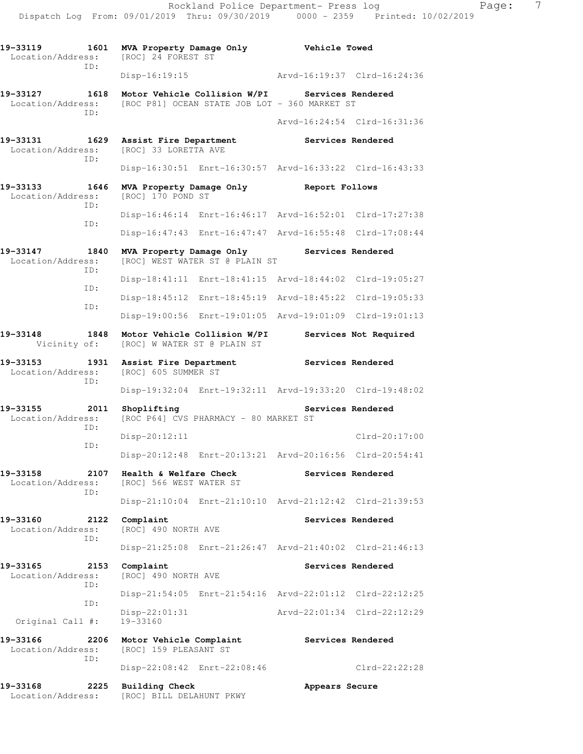| 19–33119<br>Location/Address: | 1601<br>ID: | MVA Property Damage Only<br>[ROC] 24 FOREST ST              |                                                                                                 | <b>Vehicle Towed</b> |                             |
|-------------------------------|-------------|-------------------------------------------------------------|-------------------------------------------------------------------------------------------------|----------------------|-----------------------------|
|                               |             | Disp-16:19:15                                               |                                                                                                 |                      | Arvd-16:19:37 Clrd-16:24:36 |
| 19-33127<br>Location/Address: | 1618<br>TD: |                                                             | Motor Vehicle Collision W/PI Services Rendered<br>[ROC P81] OCEAN STATE JOB LOT - 360 MARKET ST |                      |                             |
|                               |             |                                                             |                                                                                                 |                      | Arvd-16:24:54 Clrd-16:31:36 |
| 19-33131<br>Location/Address: | 1629<br>ID: | Assist Fire Department<br>[ROC] 33 LORETTA AVE              |                                                                                                 | Services Rendered    |                             |
|                               |             |                                                             | Disp-16:30:51 Enrt-16:30:57 Arvd-16:33:22 Clrd-16:43:33                                         |                      |                             |
| 19-33133<br>Location/Address: | 1646<br>TD: | MVA Property Damage Only<br>[ROC] 170 POND ST               |                                                                                                 | Report Follows       |                             |
|                               | ID:         |                                                             | Disp-16:46:14 Enrt-16:46:17 Arvd-16:52:01 Clrd-17:27:38                                         |                      |                             |
|                               |             |                                                             | Disp-16:47:43 Enrt-16:47:47 Arvd-16:55:48 Clrd-17:08:44                                         |                      |                             |
| 19-33147<br>Location/Address: | 1840<br>ID: | MVA Property Damage Only                                    | [ROC] WEST WATER ST @ PLAIN ST                                                                  | Services Rendered    |                             |
|                               | ID:         |                                                             | Disp-18:41:11 Enrt-18:41:15 Arvd-18:44:02 Clrd-19:05:27                                         |                      |                             |
|                               | ID:         |                                                             | Disp-18:45:12 Enrt-18:45:19 Arvd-18:45:22 Clrd-19:05:33                                         |                      |                             |
|                               |             |                                                             | Disp-19:00:56 Enrt-19:01:05 Arvd-19:01:09 Clrd-19:01:13                                         |                      |                             |
| 19-33148<br>Vicinity of:      | 1848        | Motor Vehicle Collision W/PI<br>[ROC] W WATER ST @ PLAIN ST |                                                                                                 |                      | Services Not Required       |
| 19-33153<br>Location/Address: | 1931<br>ID: | Assist Fire Department<br>[ROC] 605 SUMMER ST               |                                                                                                 |                      | Services Rendered           |
|                               |             |                                                             | Disp-19:32:04 Enrt-19:32:11 Arvd-19:33:20 Clrd-19:48:02                                         |                      |                             |
| 19-33155<br>Location/Address: | 2011<br>ID: | Shoplifting                                                 | [ROC P64] CVS PHARMACY - 80 MARKET ST                                                           |                      | Services Rendered           |
|                               | ID:         | $Disp-20:12:11$                                             |                                                                                                 |                      | $Clrd-20:17:00$             |
|                               |             |                                                             | Disp-20:12:48 Enrt-20:13:21 Arvd-20:16:56 Clrd-20:54:41                                         |                      |                             |
| 19-33158<br>Location/Address: | 2107<br>ID: | Health & Welfare Check<br>[ROC] 566 WEST WATER ST           |                                                                                                 |                      | Services Rendered           |
|                               |             |                                                             | Disp-21:10:04 Enrt-21:10:10 Arvd-21:12:42 Clrd-21:39:53                                         |                      |                             |
| 19-33160<br>Location/Address: | 2122<br>ID: | Complaint<br>[ROC] 490 NORTH AVE                            |                                                                                                 |                      | Services Rendered           |
|                               |             |                                                             | Disp-21:25:08 Enrt-21:26:47 Arvd-21:40:02 Clrd-21:46:13                                         |                      |                             |
| 19-33165<br>Location/Address: | 2153<br>ID: | Complaint<br>[ROC] 490 NORTH AVE                            |                                                                                                 |                      | Services Rendered           |
|                               | ID:         |                                                             | Disp-21:54:05 Enrt-21:54:16 Arvd-22:01:12 Clrd-22:12:25                                         |                      |                             |
| Original Call #:              |             | $Disp-22:01:31$<br>19-33160                                 |                                                                                                 |                      | Arvd-22:01:34 Clrd-22:12:29 |
| 19-33166<br>Location/Address: | 2206        | Motor Vehicle Complaint<br>[ROC] 159 PLEASANT ST            |                                                                                                 |                      | Services Rendered           |
|                               | ID:         | Disp-22:08:42 Enrt-22:08:46                                 |                                                                                                 |                      | $Clrd-22:22:28$             |
| 19-33168<br>Location/Address: | 2225        | <b>Building Check</b><br>[ROC] BILL DELAHUNT PKWY           |                                                                                                 | Appears Secure       |                             |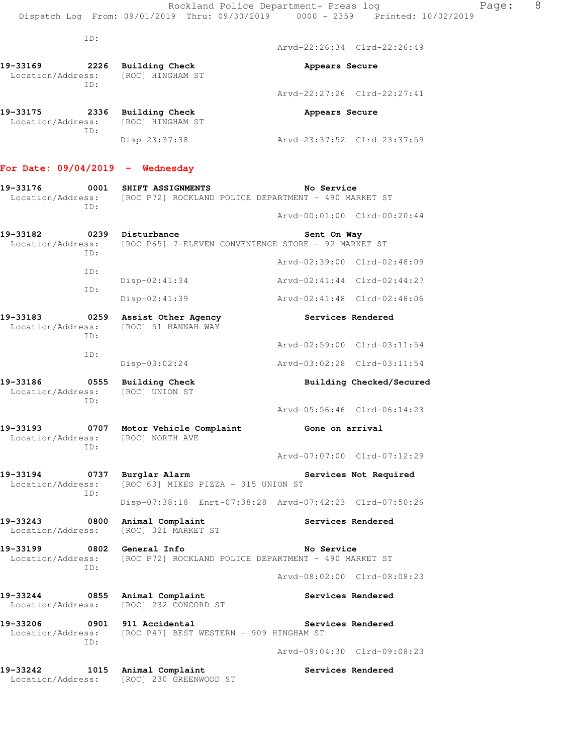ID:

Arvd-22:26:34 Clrd-22:26:49

| 19-33169<br>Location/Address: | 2226<br>TD: | Building Check<br>[ROC] HINGHAM ST                   | Appears Secure              |
|-------------------------------|-------------|------------------------------------------------------|-----------------------------|
|                               |             |                                                      | Arvd-22:27:26 Clrd-22:27:41 |
| 19-33175                      | 2336<br>ID: | Building Check<br>Location/Address: [ROC] HINGHAM ST | Appears Secure              |
|                               |             | $Disp-23:37:38$                                      | Arvd-23:37:52 Clrd-23:37:59 |

## **For Date: 09/04/2019 - Wednesday**

| 19-33176                      | 0001        | SHIFT ASSIGNMENTS                                                    | No Service                  |                             |
|-------------------------------|-------------|----------------------------------------------------------------------|-----------------------------|-----------------------------|
| Location/Address:             | TD:         | [ROC P72] ROCKLAND POLICE DEPARTMENT - 490 MARKET ST                 |                             |                             |
|                               |             |                                                                      |                             | Arvd-00:01:00 Clrd-00:20:44 |
| 19-33182                      | 0239        | Disturbance                                                          | Sent On Way                 |                             |
| Location/Address:             | TD:         | [ROC P65] 7-ELEVEN CONVENIENCE STORE - 92 MARKET ST                  |                             |                             |
|                               | ID:         |                                                                      |                             | Arvd-02:39:00 Clrd-02:48:09 |
|                               | ID:         | $Disp-02:41:34$                                                      |                             | Arvd-02:41:44 Clrd-02:44:27 |
|                               |             | $Disp-02:41:39$                                                      |                             | Arvd-02:41:48 Clrd-02:48:06 |
| 19-33183<br>Location/Address: | 0259<br>TD: | Assist Other Agency<br>[ROC] 51 HANNAH WAY                           |                             | Services Rendered           |
|                               | TD:         |                                                                      |                             | Arvd-02:59:00 Clrd-03:11:54 |
|                               |             | $Disp-03:02:24$                                                      |                             | Arvd-03:02:28 Clrd-03:11:54 |
| 19-33186<br>Location/Address: | 0555<br>TD: | Building Check<br>[ROC] UNION ST                                     |                             | Building Checked/Secured    |
|                               |             |                                                                      |                             | Arvd-05:56:46 Clrd-06:14:23 |
| 19-33193<br>Location/Address: | ID:         | 0707 Motor Vehicle Complaint<br>[ROC] NORTH AVE                      | Gone on arrival             |                             |
|                               |             |                                                                      |                             |                             |
|                               |             |                                                                      | Arvd-07:07:00 Clrd-07:12:29 |                             |
| 19-33194<br>Location/Address: | 0737        | Burglar Alarm<br>[ROC 63] MIKES PIZZA - 315 UNION ST                 |                             | Services Not Required       |
|                               | TD:         | Disp-07:38:18 Enrt-07:38:28 Arvd-07:42:23 Clrd-07:50:26              |                             |                             |
| 19-33243<br>Location/Address: | 0800        | Animal Complaint<br>[ROC] 321 MARKET ST                              |                             | Services Rendered           |
| 19-33199<br>Location/Address: | 0802        | General Info<br>[ROC P72] ROCKLAND POLICE DEPARTMENT - 490 MARKET ST | No Service                  |                             |
|                               | ID:         |                                                                      |                             | Arvd-08:02:00 Clrd-08:08:23 |
| 19-33244<br>Location/Address: | 0855        | Animal Complaint<br>[ROC] 232 CONCORD ST                             |                             | Services Rendered           |
| 19-33206<br>Location/Address: | 0901<br>ID: | 911 Accidental<br>[ROC P47] BEST WESTERN - 909 HINGHAM ST            |                             | Services Rendered           |

**19-33242 1015 Animal Complaint Services Rendered**  Location/Address: [ROC] 230 GREENWOOD ST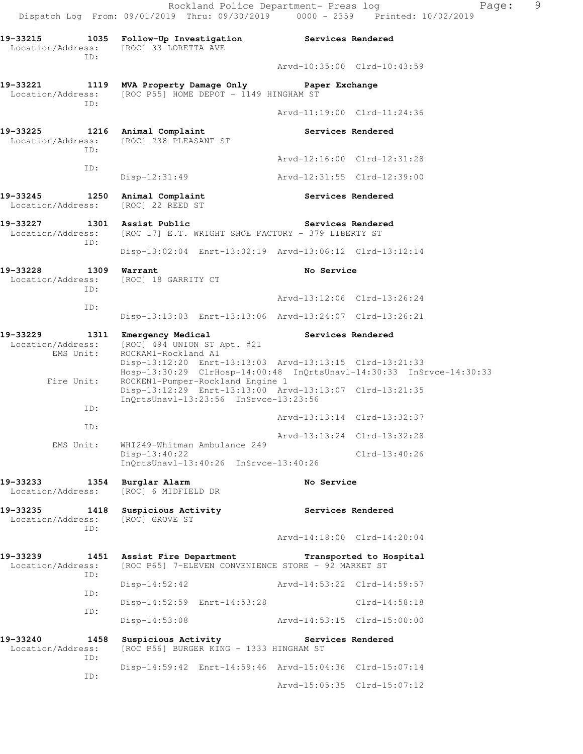Rockland Police Department- Press log Fage: 9 Dispatch Log From: 09/01/2019 Thru: 09/30/2019 0000 - 2359 Printed: 10/02/2019 **19-33215 1035 Follow-Up Investigation Services Rendered**  Location/Address: [ROC] 33 LORETTA AVE ID: Arvd-10:35:00 Clrd-10:43:59 **19-33221 1119 MVA Property Damage Only Paper Exchange**  Location/Address: [ROC P55] HOME DEPOT - 1149 HINGHAM ST ID: Arvd-11:19:00 Clrd-11:24:36 **19-33225 1216 Animal Complaint Services Rendered**  Location/Address: [ROC] 238 PLEASANT ST ID: Arvd-12:16:00 Clrd-12:31:28 ID: Disp-12:31:49 Arvd-12:31:55 Clrd-12:39:00 19-33245 1250 Animal Complaint **1250 Services Rendered**  Location/Address: [ROC] 22 REED ST **19-33227 1301 Assist Public Services Rendered**  Location/Address: [ROC 17] E.T. WRIGHT SHOE FACTORY - 379 LIBERTY ST ID: Disp-13:02:04 Enrt-13:02:19 Arvd-13:06:12 Clrd-13:12:14 **19-33228 1309 Warrant No Service**  Location/Address: [ROC] 18 GARRITY CT ID: Arvd-13:12:06 Clrd-13:26:24 ID: Disp-13:13:03 Enrt-13:13:06 Arvd-13:24:07 Clrd-13:26:21 19-33229 1311 Emergency Medical **Services Rendered**  Location/Address: [ROC] 494 UNION ST Apt. #21 EMS Unit: ROCKAM1-Rockland A1 Disp-13:12:20 Enrt-13:13:03 Arvd-13:13:15 Clrd-13:21:33 Hosp-13:30:29 ClrHosp-14:00:48 InQrtsUnavl-14:30:33 InSrvce-14:30:33 Fire Unit: ROCKEN1-Pumper-Rockland Engine 1 Disp-13:12:29 Enrt-13:13:00 Arvd-13:13:07 Clrd-13:21:35 InQrtsUnavl-13:23:56 InSrvce-13:23:56 ID: Arvd-13:13:14 Clrd-13:32:37 ID: Arvd-13:13:24 Clrd-13:32:28 EMS Unit: WHI249-Whitman Ambulance 249 Disp-13:40:22 Clrd-13:40:26 InQrtsUnavl-13:40:26 InSrvce-13:40:26 **19-33233 1354 Burglar Alarm 19-33233 1354 Burglar Alarm 19. No Service No Service** Location/Address: **19-33235 1418 Suspicious Activity Services Rendered**  Location/Address: [ROC] GROVE ST ID: Arvd-14:18:00 Clrd-14:20:04 **19-33239 1451 Assist Fire Department Transported to Hospital**  Location/Address: [ROC P65] 7-ELEVEN CONVENIENCE STORE - 92 MARKET ST ID: Disp-14:52:42 Arvd-14:53:22 Clrd-14:59:57 ID: Disp-14:52:59 Enrt-14:53:28 Clrd-14:58:18 ID: Disp-14:53:08 Arvd-14:53:15 Clrd-15:00:00 19-33240 1458 Suspicious Activity **19-33240** Services Rendered Location/Address: [ROC P56] BURGER KING - 1333 HINGHAM ST ID: Disp-14:59:42 Enrt-14:59:46 Arvd-15:04:36 Clrd-15:07:14

Arvd-15:05:35 Clrd-15:07:12

ID: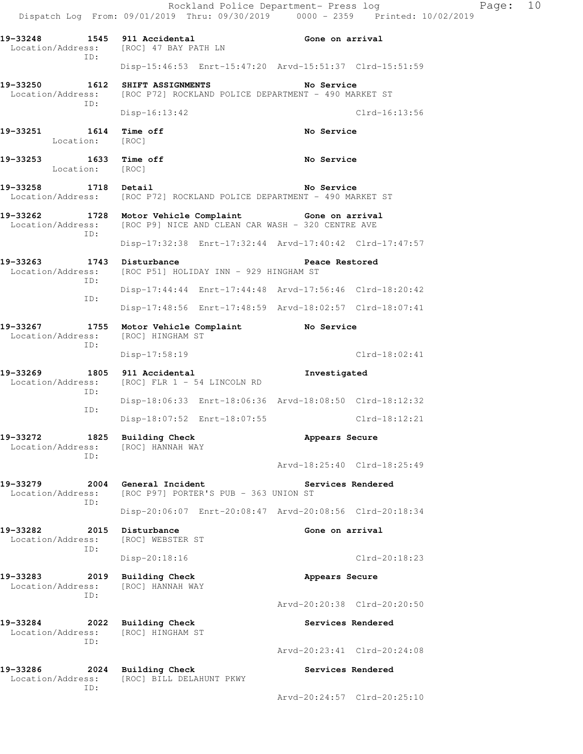Rockland Police Department- Press log Page: 10 Dispatch Log From: 09/01/2019 Thru: 09/30/2019 0000 - 2359 Printed: 10/02/2019 **19-33248 1545 911 Accidental Gone on arrival**  Location/Address: [ROC] 47 BAY PATH LN ID: Disp-15:46:53 Enrt-15:47:20 Arvd-15:51:37 Clrd-15:51:59 **19-33250 1612 SHIFT ASSIGNMENTS No Service**  Location/Address: [ROC P72] ROCKLAND POLICE DEPARTMENT - 490 MARKET ST ID: Disp-16:13:42 Clrd-16:13:56 **19-33251 1614 Time off No Service**  Location: [ROC] **19-33253 1633 Time off No Service No Service 1602 No Service** Location: **19-33258 1718 Detail No Service**  Location/Address: [ROC P72] ROCKLAND POLICE DEPARTMENT - 490 MARKET ST **19-33262 1728 Motor Vehicle Complaint Gone on arrival**  Location/Address: [ROC P9] NICE AND CLEAN CAR WASH - 320 CENTRE AVE ID: Disp-17:32:38 Enrt-17:32:44 Arvd-17:40:42 Clrd-17:47:57 19-33263 1743 Disturbance **1996** Peace Restored Location/Address: [ROC P51] HOLIDAY INN - 929 HINGHAM ST ID: Disp-17:44:44 Enrt-17:44:48 Arvd-17:56:46 Clrd-18:20:42 ID: Disp-17:48:56 Enrt-17:48:59 Arvd-18:02:57 Clrd-18:07:41 **19-33267 1755 Motor Vehicle Complaint No Service**  Location/Address: [ROC] HINGHAM ST ID: Disp-17:58:19 Clrd-18:02:41 **19-33269 1805 911 Accidental Investigated**  Location/Address: [ROC] FLR 1 - 54 LINCOLN RD ID: Disp-18:06:33 Enrt-18:06:36 Arvd-18:08:50 Clrd-18:12:32 ID: Disp-18:07:52 Enrt-18:07:55 Clrd-18:12:21 19-33272 1825 Building Check **Appears Secure**  Location/Address: [ROC] HANNAH WAY ID: Arvd-18:25:40 Clrd-18:25:49 **19-33279 2004 General Incident Services Rendered**  Location/Address: [ROC P97] PORTER'S PUB - 363 UNION ST ID: Disp-20:06:07 Enrt-20:08:47 Arvd-20:08:56 Clrd-20:18:34 19-33282 2015 Disturbance **Cone on arrival**  Location/Address: [ROC] WEBSTER ST ID: Disp-20:18:16 Clrd-20:18:23 19-33283 2019 Building Check **Appears Secure**  Location/Address: [ROC] HANNAH WAY ID: Arvd-20:20:38 Clrd-20:20:50 **19-33284 2022 Building Check Services Rendered**  Location/Address: [ROC] HINGHAM ST ID: Arvd-20:23:41 Clrd-20:24:08 **19-33286 2024 Building Check Services Rendered**  Location/Address: [ROC] BILL DELAHUNT PKWY ID: Arvd-20:24:57 Clrd-20:25:10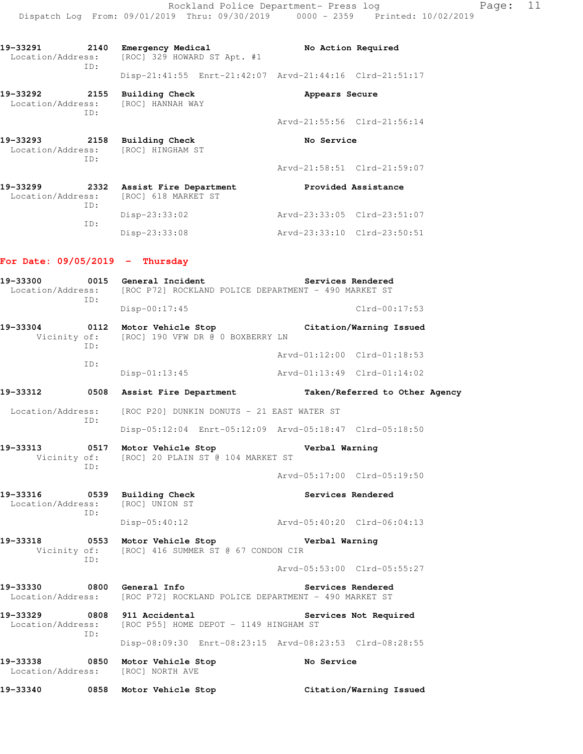Rockland Police Department- Press log Page: 11 Dispatch Log From: 09/01/2019 Thru: 09/30/2019 0000 - 2359 Printed: 10/02/2019

| 19-33291<br>Location/Address: | 2140 | Emergency Medical | [ROC] 329 HOWARD ST Apt. #1 | No Action Required                                      |  |
|-------------------------------|------|-------------------|-----------------------------|---------------------------------------------------------|--|
|                               | TD:  |                   |                             | Disp-21:41:55 Enrt-21:42:07 Arvd-21:44:16 Clrd-21:51:17 |  |

**19-33292 2155 Building Check Appears Secure** 

| Location/Address:             | ID:         | [ROC] HANNAH WAY                              |            |                             |
|-------------------------------|-------------|-----------------------------------------------|------------|-----------------------------|
|                               |             |                                               |            | Arvd-21:55:56 Clrd-21:56:14 |
| 19-33293<br>Location/Address: | 2158<br>TD: | Building Check<br>[ROC] HINGHAM ST            | No Service |                             |
|                               |             |                                               |            | Arvd-21:58:51 Clrd-21:59:07 |
| 19-33299<br>Location/Address: | 2332<br>ID: | Assist Fire Department<br>[ROC] 618 MARKET ST |            | Provided Assistance         |
|                               | ID:         | $Disp-23:33:02$                               |            | Arvd-23:33:05 Clrd-23:51:07 |
|                               |             | $Disp-23:33:08$                               |            | Arvd-23:33:10 Clrd-23:50:51 |

#### **For Date: 09/05/2019 - Thursday**

**19-33300 0015 General Incident Services Rendered**  Location/Address: [ROC P72] ROCKLAND POLICE DEPARTMENT - 490 MARKET ST ID: Disp-00:17:45 Clrd-00:17:53 **19-33304 0112 Motor Vehicle Stop Citation/Warning Issued**  Vicinity of: [ROC] 190 VFW DR @ 0 BOXBERRY LN ID: Arvd-01:12:00 Clrd-01:18:53 ID: Disp-01:13:45 Arvd-01:13:49 Clrd-01:14:02 **19-33312 0508 Assist Fire Department Taken/Referred to Other Agency**  Location/Address: [ROC P20] DUNKIN DONUTS - 21 EAST WATER ST ID: Disp-05:12:04 Enrt-05:12:09 Arvd-05:18:47 Clrd-05:18:50 **19-33313 0517 Motor Vehicle Stop Verbal Warning**  Vicinity of: [ROC] 20 PLAIN ST @ 104 MARKET ST ID: Arvd-05:17:00 Clrd-05:19:50 **19-33316 0539 Building Check Services Rendered**  Location/Address: [ROC] UNION ST ID: Disp-05:40:12 Arvd-05:40:20 Clrd-06:04:13 **19-33318 0553 Motor Vehicle Stop Verbal Warning**  Vicinity of: [ROC] 416 SUMMER ST @ 67 CONDON CIR ID: Arvd-05:53:00 Clrd-05:55:27 **19-33330 0800 General Info Services Rendered**  Location/Address: [ROC P72] ROCKLAND POLICE DEPARTMENT - 490 MARKET ST **19-33329 0808 911 Accidental Services Not Required**  Location/Address: [ROC P55] HOME DEPOT - 1149 HINGHAM ST ID: Disp-08:09:30 Enrt-08:23:15 Arvd-08:23:53 Clrd-08:28:55 **19-33338 0850 Motor Vehicle Stop No Service**  Location/Address: [ROC] NORTH AVE **19-33340 0858 Motor Vehicle Stop Citation/Warning Issued**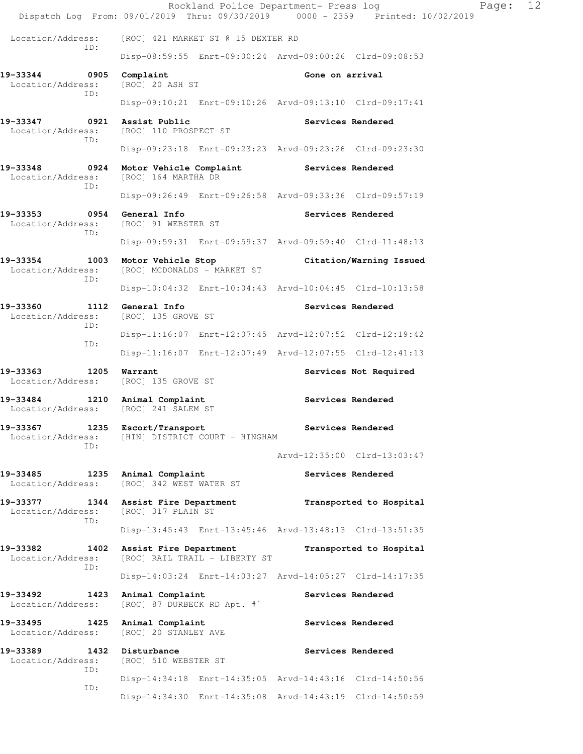Rockland Police Department- Press log Fage: 12 Dispatch Log From: 09/01/2019 Thru: 09/30/2019 0000 - 2359 Printed: 10/02/2019 Location/Address: [ROC] 421 MARKET ST @ 15 DEXTER RD ID: Disp-08:59:55 Enrt-09:00:24 Arvd-09:00:26 Clrd-09:08:53 **19-33344 0905 Complaint Gone on arrival**  Location/Address: [ROC] 20 ASH ST ID: Disp-09:10:21 Enrt-09:10:26 Arvd-09:13:10 Clrd-09:17:41 **19-33347 0921 Assist Public Services Rendered**  Location/Address: [ROC] 110 PROSPECT ST ID: Disp-09:23:18 Enrt-09:23:23 Arvd-09:23:26 Clrd-09:23:30 19-33348 **0924** Motor Vehicle Complaint **Services Rendered**  Location/Address: [ROC] 164 MARTHA DR ID: Disp-09:26:49 Enrt-09:26:58 Arvd-09:33:36 Clrd-09:57:19 19-33353 **0954 General Info 19-33353 19-33353** Location/Address: [ROC] 91 WEBSTER ST ID: Disp-09:59:31 Enrt-09:59:37 Arvd-09:59:40 Clrd-11:48:13 **19-33354 1003 Motor Vehicle Stop Citation/Warning Issued**  Location/Address: [ROC] MCDONALDS - MARKET ST ID: Disp-10:04:32 Enrt-10:04:43 Arvd-10:04:45 Clrd-10:13:58 19-33360 1112 General Info **1112 Ceneral Information Services Rendered**  Location/Address: [ROC] 135 GROVE ST ID: Disp-11:16:07 Enrt-12:07:45 Arvd-12:07:52 Clrd-12:19:42 ID: Disp-11:16:07 Enrt-12:07:49 Arvd-12:07:55 Clrd-12:41:13 19-33363 1205 Warrant **Services Not Required**  Location/Address: [ROC] 135 GROVE ST **19-33484 1210 Animal Complaint Services Rendered**  Location/Address: [ROC] 241 SALEM ST **19-33367 1235 Escort/Transport Services Rendered**  Location/Address: [HIN] DISTRICT COURT - HINGHAM ID: Arvd-12:35:00 Clrd-13:03:47 19-33485 1235 Animal Complaint **19-33485** Services Rendered Location/Address: [ROC] 342 WEST WATER ST **19-33377 1344 Assist Fire Department Transported to Hospital**  Location/Address: [ROC] 317 PLAIN ST ID: Disp-13:45:43 Enrt-13:45:46 Arvd-13:48:13 Clrd-13:51:35 **19-33382 1402 Assist Fire Department Transported to Hospital**  Location/Address: [ROC] RAIL TRAIL - LIBERTY ST ID: Disp-14:03:24 Enrt-14:03:27 Arvd-14:05:27 Clrd-14:17:35 19-33492 1423 Animal Complaint **Services Rendered** Location/Address: [ROC] 87 DURBECK RD Apt. #` **19-33495 1425 Animal Complaint Services Rendered**  Location/Address: [ROC] 20 STANLEY AVE 19-33389 1432 Disturbance **Services Rendered**  Location/Address: [ROC] 510 WEBSTER ST ID: Disp-14:34:18 Enrt-14:35:05 Arvd-14:43:16 Clrd-14:50:56 ID: Disp-14:34:30 Enrt-14:35:08 Arvd-14:43:19 Clrd-14:50:59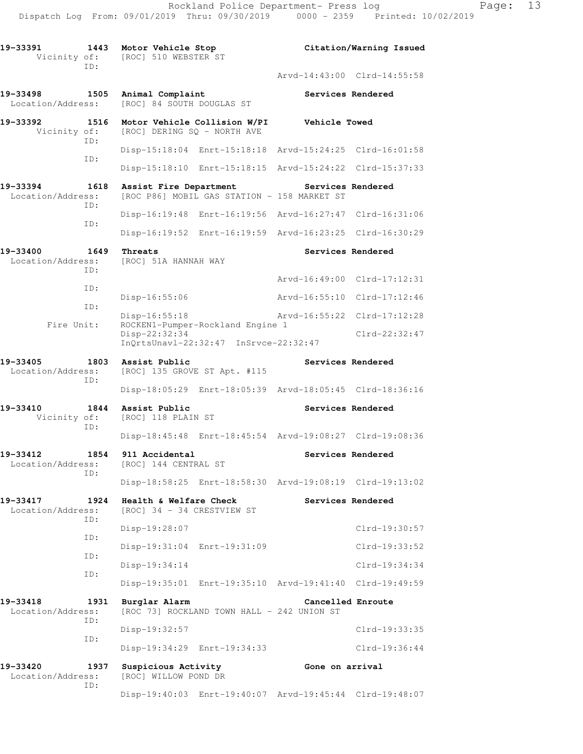| 19-33391<br>Vicinity of:      | 1443        | Motor Vehicle Stop<br>[ROC] 510 WEBSTER ST           |                                                                           |                 | Citation/Warning Issued     |
|-------------------------------|-------------|------------------------------------------------------|---------------------------------------------------------------------------|-----------------|-----------------------------|
|                               | ID:         |                                                      |                                                                           |                 | Arvd-14:43:00 Clrd-14:55:58 |
| 19-33498<br>Location/Address: | 1505        | Animal Complaint<br>[ROC] 84 SOUTH DOUGLAS ST        |                                                                           |                 | Services Rendered           |
| 19-33392<br>Vicinity of:      | 1516<br>ID: |                                                      | Motor Vehicle Collision W/PI<br>[ROC] DERING SO - NORTH AVE               | Vehicle Towed   |                             |
|                               | ID:         |                                                      | Disp-15:18:04 Enrt-15:18:18 Arvd-15:24:25 Clrd-16:01:58                   |                 |                             |
|                               |             |                                                      | Disp-15:18:10 Enrt-15:18:15 Arvd-15:24:22 Clrd-15:37:33                   |                 |                             |
| 19-33394<br>Location/Address: | 1618        | Assist Fire Department                               | [ROC P86] MOBIL GAS STATION - 158 MARKET ST                               |                 | Services Rendered           |
|                               | ID:         |                                                      | Disp-16:19:48 Enrt-16:19:56 Arvd-16:27:47 Clrd-16:31:06                   |                 |                             |
|                               | ID:         |                                                      | Disp-16:19:52 Enrt-16:19:59 Arvd-16:23:25 Clrd-16:30:29                   |                 |                             |
| 19-33400<br>Location/Address: | 1649        | Threats<br>[ROC] 51A HANNAH WAY                      |                                                                           |                 | Services Rendered           |
|                               | ID:         |                                                      |                                                                           |                 | Arvd-16:49:00 Clrd-17:12:31 |
|                               | ID:         | Disp-16:55:06                                        |                                                                           | Arvd-16:55:10   | $Clrd-17:12:46$             |
|                               | ID:         | Disp-16:55:18                                        |                                                                           |                 | Arvd-16:55:22 Clrd-17:12:28 |
| Fire Unit:                    |             | Disp-22:32:34                                        | ROCKEN1-Pumper-Rockland Engine 1<br>InQrtsUnavl-22:32:47 InSrvce-22:32:47 |                 | $Clrd-22:32:47$             |
| 19-33405<br>Location/Address: | 1803        | Assist Public                                        | [ROC] 135 GROVE ST Apt. #115                                              |                 | Services Rendered           |
|                               | ID:         |                                                      | Disp-18:05:29 Enrt-18:05:39 Arvd-18:05:45 Clrd-18:36:16                   |                 |                             |
| 19-33410<br>Vicinity of:      | 1844        | Assist Public<br>[ROC] 118 PLAIN ST                  |                                                                           |                 | Services Rendered           |
|                               | ID:         |                                                      | Disp-18:45:48 Enrt-18:45:54 Arvd-19:08:27 Clrd-19:08:36                   |                 |                             |
| 19-33412<br>Location/Address: | 1854        | 911 Accidental<br>[ROC] 144 CENTRAL ST               |                                                                           |                 | Services Rendered           |
|                               | ID:         |                                                      | Disp-18:58:25 Enrt-18:58:30 Arvd-19:08:19 Clrd-19:13:02                   |                 |                             |
| 19-33417<br>Location/Address: | 1924        | Health & Welfare Check<br>[ROC] 34 - 34 CRESTVIEW ST |                                                                           |                 | Services Rendered           |
|                               | TD:         | Disp-19:28:07                                        |                                                                           |                 | Clrd-19:30:57               |
|                               | ID:         |                                                      | Disp-19:31:04 Enrt-19:31:09                                               |                 | Clrd-19:33:52               |
|                               | ID:         | $Disp-19:34:14$                                      |                                                                           |                 | $Clrd-19:34:34$             |
|                               | ID:         |                                                      | Disp-19:35:01 Enrt-19:35:10 Arvd-19:41:40 Clrd-19:49:59                   |                 |                             |
| 19-33418<br>Location/Address: | 1931<br>ID: | Burglar Alarm                                        | [ROC 73] ROCKLAND TOWN HALL - 242 UNION ST                                |                 | Cancelled Enroute           |
|                               | ID:         | $Disp-19:32:57$                                      |                                                                           |                 | Clrd-19:33:35               |
|                               |             |                                                      | Disp-19:34:29 Enrt-19:34:33                                               |                 | Clrd-19:36:44               |
| 19-33420<br>Location/Address: | 1937        | Suspicious Activity<br>[ROC] WILLOW POND DR          |                                                                           | Gone on arrival |                             |
|                               | ID:         |                                                      | Disp-19:40:03 Enrt-19:40:07 Arvd-19:45:44 Clrd-19:48:07                   |                 |                             |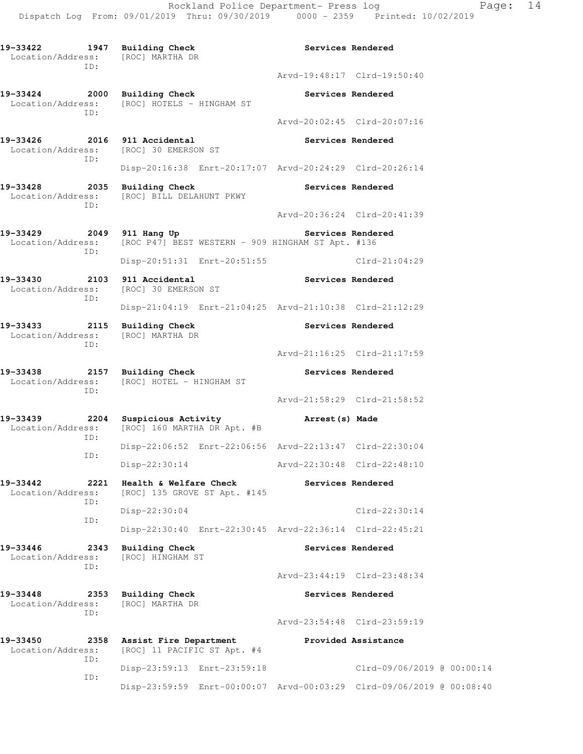Rockland Police Department- Press log Page: 14 Dispatch Log From: 09/01/2019 Thru: 09/30/2019 0000 - 2359 Printed: 10/02/2019

**19-33422 1947 Building Check Services Rendered**  Location/Address: [ROC] MARTHA DR ID: Arvd-19:48:17 Clrd-19:50:40 **19-33424 2000 Building Check Services Rendered**  Location/Address: [ROC] HOTELS - HINGHAM ST ID: Arvd-20:02:45 Clrd-20:07:16 **19-33426 2016 911 Accidental Services Rendered**  Location/Address: [ROC] 30 EMERSON ST ID: Disp-20:16:38 Enrt-20:17:07 Arvd-20:24:29 Clrd-20:26:14 **19-33428 2035 Building Check Services Rendered**  Location/Address: [ROC] BILL DELAHUNT PKWY ID: Arvd-20:36:24 Clrd-20:41:39 **19-33429 2049 911 Hang Up Services Rendered**  Location/Address: [ROC P47] BEST WESTERN - 909 HINGHAM ST Apt. #136 ID: Disp-20:51:31 Enrt-20:51:55 Clrd-21:04:29 **19-33430 2103 911 Accidental Services Rendered**  Location/Address: [ROC] 30 EMERSON ST ID: Disp-21:04:19 Enrt-21:04:25 Arvd-21:10:38 Clrd-21:12:29 19-33433 2115 Building Check **Services Rendered**  Location/Address: [ROC] MARTHA DR ID: Arvd-21:16:25 Clrd-21:17:59 **19-33438 2157 Building Check Services Rendered**  Location/Address: [ROC] HOTEL - HINGHAM ST ID: Arvd-21:58:29 Clrd-21:58:52 **19-33439 2204 Suspicious Activity Arrest(s) Made**  Location/Address: [ROC] 160 MARTHA DR Apt. #B ID: Disp-22:06:52 Enrt-22:06:56 Arvd-22:13:47 Clrd-22:30:04 ID: Disp-22:30:14 Arvd-22:30:48 Clrd-22:48:10 **19-33442 2221 Health & Welfare Check Services Rendered**  Location/Address: [ROC] 135 GROVE ST Apt. #145 ID: Disp-22:30:04 Clrd-22:30:14 ID: Disp-22:30:40 Enrt-22:30:45 Arvd-22:36:14 Clrd-22:45:21 **19-33446 2343 Building Check Services Rendered**  Location/Address: [ROC] HINGHAM ST ID: Arvd-23:44:19 Clrd-23:48:34 **19-33448 2353 Building Check Services Rendered**  Location/Address: [ROC] MARTHA DR ID: Arvd-23:54:48 Clrd-23:59:19 **19-33450 2358 Assist Fire Department Provided Assistance**  Location/Address: [ROC] 11 PACIFIC ST Apt. #4 ID: Disp-23:59:13 Enrt-23:59:18 Clrd-09/06/2019 @ 00:00:14 ID: Disp-23:59:59 Enrt-00:00:07 Arvd-00:03:29 Clrd-09/06/2019 @ 00:08:40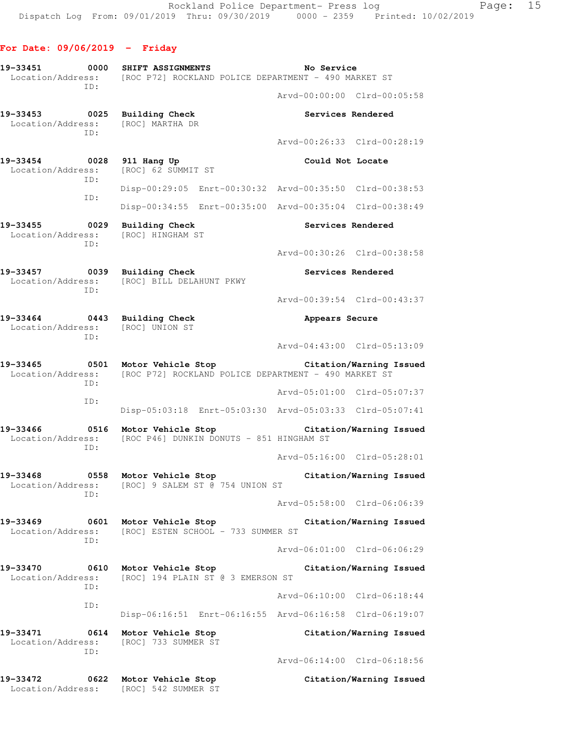| 19-33451<br>0000<br>Location/Address:        | SHIFT ASSIGNMENTS<br>[ROC P72] ROCKLAND POLICE DEPARTMENT - 490 MARKET ST  | No Service                                              |
|----------------------------------------------|----------------------------------------------------------------------------|---------------------------------------------------------|
| TD:                                          |                                                                            | Arvd-00:00:00 Clrd-00:05:58                             |
| 19-33453<br>0025<br>Location/Address:<br>TD: | <b>Building Check</b><br>[ROC] MARTHA DR                                   | Services Rendered                                       |
|                                              |                                                                            | Arvd-00:26:33 Clrd-00:28:19                             |
| 19-33454<br>0028<br>Location/Address:<br>ID: | 911 Hang Up<br>[ROC] 62 SUMMIT ST                                          | Could Not Locate                                        |
| ID:                                          |                                                                            | Disp-00:29:05 Enrt-00:30:32 Arvd-00:35:50 Clrd-00:38:53 |
|                                              |                                                                            | Disp-00:34:55 Enrt-00:35:00 Arvd-00:35:04 Clrd-00:38:49 |
| 19-33455<br>0029<br>Location/Address:<br>ID: | <b>Building Check</b><br>[ROC] HINGHAM ST                                  | Services Rendered                                       |
|                                              |                                                                            | Arvd-00:30:26 Clrd-00:38:58                             |
| 19-33457<br>0039<br>Location/Address:<br>ID: | <b>Building Check</b><br>[ROC] BILL DELAHUNT PKWY                          | Services Rendered                                       |
|                                              |                                                                            | Arvd-00:39:54 Clrd-00:43:37                             |
| 19-33464<br>0443<br>Location/Address:<br>ID: | <b>Building Check</b><br>[ROC] UNION ST                                    | Appears Secure                                          |
|                                              |                                                                            | Arvd-04:43:00 Clrd-05:13:09                             |
| 19-33465<br>0501<br>Location/Address:<br>ID: | Motor Vehicle Stop<br>[ROC P72] ROCKLAND POLICE DEPARTMENT - 490 MARKET ST | Citation/Warning Issued                                 |
| ID:                                          |                                                                            | Arvd-05:01:00 Clrd-05:07:37                             |
|                                              |                                                                            | Disp-05:03:18 Enrt-05:03:30 Arvd-05:03:33 Clrd-05:07:41 |
| 19-33466<br>0516<br>Location/Address:<br>ID: | Motor Vehicle Stop<br>[ROC P46] DUNKIN DONUTS - 851 HINGHAM ST             | Citation/Warning Issued                                 |
|                                              |                                                                            | Arvd-05:16:00 Clrd-05:28:01                             |
| 19-33468<br>0558<br>ID:                      | Motor Vehicle Stop<br>Location/Address: [ROC] 9 SALEM ST @ 754 UNION ST    | Citation/Warning Issued                                 |
|                                              |                                                                            | Arvd-05:58:00 Clrd-06:06:39                             |
| 19-33469<br>0601<br>Location/Address:<br>ID: | Motor Vehicle Stop<br>[ROC] ESTEN SCHOOL - 733 SUMMER ST                   | Citation/Warning Issued                                 |
|                                              |                                                                            | Arvd-06:01:00 Clrd-06:06:29                             |
| 19-33470<br>0610<br>Location/Address:<br>ID: | Motor Vehicle Stop<br>[ROC] 194 PLAIN ST @ 3 EMERSON ST                    | Citation/Warning Issued                                 |
| ID:                                          |                                                                            | Arvd-06:10:00 Clrd-06:18:44                             |
|                                              |                                                                            | Disp-06:16:51 Enrt-06:16:55 Arvd-06:16:58 Clrd-06:19:07 |
| 19-33471<br>0614<br>Location/Address:<br>ID: | Motor Vehicle Stop<br>[ROC] 733 SUMMER ST                                  | Citation/Warning Issued                                 |
|                                              |                                                                            | Arvd-06:14:00 Clrd-06:18:56                             |
| 19-33472<br>0622<br>Location/Address:        | Motor Vehicle Stop<br>[ROC] 542 SUMMER ST                                  | Citation/Warning Issued                                 |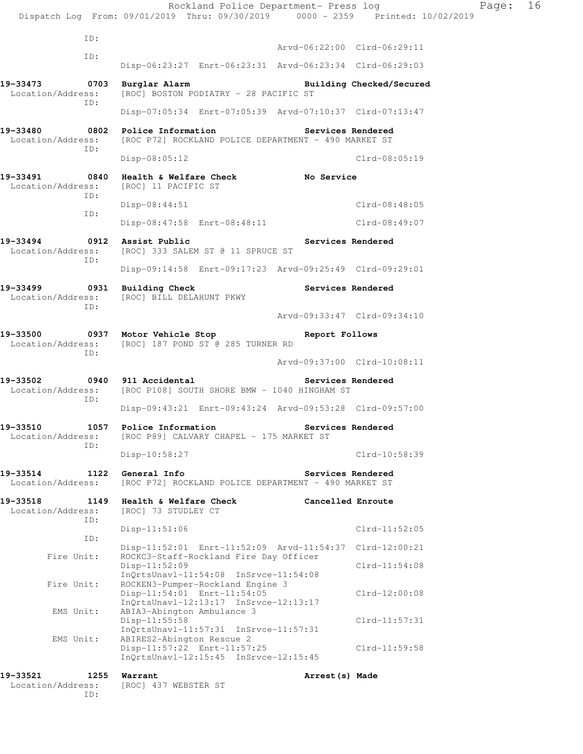Rockland Police Department- Press log Fage: 16 Dispatch Log From: 09/01/2019 Thru: 09/30/2019 0000 - 2359 Printed: 10/02/2019 ID: Arvd-06:22:00 Clrd-06:29:11 ID: Disp-06:23:27 Enrt-06:23:31 Arvd-06:23:34 Clrd-06:29:03 **19-33473 0703 Burglar Alarm Building Checked/Secured**  Location/Address: [ROC] BOSTON PODIATRY - 28 PACIFIC ST ID: Disp-07:05:34 Enrt-07:05:39 Arvd-07:10:37 Clrd-07:13:47 **19-33480 0802 Police Information Services Rendered**  Location/Address: [ROC P72] ROCKLAND POLICE DEPARTMENT - 490 MARKET ST ID: Disp-08:05:12 Clrd-08:05:19 **19-33491 0840 Health & Welfare Check No Service**  Location/Address: [ROC] 11 PACIFIC ST ID: Disp-08:44:51 Clrd-08:48:05 ID: Disp-08:47:58 Enrt-08:48:11 Clrd-08:49:07 19-33494 **0912** Assist Public **19-33494** Services Rendered Location/Address: [ROC] 333 SALEM ST @ 11 SPRUCE ST ID: Disp-09:14:58 Enrt-09:17:23 Arvd-09:25:49 Clrd-09:29:01 19-33499 **0931** Building Check **Services Rendered**  Location/Address: [ROC] BILL DELAHUNT PKWY ID: Arvd-09:33:47 Clrd-09:34:10 **19-33500 0937 Motor Vehicle Stop Report Follows**  Location/Address: [ROC] 187 POND ST @ 285 TURNER RD ID: Arvd-09:37:00 Clrd-10:08:11 **19-33502 0940 911 Accidental Services Rendered**  Location/Address: [ROC P108] SOUTH SHORE BMW - 1040 HINGHAM ST ID: Disp-09:43:21 Enrt-09:43:24 Arvd-09:53:28 Clrd-09:57:00 **19-33510 1057 Police Information Services Rendered**  Location/Address: [ROC P89] CALVARY CHAPEL - 175 MARKET ST ID: Disp-10:58:27 Clrd-10:58:39 **19-33514 1122 General Info Services Rendered**  Location/Address: [ROC P72] ROCKLAND POLICE DEPARTMENT - 490 MARKET ST **19-33518 1149 Health & Welfare Check Cancelled Enroute** Location/Address: [ROC] 73 STUDLEY CT [ROC] 73 STUDLEY CT ID: Disp-11:51:06 Clrd-11:52:05 ID: Disp-11:52:01 Enrt-11:52:09 Arvd-11:54:37 Clrd-12:00:21 Fire Unit: ROCKC3-Staff-Rockland Fire Day Officer Disp-11:52:09 Clrd-11:54:08 InQrtsUnavl-11:54:08 InSrvce-11:54:08 Fire Unit: ROCKEN3-Pumper-Rockland Engine 3 Disp-11:54:01 Enrt-11:54:05 Clrd-12:00:08 InQrtsUnavl-12:13:17 InSrvce-12:13:17<br>EMS Unit: ABIA3-Abington Ambulance 3 ABIA3-Abington Ambulance 3 Disp-11:55:58 Clrd-11:57:31 InQrtsUnavl-11:57:31 InSrvce-11:57:31<br>EMS Unit: ABIRES2-Abington Rescue 2 ABIRES2-Abington Rescue 2 Disp-11:57:22 Enrt-11:57:25 Clrd-11:59:58 InQrtsUnavl-12:15:45 InSrvce-12:15:45 **19-33521 1255 Warrant Arrest(s) Made** 

 Location/Address: [ROC] 437 WEBSTER ST ID: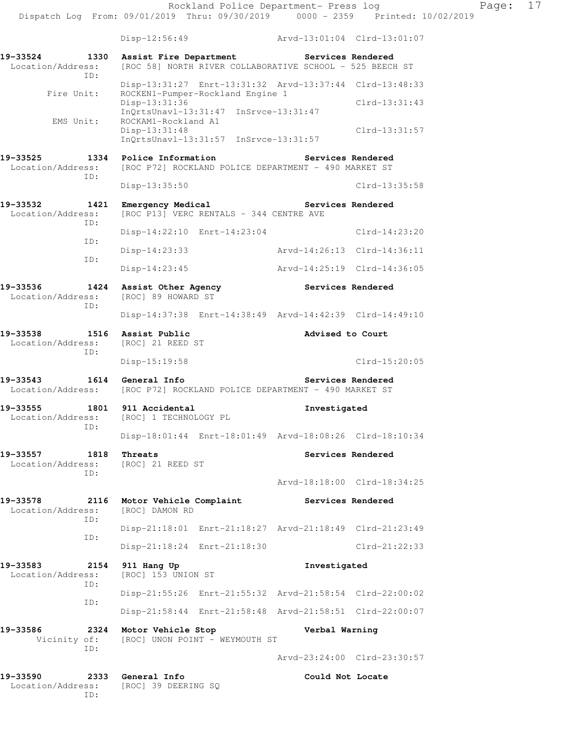| 19-33524<br>1330<br>Location/Address:<br>TD: | Assist Fire Department                                                     | Services Rendered<br>[ROC 58] NORTH RIVER COLLABORATIVE SCHOOL - 525 BEECH ST |
|----------------------------------------------|----------------------------------------------------------------------------|-------------------------------------------------------------------------------|
| Fire Unit:                                   | ROCKEN1-Pumper-Rockland Engine 1                                           | Disp-13:31:27 Enrt-13:31:32 Arvd-13:37:44 Clrd-13:48:33                       |
| EMS Unit:                                    | Disp-13:31:36<br>$InQrtsUnav1-13:31:47$<br>ROCKAM1-Rockland A1             | $Clrd-13:31:43$<br>$InStvee-13:31:47$                                         |
|                                              | Disp-13:31:48<br>InQrtsUnavl-13:31:57 InSrvce-13:31:57                     | $Clrd-13:31:57$                                                               |
| 19-33525<br>1334<br>Location/Address:        | Police Information<br>[ROC P72] ROCKLAND POLICE DEPARTMENT - 490 MARKET ST | Services Rendered                                                             |
| ID:                                          | Disp-13:35:50                                                              | Clrd-13:35:58                                                                 |
| 19-33532<br>1421<br>Location/Address:<br>ID: | Emergency Medical<br>[ROC P13] VERC RENTALS - 344 CENTRE AVE               | Services Rendered                                                             |
| ID:                                          | Disp-14:22:10 Enrt-14:23:04                                                | $Clrd-14:23:20$                                                               |
| ID:                                          | $Disp-14:23:33$                                                            | Arvd-14:26:13 Clrd-14:36:11                                                   |
|                                              | $Disp-14:23:45$                                                            | Arvd-14:25:19 Clrd-14:36:05                                                   |
| 1424<br>19-33536<br>Location/Address:<br>ID: | Assist Other Agency<br>[ROC] 89 HOWARD ST                                  | Services Rendered                                                             |
|                                              |                                                                            | Disp-14:37:38 Enrt-14:38:49 Arvd-14:42:39 Clrd-14:49:10                       |
| 19-33538<br>1516<br>Location/Address:<br>ID: | Assist Public<br>[ROC] 21 REED ST                                          | Advised to Court                                                              |
|                                              | Disp-15:19:58                                                              | $Clrd-15:20:05$                                                               |
|                                              |                                                                            |                                                                               |
| 19-33543<br>1614<br>Location/Address:        | General Info<br>[ROC P72] ROCKLAND POLICE DEPARTMENT - 490 MARKET ST       | Services Rendered                                                             |
| 19-33555<br>1801<br>Location/Address:        | 911 Accidental<br>[ROC] 1 TECHNOLOGY PL                                    | Investigated                                                                  |
| ID:                                          |                                                                            | Disp-18:01:44 Enrt-18:01:49 Arvd-18:08:26 Clrd-18:10:34                       |
| 19-33557<br>1818<br>Location/Address:        | Threats<br>[ROC] 21 REED ST                                                | Services Rendered                                                             |
| ID:                                          |                                                                            | Arvd-18:18:00 Clrd-18:34:25                                                   |
| 19-33578<br>2116<br>Location/Address:        | Motor Vehicle Complaint<br>[ROC] DAMON RD                                  | Services Rendered                                                             |
| ID:                                          |                                                                            | Disp-21:18:01 Enrt-21:18:27 Arvd-21:18:49 Clrd-21:23:49                       |
| ID:                                          | Disp-21:18:24 Enrt-21:18:30                                                | Clrd-21:22:33                                                                 |
| 19-33583<br>2154<br>Location/Address:        | 911 Hang Up<br>[ROC] 153 UNION ST                                          | Investigated                                                                  |
| ID:                                          |                                                                            | Disp-21:55:26 Enrt-21:55:32 Arvd-21:58:54 Clrd-22:00:02                       |
| ID:                                          |                                                                            | Disp-21:58:44 Enrt-21:58:48 Arvd-21:58:51 Clrd-22:00:07                       |
| 19-33586<br>2324<br>Vicinity of:<br>ID:      | Motor Vehicle Stop<br>[ROC] UNON POINT - WEYMOUTH ST                       | Verbal Warning                                                                |
|                                              |                                                                            | Arvd-23:24:00 Clrd-23:30:57                                                   |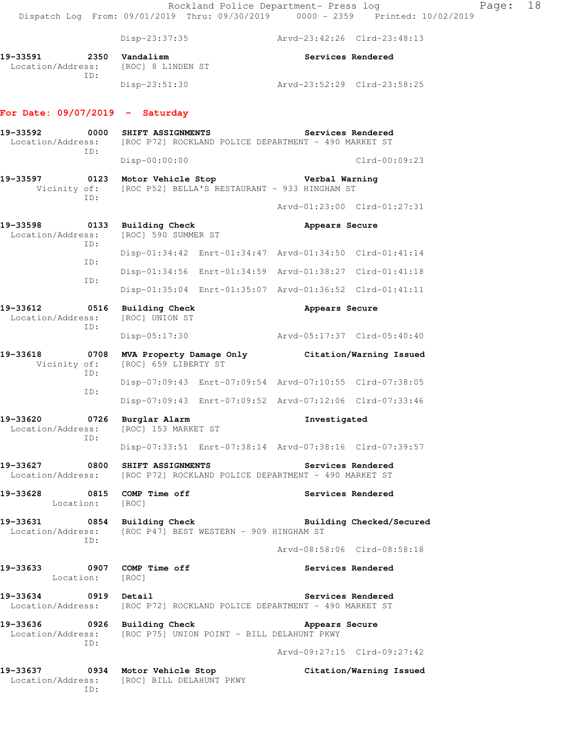|                                                                                                           |             |                                                                           | Rockland Police Department- Press log                   |                             | Dispatch Log From: 09/01/2019 Thru: 09/30/2019 0000 - 2359 Printed: 10/02/2019 |
|-----------------------------------------------------------------------------------------------------------|-------------|---------------------------------------------------------------------------|---------------------------------------------------------|-----------------------------|--------------------------------------------------------------------------------|
|                                                                                                           |             |                                                                           |                                                         |                             |                                                                                |
|                                                                                                           |             | Disp-23:37:35                                                             |                                                         | Arvd-23:42:26 Clrd-23:48:13 |                                                                                |
| 19-33591<br>2350<br>Location/Address:<br>ID:                                                              |             | Vandalism<br>[ROC] 8 LINDEN ST                                            |                                                         |                             | Services Rendered                                                              |
|                                                                                                           |             | Disp-23:51:30                                                             |                                                         | Arvd-23:52:29 Clrd-23:58:25 |                                                                                |
| For Date: $09/07/2019$ - Saturday                                                                         |             |                                                                           |                                                         |                             |                                                                                |
| 19-33592<br>Location/Address:                                                                             | 0000<br>ID: | SHIFT ASSIGNMENTS<br>[ROC P72] ROCKLAND POLICE DEPARTMENT - 490 MARKET ST |                                                         |                             | Services Rendered                                                              |
|                                                                                                           |             | Disp-00:00:00                                                             |                                                         |                             | $Clrd-00:09:23$                                                                |
| 19-33597<br>Vicinity of:                                                                                  | ID:         | 0123 Motor Vehicle Stop                                                   | [ROC P52] BELLA'S RESTAURANT - 933 HINGHAM ST           | Verbal Warning              |                                                                                |
|                                                                                                           |             |                                                                           |                                                         |                             | Arvd-01:23:00 Clrd-01:27:31                                                    |
| 19-33598<br>Location/Address:                                                                             | 0133<br>ID: | <b>Building Check</b><br>[ROC] 590 SUMMER ST                              |                                                         | Appears Secure              |                                                                                |
|                                                                                                           |             |                                                                           | Disp-01:34:42 Enrt-01:34:47 Arvd-01:34:50 Clrd-01:41:14 |                             |                                                                                |
|                                                                                                           | ID:         |                                                                           | Disp-01:34:56 Enrt-01:34:59 Arvd-01:38:27 Clrd-01:41:18 |                             |                                                                                |
|                                                                                                           | ID:         |                                                                           | Disp-01:35:04 Enrt-01:35:07 Arvd-01:36:52 Clrd-01:41:11 |                             |                                                                                |
| 19-33612<br>Location/Address:                                                                             | 0516        | <b>Building Check</b><br>[ROC] UNION ST                                   |                                                         | Appears Secure              |                                                                                |
| ID:                                                                                                       |             | $Disp-05:17:30$                                                           |                                                         | Arvd-05:17:37 Clrd-05:40:40 |                                                                                |
| 19-33618<br>Vicinity of:                                                                                  | 0708        | [ROC] 659 LIBERTY ST                                                      |                                                         |                             | MVA Property Damage Only Citation/Warning Issued                               |
|                                                                                                           | ID:         |                                                                           | Disp-07:09:43 Enrt-07:09:54 Arvd-07:10:55 Clrd-07:38:05 |                             |                                                                                |
|                                                                                                           | ID:         |                                                                           | Disp-07:09:43 Enrt-07:09:52 Arvd-07:12:06 Clrd-07:33:46 |                             |                                                                                |
| 19-33620<br>Location/Address:                                                                             | 0726<br>ID: | Burglar Alarm<br>[ROC] 153 MARKET ST                                      |                                                         | Investigated                |                                                                                |
|                                                                                                           |             |                                                                           | Disp-07:33:51 Enrt-07:38:14 Arvd-07:38:16 Clrd-07:39:57 |                             |                                                                                |
| 19-33627 0800 SHIFT ASSIGNMENTS<br>Location/Address: [ROC P72] ROCKLAND POLICE DEPARTMENT - 490 MARKET ST |             |                                                                           |                                                         | Services Rendered           |                                                                                |
| 19-33628 0815 COMP Time off<br>Location: [ROC]                                                            |             |                                                                           |                                                         |                             | Services Rendered                                                              |
| 19-33631 0854 Building Check<br>Location/Address: [ROC P47] BEST WESTERN - 909 HINGHAM ST                 | ID:         |                                                                           |                                                         |                             | Building Checked/Secured                                                       |
|                                                                                                           |             |                                                                           |                                                         |                             | Arvd-08:58:06 Clrd-08:58:18                                                    |
| 19-33633 0907 COMP Time off<br>Location: [ROC]                                                            |             |                                                                           |                                                         | Services Rendered           |                                                                                |
| 19-33634 0919 Detail<br>Location/Address: [ROC P72] ROCKLAND POLICE DEPARTMENT - 490 MARKET ST            |             |                                                                           |                                                         |                             | Services Rendered                                                              |
| 19-33636 0926 Building Check                                                                              | ID:         | Location/Address: [ROC P75] UNION POINT - BILL DELAHUNT PKWY              |                                                         | Appears Secure              |                                                                                |
|                                                                                                           |             |                                                                           |                                                         |                             | Arvd-09:27:15 Clrd-09:27:42                                                    |
| 19-33637 0934 Motor Vehicle Stop                                                                          | ID:         | Location/Address: [ROC] BILL DELAHUNT PKWY                                |                                                         |                             | Citation/Warning Issued                                                        |

Page: 18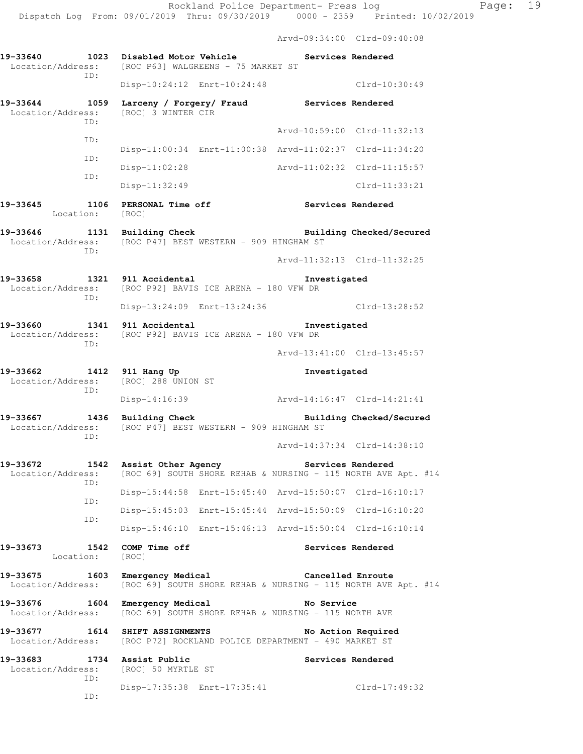Arvd-09:34:00 Clrd-09:40:08

| 19-33640 1023                             | Disabled Motor Vehicle<br>Location/Address: [ROC P63] WALGREENS - 75 MARKET ST                   |                             | Services Rendered           |
|-------------------------------------------|--------------------------------------------------------------------------------------------------|-----------------------------|-----------------------------|
| ID:                                       | Disp-10:24:12 Enrt-10:24:48                                                                      |                             | Clrd-10:30:49               |
| 19-33644 1059<br>Location/Address:<br>ID: | Larceny / Forgery/ Fraud<br>[ROC] 3 WINTER CIR                                                   | Services Rendered           |                             |
|                                           |                                                                                                  |                             | Arvd-10:59:00 Clrd-11:32:13 |
| ID:                                       | Disp-11:00:34 Enrt-11:00:38 Arvd-11:02:37 Clrd-11:34:20                                          |                             |                             |
| ID:                                       | $Disp-11:02:28$                                                                                  |                             | Arvd-11:02:32 Clrd-11:15:57 |
| ID:                                       | $Disp-11:32:49$                                                                                  |                             | $Clrd-11:33:21$             |
| 19-33645<br>Location: [ROC]               | 1106 PERSONAL Time off                                                                           |                             | Services Rendered           |
| 19-33646<br>1131<br>ID:                   | Building Check<br>Location/Address: [ROC P47] BEST WESTERN - 909 HINGHAM ST                      |                             | Building Checked/Secured    |
|                                           |                                                                                                  |                             | Arvd-11:32:13 Clrd-11:32:25 |
| 19-33658<br>ID:                           | 1321 911 Accidental<br>Location/Address: [ROC P92] BAVIS ICE ARENA - 180 VFW DR                  | Investigated                |                             |
|                                           | Disp-13:24:09 Enrt-13:24:36                                                                      |                             | Clrd-13:28:52               |
| 19-33660<br>ID:                           | 1341 911 Accidental<br>Location/Address: [ROC P92] BAVIS ICE ARENA - 180 VFW DR                  | Investigated                |                             |
|                                           |                                                                                                  |                             | Arvd-13:41:00 Clrd-13:45:57 |
| 19-33662<br>ID:                           | 1412 911 Hang Up<br>Location/Address: [ROC] 288 UNION ST                                         | Investigated                |                             |
|                                           | Disp-14:16:39                                                                                    | Arvd-14:16:47 Clrd-14:21:41 |                             |
| 19-33667 1436<br>Location/Address:<br>ID: | <b>Building Check</b><br>[ROC P47] BEST WESTERN - 909 HINGHAM ST                                 |                             | Building Checked/Secured    |
|                                           |                                                                                                  |                             | Arvd-14:37:34 Clrd-14:38:10 |
| 19-33672<br>Location/Address:<br>ID:      | 1542 Assist Other Agency<br>[ROC 69] SOUTH SHORE REHAB & NURSING - 115 NORTH AVE Apt. #14        |                             | Services Rendered           |
| ID:                                       | Disp-15:44:58 Enrt-15:45:40 Arvd-15:50:07 Clrd-16:10:17                                          |                             |                             |
| ID:                                       | Disp-15:45:03 Enrt-15:45:44 Arvd-15:50:09 Clrd-16:10:20                                          |                             |                             |
|                                           | Disp-15:46:10 Enrt-15:46:13 Arvd-15:50:04 Clrd-16:10:14                                          |                             |                             |
| 19-33673<br>Location:                     | 1542 COMP Time off<br>[ROC]                                                                      |                             | Services Rendered           |
| 19-33675<br>1603<br>Location/Address:     | Emergency Medical<br>[ROC 69] SOUTH SHORE REHAB & NURSING - 115 NORTH AVE Apt. #14               |                             | Cancelled Enroute           |
| 19-33676<br>1604<br>Location/Address:     | Emergency Medical<br>[ROC 69] SOUTH SHORE REHAB & NURSING - 115 NORTH AVE                        | No Service                  |                             |
| 19-33677                                  | 1614 SHIFT ASSIGNMENTS<br>Location/Address: [ROC P72] ROCKLAND POLICE DEPARTMENT - 490 MARKET ST |                             | No Action Required          |
| 19-33683<br>1734<br>ID:                   | Assist Public<br>Location/Address: [ROC] 50 MYRTLE ST                                            |                             | Services Rendered           |
| ID:                                       | Disp-17:35:38 Enrt-17:35:41                                                                      |                             | $Clrd-17:49:32$             |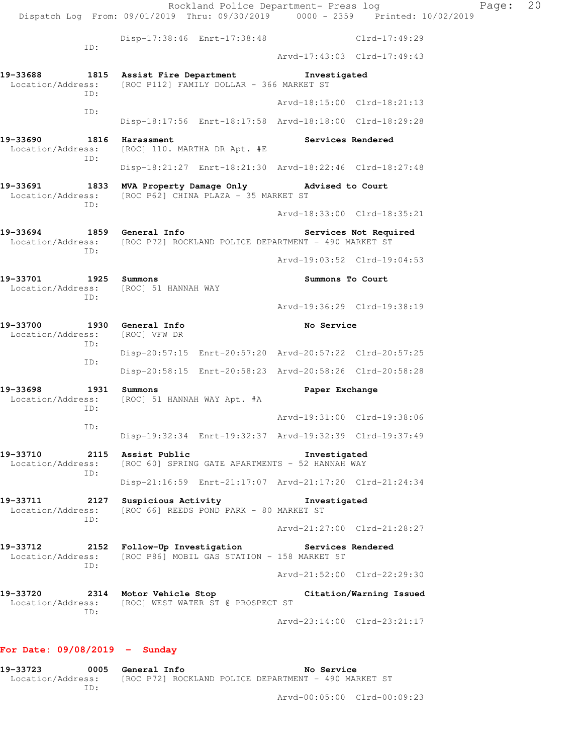Rockland Police Department- Press log Fage: 20 Dispatch Log From: 09/01/2019 Thru: 09/30/2019 0000 - 2359 Printed: 10/02/2019 Disp-17:38:46 Enrt-17:38:48 Clrd-17:49:29 ID: Arvd-17:43:03 Clrd-17:49:43 **19-33688 1815 Assist Fire Department Investigated**  Location/Address: [ROC P112] FAMILY DOLLAR - 366 MARKET ST ID: Arvd-18:15:00 Clrd-18:21:13 ID: Disp-18:17:56 Enrt-18:17:58 Arvd-18:18:00 Clrd-18:29:28 19-33690 1816 Harassment **Services Rendered** Location/Address: [ROC] 110. MARTHA DR Apt. #E ID: Disp-18:21:27 Enrt-18:21:30 Arvd-18:22:46 Clrd-18:27:48 **19-33691 1833 MVA Property Damage Only Advised to Court**  Location/Address: [ROC P62] CHINA PLAZA - 35 MARKET ST ID: Arvd-18:33:00 Clrd-18:35:21 **19-33694 1859 General Info Services Not Required**  Location/Address: [ROC P72] ROCKLAND POLICE DEPARTMENT - 490 MARKET ST ID: Arvd-19:03:52 Clrd-19:04:53 **19-33701 1925 Summons Summons To Court**  Location/Address: [ROC] 51 HANNAH WAY ID: Arvd-19:36:29 Clrd-19:38:19 **19-33700 1930 General Info No Service**  Location/Address: [ROC] VFW DR ID: Disp-20:57:15 Enrt-20:57:20 Arvd-20:57:22 Clrd-20:57:25 ID: Disp-20:58:15 Enrt-20:58:23 Arvd-20:58:26 Clrd-20:58:28 **19-33698 1931 Summons Paper Exchange**  Location/Address: [ROC] 51 HANNAH WAY Apt. #A ID: Arvd-19:31:00 Clrd-19:38:06 ID: Disp-19:32:34 Enrt-19:32:37 Arvd-19:32:39 Clrd-19:37:49 **19-33710 2115 Assist Public Investigated**  Location/Address: [ROC 60] SPRING GATE APARTMENTS - 52 HANNAH WAY ID: Disp-21:16:59 Enrt-21:17:07 Arvd-21:17:20 Clrd-21:24:34 **19-33711 2127 Suspicious Activity Investigated**  Location/Address: [ROC 66] REEDS POND PARK - 80 MARKET ST ID: Arvd-21:27:00 Clrd-21:28:27 **19-33712 2152 Follow-Up Investigation Services Rendered**  Location/Address: [ROC P86] MOBIL GAS STATION - 158 MARKET ST ID: Arvd-21:52:00 Clrd-22:29:30 **19-33720 2314 Motor Vehicle Stop Citation/Warning Issued**  Location/Address: [ROC] WEST WATER ST @ PROSPECT ST ID: Arvd-23:14:00 Clrd-23:21:17

## **For Date: 09/08/2019 - Sunday**

**19-33723 0005 General Info No Service**  Location/Address: [ROC P72] ROCKLAND POLICE DEPARTMENT - 490 MARKET ST ID:

Arvd-00:05:00 Clrd-00:09:23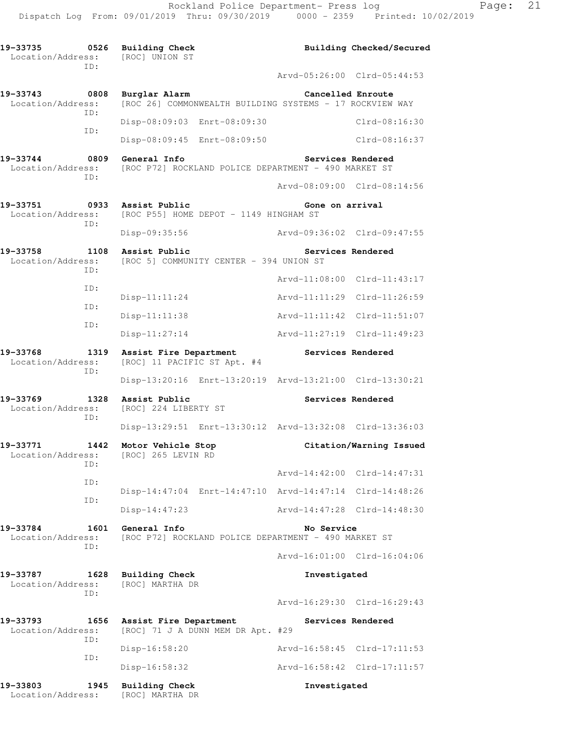| 19-33735<br>Location/Address:<br>ID: | 0526 | <b>Building Check</b><br>[ROC] UNION ST               |                                                          |                   | Building Checked/Secured    |
|--------------------------------------|------|-------------------------------------------------------|----------------------------------------------------------|-------------------|-----------------------------|
|                                      |      |                                                       |                                                          |                   | Arvd-05:26:00 Clrd-05:44:53 |
| 19-33743<br>Location/Address:        | 0808 | Burglar Alarm                                         | [ROC 26] COMMONWEALTH BUILDING SYSTEMS - 17 ROCKVIEW WAY | Cancelled Enroute |                             |
| ID:                                  |      | Disp-08:09:03 Enrt-08:09:30                           |                                                          |                   | Clrd-08:16:30               |
| ID:                                  |      | Disp-08:09:45 Enrt-08:09:50                           |                                                          |                   | Clrd-08:16:37               |
| 19-33744<br>Location/Address:        | 0809 | General Info                                          | [ROC P72] ROCKLAND POLICE DEPARTMENT - 490 MARKET ST     |                   | Services Rendered           |
| ID:                                  |      |                                                       |                                                          |                   | Arvd-08:09:00 Clrd-08:14:56 |
| 19-33751<br>Location/Address:        | 0933 | Assist Public                                         | [ROC P55] HOME DEPOT - 1149 HINGHAM ST                   | Gone on arrival   |                             |
| ID:                                  |      | Disp-09:35:56                                         |                                                          |                   | Arvd-09:36:02 Clrd-09:47:55 |
| 19-33758<br>Location/Address:        | 1108 | Assist Public                                         | [ROC 5] COMMUNITY CENTER - 394 UNION ST                  |                   | Services Rendered           |
| ID:                                  |      |                                                       |                                                          | Arvd-11:08:00     | $Clrd-11:43:17$             |
| ID:                                  |      | $Disp-11:11:24$                                       |                                                          | Arvd-11:11:29     | $Clrd-11:26:59$             |
| ID:                                  |      | Disp-11:11:38                                         |                                                          |                   | Arvd-11:11:42 Clrd-11:51:07 |
| ID:                                  |      | $Disp-11:27:14$                                       |                                                          |                   | Arvd-11:27:19 Clrd-11:49:23 |
| 19-33768<br>Location/Address:<br>ID: | 1319 | Assist Fire Department<br>[ROC] 11 PACIFIC ST Apt. #4 |                                                          | Services Rendered |                             |
|                                      |      |                                                       | Disp-13:20:16 Enrt-13:20:19 Arvd-13:21:00 Clrd-13:30:21  |                   |                             |
| 19-33769<br>Location/Address:<br>ID: | 1328 | Assist Public<br>[ROC] 224 LIBERTY ST                 |                                                          |                   | Services Rendered           |
|                                      |      |                                                       | Disp-13:29:51 Enrt-13:30:12 Arvd-13:32:08 Clrd-13:36:03  |                   |                             |
| 19-33771<br>Location/Address:        | 1442 | Motor Vehicle Stop<br>[ROC] 265 LEVIN RD              |                                                          |                   | Citation/Warning Issued     |
| ID:<br>ID:                           |      |                                                       |                                                          |                   | Arvd-14:42:00 Clrd-14:47:31 |
| ID:                                  |      |                                                       | Disp-14:47:04 Enrt-14:47:10 Arvd-14:47:14 Clrd-14:48:26  |                   |                             |
|                                      |      | $Disp-14:47:23$                                       |                                                          |                   | Arvd-14:47:28 Clrd-14:48:30 |
| 19-33784<br>Location/Address:        | 1601 | General Info                                          | [ROC P72] ROCKLAND POLICE DEPARTMENT - 490 MARKET ST     | No Service        |                             |
| ID:                                  |      |                                                       |                                                          |                   | Arvd-16:01:00 Clrd-16:04:06 |
| 19-33787<br>Location/Address:        | 1628 | Building Check<br>[ROC] MARTHA DR                     |                                                          | Investigated      |                             |
| ID:                                  |      |                                                       |                                                          |                   | Arvd-16:29:30 Clrd-16:29:43 |
| 19-33793<br>Location/Address:        | 1656 | Assist Fire Department                                | [ROC] 71 J A DUNN MEM DR Apt. #29                        | Services Rendered |                             |
| ID:<br>ID:                           |      | Disp-16:58:20                                         |                                                          |                   | Arvd-16:58:45 Clrd-17:11:53 |
|                                      |      | Disp-16:58:32                                         |                                                          |                   | Arvd-16:58:42 Clrd-17:11:57 |
| 19-33803<br>Location/Address:        | 1945 | <b>Building Check</b><br>[ROC] MARTHA DR              |                                                          | Investigated      |                             |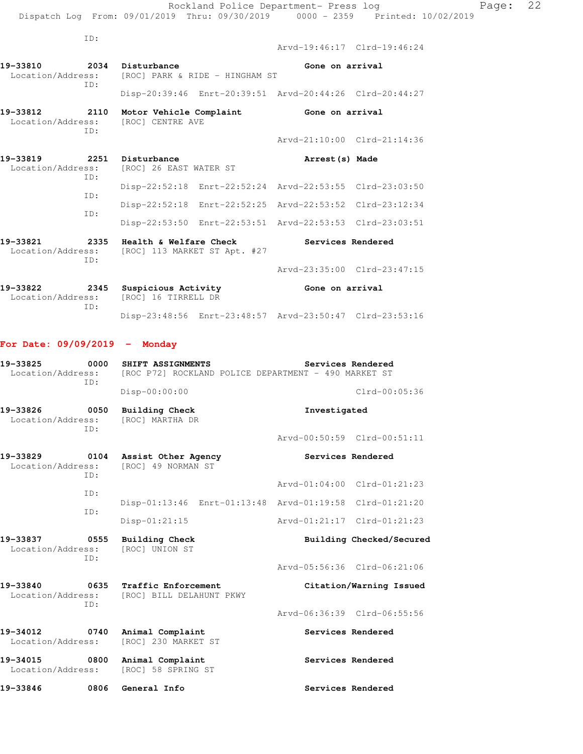| Location/Address: [ROC] PARK & RIDE - HINGHAM ST<br>ID:<br>19-33812<br>2110 Motor Vehicle Complaint<br>Location/Address: [ROC] CENTRE AVE<br>ID: | Arvd-21:10:00 Clrd-21:14:36                                                    |
|--------------------------------------------------------------------------------------------------------------------------------------------------|--------------------------------------------------------------------------------|
|                                                                                                                                                  |                                                                                |
|                                                                                                                                                  |                                                                                |
|                                                                                                                                                  | Gone on arrival                                                                |
|                                                                                                                                                  | Disp-20:39:46 Enrt-20:39:51 Arvd-20:44:26 Clrd-20:44:27                        |
|                                                                                                                                                  |                                                                                |
| 2034 Disturbance<br>19-33810                                                                                                                     | Gone on arrival                                                                |
|                                                                                                                                                  | Arvd-19:46:17 Clrd-19:46:24                                                    |
| ID:                                                                                                                                              |                                                                                |
|                                                                                                                                                  | Dispatch Log From: 09/01/2019 Thru: 09/30/2019 0000 - 2359 Printed: 10/02/2019 |
|                                                                                                                                                  | Rockland Police Department- Press log                                          |

| TD: |  |                                                         |  |
|-----|--|---------------------------------------------------------|--|
| TD: |  | Disp-22:52:18 Enrt-22:52:24 Arvd-22:53:55 Clrd-23:03:50 |  |
|     |  | Disp-22:52:18 Enrt-22:52:25 Arvd-22:53:52 Clrd-23:12:34 |  |
| TD: |  | Disp-22:53:50 Enrt-22:53:51 Arvd-22:53:53 Clrd-23:03:51 |  |
|     |  |                                                         |  |

**19-33821 2335 Health & Welfare Check Services Rendered**  Location/Address: [ROC] 113 MARKET ST Apt. #27 ID: Arvd-23:35:00 Clrd-23:47:15 **19-33822 2345 Suspicious Activity Gone on arrival**  Location/Address: [ROC] 16 TIRRELL DR

Disp-23:48:56 Enrt-23:48:57 Arvd-23:50:47 Clrd-23:53:16

## **For Date: 09/09/2019 - Monday**

ID:

Location/Address: [ROC] 26 EAST WATER ST

| 19-33825<br>0000<br>Location/Address:<br>TD: |      | SHIFT ASSIGNMENTS<br>Services Rendered<br>[ROC P72] ROCKLAND POLICE DEPARTMENT - 490 MARKET ST |                                                         |  |  |
|----------------------------------------------|------|------------------------------------------------------------------------------------------------|---------------------------------------------------------|--|--|
|                                              |      | Disp-00:00:00                                                                                  | $Clrd-00:05:36$                                         |  |  |
| 19-33826<br>0050<br>Location/Address:<br>TD: |      | <b>Building Check</b><br>[ROC] MARTHA DR                                                       | Investigated                                            |  |  |
|                                              |      |                                                                                                | Arvd-00:50:59 Clrd-00:51:11                             |  |  |
| 19-33829<br>Location/Address:<br>TD:         |      | 0104 Assist Other Agency<br>[ROC] 49 NORMAN ST                                                 | Services Rendered                                       |  |  |
|                                              | TD:  |                                                                                                | Arvd-01:04:00 Clrd-01:21:23                             |  |  |
|                                              |      |                                                                                                | Disp-01:13:46 Enrt-01:13:48 Arvd-01:19:58 Clrd-01:21:20 |  |  |
|                                              | TD:  | $Disp-01:21:15$                                                                                | Arvd-01:21:17 Clrd-01:21:23                             |  |  |
| 19-33837<br>Location/Address:                | 0555 | <b>Building Check</b><br>[ROC] UNION ST                                                        | Building Checked/Secured                                |  |  |
|                                              | ID:  |                                                                                                | Arvd-05:56:36 Clrd-06:21:06                             |  |  |
| 19-33840<br>Location/Address:                | ID:  | 0635 Traffic Enforcement<br>[ROC] BILL DELAHUNT PKWY                                           | Citation/Warning Issued                                 |  |  |
|                                              |      |                                                                                                | Arvd-06:36:39 Clrd-06:55:56                             |  |  |
| 19-34012<br>Location/Address:                | 0740 | Animal Complaint<br>[ROC] 230 MARKET ST                                                        | Services Rendered                                       |  |  |
| 19-34015                                     | 0800 | Animal Complaint<br>Location/Address: [ROC] 58 SPRING ST                                       | Services Rendered                                       |  |  |
| 19-33846                                     | 0806 | General Info                                                                                   | Services Rendered                                       |  |  |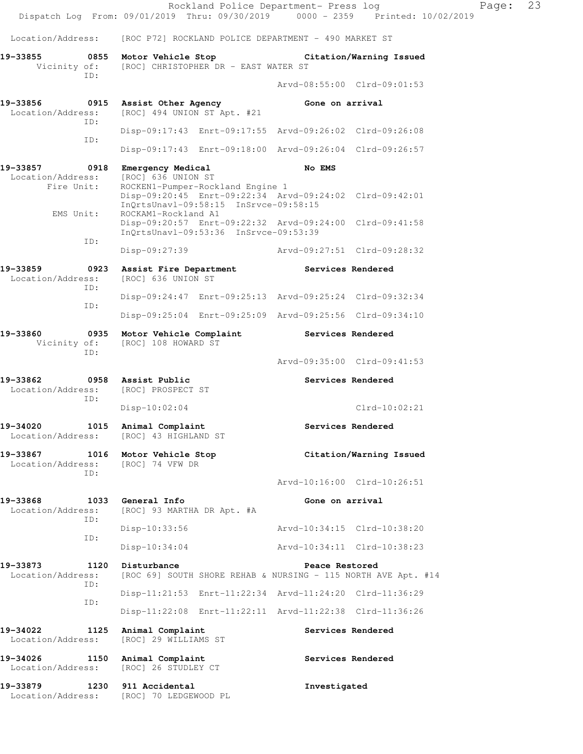|                                                                         |      |                                                         | Rockland Police Department- Press log                                                                                                |                             | Dispatch Log From: 09/01/2019 Thru: 09/30/2019 0000 - 2359 Printed: 10/02/2019 | Page: | 23 |
|-------------------------------------------------------------------------|------|---------------------------------------------------------|--------------------------------------------------------------------------------------------------------------------------------------|-----------------------------|--------------------------------------------------------------------------------|-------|----|
| Location/Address:                                                       |      |                                                         | [ROC P72] ROCKLAND POLICE DEPARTMENT - 490 MARKET ST                                                                                 |                             |                                                                                |       |    |
| 19-33855                                                                |      |                                                         | 0855 Motor Vehicle Stop Citation/Warning Issued                                                                                      |                             |                                                                                |       |    |
|                                                                         | ID:  |                                                         | Vicinity of: [ROC] CHRISTOPHER DR - EAST WATER ST                                                                                    |                             |                                                                                |       |    |
|                                                                         |      |                                                         |                                                                                                                                      |                             | Arvd-08:55:00 Clrd-09:01:53                                                    |       |    |
| 19-33856<br>Location/Address:                                           | ID:  | 0915 Assist Other Agency<br>[ROC] 494 UNION ST Apt. #21 |                                                                                                                                      | Gone on arrival             |                                                                                |       |    |
|                                                                         | ID:  |                                                         | Disp-09:17:43 Enrt-09:17:55 Arvd-09:26:02 Clrd-09:26:08                                                                              |                             |                                                                                |       |    |
|                                                                         |      |                                                         | Disp-09:17:43 Enrt-09:18:00 Arvd-09:26:04 Clrd-09:26:57                                                                              |                             |                                                                                |       |    |
| 19-33857<br>Location/Address:                                           | 0918 | Emergency Medical<br>[ROC] 636 UNION ST                 |                                                                                                                                      | <b>No EMS</b>               |                                                                                |       |    |
| Fire Unit:<br>EMS Unit:                                                 |      | ROCKAM1-Rockland A1                                     | ROCKEN1-Pumper-Rockland Engine 1<br>Disp-09:20:45 Enrt-09:22:34 Arvd-09:24:02 Clrd-09:42:01<br>InQrtsUnavl-09:58:15 InSrvce-09:58:15 |                             |                                                                                |       |    |
|                                                                         | ID:  |                                                         | Disp-09:20:57 Enrt-09:22:32 Arvd-09:24:00 Clrd-09:41:58<br>InQrtsUnav1-09:53:36 InSrvce-09:53:39                                     |                             |                                                                                |       |    |
|                                                                         |      | Disp-09:27:39                                           |                                                                                                                                      | Arvd-09:27:51 Clrd-09:28:32 |                                                                                |       |    |
| 19-33859<br>Location/Address:                                           | 0923 | Assist Fire Department<br>[ROC] 636 UNION ST            |                                                                                                                                      | Services Rendered           |                                                                                |       |    |
|                                                                         | ID:  |                                                         | Disp-09:24:47 Enrt-09:25:13 Arvd-09:25:24 Clrd-09:32:34                                                                              |                             |                                                                                |       |    |
|                                                                         | ID:  |                                                         | Disp-09:25:04 Enrt-09:25:09 Arvd-09:25:56 Clrd-09:34:10                                                                              |                             |                                                                                |       |    |
| 19-33860<br>Vicinity of:                                                | ID:  | [ROC] 108 HOWARD ST                                     | 0935 Motor Vehicle Complaint Services Rendered                                                                                       |                             |                                                                                |       |    |
|                                                                         |      |                                                         |                                                                                                                                      |                             | Arvd-09:35:00 Clrd-09:41:53                                                    |       |    |
| 19-33862<br>Location/Address: [ROC] PROSPECT ST                         | ID:  | 0958 Assist Public                                      |                                                                                                                                      | Services Rendered           |                                                                                |       |    |
|                                                                         |      | $Disp-10:02:04$                                         |                                                                                                                                      |                             | $Clrd-10:02:21$                                                                |       |    |
| 19-34020<br>Location/Address: [ROC] 43 HIGHLAND ST                      |      | 1015 Animal Complaint                                   |                                                                                                                                      |                             | Services Rendered                                                              |       |    |
| 19-33867 1016 Motor Vehicle Stop<br>Location/Address: [ROC] 74 VFW DR   | ID:  |                                                         |                                                                                                                                      |                             | Citation/Warning Issued                                                        |       |    |
|                                                                         |      |                                                         |                                                                                                                                      |                             | Arvd-10:16:00 Clrd-10:26:51                                                    |       |    |
| 19-33868<br>Location/Address: [ROC] 93 MARTHA DR Apt. #A                | ID:  | 1033 General Info                                       |                                                                                                                                      | Gone on arrival             |                                                                                |       |    |
|                                                                         | ID:  | $Disp-10:33:56$                                         |                                                                                                                                      | Arvd-10:34:15 Clrd-10:38:20 |                                                                                |       |    |
|                                                                         |      | Disp-10:34:04                                           |                                                                                                                                      | Arvd-10:34:11 Clrd-10:38:23 |                                                                                |       |    |
| 19-33873<br>Location/Address:                                           | ID:  | 1120 Disturbance                                        |                                                                                                                                      | Peace Restored              | [ROC 69] SOUTH SHORE REHAB & NURSING - 115 NORTH AVE Apt. #14                  |       |    |
|                                                                         | ID:  |                                                         | Disp-11:21:53 Enrt-11:22:34 Arvd-11:24:20 Clrd-11:36:29                                                                              |                             |                                                                                |       |    |
|                                                                         |      |                                                         | Disp-11:22:08 Enrt-11:22:11 Arvd-11:22:38 Clrd-11:36:26                                                                              |                             |                                                                                |       |    |
| 19-34022<br>1125<br>Location/Address:                                   |      | Animal Complaint<br>[ROC] 29 WILLIAMS ST                |                                                                                                                                      | Services Rendered           |                                                                                |       |    |
| 19-34026 1150 Animal Complaint<br>Location/Address: [ROC] 26 STUDLEY CT |      |                                                         |                                                                                                                                      | Services Rendered           |                                                                                |       |    |
| 19-33879 1230 911 Accidental<br>Location/Address: [ROC] 70 LEDGEWOOD PL |      |                                                         |                                                                                                                                      | Investigated                |                                                                                |       |    |
|                                                                         |      |                                                         |                                                                                                                                      |                             |                                                                                |       |    |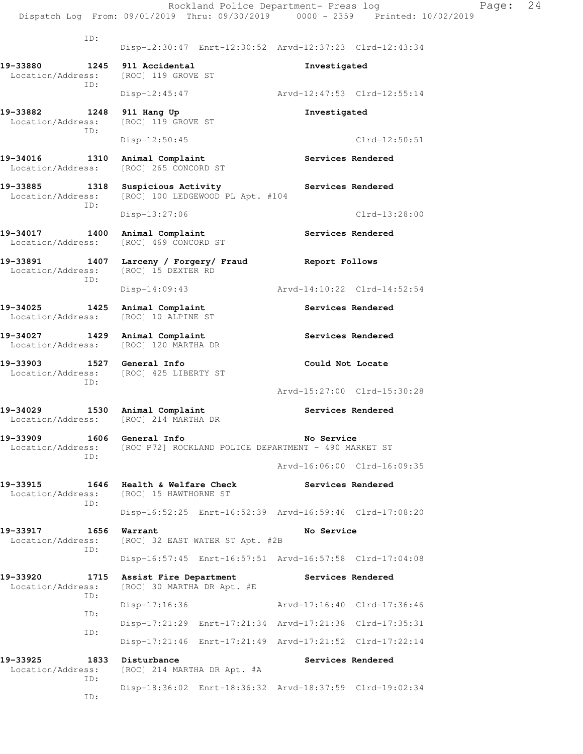Rockland Police Department- Press log Page: 24 Dispatch Log From: 09/01/2019 Thru: 09/30/2019 0000 - 2359 Printed: 10/02/2019 ID: Disp-12:30:47 Enrt-12:30:52 Arvd-12:37:23 Clrd-12:43:34 **19-33880 1245 911 Accidental Investigated**  Location/Address: [ROC] 119 GROVE ST ID: Disp-12:45:47 Arvd-12:47:53 Clrd-12:55:14 **19-33882 1248 911 Hang Up Investigated**  Location/Address: [ROC] 119 GROVE ST ID: Disp-12:50:45 Clrd-12:50:51 **19-34016 1310 Animal Complaint Services Rendered**  Location/Address: [ROC] 265 CONCORD ST 19-33885 1318 Suspicious Activity **Services Rendered 1318 Suspicious Activity** Services Rendered [ROC] 100 LEDGEWOOD PL Apt. #104 ID: Disp-13:27:06 Clrd-13:28:00 **19-34017 1400 Animal Complaint Services Rendered**  Location/Address: [ROC] 469 CONCORD ST **19-33891 1407 Larceny / Forgery/ Fraud Report Follows**  Location/Address: [ROC] 15 DEXTER RD ID: Disp-14:09:43 Arvd-14:10:22 Clrd-14:52:54 19-34025 1425 Animal Complaint **Services Rendered**  Location/Address: [ROC] 10 ALPINE ST 19-34027 1429 Animal Complaint **19-34027** Services Rendered Location/Address: [ROC] 120 MARTHA DR **19-33903 1527 General Info Could Not Locate**  Location/Address: [ROC] 425 LIBERTY ST ID: Arvd-15:27:00 Clrd-15:30:28 19-34029 1530 Animal Complaint **19-34029** Services Rendered Location/Address: [ROC] 214 MARTHA DR **19-33909 1606 General Info No Service**  Location/Address: [ROC P72] ROCKLAND POLICE DEPARTMENT - 490 MARKET ST ID: Arvd-16:06:00 Clrd-16:09:35 **19-33915 1646 Health & Welfare Check Services Rendered**  Location/Address: [ROC] 15 HAWTHORNE ST ID: Disp-16:52:25 Enrt-16:52:39 Arvd-16:59:46 Clrd-17:08:20 **19-33917 1656 Warrant 1656 Warrant No Service**<br>
Location/Address: [ROC] 32 EAST WATER ST Apt. #2B [ROC] 32 EAST WATER ST Apt. #2B ID: Disp-16:57:45 Enrt-16:57:51 Arvd-16:57:58 Clrd-17:04:08 **19-33920 1715 Assist Fire Department Services Rendered**  Location/Address: [ROC] 30 MARTHA DR Apt. #E ID: Disp-17:16:36 Arvd-17:16:40 Clrd-17:36:46 ID: Disp-17:21:29 Enrt-17:21:34 Arvd-17:21:38 Clrd-17:35:31 ID: Disp-17:21:46 Enrt-17:21:49 Arvd-17:21:52 Clrd-17:22:14 19-33925 1833 Disturbance **1888** Services Rendered Location/Address: [ROC] 214 MARTHA DR Apt. #A ID: Disp-18:36:02 Enrt-18:36:32 Arvd-18:37:59 Clrd-19:02:34

ID: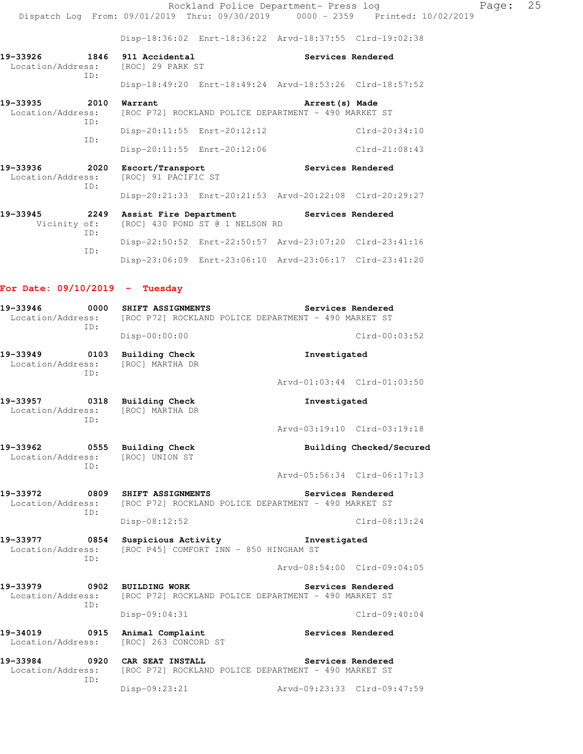Rockland Police Department- Press log Fage: 25 Dispatch Log From: 09/01/2019 Thru: 09/30/2019 0000 - 2359 Printed: 10/02/2019

Disp-18:36:02 Enrt-18:36:22 Arvd-18:37:55 Clrd-19:02:38

**19-33926 1846 911 Accidental Services Rendered**  Location/Address: [ROC] 29 PARK ST ID: Disp-18:49:20 Enrt-18:49:24 Arvd-18:53:26 Clrd-18:57:52

**19-33935 2010 Warrant 19-33935 2010 Warrant Arrest(s) Made**<br>Location/Address: [ROC P72] ROCKLAND POLICE DEPARTMENT - 490 MARKET [ROC P72] ROCKLAND POLICE DEPARTMENT - 490 MARKET ST ID: Disp-20:11:55 Enrt-20:12:12 Clrd-20:34:10 ID: Disp-20:11:55 Enrt-20:12:06 Clrd-21:08:43

**19-33936 2020 Escort/Transport Services Rendered**  Location/Address: [ROC] 91 PACIFIC ST ID: Disp-20:21:33 Enrt-20:21:53 Arvd-20:22:08 Clrd-20:29:27

**19-33945 2249 Assist Fire Department Services Rendered** Vicinity of: [ROC] 430 POND ST @ 1 NELSON RD Vicinity of: [ROC] 430 POND ST @ 1 NELSON RD ID: Disp-22:50:52 Enrt-22:50:57 Arvd-23:07:20 Clrd-23:41:16 ID: Disp-23:06:09 Enrt-23:06:10 Arvd-23:06:17 Clrd-23:41:20

#### **For Date: 09/10/2019 - Tuesday**

| 19-33946<br>0000<br>ID:                                  | SHIFT ASSIGNMENTS                                          | Services Rendered<br>Location/Address: [ROC P72] ROCKLAND POLICE DEPARTMENT - 490 MARKET ST |  |  |  |
|----------------------------------------------------------|------------------------------------------------------------|---------------------------------------------------------------------------------------------|--|--|--|
|                                                          | Disp-00:00:00                                              | $Clrd-00:03:52$                                                                             |  |  |  |
| 19-33949 0103<br>TD:                                     | <b>Building Check</b><br>Location/Address: [ROC] MARTHA DR | Investigated                                                                                |  |  |  |
|                                                          |                                                            | Arvd-01:03:44 Clrd-01:03:50                                                                 |  |  |  |
| 19-33957 0318 Building Check<br>Location/Address:<br>TD: | [ROC] MARTHA DR                                            | Investigated                                                                                |  |  |  |
|                                                          |                                                            | Arvd-03:19:10 Clrd-03:19:18                                                                 |  |  |  |
| 19-33962 0555<br>TD:                                     | <b>Building Check</b><br>Location/Address: [ROC] UNION ST  | Building Checked/Secured                                                                    |  |  |  |
|                                                          |                                                            | Arvd-05:56:34 Clrd-06:17:13                                                                 |  |  |  |
| 19-33972 0809                                            | SHIFT ASSIGNMENTS                                          | Services Rendered<br>Location/Address: [ROC P72] ROCKLAND POLICE DEPARTMENT - 490 MARKET ST |  |  |  |
| ID:                                                      | Disp-08:12:52                                              | $Clrd-08:13:24$                                                                             |  |  |  |
| 19-33977 0854<br>Location/Address:<br>TD:                | Suspicious Activity                                        | Investigated<br>[ROC P45] COMFORT INN - 850 HINGHAM ST                                      |  |  |  |
|                                                          |                                                            | Arvd-08:54:00 Clrd-09:04:05                                                                 |  |  |  |
| 0902<br>19-33979<br>Location/Address:<br>ID:             | <b>BUILDING WORK</b>                                       | Services Rendered<br>[ROC P72] ROCKLAND POLICE DEPARTMENT - 490 MARKET ST                   |  |  |  |
|                                                          | Disp-09:04:31                                              | $Clrd-09:40:04$                                                                             |  |  |  |
| 19-34019 0915<br>Location/Address:                       | Animal Complaint<br>[ROC] 263 CONCORD ST                   | Services Rendered                                                                           |  |  |  |
| 19-33984<br>$\overline{0.920}$<br>Location/Address:      | CAR SEAT INSTALL                                           | Services Rendered<br>[ROC P72] ROCKLAND POLICE DEPARTMENT - 490 MARKET ST                   |  |  |  |
| TD:                                                      | Disp-09:23:21                                              | Arvd-09:23:33 Clrd-09:47:59                                                                 |  |  |  |
|                                                          |                                                            |                                                                                             |  |  |  |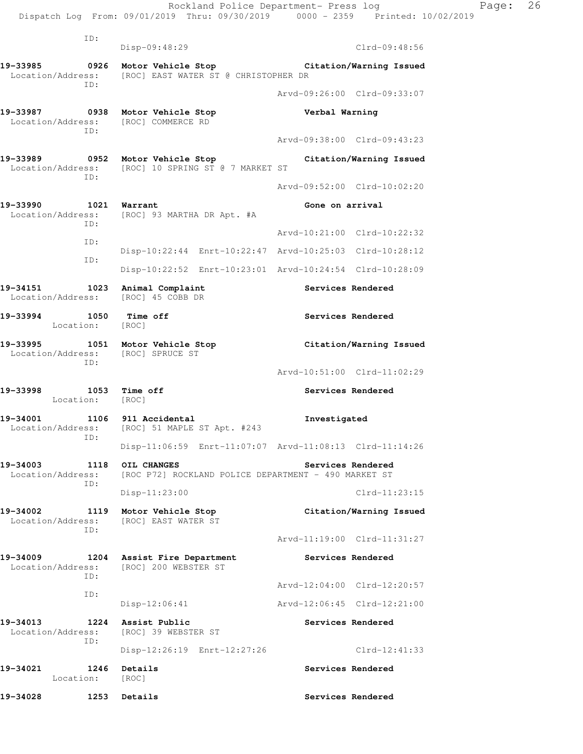Rockland Police Department- Press log Fage: 26 Dispatch Log From: 09/01/2019 Thru: 09/30/2019 0000 - 2359 Printed: 10/02/2019 ID: Disp-09:48:29 Clrd-09:48:56 **19-33985 0926 Motor Vehicle Stop Citation/Warning Issued**  Location/Address: [ROC] EAST WATER ST @ CHRISTOPHER DR ID: Arvd-09:26:00 Clrd-09:33:07 **19-33987 0938 Motor Vehicle Stop Verbal Warning**  Location/Address: [ROC] COMMERCE RD ID: Arvd-09:38:00 Clrd-09:43:23 **19-33989 0952 Motor Vehicle Stop Citation/Warning Issued**  Location/Address: [ROC] 10 SPRING ST @ 7 MARKET ST ID: Arvd-09:52:00 Clrd-10:02:20 **19-33990 1021 Warrant Gone on arrival**  Location/Address: [ROC] 93 MARTHA DR Apt. #A ID: Arvd-10:21:00 Clrd-10:22:32 ID: Disp-10:22:44 Enrt-10:22:47 Arvd-10:25:03 Clrd-10:28:12 ID: Disp-10:22:52 Enrt-10:23:01 Arvd-10:24:54 Clrd-10:28:09 19-34151 1023 Animal Complaint **19-34151** Services Rendered Location/Address: [ROC] 45 COBB DR **19-33994 1050 Time off Services Rendered**  Location: [ROC] **19-33995 1051 Motor Vehicle Stop Citation/Warning Issued**  Location/Address: [ROC] SPRUCE ST ID: Arvd-10:51:00 Clrd-11:02:29 19-33998 1053 Time off **Services Rendered**  Location: [ROC] **19-34001 1106 911 Accidental Investigated**  Location/Address: [ROC] 51 MAPLE ST Apt. #243 ID: Disp-11:06:59 Enrt-11:07:07 Arvd-11:08:13 Clrd-11:14:26 **19-34003 1118 OIL CHANGES Services Rendered**  Location/Address: [ROC P72] ROCKLAND POLICE DEPARTMENT - 490 MARKET ST ID: Disp-11:23:00 Clrd-11:23:15 **19-34002 1119 Motor Vehicle Stop Citation/Warning Issued**  Location/Address: [ROC] EAST WATER ST ID: Arvd-11:19:00 Clrd-11:31:27 **19-34009 1204 Assist Fire Department Services Rendered**  Location/Address: [ROC] 200 WEBSTER ST ID: Arvd-12:04:00 Clrd-12:20:57 ID: Disp-12:06:41 Arvd-12:06:45 Clrd-12:21:00 19-34013 1224 Assist Public<br>
Location/Address: [ROC] 39 WEBSTER ST Location/Address: ID: Disp-12:26:19 Enrt-12:27:26 Clrd-12:41:33 19-34021 1246 Details **19-34021** Services Rendered Location: [ROC]

19-34028 1253 Details **1258 1253 Details** Services Rendered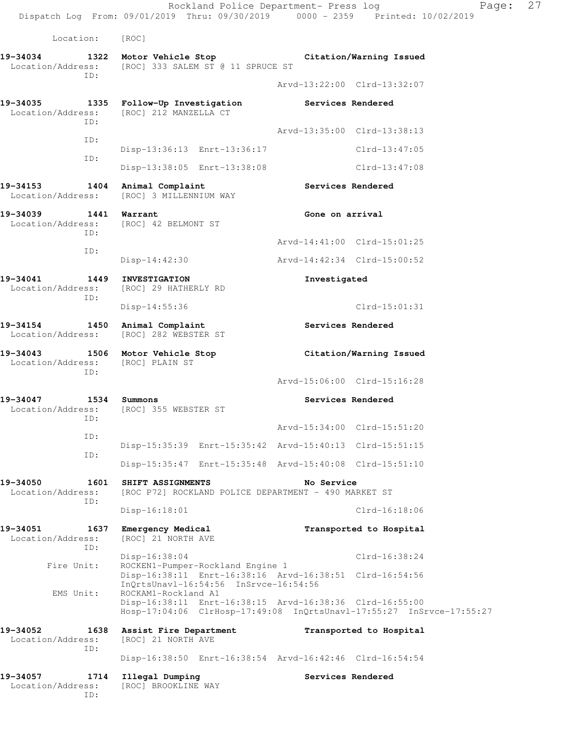Rockland Police Department- Press log Page: 27 Dispatch Log From: 09/01/2019 Thru: 09/30/2019 0000 - 2359 Printed: 10/02/2019 Location: [ROC] **19-34034 1322 Motor Vehicle Stop Citation/Warning Issued**  Location/Address: [ROC] 333 SALEM ST @ 11 SPRUCE ST ID: Arvd-13:22:00 Clrd-13:32:07 **19-34035 1335 Follow-Up Investigation Services Rendered**  Location/Address: [ROC] 212 MANZELLA CT ID: Arvd-13:35:00 Clrd-13:38:13 ID: Disp-13:36:13 Enrt-13:36:17 Clrd-13:47:05 ID: Disp-13:38:05 Enrt-13:38:08 Clrd-13:47:08 **19-34153 1404 Animal Complaint Services Rendered**  Location/Address: [ROC] 3 MILLENNIUM WAY **19-34039 1441 Warrant Gone on arrival**  Location/Address: [ROC] 42 BELMONT ST ID: Arvd-14:41:00 Clrd-15:01:25 ID: Disp-14:42:30 Arvd-14:42:34 Clrd-15:00:52 **19-34041 1449 INVESTIGATION Investigated**  Location/Address: [ROC] 29 HATHERLY RD ID: Disp-14:55:36 Clrd-15:01:31 **19-34154 1450 Animal Complaint Services Rendered**  Location/Address: [ROC] 282 WEBSTER ST **19-34043 1506 Motor Vehicle Stop Citation/Warning Issued**  Location/Address: [ROC] PLAIN ST ID: Arvd-15:06:00 Clrd-15:16:28 **19-34047 1534 Summons Services Rendered**  Location/Address: [ROC] 355 WEBSTER ST ID: Arvd-15:34:00 Clrd-15:51:20 ID: Disp-15:35:39 Enrt-15:35:42 Arvd-15:40:13 Clrd-15:51:15 ID: Disp-15:35:47 Enrt-15:35:48 Arvd-15:40:08 Clrd-15:51:10 **19-34050 1601 SHIFT ASSIGNMENTS No Service**  Location/Address: [ROC P72] ROCKLAND POLICE DEPARTMENT - 490 MARKET ST ID: Disp-16:18:01 Clrd-16:18:06 **19-34051 1637 Emergency Medical Transported to Hospital**  Location/Address: [ROC] 21 NORTH AVE ID: Disp-16:38:04 Clrd-16:38:24 Fire Unit: ROCKEN1-Pumper-Rockland Engine 1 Disp-16:38:11 Enrt-16:38:16 Arvd-16:38:51 Clrd-16:54:56 InQrtsUnavl-16:54:56 InSrvce-16:54:56 EMS Unit: ROCKAM1-Rockland A1 Disp-16:38:11 Enrt-16:38:15 Arvd-16:38:36 Clrd-16:55:00 Hosp-17:04:06 ClrHosp-17:49:08 InQrtsUnavl-17:55:27 InSrvce-17:55:27 **19-34052 1638 Assist Fire Department Transported to Hospital**  Location/Address: [ROC] 21 NORTH AVE ID: Disp-16:38:50 Enrt-16:38:54 Arvd-16:42:46 Clrd-16:54:54 19-34057 1714 Illegal Dumping **1888 1899 Services Rendered**  Location/Address: [ROC] BROOKLINE WAY ID: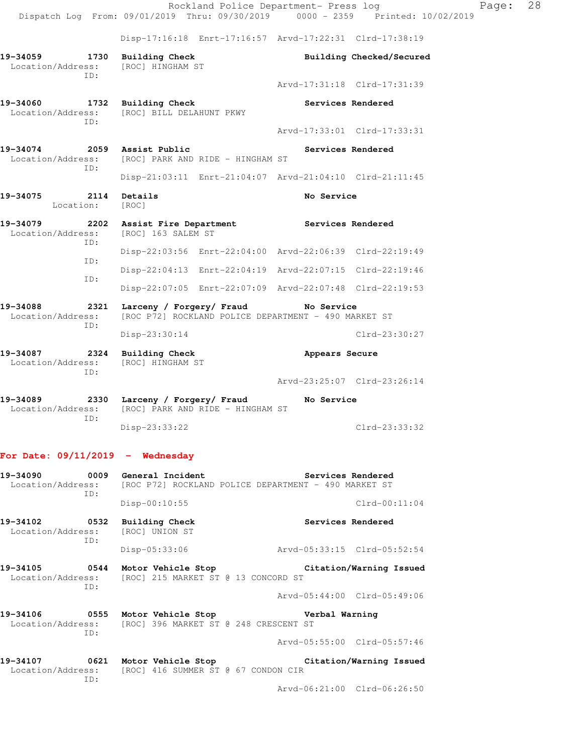Rockland Police Department- Press log Fage: 28 Dispatch Log From: 09/01/2019 Thru: 09/30/2019 0000 - 2359 Printed: 10/02/2019 Disp-17:16:18 Enrt-17:16:57 Arvd-17:22:31 Clrd-17:38:19 **19-34059 1730 Building Check Building Checked/Secured**  Location/Address: [ROC] HINGHAM ST ID: Arvd-17:31:18 Clrd-17:31:39 19-34060 1732 Building Check **19-34060** Services Rendered Location/Address: [ROC] BILL DELAHUNT PKWY ID: Arvd-17:33:01 Clrd-17:33:31 19-34074 2059 Assist Public **19-34074** Services Rendered Location/Address: [ROC] PARK AND RIDE - HINGHAM ST ID: Disp-21:03:11 Enrt-21:04:07 Arvd-21:04:10 Clrd-21:11:45 **19-34075 2114 Details No Service**  Location: [ROC] **19-34079 2202 Assist Fire Department Services Rendered**  Location/Address: [ROC] 163 SALEM ST ID: Disp-22:03:56 Enrt-22:04:00 Arvd-22:06:39 Clrd-22:19:49 ID: Disp-22:04:13 Enrt-22:04:19 Arvd-22:07:15 Clrd-22:19:46 ID: Disp-22:07:05 Enrt-22:07:09 Arvd-22:07:48 Clrd-22:19:53 **19-34088 2321 Larceny / Forgery/ Fraud No Service**  Location/Address: [ROC P72] ROCKLAND POLICE DEPARTMENT - 490 MARKET ST ID: Disp-23:30:14 Clrd-23:30:27 **19-34087 2324 Building Check Appears Secure**  Location/Address: [ROC] HINGHAM ST ID: Arvd-23:25:07 Clrd-23:26:14 **19-34089 2330 Larceny / Forgery/ Fraud No Service**  Location/Address: [ROC] PARK AND RIDE - HINGHAM ST ID: Disp-23:33:22 Clrd-23:33:32 **For Date: 09/11/2019 - Wednesday**

## 19-34090 **0009** General Incident **Services Rendered**  Location/Address: [ROC P72] ROCKLAND POLICE DEPARTMENT - 490 MARKET ST ID: Disp-00:10:55 Clrd-00:11:04 19-34102 0532 Building Check Services Rendered Location/Address: [ROC] UNION ST ID: Disp-05:33:06 Arvd-05:33:15 Clrd-05:52:54 **19-34105 0544 Motor Vehicle Stop Citation/Warning Issued**  Location/Address: [ROC] 215 MARKET ST @ 13 CONCORD ST ID: Arvd-05:44:00 Clrd-05:49:06 **19-34106 0555 Motor Vehicle Stop Verbal Warning**  Location/Address: [ROC] 396 MARKET ST @ 248 CRESCENT ST ID: Arvd-05:55:00 Clrd-05:57:46 **19-34107 0621 Motor Vehicle Stop Citation/Warning Issued**  Location/Address: [ROC] 416 SUMMER ST @ 67 CONDON CIR

ID:

Arvd-06:21:00 Clrd-06:26:50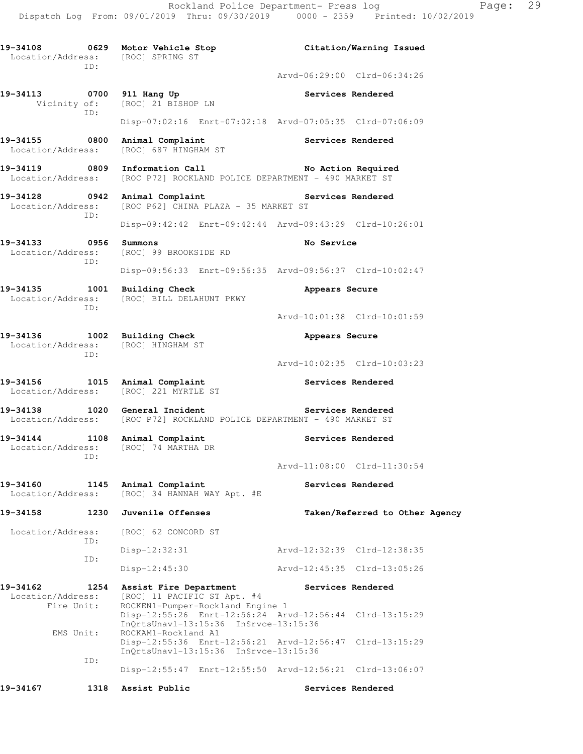**19-34108 0629 Motor Vehicle Stop Citation/Warning Issued**  Location/Address: [ROC] SPRING ST ID: Arvd-06:29:00 Clrd-06:34:26 19-34113 **19-34113** 0700 911 Hang Up **Services Rendered**  Vicinity of: [ROC] 21 BISHOP LN ID: Disp-07:02:16 Enrt-07:02:18 Arvd-07:05:35 Clrd-07:06:09 19-34155 **0800** Animal Complaint **19-34155** Services Rendered Location/Address: [ROC] 687 HINGHAM ST 19-34119 **0809** Information Call **No Action Required** Location/Address: [ROC P72] ROCKLAND POLICE DEPARTMENT - 490 MARKET ST 19-34128 **0942** Animal Complaint **Services Rendered**  Location/Address: [ROC P62] CHINA PLAZA - 35 MARKET ST ID: Disp-09:42:42 Enrt-09:42:44 Arvd-09:43:29 Clrd-10:26:01 **19-34133 0956 Summons No Service**  Location/Address: [ROC] 99 BROOKSIDE RD ID: Disp-09:56:33 Enrt-09:56:35 Arvd-09:56:37 Clrd-10:02:47 **19-34135 1001 Building Check Appears Secure**  Location/Address: [ROC] BILL DELAHUNT PKWY ID: Arvd-10:01:38 Clrd-10:01:59 **19-34136 1002 Building Check Appears Secure**  Location/Address: [ROC] HINGHAM ST ID: Arvd-10:02:35 Clrd-10:03:23 19-34156 1015 Animal Complaint **10.13 Services Rendered**  Location/Address: [ROC] 221 MYRTLE ST 19-34138 1020 General Incident **1020 Services Rendered** Location/Address: [ROC P72] ROCKLAND POLICE DEPARTMENT - 490 MARKET ST 19-34144 1108 Animal Complaint **1108 Services Rendered**  Location/Address: [ROC] 74 MARTHA DR ID: Arvd-11:08:00 Clrd-11:30:54 19-34160 1145 Animal Complaint **Services Rendered**  Location/Address: [ROC] 34 HANNAH WAY Apt. #E **19-34158 1230 Juvenile Offenses Taken/Referred to Other Agency**  Location/Address: [ROC] 62 CONCORD ST ID: Disp-12:32:31 Arvd-12:32:39 Clrd-12:38:35 ID: Disp-12:45:30 Arvd-12:45:35 Clrd-13:05:26 **19-34162 1254 Assist Fire Department Services Rendered**  Location/Address: [ROC] 11 PACIFIC ST Apt. #4 Fire Unit: ROCKEN1-Pumper-Rockland Engine 1 Disp-12:55:26 Enrt-12:56:24 Arvd-12:56:44 Clrd-13:15:29 InQrtsUnavl-13:15:36 InSrvce-13:15:36<br>EMS Unit: ROCKAM1-Rockland A1 ROCKAM1-Rockland A1 Disp-12:55:36 Enrt-12:56:21 Arvd-12:56:47 Clrd-13:15:29 InQrtsUnavl-13:15:36 InSrvce-13:15:36 ID: Disp-12:55:47 Enrt-12:55:50 Arvd-12:56:21 Clrd-13:06:07 **19-34167 1318 Assist Public Services Rendered**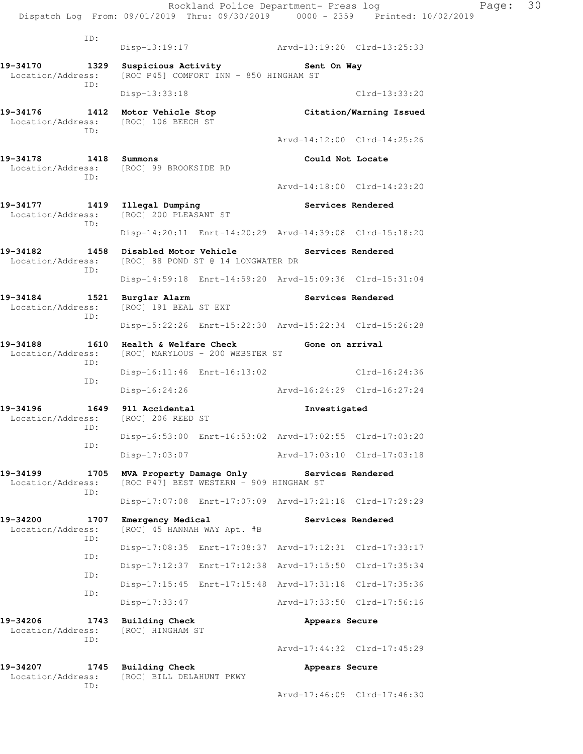|                                                                                                                |             |                                                   |                                                                     |                                                         | Rockland Police Department- Press log<br>Dispatch Log From: 09/01/2019 Thru: 09/30/2019 0000 - 2359 Printed: 10/02/2019 | Page: | 30 |
|----------------------------------------------------------------------------------------------------------------|-------------|---------------------------------------------------|---------------------------------------------------------------------|---------------------------------------------------------|-------------------------------------------------------------------------------------------------------------------------|-------|----|
|                                                                                                                | ID:         |                                                   |                                                                     | Disp-13:19:17 Arvd-13:19:20 Clrd-13:25:33               |                                                                                                                         |       |    |
| 19-34170<br>Location/Address:                                                                                  | 1329        |                                                   | [ROC P45] COMFORT INN - 850 HINGHAM ST                              | Suspicious Activity 5ent On Way                         |                                                                                                                         |       |    |
|                                                                                                                | ID:         | Disp-13:33:18                                     |                                                                     |                                                         | $Clrd-13:33:20$                                                                                                         |       |    |
| 19-34176 1412 Motor Vehicle Stop<br>Location/Address: [ROC] 106 BEECH ST                                       |             |                                                   |                                                                     | Citation/Warning Issued                                 |                                                                                                                         |       |    |
|                                                                                                                | ID:         |                                                   |                                                                     |                                                         | Arvd-14:12:00 Clrd-14:25:26                                                                                             |       |    |
| 19-34178 1418 Summons<br>Location/Address: [ROC] 99 BROOKSIDE RD                                               | ID:         |                                                   |                                                                     | Could Not Locate                                        |                                                                                                                         |       |    |
|                                                                                                                |             |                                                   |                                                                     |                                                         | Arvd-14:18:00 Clrd-14:23:20                                                                                             |       |    |
| 19-34177 1419 Illegal Dumping<br>Location/Address:                                                             | ID:         | [ROC] 200 PLEASANT ST                             |                                                                     | Services Rendered                                       |                                                                                                                         |       |    |
|                                                                                                                |             |                                                   |                                                                     | Disp-14:20:11 Enrt-14:20:29 Arvd-14:39:08 Clrd-15:18:20 |                                                                                                                         |       |    |
| 19-34182 1458 Disabled Motor Vehicle Services Rendered<br>Location/Address: [ROC] 88 POND ST @ 14 LONGWATER DR | ID:         |                                                   |                                                                     |                                                         |                                                                                                                         |       |    |
|                                                                                                                |             |                                                   |                                                                     | Disp-14:59:18 Enrt-14:59:20 Arvd-15:09:36 Clrd-15:31:04 |                                                                                                                         |       |    |
| 19-34184 1521 Burglar Alarm<br>Location/Address: [ROC] 191 BEAL ST EXT                                         | ID:         |                                                   |                                                                     | Services Rendered                                       |                                                                                                                         |       |    |
|                                                                                                                |             |                                                   |                                                                     | Disp-15:22:26 Enrt-15:22:30 Arvd-15:22:34 Clrd-15:26:28 |                                                                                                                         |       |    |
| 19-34188 1610 Health & Welfare Check 6 Gone on arrival<br>Location/Address: [ROC] MARYLOUS - 200 WEBSTER ST    | ID:         |                                                   |                                                                     |                                                         |                                                                                                                         |       |    |
|                                                                                                                | ID:         |                                                   |                                                                     | Disp-16:11:46 Enrt-16:13:02 Clrd-16:24:36               |                                                                                                                         |       |    |
|                                                                                                                |             |                                                   |                                                                     | Disp-16:24:26 Arvd-16:24:29 Clrd-16:27:24               |                                                                                                                         |       |    |
| 19-34196<br>Location/Address: [ROC] 206 REED ST<br>ID:                                                         |             | 1649 911 Accidental                               |                                                                     | Investigated                                            |                                                                                                                         |       |    |
|                                                                                                                | ID:         |                                                   |                                                                     | Disp-16:53:00 Enrt-16:53:02 Arvd-17:02:55 Clrd-17:03:20 |                                                                                                                         |       |    |
|                                                                                                                |             | Disp-17:03:07                                     |                                                                     | Arvd-17:03:10 Clrd-17:03:18                             |                                                                                                                         |       |    |
| 19-34199<br>Location/Address:                                                                                  | 1705<br>ID: |                                                   | MVA Property Damage Only<br>[ROC P47] BEST WESTERN - 909 HINGHAM ST | Services Rendered                                       |                                                                                                                         |       |    |
|                                                                                                                |             |                                                   |                                                                     | Disp-17:07:08 Enrt-17:07:09 Arvd-17:21:18 Clrd-17:29:29 |                                                                                                                         |       |    |
| 19-34200<br>Location/Address:                                                                                  | 1707<br>ID: | Emergency Medical<br>[ROC] 45 HANNAH WAY Apt. #B  |                                                                     |                                                         | Services Rendered                                                                                                       |       |    |
|                                                                                                                | ID:         |                                                   |                                                                     | Disp-17:08:35 Enrt-17:08:37 Arvd-17:12:31 Clrd-17:33:17 |                                                                                                                         |       |    |
|                                                                                                                | ID:         |                                                   |                                                                     | Disp-17:12:37 Enrt-17:12:38 Arvd-17:15:50 Clrd-17:35:34 |                                                                                                                         |       |    |
|                                                                                                                | ID:         |                                                   |                                                                     | Disp-17:15:45 Enrt-17:15:48 Arvd-17:31:18 Clrd-17:35:36 |                                                                                                                         |       |    |
|                                                                                                                |             | Disp-17:33:47                                     |                                                                     |                                                         | Arvd-17:33:50 Clrd-17:56:16                                                                                             |       |    |
| 19-34206<br>Location/Address:                                                                                  | 1743        | <b>Building Check</b><br>[ROC] HINGHAM ST         |                                                                     | Appears Secure                                          |                                                                                                                         |       |    |
|                                                                                                                | ID:         |                                                   |                                                                     |                                                         | Arvd-17:44:32 Clrd-17:45:29                                                                                             |       |    |
| 19-34207<br>Location/Address:                                                                                  | 1745        | <b>Building Check</b><br>[ROC] BILL DELAHUNT PKWY |                                                                     | Appears Secure                                          |                                                                                                                         |       |    |
|                                                                                                                | ID:         |                                                   |                                                                     |                                                         | Arvd-17:46:09 Clrd-17:46:30                                                                                             |       |    |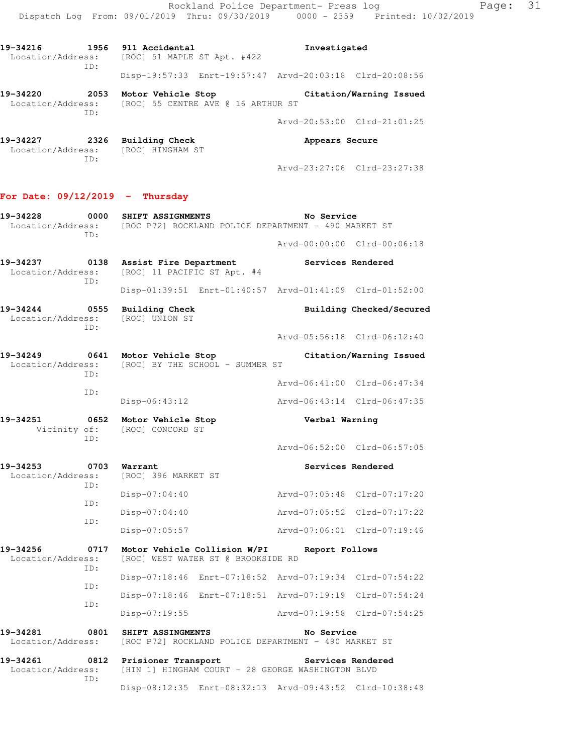Rockland Police Department- Press log Page: 31 Dispatch Log From: 09/01/2019 Thru: 09/30/2019 0000 - 2359 Printed: 10/02/2019

**19-34216 1956 911 Accidental Investigated**  Location/Address: [ROC] 51 MAPLE ST Apt. #422 ID: Disp-19:57:33 Enrt-19:57:47 Arvd-20:03:18 Clrd-20:08:56

**19-34220 2053 Motor Vehicle Stop Citation/Warning Issued**  Location/Address: [ROC] 55 CENTRE AVE @ 16 ARTHUR ST ID: Arvd-20:53:00 Clrd-21:01:25

**19-34227 2326 Building Check Appears Secure**  Location/Address: [ROC] HINGHAM ST ID: Arvd-23:27:06 Clrd-23:27:38

## **For Date: 09/12/2019 - Thursday**

ID:

- **19-34228 0000 SHIFT ASSIGNMENTS No Service**  Location/Address: [ROC P72] ROCKLAND POLICE DEPARTMENT - 490 MARKET ST ID: Arvd-00:00:00 Clrd-00:06:18
- **19-34237 0138 Assist Fire Department Services Rendered**  Location/Address: [ROC] 11 PACIFIC ST Apt. #4 ID:

 Disp-01:39:51 Enrt-01:40:57 Arvd-01:41:09 Clrd-01:52:00 **19-34244 0555 Building Check Building Checked/Secured**  Location/Address: [ROC] UNION ST

Arvd-05:56:18 Clrd-06:12:40

**19-34249 0641 Motor Vehicle Stop Citation/Warning Issued**  Location/Address: [ROC] BY THE SCHOOL - SUMMER ST ID: Arvd-06:41:00 Clrd-06:47:34 ID:

Disp-06:43:12 Arvd-06:43:14 Clrd-06:47:35

**19-34251 0652 Motor Vehicle Stop Verbal Warning**  Vicinity of: [ROC] CONCORD ST ID:

Arvd-06:52:00 Clrd-06:57:05

## 19-34253 **0703** Warrant Services Rendered

| Location/Address:<br>TD: | [ROC] 396 MARKET ST |                             |
|--------------------------|---------------------|-----------------------------|
| TD:                      | Disp-07:04:40       | Arvd-07:05:48 Clrd-07:17:20 |
| TD:                      | Disp-07:04:40       | Arvd-07:05:52 Clrd-07:17:22 |
|                          | Disp-07:05:57       | Arvd-07:06:01 Clrd-07:19:46 |

**19-34256 0717 Motor Vehicle Collision W/PI Report Follows**  Location/Address: [ROC] WEST WATER ST @ BROOKSIDE RD ID: Disp-07:18:46 Enrt-07:18:52 Arvd-07:19:34 Clrd-07:54:22 ID: Disp-07:18:46 Enrt-07:18:51 Arvd-07:19:19 Clrd-07:54:24 ID:

 Disp-07:19:55 Arvd-07:19:58 Clrd-07:54:25 **19-34281 0801 SHIFT ASSINGMENTS No Service**  Location/Address: [ROC P72] ROCKLAND POLICE DEPARTMENT - 490 MARKET ST **19-34261 0812 Prisioner Transport Services Rendered** 

 Location/Address: [HIN 1] HINGHAM COURT - 28 GEORGE WASHINGTON BLVD ID: Disp-08:12:35 Enrt-08:32:13 Arvd-09:43:52 Clrd-10:38:48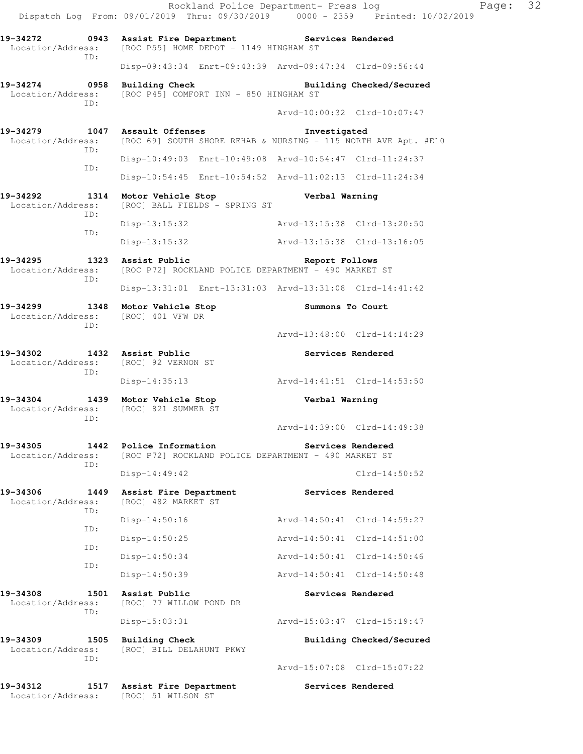Rockland Police Department- Press log Page: 32 Dispatch Log From: 09/01/2019 Thru: 09/30/2019 0000 - 2359 Printed: 10/02/2019 **19-34272 0943 Assist Fire Department Services Rendered**  Location/Address: [ROC P55] HOME DEPOT - 1149 HINGHAM ST ID: Disp-09:43:34 Enrt-09:43:39 Arvd-09:47:34 Clrd-09:56:44 **19-34274 0958 Building Check Building Checked/Secured**  Location/Address: [ROC P45] COMFORT INN - 850 HINGHAM ST ID: Arvd-10:00:32 Clrd-10:07:47 **19-34279 1047 Assault Offenses Investigated**  Location/Address: [ROC 69] SOUTH SHORE REHAB & NURSING - 115 NORTH AVE Apt. #E10 ID: Disp-10:49:03 Enrt-10:49:08 Arvd-10:54:47 Clrd-11:24:37 ID: Disp-10:54:45 Enrt-10:54:52 Arvd-11:02:13 Clrd-11:24:34 **19-34292 1314 Motor Vehicle Stop Verbal Warning**  Location/Address: [ROC] BALL FIELDS - SPRING ST ID: Disp-13:15:32 Arvd-13:15:38 Clrd-13:20:50 ID: Disp-13:15:32 Arvd-13:15:38 Clrd-13:16:05 **19-34295 1323 Assist Public Report Follows**  Location/Address: [ROC P72] ROCKLAND POLICE DEPARTMENT - 490 MARKET ST ID: Disp-13:31:01 Enrt-13:31:03 Arvd-13:31:08 Clrd-14:41:42 **19-34299 1348 Motor Vehicle Stop Summons To Court**  Location/Address: [ROC] 401 VFW DR ID: Arvd-13:48:00 Clrd-14:14:29 19-34302 1432 Assist Public **19-34302** Services Rendered Location/Address: [ROC] 92 VERNON ST ID: Disp-14:35:13 Arvd-14:41:51 Clrd-14:53:50 **19-34304 1439 Motor Vehicle Stop Verbal Warning**  Location/Address: [ROC] 821 SUMMER ST ID: Arvd-14:39:00 Clrd-14:49:38 **19-34305 1442 Police Information Services Rendered**  Location/Address: [ROC P72] ROCKLAND POLICE DEPARTMENT - 490 MARKET ST ID: Disp-14:49:42 Clrd-14:50:52 19-34306 1449 Assist Fire Department **Services Rendered** Location/Address: [ROC] 482 MARKET ST [ROC] 482 MARKET ST ID: Disp-14:50:16 Arvd-14:50:41 Clrd-14:59:27 ID: Disp-14:50:25 Arvd-14:50:41 Clrd-14:51:00 ID: Disp-14:50:34 Arvd-14:50:41 Clrd-14:50:46 ID: Disp-14:50:39 Arvd-14:50:41 Clrd-14:50:48 **19-34308 1501 Assist Public Services Rendered**  Location/Address: [ROC] 77 WILLOW POND DR ID: Disp-15:03:31 Arvd-15:03:47 Clrd-15:19:47 19-34309 1505 Building Check **Building Checked/Secured**  Location/Address: [ROC] BILL DELAHUNT PKWY ID: Arvd-15:07:08 Clrd-15:07:22 **19-34312 1517 Assist Fire Department Services Rendered**  Location/Address: [ROC] 51 WILSON ST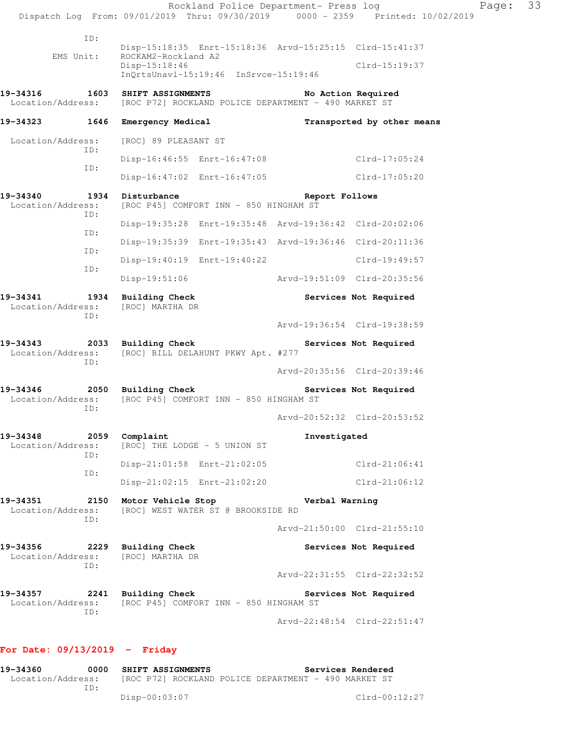Rockland Police Department- Press log Fage: 33 Dispatch Log From: 09/01/2019 Thru: 09/30/2019 0000 - 2359 Printed: 10/02/2019 ID: Disp-15:18:35 Enrt-15:18:36 Arvd-15:25:15 Clrd-15:41:37 EMS Unit: ROCKAM2-Rockland A2 Disp-15:18:46 Clrd-15:19:37 InQrtsUnavl-15:19:46 InSrvce-15:19:46 **19-34316 1603 SHIFT ASSIGNMENTS No Action Required**  Location/Address: [ROC P72] ROCKLAND POLICE DEPARTMENT - 490 MARKET ST **19-34323 1646 Emergency Medical Transported by other means**  Location/Address: [ROC] 89 PLEASANT ST ID: Disp-16:46:55 Enrt-16:47:08 Clrd-17:05:24 ID: Disp-16:47:02 Enrt-16:47:05 Clrd-17:05:20 **19-34340 1934 Disturbance Report Follows**  Location/Address: [ROC P45] COMFORT INN - 850 HINGHAM ST ID: Disp-19:35:28 Enrt-19:35:48 Arvd-19:36:42 Clrd-20:02:06 ID: Disp-19:35:39 Enrt-19:35:43 Arvd-19:36:46 Clrd-20:11:36 ID: Disp-19:40:19 Enrt-19:40:22 Clrd-19:49:57 ID: Disp-19:51:06 Arvd-19:51:09 Clrd-20:35:56 **19-34341 1934 Building Check Services Not Required**  Location/Address: [ROC] MARTHA DR ID: Arvd-19:36:54 Clrd-19:38:59 19-34343 **2033** Building Check **Services Not Required**  Location/Address: [ROC] BILL DELAHUNT PKWY Apt. #277 ID: Arvd-20:35:56 Clrd-20:39:46 **19-34346 2050 Building Check Services Not Required**  Location/Address: [ROC P45] COMFORT INN - 850 HINGHAM ST ID: Arvd-20:52:32 Clrd-20:53:52 **19-34348 2059 Complaint Investigated**  Location/Address: [ROC] THE LODGE - 5 UNION ST ID: Disp-21:01:58 Enrt-21:02:05 Clrd-21:06:41 ID: Disp-21:02:15 Enrt-21:02:20 Clrd-21:06:12 **19-34351 2150 Motor Vehicle Stop Verbal Warning**  Location/Address: [ROC] WEST WATER ST @ BROOKSIDE RD ID: Arvd-21:50:00 Clrd-21:55:10 **19-34356 2229 Building Check Services Not Required**  Location/Address: [ROC] MARTHA DR ID: Arvd-22:31:55 Clrd-22:32:52 19-34357 **2241** Building Check **Services Not Required**  Location/Address: [ROC P45] COMFORT INN - 850 HINGHAM ST ID: Arvd-22:48:54 Clrd-22:51:47

## **For Date: 09/13/2019 - Friday**

**19-34360 0000 SHIFT ASSIGNMENTS Services Rendered**<br>Location/Address: [ROC P72] ROCKLAND POLICE DEPARTMENT - 490 MARKET ST [ROC P72] ROCKLAND POLICE DEPARTMENT - 490 MARKET ST ID: Disp-00:03:07 Clrd-00:12:27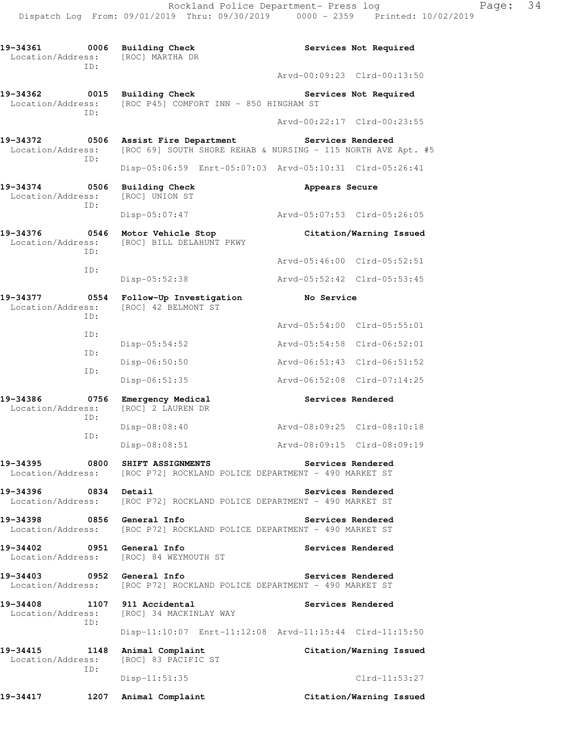**19-34361 0006 Building Check Services Not Required**  Location/Address: [ROC] MARTHA DR ID: Arvd-00:09:23 Clrd-00:13:50 19-34362 **0015** Building Check **Services Not Required**  Location/Address: [ROC P45] COMFORT INN - 850 HINGHAM ST ID: Arvd-00:22:17 Clrd-00:23:55 **19-34372 0506 Assist Fire Department Services Rendered**  Location/Address: [ROC 69] SOUTH SHORE REHAB & NURSING - 115 NORTH AVE Apt. #5 ID: Disp-05:06:59 Enrt-05:07:03 Arvd-05:10:31 Clrd-05:26:41 19-34374 0506 Building Check **Appears Secure**  Location/Address: [ROC] UNION ST ID: Disp-05:07:47 Arvd-05:07:53 Clrd-05:26:05 **19-34376 0546 Motor Vehicle Stop Citation/Warning Issued**  Location/Address: [ROC] BILL DELAHUNT PKWY ID: Arvd-05:46:00 Clrd-05:52:51 ID: Disp-05:52:38 Arvd-05:52:42 Clrd-05:53:45 **19-34377 0554 Follow-Up Investigation No Service**  Location/Address: [ROC] 42 BELMONT ST ID: Arvd-05:54:00 Clrd-05:55:01 ID: Disp-05:54:52 Arvd-05:54:58 Clrd-06:52:01 ID: Disp-06:50:50 Arvd-06:51:43 Clrd-06:51:52 ID: Disp-06:51:35 Arvd-06:52:08 Clrd-07:14:25 19-34386 **0756 Emergency Medical 19-34386 Services Rendered**  Location/Address: [ROC] 2 LAUREN DR ID: Disp-08:08:40 Arvd-08:09:25 Clrd-08:10:18 ID: Disp-08:08:51 Arvd-08:09:15 Clrd-08:09:19 **19-34395 0800 SHIFT ASSIGNMENTS Services Rendered**  Location/Address: [ROC P72] ROCKLAND POLICE DEPARTMENT - 490 MARKET ST 19-34396 **0834** Detail **Services Rendered Services** Rendered Location/Address: [ROC P72] ROCKLAND POLICE DEPARTMENT - 490 MARKET ST **19-34398 0856 General Info Services Rendered**  Location/Address: [ROC P72] ROCKLAND POLICE DEPARTMENT - 490 MARKET ST 19-34402 **0951** General Info **Services Rendered** Location/Address: [ROC] 84 WEYMOUTH ST **19-34403 0952 General Info Services Rendered**  Location/Address: [ROC P72] ROCKLAND POLICE DEPARTMENT - 490 MARKET ST **19-34408 1107 911 Accidental Services Rendered**  Location/Address: [ROC] 34 MACKINLAY WAY ID: Disp-11:10:07 Enrt-11:12:08 Arvd-11:15:44 Clrd-11:15:50 **19-34415 1148 Animal Complaint Citation/Warning Issued**  Location/Address: [ROC] 83 PACIFIC ST ID: Disp-11:51:35 Clrd-11:53:27 **19-34417 1207 Animal Complaint Citation/Warning Issued**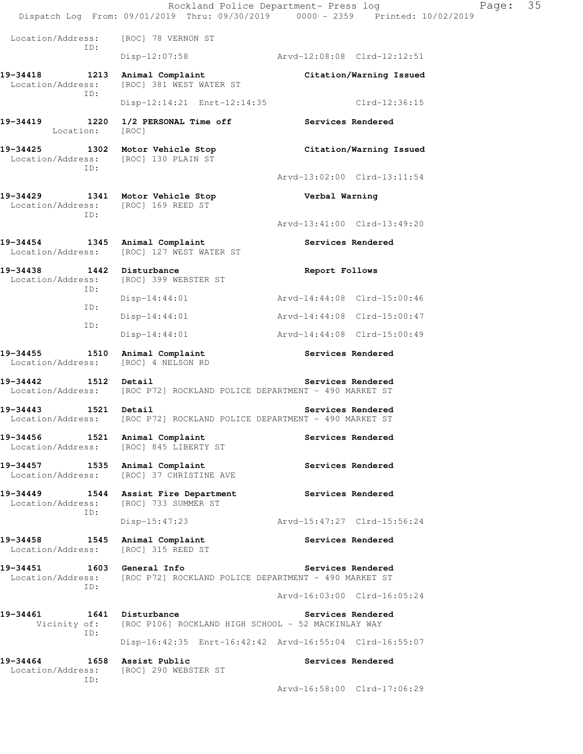|                                                                                 | Rockland Police Department- Press log<br>Dispatch Log From: 09/01/2019 Thru: 09/30/2019 0000 - 2359 Printed: 10/02/2019 |                | Page:                       | 35 |
|---------------------------------------------------------------------------------|-------------------------------------------------------------------------------------------------------------------------|----------------|-----------------------------|----|
| Location/Address:                                                               | [ROC] 78 VERNON ST                                                                                                      |                |                             |    |
| ID:                                                                             | $Disp-12:07:58$                                                                                                         |                | Arvd-12:08:08 Clrd-12:12:51 |    |
| 19-34418 1213<br>Location/Address:                                              | Animal Complaint<br>[ROC] 381 WEST WATER ST                                                                             |                | Citation/Warning Issued     |    |
| ID:                                                                             | Disp-12:14:21 Enrt-12:14:35                                                                                             |                | Clrd-12:36:15               |    |
| 19-34419<br>Location:                                                           | 1220 1/2 PERSONAL Time off<br>[ROC]                                                                                     |                | Services Rendered           |    |
| 19-34425 1302 Motor Vehicle Stop<br>Location/Address: [ROC] 130 PLAIN ST<br>ID: |                                                                                                                         |                | Citation/Warning Issued     |    |
|                                                                                 |                                                                                                                         |                | Arvd-13:02:00 Clrd-13:11:54 |    |
| Location/Address: [ROC] 169 REED ST<br>ID:                                      | 19-34429 1341 Motor Vehicle Stop                                                                                        | Verbal Warning |                             |    |
|                                                                                 |                                                                                                                         |                | Arvd-13:41:00 Clrd-13:49:20 |    |
| 19-34454 1345 Animal Complaint                                                  | Location/Address: [ROC] 127 WEST WATER ST                                                                               |                | Services Rendered           |    |
| 19-34438 1442 Disturbance<br>Location/Address:<br>ID:                           | [ROC] 399 WEBSTER ST                                                                                                    | Report Follows |                             |    |
| ID:                                                                             | $Disp-14:44:01$                                                                                                         |                | Arvd-14:44:08 Clrd-15:00:46 |    |
| ID:                                                                             | $Disp-14:44:01$                                                                                                         |                | Arvd-14:44:08 Clrd-15:00:47 |    |
|                                                                                 | Disp-14:44:01                                                                                                           |                | Arvd-14:44:08 Clrd-15:00:49 |    |
| 19-34455 1510<br>Location/Address:                                              | Animal Complaint<br>[ROC] 4 NELSON RD                                                                                   |                | Services Rendered           |    |
| $19 - 34442$                                                                    | 1512 Detail<br>Location/Address: [ROC P72] ROCKLAND POLICE DEPARTMENT - 490 MARKET ST                                   |                | Services Rendered           |    |
| $19 - 34443$                                                                    | 1521 Detail<br>Location/Address: [ROC P72] ROCKLAND POLICE DEPARTMENT - 490 MARKET ST                                   |                | Services Rendered           |    |
| 19-34456<br>Location/Address:                                                   | 1521 Animal Complaint<br>[ROC] 845 LIBERTY ST                                                                           |                | Services Rendered           |    |
| 19-34457<br>1535<br>Location/Address:                                           | Animal Complaint<br>[ROC] 37 CHRISTINE AVE                                                                              |                | Services Rendered           |    |
| 19-34449<br>1544<br>Location/Address:                                           | Assist Fire Department<br>[ROC] 733 SUMMER ST                                                                           |                | Services Rendered           |    |
| ID:                                                                             | $Disp-15:47:23$                                                                                                         |                | Arvd-15:47:27 Clrd-15:56:24 |    |
| 19-34458<br>1545<br>Location/Address:                                           | Animal Complaint<br>[ROC] 315 REED ST                                                                                   |                | Services Rendered           |    |
| 19-34451 1603 General Info<br>Location/Address:                                 | [ROC P72] ROCKLAND POLICE DEPARTMENT - 490 MARKET ST                                                                    |                | Services Rendered           |    |
| ID:                                                                             |                                                                                                                         |                | Arvd-16:03:00 Clrd-16:05:24 |    |
| 19-34461<br>Vicinity of:                                                        | 1641 Disturbance<br>[ROC P106] ROCKLAND HIGH SCHOOL - 52 MACKINLAY WAY                                                  |                | Services Rendered           |    |
| ID:                                                                             | Disp-16:42:35 Enrt-16:42:42 Arvd-16:55:04 Clrd-16:55:07                                                                 |                |                             |    |
| 19-34464<br>Location/Address:                                                   | 1658 Assist Public<br>[ROC] 290 WEBSTER ST                                                                              |                | Services Rendered           |    |
| ID:                                                                             |                                                                                                                         |                | Arvd-16:58:00 Clrd-17:06:29 |    |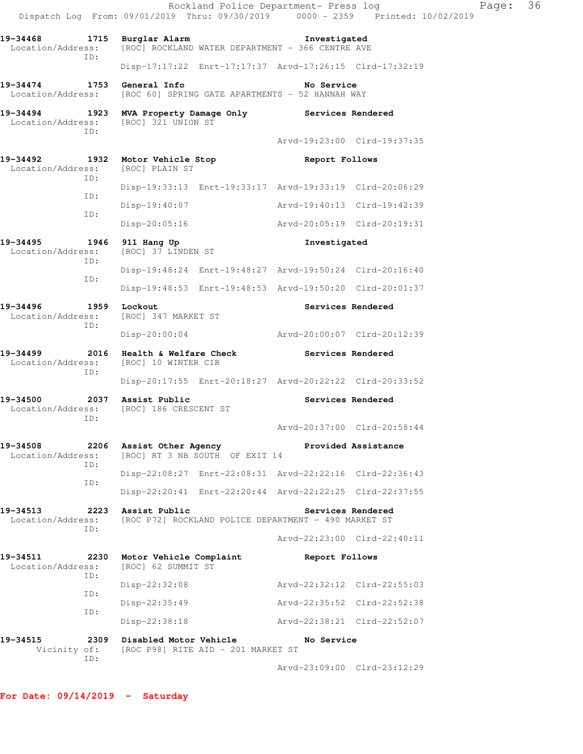|                                                                               |     |                                                    |                                    | Rockland Police Department- Press log                            | Dispatch Log From: 09/01/2019 Thru: 09/30/2019 0000 - 2359 Printed: 10/02/2019 | Page: | 36 |
|-------------------------------------------------------------------------------|-----|----------------------------------------------------|------------------------------------|------------------------------------------------------------------|--------------------------------------------------------------------------------|-------|----|
| 19-34468 1715 Burglar Alarm<br>Location/Address:                              |     |                                                    |                                    | Investigated<br>[ROC] ROCKLAND WATER DEPARTMENT - 366 CENTRE AVE |                                                                                |       |    |
|                                                                               | TD: |                                                    |                                    | Disp-17:17:22 Enrt-17:17:37 Arvd-17:26:15 Clrd-17:32:19          |                                                                                |       |    |
| 19-34474 1753 General Info<br>Location/Address:                               |     |                                                    |                                    | No Service<br>[ROC 60] SPRING GATE APARTMENTS - 52 HANNAH WAY    |                                                                                |       |    |
| 19-34494 1923 MVA Property Damage Only Services Rendered<br>Location/Address: | TD: | [ROC] 321 UNION ST                                 |                                    |                                                                  |                                                                                |       |    |
|                                                                               |     |                                                    |                                    |                                                                  | Arvd-19:23:00 Clrd-19:37:35                                                    |       |    |
| 19-34492 1932 Motor Vehicle Stop<br>Location/Address:                         | ID: | [ROC] PLAIN ST                                     |                                    | Report Follows                                                   |                                                                                |       |    |
|                                                                               |     |                                                    |                                    | Disp-19:33:13 Enrt-19:33:17 Arvd-19:33:19 Clrd-20:06:29          |                                                                                |       |    |
|                                                                               | ID: | $Disp-19:40:07$                                    |                                    | Arvd-19:40:13 Clrd-19:42:39                                      |                                                                                |       |    |
|                                                                               | ID: | $Disp-20:05:16$                                    |                                    | Arvd-20:05:19 Clrd-20:19:31                                      |                                                                                |       |    |
| 19-34495<br>Location/Address:                                                 |     | 1946 911 Hang Up<br>[ROC] 37 LINDEN ST             |                                    | Investigated                                                     |                                                                                |       |    |
|                                                                               | ID: |                                                    |                                    | Disp-19:48:24 Enrt-19:48:27 Arvd-19:50:24 Clrd-20:16:40          |                                                                                |       |    |
|                                                                               | ID: |                                                    |                                    | Disp-19:48:53 Enrt-19:48:53 Arvd-19:50:20 Clrd-20:01:37          |                                                                                |       |    |
| 19-34496<br>Location/Address:                                                 | ID: | 1959 Lockout<br>[ROC] 347 MARKET ST                |                                    |                                                                  | Services Rendered                                                              |       |    |
|                                                                               |     | Disp-20:00:04                                      |                                    | Arvd-20:00:07 Clrd-20:12:39                                      |                                                                                |       |    |
| 19-34499<br>Location/Address:                                                 | ID: | [ROC] 10 WINTER CIR                                |                                    | 2016 Health & Welfare Check The Services Rendered                |                                                                                |       |    |
|                                                                               |     |                                                    |                                    | Disp-20:17:55 Enrt-20:18:27 Arvd-20:22:22 Clrd-20:33:52          |                                                                                |       |    |
| 19-34500 2037 Assist Public<br>Location/Address:                              | TD: | [ROC] 186 CRESCENT ST                              |                                    |                                                                  | Services Rendered                                                              |       |    |
|                                                                               |     |                                                    |                                    |                                                                  | Arvd-20:37:00 Clrd-20:58:44                                                    |       |    |
| 19-34508<br>Location/Address:                                                 | ID: |                                                    | [ROC] RT 3 NB SOUTH OF EXIT 14     | 2206 Assist Other Agency <b>Example 2206</b> Assistance          |                                                                                |       |    |
|                                                                               | ID: |                                                    |                                    | Disp-22:08:27 Enrt-22:08:31 Arvd-22:22:16 Clrd-22:36:43          |                                                                                |       |    |
|                                                                               |     |                                                    |                                    | Disp-22:20:41 Enrt-22:20:44 Arvd-22:22:25 Clrd-22:37:55          |                                                                                |       |    |
| 19-34513<br>Location/Address:                                                 | ID: | 2223 Assist Public                                 |                                    | [ROC P72] ROCKLAND POLICE DEPARTMENT - 490 MARKET ST             | Services Rendered                                                              |       |    |
|                                                                               |     |                                                    |                                    |                                                                  | Arvd-22:23:00 Clrd-22:40:11                                                    |       |    |
| 19-34511<br>Location/Address:                                                 | ID: | 2230 Motor Vehicle Complaint<br>[ROC] 62 SUMMIT ST |                                    | Report Follows                                                   |                                                                                |       |    |
|                                                                               | ID: | Disp-22:32:08                                      |                                    | Arvd-22:32:12 Clrd-22:55:03                                      |                                                                                |       |    |
|                                                                               | ID: | $Disp-22:35:49$                                    |                                    | Arvd-22:35:52 Clrd-22:52:38                                      |                                                                                |       |    |
|                                                                               |     | Disp-22:38:18                                      |                                    | Arvd-22:38:21 Clrd-22:52:07                                      |                                                                                |       |    |
| 19-34515<br>Vicinity of:                                                      | ID: | 2309 Disabled Motor Vehicle                        | [ROC P98] RITE AID - 201 MARKET ST | No Service                                                       |                                                                                |       |    |
|                                                                               |     |                                                    |                                    |                                                                  | Arvd-23:09:00 Clrd-23:12:29                                                    |       |    |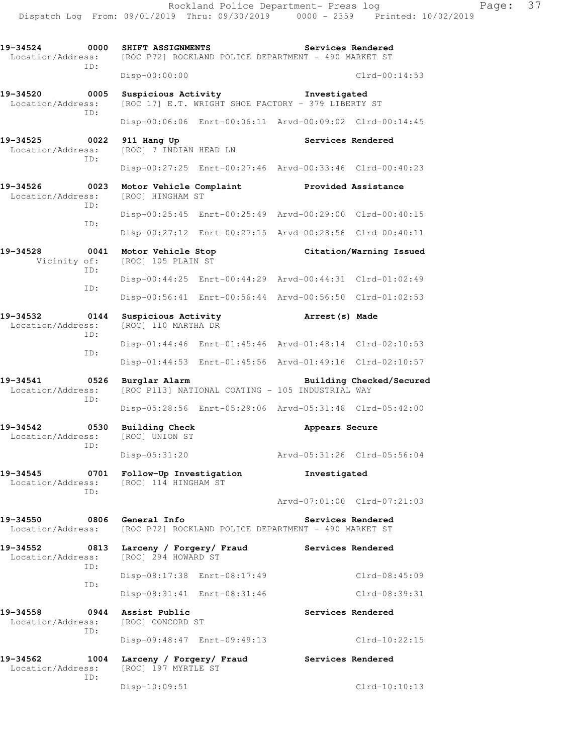**19-34524 0000 SHIFT ASSIGNMENTS Services Rendered**  Location/Address: [ROC P72] ROCKLAND POLICE DEPARTMENT - 490 MARKET ST ID: Disp-00:00:00 Clrd-00:14:53 **19-34520 0005 Suspicious Activity Investigated**  Location/Address: [ROC 17] E.T. WRIGHT SHOE FACTORY - 379 LIBERTY ST ID: Disp-00:06:06 Enrt-00:06:11 Arvd-00:09:02 Clrd-00:14:45 **19-34525 0022 911 Hang Up Services Rendered**  Location/Address: [ROC] 7 INDIAN HEAD LN ID: Disp-00:27:25 Enrt-00:27:46 Arvd-00:33:46 Clrd-00:40:23 **19-34526 0023 Motor Vehicle Complaint Provided Assistance Location/Address:** [ROC] HINGHAM ST Location/Address: ID: Disp-00:25:45 Enrt-00:25:49 Arvd-00:29:00 Clrd-00:40:15 ID: Disp-00:27:12 Enrt-00:27:15 Arvd-00:28:56 Clrd-00:40:11 **19-34528 0041 Motor Vehicle Stop Citation/Warning Issued**  Vicinity of: [ROC] 105 PLAIN ST ID: Disp-00:44:25 Enrt-00:44:29 Arvd-00:44:31 Clrd-01:02:49 ID: Disp-00:56:41 Enrt-00:56:44 Arvd-00:56:50 Clrd-01:02:53 **19-34532 0144 Suspicious Activity Arrest(s) Made**  Location/Address: [ROC] 110 MARTHA DR ID: Disp-01:44:46 Enrt-01:45:46 Arvd-01:48:14 Clrd-02:10:53 ID: Disp-01:44:53 Enrt-01:45:56 Arvd-01:49:16 Clrd-02:10:57 **19-34541 0526 Burglar Alarm Building Checked/Secured**  Location/Address: [ROC P113] NATIONAL COATING - 105 INDUSTRIAL WAY ID: Disp-05:28:56 Enrt-05:29:06 Arvd-05:31:48 Clrd-05:42:00 **19-34542 0530 Building Check Appears Secure**  Location/Address: [ROC] UNION ST ID: Disp-05:31:20 Arvd-05:31:26 Clrd-05:56:04 **19-34545 0701 Follow-Up Investigation Investigated**  Location/Address: [ROC] 114 HINGHAM ST ID: Arvd-07:01:00 Clrd-07:21:03 **19-34550 0806 General Info Services Rendered**  Location/Address: [ROC P72] ROCKLAND POLICE DEPARTMENT - 490 MARKET ST **19-34552 0813 Larceny / Forgery/ Fraud Services Rendered**  Location/Address: [ROC] 294 HOWARD ST ID: Disp-08:17:38 Enrt-08:17:49 Clrd-08:45:09 ID: Disp-08:31:41 Enrt-08:31:46 Clrd-08:39:31 **19-34558 0944 Assist Public Services Rendered**  Location/Address: [ROC] CONCORD ST ID: Disp-09:48:47 Enrt-09:49:13 Clrd-10:22:15 **19-34562 1004 Larceny / Forgery/ Fraud Services Rendered**  Location/Address: [ROC] 197 MYRTLE ST ID: Disp-10:09:51 Clrd-10:10:13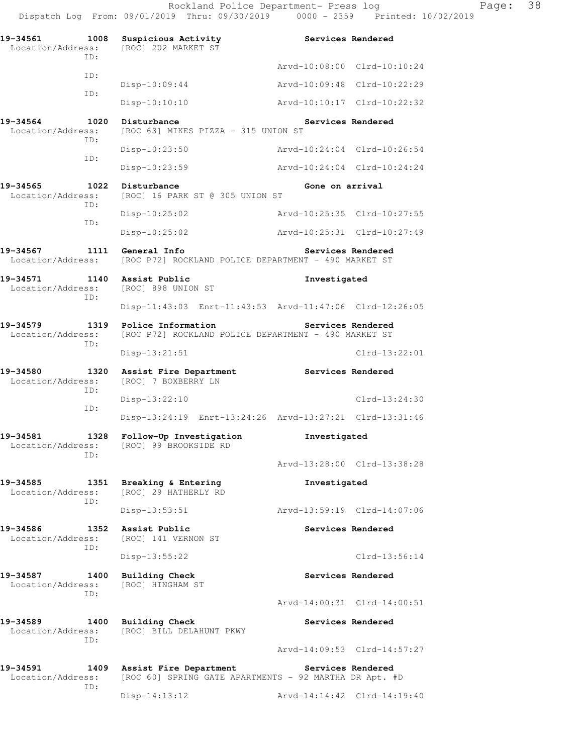Rockland Police Department- Press log Fage: 38 Dispatch Log From: 09/01/2019 Thru: 09/30/2019 0000 - 2359 Printed: 10/02/2019

**19-34561 1008 Suspicious Activity Services Rendered**  Location/Address: [ROC] 202 MARKET ST ID: Arvd-10:08:00 Clrd-10:10:24 ID: Disp-10:09:44 Arvd-10:09:48 Clrd-10:22:29 ID: Disp-10:10:10 Arvd-10:10:17 Clrd-10:22:32 **19-34564 1020 Disturbance Services Rendered**  Location/Address: [ROC 63] MIKES PIZZA - 315 UNION ST ID: Disp-10:23:50 Arvd-10:24:04 Clrd-10:26:54 ID: Disp-10:23:59 Arvd-10:24:04 Clrd-10:24:24 19-34565 1022 Disturbance **1023** 19-34565 Gone on arrival Location/Address: [ROC] 16 PARK ST @ 305 UNION ST ID: Disp-10:25:02 Arvd-10:25:35 Clrd-10:27:55 ID: Disp-10:25:02 Arvd-10:25:31 Clrd-10:27:49 **19-34567 1111 General Info Services Rendered**  Location/Address: [ROC P72] ROCKLAND POLICE DEPARTMENT - 490 MARKET ST **19-34571 1140 Assist Public Investigated**  Location/Address: [ROC] 898 UNION ST ID: Disp-11:43:03 Enrt-11:43:53 Arvd-11:47:06 Clrd-12:26:05 **19-34579 1319 Police Information Services Rendered**  Location/Address: [ROC P72] ROCKLAND POLICE DEPARTMENT - 490 MARKET ST ID: Disp-13:21:51 Clrd-13:22:01 **19-34580 1320 Assist Fire Department Services Rendered**  Location/Address: [ROC] 7 BOXBERRY LN ID: Disp-13:22:10 Clrd-13:24:30 ID: Disp-13:24:19 Enrt-13:24:26 Arvd-13:27:21 Clrd-13:31:46 **19-34581 1328 Follow-Up Investigation Investigated**  Location/Address: [ROC] 99 BROOKSIDE RD ID: Arvd-13:28:00 Clrd-13:38:28 **19-34585 1351 Breaking & Entering Investigated**  Location/Address: [ROC] 29 HATHERLY RD ID: Disp-13:53:51 Arvd-13:59:19 Clrd-14:07:06 **19-34586 1352 Assist Public Services Rendered**  Location/Address: [ROC] 141 VERNON ST ID: Disp-13:55:22 Clrd-13:56:14 19-34587 1400 Building Check **Services Rendered**  Location/Address: [ROC] HINGHAM ST ID: Arvd-14:00:31 Clrd-14:00:51 **19-34589 1400 Building Check Services Rendered**  Location/Address: [ROC] BILL DELAHUNT PKWY ID: Arvd-14:09:53 Clrd-14:57:27 **19-34591 1409 Assist Fire Department Services Rendered**  Location/Address: [ROC 60] SPRING GATE APARTMENTS - 92 MARTHA DR Apt. #D ID: Disp-14:13:12 Arvd-14:14:42 Clrd-14:19:40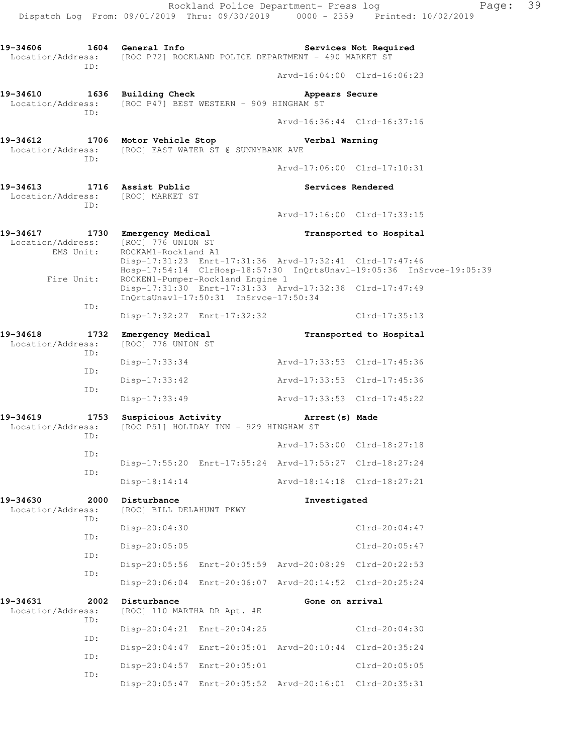Dispatch Log From: 09/01/2019 Thru: 09/30/2019 0000 - 2359 Printed: 10/02/2019 **19-34606 1604 General Info Services Not Required**  Location/Address: [ROC P72] ROCKLAND POLICE DEPARTMENT - 490 MARKET ST ID: Arvd-16:04:00 Clrd-16:06:23 **19-34610 1636 Building Check Appears Secure**  Location/Address: [ROC P47] BEST WESTERN - 909 HINGHAM ST ID: Arvd-16:36:44 Clrd-16:37:16 **19-34612 1706 Motor Vehicle Stop Verbal Warning**  Location/Address: [ROC] EAST WATER ST @ SUNNYBANK AVE ID: Arvd-17:06:00 Clrd-17:10:31 19-34613 1716 Assist Public **19-34613** Services Rendered Location/Address: [ROC] MARKET ST ID: Arvd-17:16:00 Clrd-17:33:15 **19-34617 1730 Emergency Medical Transported to Hospital**  Location/Address: [ROC] 776 UNION ST<br>EMS Unit: ROCKAM1-Rockland A ROCKAM1-Rockland A1 Disp-17:31:23 Enrt-17:31:36 Arvd-17:32:41 Clrd-17:47:46 Hosp-17:54:14 ClrHosp-18:57:30 InQrtsUnavl-19:05:36 InSrvce-19:05:39 Fire Unit: ROCKEN1-Pumper-Rockland Engine 1 Disp-17:31:30 Enrt-17:31:33 Arvd-17:32:38 Clrd-17:47:49 InQrtsUnavl-17:50:31 InSrvce-17:50:34 ID: Disp-17:32:27 Enrt-17:32:32 Clrd-17:35:13 **19-34618 1732 Emergency Medical Transported to Hospital**  Location/Address: [ROC] 776 UNION ST ID: Disp-17:33:34 Arvd-17:33:53 Clrd-17:45:36 ID: Disp-17:33:42 Arvd-17:33:53 Clrd-17:45:36 ID: Disp-17:33:49 Arvd-17:33:53 Clrd-17:45:22 **19-34619 1753 Suspicious Activity Arrest(s) Made**  Location/Address: [ROC P51] HOLIDAY INN - 929 HINGHAM ST ID: Arvd-17:53:00 Clrd-18:27:18 ID: Disp-17:55:20 Enrt-17:55:24 Arvd-17:55:27 Clrd-18:27:24 ID: Disp-18:14:14 Arvd-18:14:18 Clrd-18:27:21 **19-34630 2000 Disturbance Investigated**  Location/Address: [ROC] BILL DELAHUNT PKWY ID: Disp-20:04:30 Clrd-20:04:47 ID: Disp-20:05:05 Clrd-20:05:47 ID: Disp-20:05:56 Enrt-20:05:59 Arvd-20:08:29 Clrd-20:22:53 ID: Disp-20:06:04 Enrt-20:06:07 Arvd-20:14:52 Clrd-20:25:24 19-34631 2002 Disturbance **Cone Gone on arrival** Location/Address: [ROC] 110 MARTHA DR Apt. #E ID: Disp-20:04:21 Enrt-20:04:25 Clrd-20:04:30 ID: Disp-20:04:47 Enrt-20:05:01 Arvd-20:10:44 Clrd-20:35:24 ID: Disp-20:04:57 Enrt-20:05:01 Clrd-20:05:05 ID: Disp-20:05:47 Enrt-20:05:52 Arvd-20:16:01 Clrd-20:35:31

Rockland Police Department- Press log Fage: 39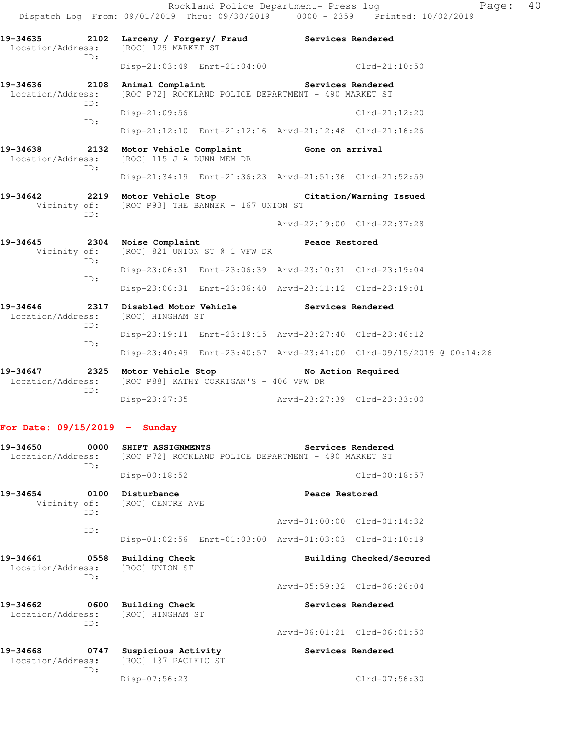**19-34635 2102 Larceny / Forgery/ Fraud Services Rendered**  Location/Address: [ROC] 129 MARKET ST ID: Disp-21:03:49 Enrt-21:04:00 Clrd-21:10:50 19-34636 2108 Animal Complaint **Services Rendered** Location/Address: [ROC P72] ROCKLAND POLICE DEPARTMENT - 490 MARKET ST ID: Disp-21:09:56 Clrd-21:12:20 ID: Disp-21:12:10 Enrt-21:12:16 Arvd-21:12:48 Clrd-21:16:26 **19-34638 2132 Motor Vehicle Complaint Gone on arrival**  Location/Address: [ROC] 115 J A DUNN MEM DR ID: Disp-21:34:19 Enrt-21:36:23 Arvd-21:51:36 Clrd-21:52:59 **19-34642 2219 Motor Vehicle Stop Citation/Warning Issued**  Vicinity of: [ROC P93] THE BANNER - 167 UNION ST ID: Arvd-22:19:00 Clrd-22:37:28 19-34645 2304 Noise Complaint **Peace Restored** Vicinity of: [ROC] 821 UNION ST @ 1 VFW DR ID: Disp-23:06:31 Enrt-23:06:39 Arvd-23:10:31 Clrd-23:19:04 ID: Disp-23:06:31 Enrt-23:06:40 Arvd-23:11:12 Clrd-23:19:01 **19-34646 2317 Disabled Motor Vehicle Services Rendered**  Location/Address: [ROC] HINGHAM ST ID: Disp-23:19:11 Enrt-23:19:15 Arvd-23:27:40 Clrd-23:46:12 ID: Disp-23:40:49 Enrt-23:40:57 Arvd-23:41:00 Clrd-09/15/2019 @ 00:14:26 **19-34647 2325 Motor Vehicle Stop No Action Required**  Location/Address: [ROC P88] KATHY CORRIGAN'S - 406 VFW DR ID:

Disp-23:27:35 Arvd-23:27:39 Clrd-23:33:00

Disp-07:56:23 Clrd-07:56:30

### **For Date: 09/15/2019 - Sunday**

| 19-34650<br>Location/Address: | 0000<br>ID: | SHIFT ASSIGNMENTS<br>[ROC P72] ROCKLAND POLICE DEPARTMENT - 490 MARKET ST<br>$Disp-00:18:52$ | Services Rendered<br>$Clrd-00:18:57$                    |
|-------------------------------|-------------|----------------------------------------------------------------------------------------------|---------------------------------------------------------|
| 19–34654                      | 0100<br>TD: | Disturbance<br>Vicinity of: [ROC] CENTRE AVE                                                 | Peace Restored                                          |
|                               |             |                                                                                              | Arvd-01:00:00 Clrd-01:14:32                             |
|                               | TD:         |                                                                                              | Disp-01:02:56 Enrt-01:03:00 Arvd-01:03:03 Clrd-01:10:19 |
| 19-34661<br>Location/Address: | 0558<br>TD: | Building Check<br>[ROC] UNION ST                                                             | Building Checked/Secured                                |
|                               |             |                                                                                              | Arvd-05:59:32 Clrd-06:26:04                             |
| 19-34662<br>Location/Address: | 0600<br>TD: | Building Check<br>[ROC] HINGHAM ST                                                           | Services Rendered                                       |
|                               |             |                                                                                              | Arvd-06:01:21 Clrd-06:01:50                             |
| 19-34668<br>Location/Address: | 0747<br>ID: | Suspicious Activity<br>[ROC] 137 PACIFIC ST                                                  | Services Rendered                                       |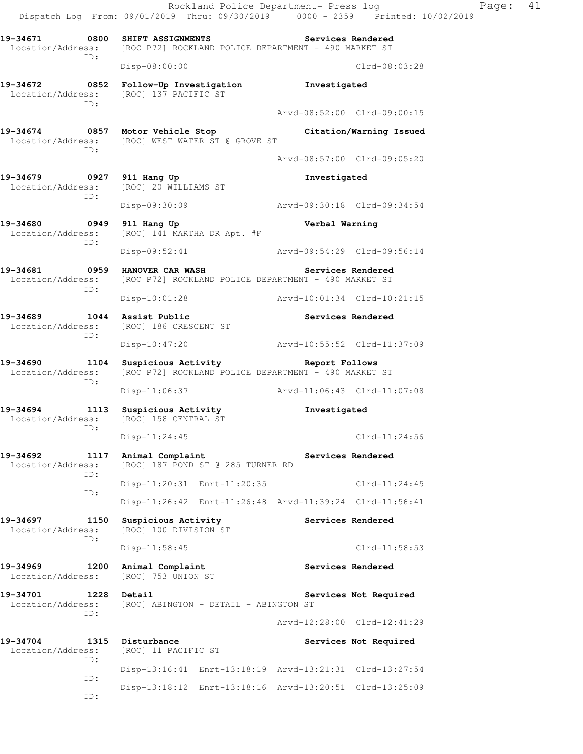Rockland Police Department- Press log Fage: 41 Dispatch Log From: 09/01/2019 Thru: 09/30/2019 0000 - 2359 Printed: 10/02/2019 19-34671 0800 SHIFT ASSIGNMENTS Services Rendered Location/Address: [ROC P72] ROCKLAND POLICE DEPARTMENT - 490 MARKET ST ID: Disp-08:00:00 Clrd-08:03:28 **19-34672 0852 Follow-Up Investigation Investigated**  Location/Address: [ROC] 137 PACIFIC ST ID: Arvd-08:52:00 Clrd-09:00:15 **19-34674 0857 Motor Vehicle Stop Citation/Warning Issued**  Location/Address: [ROC] WEST WATER ST @ GROVE ST ID: Arvd-08:57:00 Clrd-09:05:20 **19-34679 0927 911 Hang Up Investigated**  Location/Address: [ROC] 20 WILLIAMS ST ID: Disp-09:30:09 Arvd-09:30:18 Clrd-09:34:54 **19-34680 0949 911 Hang Up Verbal Warning**  Location/Address: [ROC] 141 MARTHA DR Apt. #F ID: Disp-09:52:41 Arvd-09:54:29 Clrd-09:56:14 19-34681 **0959 HANOVER CAR WASH** Services Rendered Location/Address: [ROC P72] ROCKLAND POLICE DEPARTMENT - 490 MARKET ST ID: Disp-10:01:28 Arvd-10:01:34 Clrd-10:21:15 19-34689 1044 Assist Public<br>
Location/Address: [ROC] 186 CRESCENT ST Location/Address: ID: Disp-10:47:20 Arvd-10:55:52 Clrd-11:37:09 **19-34690 1104 Suspicious Activity Report Follows**  Location/Address: [ROC P72] ROCKLAND POLICE DEPARTMENT - 490 MARKET ST ID: Disp-11:06:37 Arvd-11:06:43 Clrd-11:07:08 **19-34694 1113 Suspicious Activity Investigated**  Location/Address: [ROC] 158 CENTRAL ST ID: Disp-11:24:45 Clrd-11:24:56 19-34692 1117 Animal Complaint **Services Rendered** Location/Address: [ROC] 187 POND ST @ 285 TURNER RD ID: Disp-11:20:31 Enrt-11:20:35 Clrd-11:24:45 ID: Disp-11:26:42 Enrt-11:26:48 Arvd-11:39:24 Clrd-11:56:41 **19-34697 1150 Suspicious Activity Services Rendered**  Location/Address: [ROC] 100 DIVISION ST ID: Disp-11:58:45 Clrd-11:58:53 19-34969 1200 Animal Complaint **19-34969** Services Rendered Location/Address: [ROC] 753 UNION ST 19-34701 1228 Detail Services Not Required Location/Address: [ROC] ABINGTON - DETAIL - ABINGTON ST ID: Arvd-12:28:00 Clrd-12:41:29 19-34704 1315 Disturbance **120 Services Not Required**  Location/Address: [ROC] 11 PACIFIC ST ID: Disp-13:16:41 Enrt-13:18:19 Arvd-13:21:31 Clrd-13:27:54 ID: Disp-13:18:12 Enrt-13:18:16 Arvd-13:20:51 Clrd-13:25:09

ID: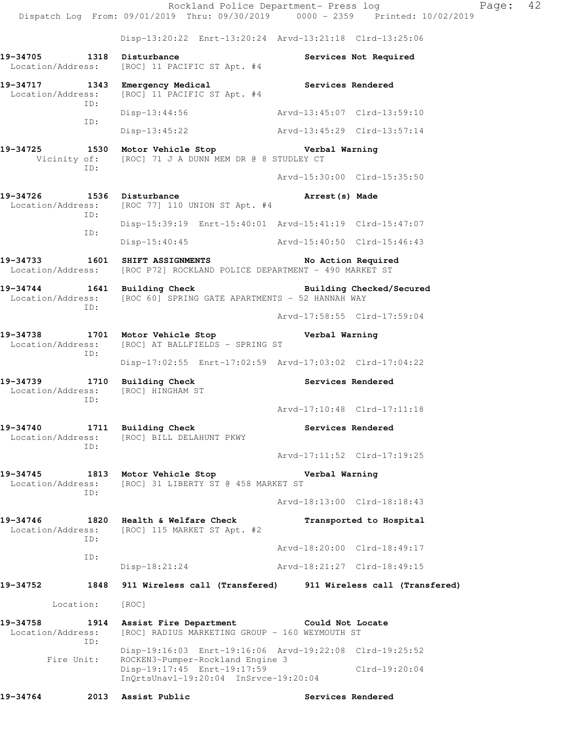Dispatch Log From: 09/01/2019 Thru: 09/30/2019 0000 - 2359 Printed: 10/02/2019 Disp-13:20:22 Enrt-13:20:24 Arvd-13:21:18 Clrd-13:25:06 **19-34705 1318 Disturbance Services Not Required**  Location/Address: [ROC] 11 PACIFIC ST Apt. #4 **19-34717 1343 Emergency Medical Services Rendered**  Location/Address: [ROC] 11 PACIFIC ST Apt. #4 ID: Disp-13:44:56 Arvd-13:45:07 Clrd-13:59:10 ID: Disp-13:45:22 Arvd-13:45:29 Clrd-13:57:14 **19-34725 1530 Motor Vehicle Stop Verbal Warning**  Vicinity of: [ROC] 71 J A DUNN MEM DR @ 8 STUDLEY CT ID: Arvd-15:30:00 Clrd-15:35:50 **19-34726 1536 Disturbance Arrest(s) Made**  Location/Address: [ROC 77] 110 UNION ST Apt. #4 ID: Disp-15:39:19 Enrt-15:40:01 Arvd-15:41:19 Clrd-15:47:07 ID: Disp-15:40:45 Arvd-15:40:50 Clrd-15:46:43 **19-34733 1601 SHIFT ASSIGNMENTS No Action Required**  Location/Address: [ROC P72] ROCKLAND POLICE DEPARTMENT - 490 MARKET ST **19-34744 1641 Building Check Building Checked/Secured**  Location/Address: [ROC 60] SPRING GATE APARTMENTS - 52 HANNAH WAY ID: Arvd-17:58:55 Clrd-17:59:04 **19-34738 1701 Motor Vehicle Stop Verbal Warning**  Location/Address: [ROC] AT BALLFIELDS - SPRING ST ID: Disp-17:02:55 Enrt-17:02:59 Arvd-17:03:02 Clrd-17:04:22 **19-34739 1710 Building Check Services Rendered**  Location/Address: [ROC] HINGHAM ST ID: Arvd-17:10:48 Clrd-17:11:18 **19-34740 1711 Building Check Services Rendered**  Location/Address: [ROC] BILL DELAHUNT PKWY ID: Arvd-17:11:52 Clrd-17:19:25 **19-34745 1813 Motor Vehicle Stop Verbal Warning**  Location/Address: [ROC] 31 LIBERTY ST @ 458 MARKET ST ID: Arvd-18:13:00 Clrd-18:18:43 **19-34746 1820 Health & Welfare Check Transported to Hospital**  Location/Address: [ROC] 115 MARKET ST Apt. #2 ID: Arvd-18:20:00 Clrd-18:49:17 ID: Disp-18:21:24 Arvd-18:21:27 Clrd-18:49:15 **19-34752 1848 911 Wireless call (Transfered) 911 Wireless call (Transfered)**  Location: [ROC] **19-34758 1914 Assist Fire Department Could Not Locate**  Location/Address: [ROC] RADIUS MARKETING GROUP - 160 WEYMOUTH ST ID: Disp-19:16:03 Enrt-19:16:06 Arvd-19:22:08 Clrd-19:25:52 Fire Unit: ROCKEN3-Pumper-Rockland Engine 3 Disp-19:17:45 Enrt-19:17:59 Clrd-19:20:04 InQrtsUnavl-19:20:04 InSrvce-19:20:04

19-34764 2013 Assist Public **2018** Services Rendered

Rockland Police Department- Press log Page: 42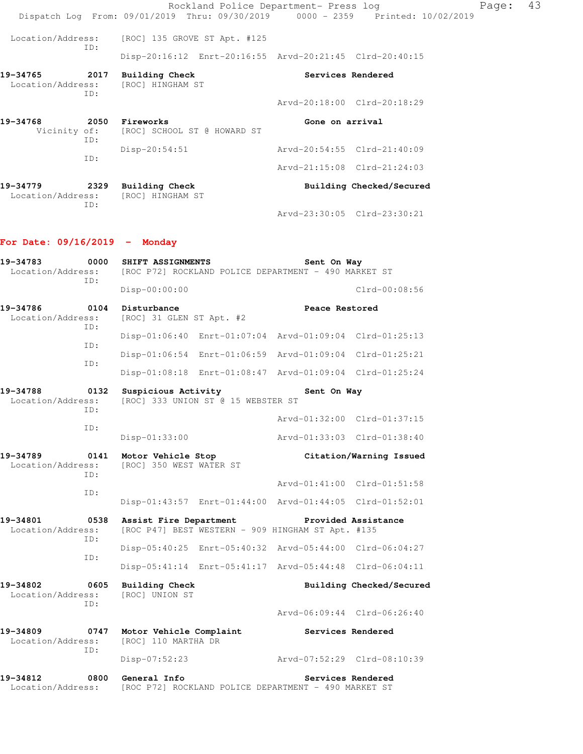Rockland Police Department- Press log Fage: 43 Dispatch Log From: 09/01/2019 Thru: 09/30/2019 0000 - 2359 Printed: 10/02/2019 Location/Address: [ROC] 135 GROVE ST Apt. #125 ID: Disp-20:16:12 Enrt-20:16:55 Arvd-20:21:45 Clrd-20:40:15 **19-34765 2017 Building Check Services Rendered**  Location/Address: [ROC] HINGHAM ST ID: Arvd-20:18:00 Clrd-20:18:29 19-34768 2050 Fireworks **Cone on arrival**  Vicinity of: [ROC] SCHOOL ST @ HOWARD ST ID: Disp-20:54:51 Arvd-20:54:55 Clrd-21:40:09 ID: Arvd-21:15:08 Clrd-21:24:03 19-34779 2329 Building Check **Building Checked/Secured**  Location/Address: [ROC] HINGHAM ST ID: Arvd-23:30:05 Clrd-23:30:21 **For Date: 09/16/2019 - Monday 19-34783 0000 SHIFT ASSIGNMENTS Sent On Way**  Location/Address: [ROC P72] ROCKLAND POLICE DEPARTMENT - 490 MARKET ST ID: Disp-00:00:00 Clrd-00:08:56 19-34786 0104 Disturbance **Disturbance Peace Restored**  Location/Address: [ROC] 31 GLEN ST Apt. #2 ID: Disp-01:06:40 Enrt-01:07:04 Arvd-01:09:04 Clrd-01:25:13 ID: Disp-01:06:54 Enrt-01:06:59 Arvd-01:09:04 Clrd-01:25:21 ID: Disp-01:08:18 Enrt-01:08:47 Arvd-01:09:04 Clrd-01:25:24 19-34788 **0132 Suspicious Activity 19-34788** Sent On Way Location/Address: [ROC] 333 UNION ST @ 15 WEBSTER ST

 ID: Arvd-01:32:00 Clrd-01:37:15 ID: Disp-01:33:00 Arvd-01:33:03 Clrd-01:38:40 **19-34789 0141 Motor Vehicle Stop Citation/Warning Issued**  Location/Address: [ROC] 350 WEST WATER ST ID: Arvd-01:41:00 Clrd-01:51:58 ID: Disp-01:43:57 Enrt-01:44:00 Arvd-01:44:05 Clrd-01:52:01 **19-34801 0538 Assist Fire Department Provided Assistance**  Location/Address: [ROC P47] BEST WESTERN - 909 HINGHAM ST Apt. #135 ID: Disp-05:40:25 Enrt-05:40:32 Arvd-05:44:00 Clrd-06:04:27 ID: Disp-05:41:14 Enrt-05:41:17 Arvd-05:44:48 Clrd-06:04:11 **19-34802 0605 Building Check Building Checked/Secured**  Location/Address: [ROC] UNION ST ID: Arvd-06:09:44 Clrd-06:26:40

**19-34809 0747 Motor Vehicle Complaint Services Rendered Services Rendered Incrementation** [ROC] 110 MARTHA DR ID: Disp-07:52:23 Arvd-07:52:29 Clrd-08:10:39 **19-34812 0800 General Info Services Rendered** 

Location/Address: [ROC P72] ROCKLAND POLICE DEPARTMENT - 490 MARKET ST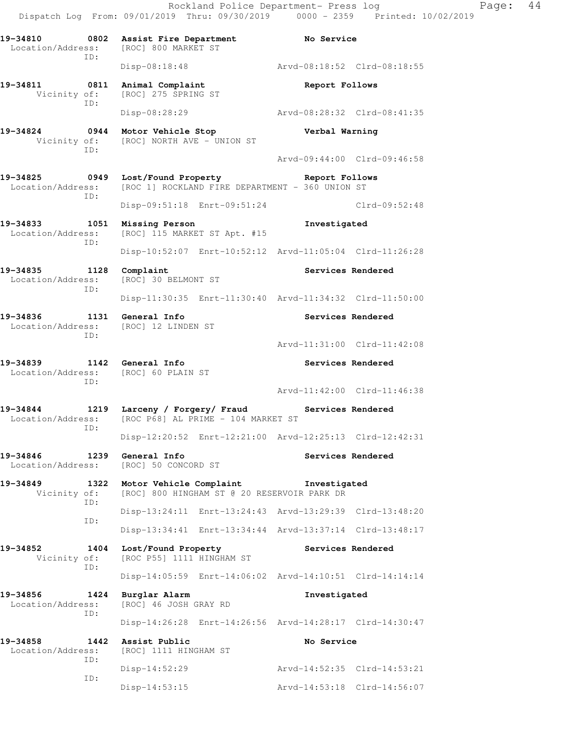Rockland Police Department- Press log Fage: 44 Dispatch Log From: 09/01/2019 Thru: 09/30/2019 0000 - 2359 Printed: 10/02/2019 **19-34810 0802 Assist Fire Department No Service**  Location/Address: [ROC] 800 MARKET ST ID: Disp-08:18:48 Arvd-08:18:52 Clrd-08:18:55 **19-34811 0811 Animal Complaint Report Follows**  Vicinity of: [ROC] 275 SPRING ST ID: Disp-08:28:29 Arvd-08:28:32 Clrd-08:41:35 **19-34824 0944 Motor Vehicle Stop Verbal Warning**  Vicinity of: [ROC] NORTH AVE - UNION ST ID: Arvd-09:44:00 Clrd-09:46:58 **19-34825 0949 Lost/Found Property Report Follows**  Location/Address: [ROC 1] ROCKLAND FIRE DEPARTMENT - 360 UNION ST ID: Disp-09:51:18 Enrt-09:51:24 Clrd-09:52:48 **19-34833 1051 Missing Person Investigated**  Location/Address: [ROC] 115 MARKET ST Apt. #15 ID: Disp-10:52:07 Enrt-10:52:12 Arvd-11:05:04 Clrd-11:26:28 **19-34835 1128 Complaint Services Rendered**  Location/Address: [ROC] 30 BELMONT ST ID: Disp-11:30:35 Enrt-11:30:40 Arvd-11:34:32 Clrd-11:50:00 **19-34836 1131 General Info Services Rendered**  Location/Address: [ROC] 12 LINDEN ST ID: Arvd-11:31:00 Clrd-11:42:08 **19-34839 1142 General Info Services Rendered**  Location/Address: [ROC] 60 PLAIN ST ID: Arvd-11:42:00 Clrd-11:46:38 **19-34844 1219 Larceny / Forgery/ Fraud Services Rendered**  Location/Address: [ROC P68] AL PRIME - 104 MARKET ST ID: Disp-12:20:52 Enrt-12:21:00 Arvd-12:25:13 Clrd-12:42:31 **19-34846 1239 General Info Services Rendered**  Location/Address: [ROC] 50 CONCORD ST **19-34849 1322 Motor Vehicle Complaint Investigated**  Vicinity of: [ROC] 800 HINGHAM ST @ 20 RESERVOIR PARK DR ID: Disp-13:24:11 Enrt-13:24:43 Arvd-13:29:39 Clrd-13:48:20 ID: Disp-13:34:41 Enrt-13:34:44 Arvd-13:37:14 Clrd-13:48:17 **19-34852 1404 Lost/Found Property Services Rendered** Vicinity of: [ROC P55] 1111 HINGHAM ST [ROC P55] 1111 HINGHAM ST ID: Disp-14:05:59 Enrt-14:06:02 Arvd-14:10:51 Clrd-14:14:14 **19-34856 1424 Burglar Alarm Investigated**  Location/Address: [ROC] 46 JOSH GRAY RD ID: Disp-14:26:28 Enrt-14:26:56 Arvd-14:28:17 Clrd-14:30:47 **19-34858 1442 Assist Public No Service**  Location/Address: [ROC] 1111 HINGHAM ST ID: Disp-14:52:29 Arvd-14:52:35 Clrd-14:53:21 ID: Disp-14:53:15 Arvd-14:53:18 Clrd-14:56:07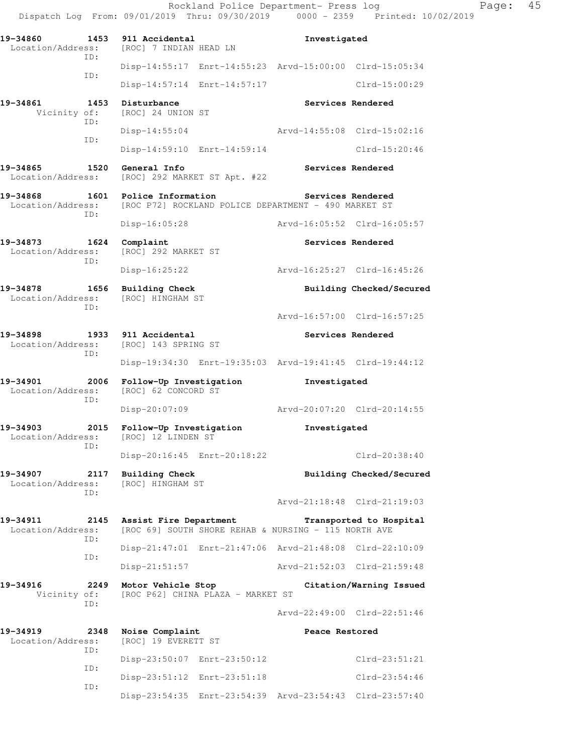Dispatch Log From: 09/01/2019 Thru: 09/30/2019 0000 - 2359 Printed: 10/02/2019 **19-34860 1453 911 Accidental Investigated**  Location/Address: [ROC] 7 INDIAN HEAD LN ID: Disp-14:55:17 Enrt-14:55:23 Arvd-15:00:00 Clrd-15:05:34 ID: Disp-14:57:14 Enrt-14:57:17 Clrd-15:00:29 19-34861 1453 Disturbance **Services Rendered**  Vicinity of: [ROC] 24 UNION ST ID: Disp-14:55:04 Arvd-14:55:08 Clrd-15:02:16 ID: Disp-14:59:10 Enrt-14:59:14 Clrd-15:20:46 19-34865 1520 General Info **1999 Services Rendered**  Location/Address: [ROC] 292 MARKET ST Apt. #22 **19-34868 1601 Police Information Services Rendered**  Location/Address: [ROC P72] ROCKLAND POLICE DEPARTMENT - 490 MARKET ST ID: Disp-16:05:28 Arvd-16:05:52 Clrd-16:05:57 **19-34873 1624 Complaint Services Rendered**  Location/Address: [ROC] 292 MARKET ST ID: Disp-16:25:22 Arvd-16:25:27 Clrd-16:45:26 **19-34878 1656 Building Check Building Checked/Secured**  Location/Address: [ROC] HINGHAM ST ID: Arvd-16:57:00 Clrd-16:57:25 **19-34898 1933 911 Accidental Services Rendered**  Location/Address: [ROC] 143 SPRING ST ID: Disp-19:34:30 Enrt-19:35:03 Arvd-19:41:45 Clrd-19:44:12 **19-34901 2006 Follow-Up Investigation Investigated**  Location/Address: [ROC] 62 CONCORD ST ID: Disp-20:07:09 Arvd-20:07:20 Clrd-20:14:55 **19-34903 2015 Follow-Up Investigation Investigated**  Location/Address: [ROC] 12 LINDEN ST ID: Disp-20:16:45 Enrt-20:18:22 Clrd-20:38:40 19-34907 2117 Building Check **Building Checked/Secured**  Location/Address: [ROC] HINGHAM ST ID: Arvd-21:18:48 Clrd-21:19:03 **19-34911 2145 Assist Fire Department Transported to Hospital**  Location/Address: [ROC 69] SOUTH SHORE REHAB & NURSING - 115 NORTH AVE ID: Disp-21:47:01 Enrt-21:47:06 Arvd-21:48:08 Clrd-22:10:09 ID: Disp-21:51:57 Arvd-21:52:03 Clrd-21:59:48 **19-34916 2249 Motor Vehicle Stop Citation/Warning Issued**  Vicinity of: [ROC P62] CHINA PLAZA - MARKET ST ID: Arvd-22:49:00 Clrd-22:51:46 **19-34919 2348 Noise Complaint Peace Restored**  Location/Address: [ROC] 19 EVERETT ST ID: Disp-23:50:07 Enrt-23:50:12 Clrd-23:51:21 ID: Disp-23:51:12 Enrt-23:51:18 Clrd-23:54:46

Disp-23:54:35 Enrt-23:54:39 Arvd-23:54:43 Clrd-23:57:40

ID:

Rockland Police Department- Press log Page: 45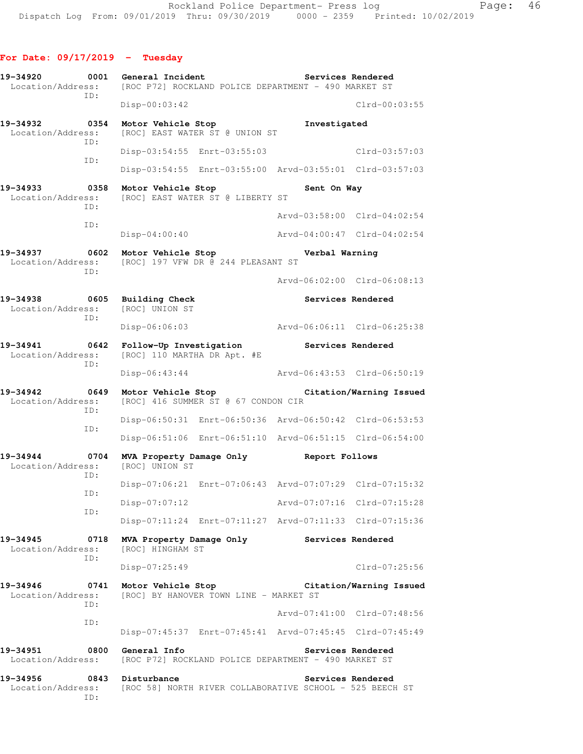| 19-34920<br>Location/Address: | 0001        | General Incident                                       | [ROC P72] ROCKLAND POLICE DEPARTMENT - 490 MARKET ST               | Services Rendered           |                             |
|-------------------------------|-------------|--------------------------------------------------------|--------------------------------------------------------------------|-----------------------------|-----------------------------|
|                               | ID:         | $Disp-00:03:42$                                        |                                                                    |                             | $Clrd-00:03:55$             |
| 19-34932<br>Location/Address: | 0354<br>ID: | Motor Vehicle Stop                                     | [ROC] EAST WATER ST @ UNION ST                                     | Investigated                |                             |
|                               | ID:         |                                                        | Disp-03:54:55 Enrt-03:55:03                                        |                             | $Clrd-03:57:03$             |
|                               |             |                                                        | Disp-03:54:55 Enrt-03:55:00 Arvd-03:55:01 Clrd-03:57:03            |                             |                             |
| 19-34933<br>Location/Address: | 0358<br>ID: | Motor Vehicle Stop                                     | [ROC] EAST WATER ST @ LIBERTY ST                                   | Sent On Way                 |                             |
|                               | ID:         |                                                        |                                                                    |                             | Arvd-03:58:00 Clrd-04:02:54 |
|                               |             | $Disp-04:00:40$                                        |                                                                    |                             | Arvd-04:00:47 Clrd-04:02:54 |
| 19-34937<br>Location/Address: | 0602<br>ID: | Motor Vehicle Stop                                     | [ROC] 197 VFW DR @ 244 PLEASANT ST                                 | Verbal Warning              |                             |
|                               |             |                                                        |                                                                    |                             | Arvd-06:02:00 Clrd-06:08:13 |
| 19-34938<br>Location/Address: | 0605<br>ID: | Building Check<br>[ROC] UNION ST                       |                                                                    | Services Rendered           |                             |
|                               |             | Disp-06:06:03                                          |                                                                    | Arvd-06:06:11 Clrd-06:25:38 |                             |
| 19-34941<br>Location/Address: | 0642<br>ID: | Follow-Up Investigation<br>[ROC] 110 MARTHA DR Apt. #E |                                                                    | Services Rendered           |                             |
|                               |             | $Disp-06:43:44$                                        |                                                                    |                             | Arvd-06:43:53 Clrd-06:50:19 |
| 19-34942<br>Location/Address: | 0649<br>ID: |                                                        | Motor Vehicle Stop Notional<br>[ROC] 416 SUMMER ST @ 67 CONDON CIR |                             | Citation/Warning Issued     |
|                               | ID:         |                                                        | Disp-06:50:31 Enrt-06:50:36 Arvd-06:50:42 Clrd-06:53:53            |                             |                             |
|                               |             |                                                        | Disp-06:51:06 Enrt-06:51:10 Arvd-06:51:15 Clrd-06:54:00            |                             |                             |
| 19-34944<br>Location/Address: | 0704<br>ID: | [ROC] UNION ST                                         | MVA Property Damage Only                                           | Report Follows              |                             |
|                               | ID:         |                                                        | Disp-07:06:21 Enrt-07:06:43 Arvd-07:07:29 Clrd-07:15:32            |                             |                             |
|                               | ID:         | Disp-07:07:12                                          |                                                                    | Arvd-07:07:16               | Clrd-07:15:28               |
|                               |             |                                                        | Disp-07:11:24 Enrt-07:11:27 Arvd-07:11:33 Clrd-07:15:36            |                             |                             |
| 19-34945<br>Location/Address: | 0718<br>ID: | MVA Property Damage Only<br>[ROC] HINGHAM ST           |                                                                    | Services Rendered           |                             |
|                               |             | $Disp-07:25:49$                                        |                                                                    |                             | Clrd-07:25:56               |
| 19-34946<br>Location/Address: | 0741<br>TD: | Motor Vehicle Stop                                     | [ROC] BY HANOVER TOWN LINE - MARKET ST                             |                             | Citation/Warning Issued     |
|                               | ID:         |                                                        |                                                                    |                             | Arvd-07:41:00 Clrd-07:48:56 |
|                               |             |                                                        | Disp-07:45:37 Enrt-07:45:41 Arvd-07:45:45 Clrd-07:45:49            |                             |                             |
| 19-34951<br>Location/Address: | 0800        | General Info                                           | [ROC P72] ROCKLAND POLICE DEPARTMENT - 490 MARKET ST               | Services Rendered           |                             |
| 19-34956<br>Location/Address: | 0843<br>ID: | Disturbance                                            | [ROC 58] NORTH RIVER COLLABORATIVE SCHOOL - 525 BEECH ST           |                             | Services Rendered           |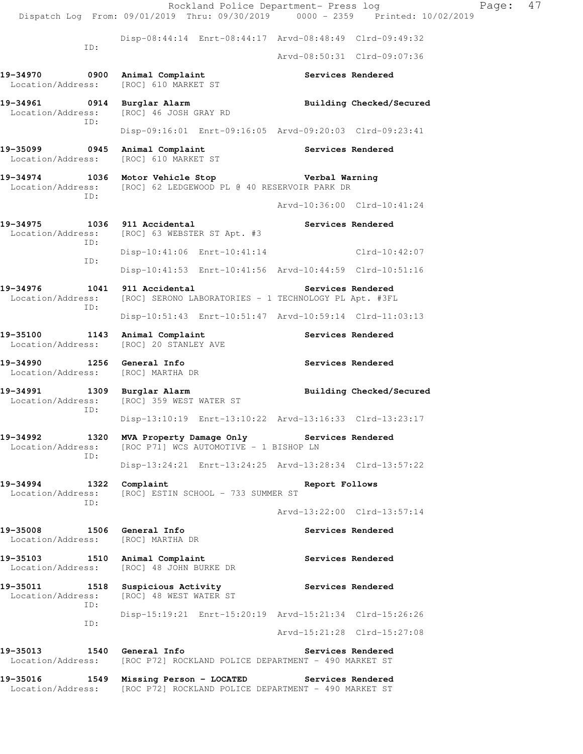Rockland Police Department- Press log Fage: 47 Dispatch Log From: 09/01/2019 Thru: 09/30/2019 0000 - 2359 Printed: 10/02/2019 Disp-08:44:14 Enrt-08:44:17 Arvd-08:48:49 Clrd-09:49:32 ID: Arvd-08:50:31 Clrd-09:07:36 19-34970 **0900** Animal Complaint **19-34970** Services Rendered Location/Address: [ROC] 610 MARKET ST **19-34961 0914 Burglar Alarm Building Checked/Secured**  Location/Address: [ROC] 46 JOSH GRAY RD ID: Disp-09:16:01 Enrt-09:16:05 Arvd-09:20:03 Clrd-09:23:41 19-35099 **0945** Animal Complaint **Services Rendered**  Location/Address: [ROC] 610 MARKET ST **19-34974 1036 Motor Vehicle Stop Verbal Warning**  Location/Address: [ROC] 62 LEDGEWOOD PL @ 40 RESERVOIR PARK DR ID: Arvd-10:36:00 Clrd-10:41:24 19-34975 1036 911 Accidental **19-34975** Services Rendered Location/Address: [ROC] 63 WEBSTER ST Apt. #3 ID: Disp-10:41:06 Enrt-10:41:14 Clrd-10:42:07 ID: Disp-10:41:53 Enrt-10:41:56 Arvd-10:44:59 Clrd-10:51:16 19-34976 1041 911 Accidental **19-34976** Services Rendered Location/Address: [ROC] SERONO LABORATORIES - 1 TECHNOLOGY PL Apt. #3FL ID: Disp-10:51:43 Enrt-10:51:47 Arvd-10:59:14 Clrd-11:03:13 19-35100 1143 Animal Complaint **Services Rendered**  Location/Address: [ROC] 20 STANLEY AVE **19-34990 1256 General Info Services Rendered**  Location/Address: [ROC] MARTHA DR 19-34991 1309 Burglar Alarm **19-34991** Building Checked/Secured Location/Address: [ROC] 359 WEST WATER ST ID: Disp-13:10:19 Enrt-13:10:22 Arvd-13:16:33 Clrd-13:23:17 **19-34992 1320 MVA Property Damage Only Services Rendered**  Location/Address: [ROC P71] WCS AUTOMOTIVE - 1 BISHOP LN ID: Disp-13:24:21 Enrt-13:24:25 Arvd-13:28:34 Clrd-13:57:22 **19-34994 1322 Complaint Report Follows**  Location/Address: [ROC] ESTIN SCHOOL - 733 SUMMER ST ID: Arvd-13:22:00 Clrd-13:57:14 19-35008 1506 General Info **1996 Services Rendered**  Location/Address: [ROC] MARTHA DR 19-35103 1510 Animal Complaint **19-35103** Services Rendered Location/Address: [ROC] 48 JOHN BURKE DR 19-35011 1518 Suspicious Activity **19-35011** Services Rendered Location/Address: [ROC] 48 WEST WATER ST ID: Disp-15:19:21 Enrt-15:20:19 Arvd-15:21:34 Clrd-15:26:26 ID: Arvd-15:21:28 Clrd-15:27:08 **19-35013 1540 General Info Services Rendered**  Location/Address: [ROC P72] ROCKLAND POLICE DEPARTMENT - 490 MARKET ST **19-35016 1549 Missing Person - LOCATED Services Rendered** 

Location/Address: [ROC P72] ROCKLAND POLICE DEPARTMENT - 490 MARKET ST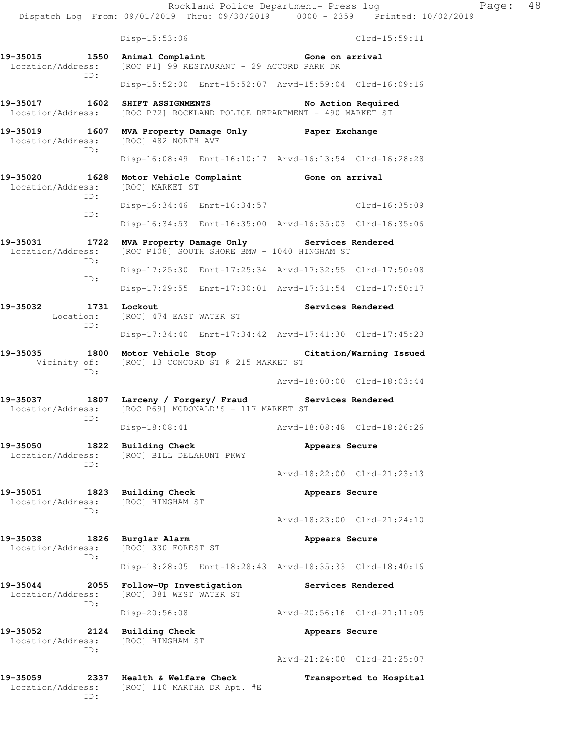Rockland Police Department- Press log Fage: 48 Dispatch Log From: 09/01/2019 Thru: 09/30/2019 0000 - 2359 Printed: 10/02/2019 Disp-15:53:06 Clrd-15:59:11 **19-35015 1550 Animal Complaint Gone on arrival**<br>Location/Address: [ROC P1] 99 RESTAURANT - 29 ACCORD PARK DR [ROC P1] 99 RESTAURANT - 29 ACCORD PARK DR ID: Disp-15:52:00 Enrt-15:52:07 Arvd-15:59:04 Clrd-16:09:16 **19-35017 1602 SHIFT ASSIGNMENTS No Action Required**  Location/Address: [ROC P72] ROCKLAND POLICE DEPARTMENT - 490 MARKET ST **19-35019 1607 MVA Property Damage Only Paper Exchange**  [ROC] 482 NORTH AVE ID: Disp-16:08:49 Enrt-16:10:17 Arvd-16:13:54 Clrd-16:28:28 **19-35020 1628 Motor Vehicle Complaint Gone on arrival**  Location/Address: [ROC] MARKET ST ID: Disp-16:34:46 Enrt-16:34:57 Clrd-16:35:09 ID: Disp-16:34:53 Enrt-16:35:00 Arvd-16:35:03 Clrd-16:35:06 **19-35031 1722 MVA Property Damage Only Services Rendered**  Location/Address: [ROC P108] SOUTH SHORE BMW - 1040 HINGHAM ST ID: Disp-17:25:30 Enrt-17:25:34 Arvd-17:32:55 Clrd-17:50:08 ID: Disp-17:29:55 Enrt-17:30:01 Arvd-17:31:54 Clrd-17:50:17 19-35032 1731 Lockout **Services Rendered**  Location: [ROC] 474 EAST WATER ST ID: Disp-17:34:40 Enrt-17:34:42 Arvd-17:41:30 Clrd-17:45:23 **19-35035 1800 Motor Vehicle Stop Citation/Warning Issued**  Vicinity of: [ROC] 13 CONCORD ST @ 215 MARKET ST ID: Arvd-18:00:00 Clrd-18:03:44 19-35037 1807 Larceny / Forgery/ Fraud Services Rendered Location/Address: [ROC P69] MCDONALD'S - 117 MARKET ST Location/Address: [ROC P69] MCDONALD'S - 117 MARKET ST ID: Disp-18:08:41 Arvd-18:08:48 Clrd-18:26:26 **19-35050 1822 Building Check 1823 Building Check** Appears Secure **Appears Secure** [ROC] BILL DELAHUNT PKWY ID: Arvd-18:22:00 Clrd-21:23:13 **19-35051 1823 Building Check 1823 Appears Secure Appears Secure Appears Secure** [ROC] HINGHAM ST ID: Arvd-18:23:00 Clrd-21:24:10 **19-35038 1826 Burglar Alarm Appears Secure**  Location/Address: [ROC] 330 FOREST ST ID: Disp-18:28:05 Enrt-18:28:43 Arvd-18:35:33 Clrd-18:40:16 **19-35044 2055 Follow-Up Investigation Services Rendered**  Location/Address: [ROC] 381 WEST WATER ST ID: Disp-20:56:08 Arvd-20:56:16 Clrd-21:11:05 **19-35052 2124 Building Check Appears Secure**  Location/Address: [ROC] HINGHAM ST ID: Arvd-21:24:00 Clrd-21:25:07 **19-35059 2337 Health & Welfare Check Transported to Hospital**  Location/Address: [ROC] 110 MARTHA DR Apt. #E

ID: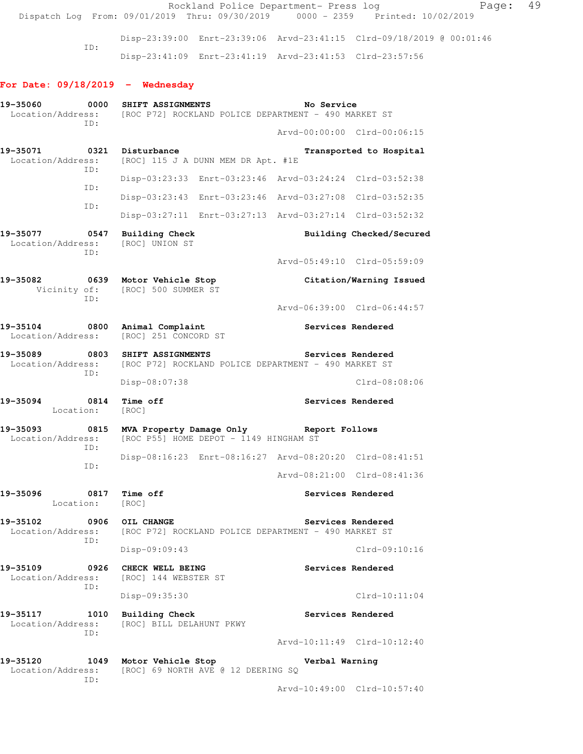Rockland Police Department- Press log Fage: 49 Dispatch Log From: 09/01/2019 Thru: 09/30/2019 0000 - 2359 Printed: 10/02/2019 Disp-23:39:00 Enrt-23:39:06 Arvd-23:41:15 Clrd-09/18/2019 @ 00:01:46 ID: Disp-23:41:09 Enrt-23:41:19 Arvd-23:41:53 Clrd-23:57:56 **For Date: 09/18/2019 - Wednesday 19-35060 0000 SHIFT ASSIGNMENTS No Service**  Location/Address: [ROC P72] ROCKLAND POLICE DEPARTMENT - 490 MARKET ST ID: Arvd-00:00:00 Clrd-00:06:15 19-35071 0321 Disturbance **Transported to Hospital**  Location/Address: [ROC] 115 J A DUNN MEM DR Apt. #1E ID: Disp-03:23:33 Enrt-03:23:46 Arvd-03:24:24 Clrd-03:52:38 ID: Disp-03:23:43 Enrt-03:23:46 Arvd-03:27:08 Clrd-03:52:35 ID: Disp-03:27:11 Enrt-03:27:13 Arvd-03:27:14 Clrd-03:52:32 19-35077 0547 Building Check **Building Checked/Secured**  Location/Address: [ROC] UNION ST ID: Arvd-05:49:10 Clrd-05:59:09 **19-35082 0639 Motor Vehicle Stop Citation/Warning Issued**  Vicinity of: [ROC] 500 SUMMER ST ID: Arvd-06:39:00 Clrd-06:44:57 19-35104 0800 Animal Complaint **19-35104** Services Rendered Location/Address: [ROC] 251 CONCORD ST **19-35089 0803 SHIFT ASSIGNMENTS Services Rendered**  Location/Address: [ROC P72] ROCKLAND POLICE DEPARTMENT - 490 MARKET ST ID: Disp-08:07:38 Clrd-08:08:06 **19-35094 0814 Time off Services Rendered**  Location: [ROC] **19-35093 0815 MVA Property Damage Only Report Follows**  Location/Address: [ROC P55] HOME DEPOT - 1149 HINGHAM ST ID: Disp-08:16:23 Enrt-08:16:27 Arvd-08:20:20 Clrd-08:41:51 ID: Arvd-08:21:00 Clrd-08:41:36 19-35096 0817 Time off **Services Rendered**  Location: [ROC] **19-35102 0906 OIL CHANGE Services Rendered**  Location/Address: [ROC P72] ROCKLAND POLICE DEPARTMENT - 490 MARKET ST ID: Disp-09:09:43 Clrd-09:10:16 19-35109 **0926** CHECK WELL BEING **Services Rendered**  Location/Address: [ROC] 144 WEBSTER ST ID: Disp-09:35:30 Clrd-10:11:04 **19-35117 1010 Building Check Services Rendered** 

 Location/Address: [ROC] BILL DELAHUNT PKWY ID: Arvd-10:11:49 Clrd-10:12:40

**19-35120 1049 Motor Vehicle Stop Verbal Warning**  Location/Address: [ROC] 69 NORTH AVE @ 12 DEERING SQ ID: Arvd-10:49:00 Clrd-10:57:40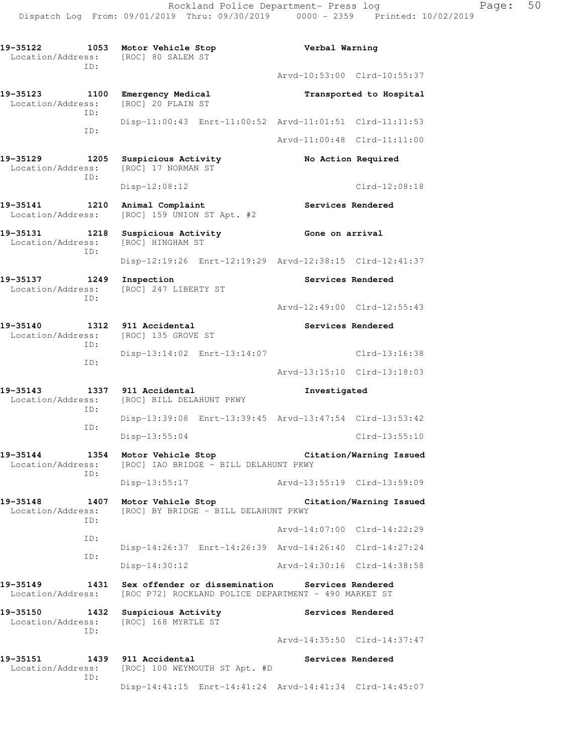**19-35122 1053 Motor Vehicle Stop Verbal Warning**  Location/Address: [ROC] 80 SALEM ST ID: Arvd-10:53:00 Clrd-10:55:37 **19-35123 1100 Emergency Medical Transported to Hospital** Location/Address: [ROC] 20 PLAIN ST Location/Address: ID: Disp-11:00:43 Enrt-11:00:52 Arvd-11:01:51 Clrd-11:11:53 ID: Arvd-11:00:48 Clrd-11:11:00 **19-35129 1205 Suspicious Activity No Action Required**  Location/Address: [ROC] 17 NORMAN ST ID: Disp-12:08:12 Clrd-12:08:18 19-35141 1210 Animal Complaint **1210 Services Rendered** Location/Address: [ROC] 159 UNION ST Apt. #2 19-35131 1218 Suspicious Activity **125 Gone on arrival**  Location/Address: [ROC] HINGHAM ST ID: Disp-12:19:26 Enrt-12:19:29 Arvd-12:38:15 Clrd-12:41:37 **19-35137 1249 Inspection Services Rendered**  Location/Address: [ROC] 247 LIBERTY ST ID: Arvd-12:49:00 Clrd-12:55:43 19-35140 1312 911 Accidental **19-35140** Services Rendered Location/Address: [ROC] 135 GROVE ST ID: Disp-13:14:02 Enrt-13:14:07 Clrd-13:16:38 ID: Arvd-13:15:10 Clrd-13:18:03 **19-35143 1337 911 Accidental Investigated**  Location/Address: [ROC] BILL DELAHUNT PKWY ID: Disp-13:39:08 Enrt-13:39:45 Arvd-13:47:54 Clrd-13:53:42 ID: Disp-13:55:04 Clrd-13:55:10 **19-35144 1354 Motor Vehicle Stop Citation/Warning Issued**  [ROC] IAO BRIDGE - BILL DELAHUNT PKWY ID: Disp-13:55:17 Arvd-13:55:19 Clrd-13:59:09 **19-35148 1407 Motor Vehicle Stop Citation/Warning Issued**  Location/Address: [ROC] BY BRIDGE - BILL DELAHUNT PKWY ID: Arvd-14:07:00 Clrd-14:22:29 ID: Disp-14:26:37 Enrt-14:26:39 Arvd-14:26:40 Clrd-14:27:24 ID: Disp-14:30:12 Arvd-14:30:16 Clrd-14:38:58 **19-35149 1431 Sex offender or dissemination Services Rendered**  Location/Address: [ROC P72] ROCKLAND POLICE DEPARTMENT - 490 MARKET ST **19-35150 1432 Suspicious Activity Services Rendered**  Location/Address: [ROC] 168 MYRTLE ST ID: Arvd-14:35:50 Clrd-14:37:47 19-35151 1439 911 Accidental **19-35151** Services Rendered Location/Address: [ROC] 100 WEYMOUTH ST Apt. #D ID: Disp-14:41:15 Enrt-14:41:24 Arvd-14:41:34 Clrd-14:45:07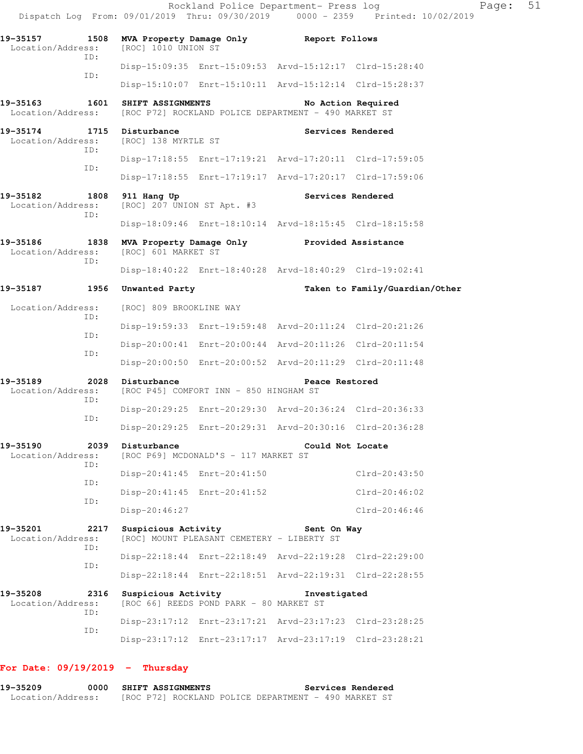|                                                |             |                                           | Rockland Police Department- Press log                                  |                   | Dispatch Log From: 09/01/2019 Thru: 09/30/2019 0000 - 2359 Printed: 10/02/2019 | Page: | 51 |
|------------------------------------------------|-------------|-------------------------------------------|------------------------------------------------------------------------|-------------------|--------------------------------------------------------------------------------|-------|----|
| 19-35157<br>Location/Address:                  | 1508        | [ROC] 1010 UNION ST                       | MVA Property Damage Only Report Follows                                |                   |                                                                                |       |    |
|                                                | TD:         |                                           | Disp-15:09:35 Enrt-15:09:53 Arvd-15:12:17 Clrd-15:28:40                |                   |                                                                                |       |    |
|                                                | ID:         |                                           | Disp-15:10:07 Enrt-15:10:11 Arvd-15:12:14 Clrd-15:28:37                |                   |                                                                                |       |    |
| 19-35163                                       | 1601        | SHIFT ASSIGNMENTS                         | Location/Address: [ROC P72] ROCKLAND POLICE DEPARTMENT - 490 MARKET ST |                   | No Action Required                                                             |       |    |
| 19-35174 1715 Disturbance<br>Location/Address: | ID:         | [ROC] 138 MYRTLE ST                       |                                                                        | Services Rendered |                                                                                |       |    |
|                                                | ID:         |                                           | Disp-17:18:55 Enrt-17:19:21 Arvd-17:20:11 Clrd-17:59:05                |                   |                                                                                |       |    |
|                                                |             |                                           | Disp-17:18:55 Enrt-17:19:17 Arvd-17:20:17 Clrd-17:59:06                |                   |                                                                                |       |    |
| 19-35182<br>Location/Address:                  | 1808<br>ID: | 911 Hang Up<br>[ROC] 207 UNION ST Apt. #3 |                                                                        | Services Rendered |                                                                                |       |    |
|                                                |             |                                           | Disp-18:09:46 Enrt-18:10:14 Arvd-18:15:45 Clrd-18:15:58                |                   |                                                                                |       |    |
| 19-35186<br>Location/Address:                  | 1838<br>ID: | [ROC] 601 MARKET ST                       | MVA Property Damage Only Provided Assistance                           |                   |                                                                                |       |    |
|                                                |             |                                           | Disp-18:40:22 Enrt-18:40:28 Arvd-18:40:29 Clrd-19:02:41                |                   |                                                                                |       |    |
| 19-35187                                       | 1956        | Unwanted Party                            |                                                                        |                   | Taken to Family/Guardian/Other                                                 |       |    |
| Location/Address:                              | ID:         | [ROC] 809 BROOKLINE WAY                   |                                                                        |                   |                                                                                |       |    |
|                                                |             |                                           | Disp-19:59:33 Enrt-19:59:48 Arvd-20:11:24 Clrd-20:21:26                |                   |                                                                                |       |    |
|                                                | ID:         |                                           | Disp-20:00:41 Enrt-20:00:44 Arvd-20:11:26 Clrd-20:11:54                |                   |                                                                                |       |    |
|                                                | ID:         |                                           | Disp-20:00:50 Enrt-20:00:52 Arvd-20:11:29 Clrd-20:11:48                |                   |                                                                                |       |    |
| 19-35189<br>Location/Address:                  |             | 2028 Disturbance                          | [ROC P45] COMFORT INN - 850 HINGHAM ST                                 | Peace Restored    |                                                                                |       |    |
|                                                | ID:         |                                           | Disp-20:29:25 Enrt-20:29:30 Arvd-20:36:24 Clrd-20:36:33                |                   |                                                                                |       |    |
|                                                | ID:         |                                           | Disp-20:29:25 Enrt-20:29:31 Arvd-20:30:16 Clrd-20:36:28                |                   |                                                                                |       |    |
| 19-35190<br>Location/Address:                  | 2039        | Disturbance                               | [ROC P69] MCDONALD'S - 117 MARKET ST                                   | Could Not Locate  |                                                                                |       |    |
|                                                | ID:         |                                           | Disp-20:41:45 Enrt-20:41:50                                            |                   | Clrd-20:43:50                                                                  |       |    |
|                                                | ID:         |                                           | Disp-20:41:45 Enrt-20:41:52                                            |                   | Clrd-20:46:02                                                                  |       |    |
|                                                | ID:         | Disp-20:46:27                             |                                                                        |                   | $Clrd-20:46:46$                                                                |       |    |
| 19-35201<br>Location/Address:                  | 2217<br>ID: | Suspicious Activity                       | [ROC] MOUNT PLEASANT CEMETERY - LIBERTY ST                             | Sent On Way       |                                                                                |       |    |
|                                                |             |                                           | Disp-22:18:44 Enrt-22:18:49 Arvd-22:19:28 Clrd-22:29:00                |                   |                                                                                |       |    |
|                                                | ID:         |                                           | Disp-22:18:44 Enrt-22:18:51 Arvd-22:19:31 Clrd-22:28:55                |                   |                                                                                |       |    |
| 19-35208<br>Location/Address:                  | 2316<br>ID: | Suspicious Activity                       | [ROC 66] REEDS POND PARK - 80 MARKET ST                                | Investigated      |                                                                                |       |    |
|                                                | ID:         |                                           | Disp-23:17:12 Enrt-23:17:21 Arvd-23:17:23 Clrd-23:28:25                |                   |                                                                                |       |    |
|                                                |             |                                           | Disp-23:17:12 Enrt-23:17:17 Arvd-23:17:19 Clrd-23:28:21                |                   |                                                                                |       |    |
|                                                |             |                                           |                                                                        |                   |                                                                                |       |    |

# **For Date: 09/19/2019 - Thursday**

| 19-35209          | 0000 SHIFT ASSIGNMENTS |  |                                                      |  | Services Rendered |  |
|-------------------|------------------------|--|------------------------------------------------------|--|-------------------|--|
| Location/Address: |                        |  | [ROC P72] ROCKLAND POLICE DEPARTMENT - 490 MARKET ST |  |                   |  |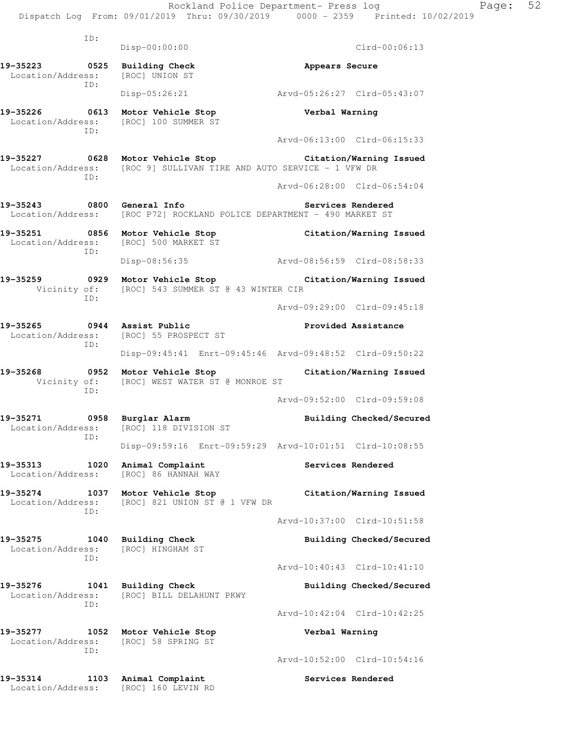ID: Disp-00:00:00 Clrd-00:06:13 19-35223 0525 Building Check **Appears Secure**  Location/Address: [ROC] UNION ST ID: Disp-05:26:21 Arvd-05:26:27 Clrd-05:43:07 **19-35226 0613 Motor Vehicle Stop Verbal Warning**  Location/Address: [ROC] 100 SUMMER ST ID: Arvd-06:13:00 Clrd-06:15:33 **19-35227 0628 Motor Vehicle Stop Citation/Warning Issued**  Location/Address: [ROC 9] SULLIVAN TIRE AND AUTO SERVICE - 1 VFW DR ID: Arvd-06:28:00 Clrd-06:54:04 **19-35243 0800 General Info Services Rendered**  Location/Address: [ROC P72] ROCKLAND POLICE DEPARTMENT - 490 MARKET ST **19-35251 0856 Motor Vehicle Stop Citation/Warning Issued**  Location/Address: [ROC] 500 MARKET ST ID: Disp-08:56:35 Arvd-08:56:59 Clrd-08:58:33 **19-35259 0929 Motor Vehicle Stop Citation/Warning Issued**  Vicinity of: [ROC] 543 SUMMER ST @ 43 WINTER CIR ID: Arvd-09:29:00 Clrd-09:45:18 **19-35265 0944 Assist Public Provided Assistance**  Location/Address: [ROC] 55 PROSPECT ST ID: Disp-09:45:41 Enrt-09:45:46 Arvd-09:48:52 Clrd-09:50:22 **19-35268 0952 Motor Vehicle Stop Citation/Warning Issued**  Vicinity of: [ROC] WEST WATER ST @ MONROE ST ID: Arvd-09:52:00 Clrd-09:59:08 **19-35271 0958 Burglar Alarm Building Checked/Secured**  Location/Address: [ROC] 118 DIVISION ST ID: Disp-09:59:16 Enrt-09:59:29 Arvd-10:01:51 Clrd-10:08:55 **19-35313 1020 Animal Complaint Services Rendered**  Location/Address: [ROC] 86 HANNAH WAY **19-35274 1037 Motor Vehicle Stop Citation/Warning Issued**  Location/Address: [ROC] 821 UNION ST @ 1 VFW DR ID: Arvd-10:37:00 Clrd-10:51:58 19-35275 1040 Building Check **Building Checked/Secured**  Location/Address: [ROC] HINGHAM ST ID: Arvd-10:40:43 Clrd-10:41:10 **19-35276 1041 Building Check Building Checked/Secured**  Location/Address: [ROC] BILL DELAHUNT PKWY ID: Arvd-10:42:04 Clrd-10:42:25 **19-35277 1052 Motor Vehicle Stop Verbal Warning**  Location/Address: [ROC] 58 SPRING ST ID: Arvd-10:52:00 Clrd-10:54:16 **19-35314 1103 Animal Complaint Services Rendered** 

Location/Address: [ROC] 160 LEVIN RD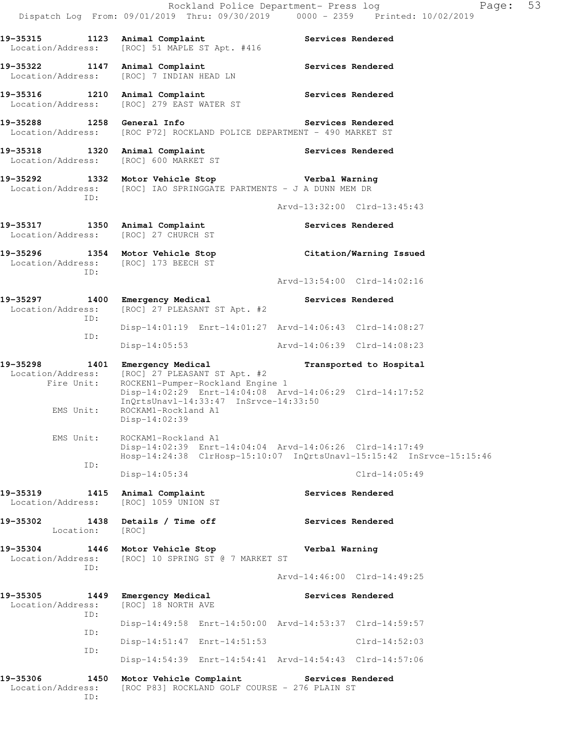Rockland Police Department- Press log Page: 53 Dispatch Log From: 09/01/2019 Thru: 09/30/2019 0000 - 2359 Printed: 10/02/2019 **19-35315 1123 Animal Complaint Services Rendered**  Location/Address: [ROC] 51 MAPLE ST Apt. #416 19-35322 1147 Animal Complaint **Services Rendered**  Location/Address: [ROC] 7 INDIAN HEAD LN **19-35316 1210 Animal Complaint Services Rendered**  Location/Address: [ROC] 279 EAST WATER ST **19-35288 1258 General Info Services Rendered**  Location/Address: [ROC P72] ROCKLAND POLICE DEPARTMENT - 490 MARKET ST **19-35318 1320 Animal Complaint Services Rendered**  Location/Address: [ROC] 600 MARKET ST **19-35292 1332 Motor Vehicle Stop Verbal Warning**  Location/Address: [ROC] IAO SPRINGGATE PARTMENTS - J A DUNN MEM DR ID: Arvd-13:32:00 Clrd-13:45:43 19-35317 1350 Animal Complaint **19-35317** Services Rendered Location/Address: [ROC] 27 CHURCH ST **19-35296 1354 Motor Vehicle Stop Citation/Warning Issued**  Location/Address: [ROC] 173 BEECH ST ID: Arvd-13:54:00 Clrd-14:02:16 **19-35297 1400 Emergency Medical Services Rendered**  Location/Address: [ROC] 27 PLEASANT ST Apt. #2 ID: Disp-14:01:19 Enrt-14:01:27 Arvd-14:06:43 Clrd-14:08:27 ID: Disp-14:05:53 Arvd-14:06:39 Clrd-14:08:23 **19-35298 1401 Emergency Medical Transported to Hospital**  Location/Address: [ROC] 27 PLEASANT ST Apt. #2 Fire Unit: ROCKEN1-Pumper-Rockland Engine 1 Disp-14:02:29 Enrt-14:04:08 Arvd-14:06:29 Clrd-14:17:52 InQrtsUnavl-14:33:47 InSrvce-14:33:50<br>EMS Unit: ROCKAM1-Rockland A1 ROCKAM1-Rockland A1 Disp-14:02:39 EMS Unit: ROCKAM1-Rockland A1 Disp-14:02:39 Enrt-14:04:04 Arvd-14:06:26 Clrd-14:17:49 Hosp-14:24:38 ClrHosp-15:10:07 InQrtsUnavl-15:15:42 InSrvce-15:15:46 ID: Disp-14:05:34 Clrd-14:05:49 19-35319 1415 Animal Complaint **Services Rendered** Location/Address: [ROC] 1059 UNION ST 19-35302 1438 Details / Time off **Services Rendered**  Location: [ROC] **19-35304 1446 Motor Vehicle Stop Verbal Warning**  Location/Address: [ROC] 10 SPRING ST @ 7 MARKET ST ID: Arvd-14:46:00 Clrd-14:49:25 **19-35305 1449 Emergency Medical Services Rendered**  Location/Address: [ROC] 18 NORTH AVE ID: Disp-14:49:58 Enrt-14:50:00 Arvd-14:53:37 Clrd-14:59:57 ID: Disp-14:51:47 Enrt-14:51:53 Clrd-14:52:03 ID: Disp-14:54:39 Enrt-14:54:41 Arvd-14:54:43 Clrd-14:57:06 **19-35306 1450 Motor Vehicle Complaint Services Rendered**  Location/Address: [ROC P83] ROCKLAND GOLF COURSE - 276 PLAIN ST

ID: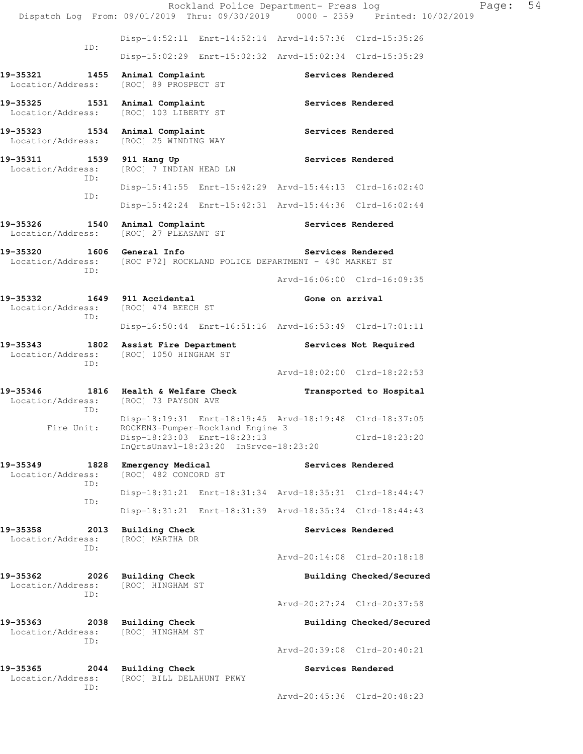|                                                                      | Rockland Police Department- Press log<br>Dispatch Log From: 09/01/2019 Thru: 09/30/2019 0000 - 2359 Printed: 10/02/2019 |                   | Page:                       | 54 |
|----------------------------------------------------------------------|-------------------------------------------------------------------------------------------------------------------------|-------------------|-----------------------------|----|
|                                                                      | Disp-14:52:11 Enrt-14:52:14 Arvd-14:57:36 Clrd-15:35:26                                                                 |                   |                             |    |
| ID:                                                                  | Disp-15:02:29 Enrt-15:02:32 Arvd-15:02:34 Clrd-15:35:29                                                                 |                   |                             |    |
| 19-35321 1455 Animal Complaint<br>Location/Address:                  | [ROC] 89 PROSPECT ST                                                                                                    |                   | Services Rendered           |    |
| 19-35325 1531 Animal Complaint                                       | Location/Address: [ROC] 103 LIBERTY ST                                                                                  |                   | Services Rendered           |    |
| 19-35323 1534 Animal Complaint                                       | Location/Address: [ROC] 25 WINDING WAY                                                                                  |                   | Services Rendered           |    |
| 19-35311<br>Location/Address:                                        | 1539 911 Hang Up<br>[ROC] 7 INDIAN HEAD LN                                                                              | Services Rendered |                             |    |
| ID:                                                                  | Disp-15:41:55 Enrt-15:42:29 Arvd-15:44:13 Clrd-16:02:40                                                                 |                   |                             |    |
| ID:                                                                  | Disp-15:42:24 Enrt-15:42:31 Arvd-15:44:36 Clrd-16:02:44                                                                 |                   |                             |    |
| 19-35326 1540 Animal Complaint                                       | Location/Address: [ROC] 27 PLEASANT ST                                                                                  | Services Rendered |                             |    |
|                                                                      | 19-35320 1606 General Info<br>Location/Address: [ROC P72] ROCKLAND POLICE DEPARTMENT - 490 MARKET ST                    |                   | Services Rendered           |    |
| ID:                                                                  |                                                                                                                         |                   | Arvd-16:06:00 Clrd-16:09:35 |    |
| 19-35332 1649 911 Accidental<br>Location/Address: [ROC] 474 BEECH ST |                                                                                                                         | Gone on arrival   |                             |    |
| ID:                                                                  | Disp-16:50:44 Enrt-16:51:16 Arvd-16:53:49 Clrd-17:01:11                                                                 |                   |                             |    |
|                                                                      | 19-35343 1802 Assist Fire Department Services Not Required<br>Location/Address: [ROC] 1050 HINGHAM ST                   |                   |                             |    |
| ID:                                                                  |                                                                                                                         |                   | Arvd-18:02:00 Clrd-18:22:53 |    |
| Location/Address: [ROC] 73 PAYSON AVE<br>ID:                         | 19-35346 1816 Health & Welfare Check                                                                                    |                   | Transported to Hospital     |    |
|                                                                      | Disp-18:19:31 Enrt-18:19:45 Arvd-18:19:48 Clrd-18:37:05<br>Fire Unit: ROCKEN3-Pumper-Rockland Engine 3                  |                   |                             |    |
|                                                                      | Disp-18:23:03 Enrt-18:23:13<br>$InQrtsUnav1-18:23:20$ $InSrvce-18:23:20$                                                |                   | $Clrd-18:23:20$             |    |
| 19-35349<br>1828<br>Location/Address:                                | Emergency Medical<br>[ROC] 482 CONCORD ST                                                                               |                   | Services Rendered           |    |
| ID:<br>ID:                                                           | Disp-18:31:21 Enrt-18:31:34 Arvd-18:35:31 Clrd-18:44:47                                                                 |                   |                             |    |
|                                                                      | Disp-18:31:21 Enrt-18:31:39 Arvd-18:35:34 Clrd-18:44:43                                                                 |                   |                             |    |
| 19-35358<br>2013<br>Location/Address:<br>ID:                         | <b>Building Check</b><br>[ROC] MARTHA DR                                                                                |                   | Services Rendered           |    |
|                                                                      |                                                                                                                         |                   | Arvd-20:14:08 Clrd-20:18:18 |    |
| 19-35362<br>2026<br>Location/Address:<br>ID:                         | <b>Building Check</b><br>[ROC] HINGHAM ST                                                                               |                   | Building Checked/Secured    |    |
|                                                                      |                                                                                                                         |                   | Arvd-20:27:24 Clrd-20:37:58 |    |
| 19-35363<br>2038<br>Location/Address:<br>ID:                         | <b>Building Check</b><br>[ROC] HINGHAM ST                                                                               |                   | Building Checked/Secured    |    |
|                                                                      |                                                                                                                         |                   | Arvd-20:39:08 Clrd-20:40:21 |    |
| 19-35365<br>2044<br>Location/Address:<br>ID:                         | <b>Building Check</b><br>[ROC] BILL DELAHUNT PKWY                                                                       |                   | Services Rendered           |    |
|                                                                      |                                                                                                                         |                   | Arvd-20:45:36 Clrd-20:48:23 |    |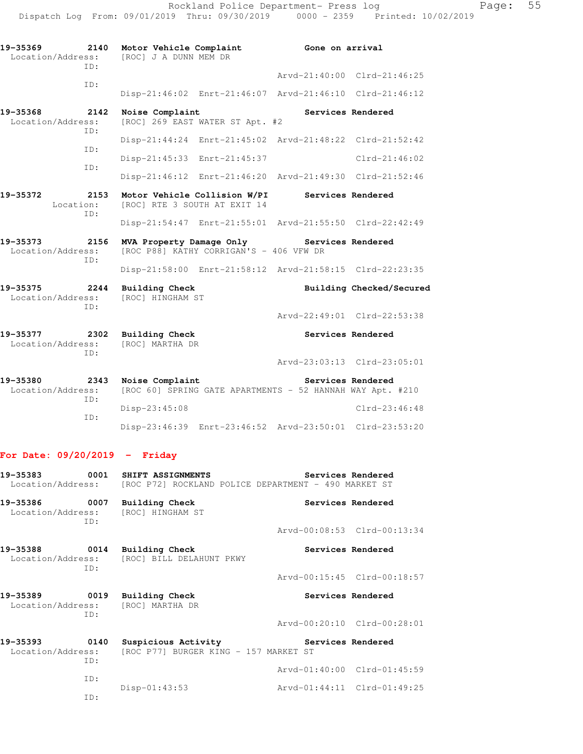| 19-35369<br>Location/Address: | TD:         | 2140 Motor Vehicle Complaint<br>[ROC] J A DUNN MEM DR               |                                 | Gone on arrival                                           |                             |
|-------------------------------|-------------|---------------------------------------------------------------------|---------------------------------|-----------------------------------------------------------|-----------------------------|
|                               | TD:         |                                                                     |                                 |                                                           | Arvd-21:40:00 Clrd-21:46:25 |
|                               |             |                                                                     |                                 | Disp-21:46:02 Enrt-21:46:07 Arvd-21:46:10 Clrd-21:46:12   |                             |
| 19-35368<br>Location/Address: | 2142<br>TD: | Noise Complaint                                                     | [ROC] 269 EAST WATER ST Apt. #2 |                                                           | Services Rendered           |
|                               |             |                                                                     |                                 | Disp-21:44:24 Enrt-21:45:02 Arvd-21:48:22 Clrd-21:52:42   |                             |
|                               | TD:         | Disp-21:45:33 Enrt-21:45:37                                         |                                 |                                                           | $Clrd-21:46:02$             |
|                               | TD:         |                                                                     |                                 | Disp-21:46:12 Enrt-21:46:20 Arvd-21:49:30 Clrd-21:52:46   |                             |
| 19-35372<br>Location:         | 2153        | Motor Vehicle Collision W/PI<br>[ROC] RTE 3 SOUTH AT EXIT 14        |                                 | <b>Services Rendered</b>                                  |                             |
|                               | TD:         |                                                                     |                                 | Disp-21:54:47 Enrt-21:55:01 Arvd-21:55:50 Clrd-22:42:49   |                             |
| 19-35373<br>Location/Address: | 2156<br>TD: | MVA Property Damage Only<br>[ROC P88] KATHY CORRIGAN'S - 406 VFW DR |                                 | Services Rendered                                         |                             |
|                               |             |                                                                     |                                 | Disp-21:58:00 Enrt-21:58:12 Arvd-21:58:15 Clrd-22:23:35   |                             |
| 19-35375<br>Location/Address: | 2244<br>TD: | Building Check<br>[ROC] HINGHAM ST                                  |                                 |                                                           | Building Checked/Secured    |
|                               |             |                                                                     |                                 |                                                           | Arvd-22:49:01 Clrd-22:53:38 |
| 19-35377<br>Location/Address: | TD:         | 2302 Building Check<br>[ROC] MARTHA DR                              |                                 |                                                           | Services Rendered           |
|                               |             |                                                                     |                                 |                                                           | Arvd-23:03:13 Clrd-23:05:01 |
| 19-35380<br>Location/Address: | ID:         | 2343 Noise Complaint                                                |                                 | [ROC 60] SPRING GATE APARTMENTS - 52 HANNAH WAY Apt. #210 | Services Rendered           |
|                               | ID:         | Disp-23:45:08                                                       |                                 |                                                           | $Clrd-23:46:48$             |

## **For Date: 09/20/2019 - Friday**

|     | Location/Address: [ROC P72] ROCKLAND POLICE DEPARTMENT - 490 MARKET ST     |                             |                             |
|-----|----------------------------------------------------------------------------|-----------------------------|-----------------------------|
| TD: | 19-35386 0007 Building Check<br>Location/Address: [ROC] HINGHAM ST         | Services Rendered           |                             |
|     |                                                                            |                             | Arvd-00:08:53 Clrd-00:13:34 |
| TD: | 19-35388 0014 Building Check<br>Location/Address: [ROC] BILL DELAHUNT PKWY | Services Rendered           |                             |
|     |                                                                            |                             | Arvd-00:15:45 Clrd-00:18:57 |
| TD: | 19-35389 0019 Building Check<br>Location/Address: [ROC] MARTHA DR          | Services Rendered           |                             |
|     |                                                                            |                             | Arvd-00:20:10 Clrd-00:28:01 |
|     | Location/Address: [ROC P77] BURGER KING - 157 MARKET ST                    |                             |                             |
| ID: |                                                                            |                             | Arvd-01:40:00 Clrd-01:45:59 |
| ID: | Disp-01:43:53                                                              | Arvd-01:44:11 Clrd-01:49:25 |                             |
| ID: |                                                                            |                             |                             |

Disp-23:46:39 Enrt-23:46:52 Arvd-23:50:01 Clrd-23:53:20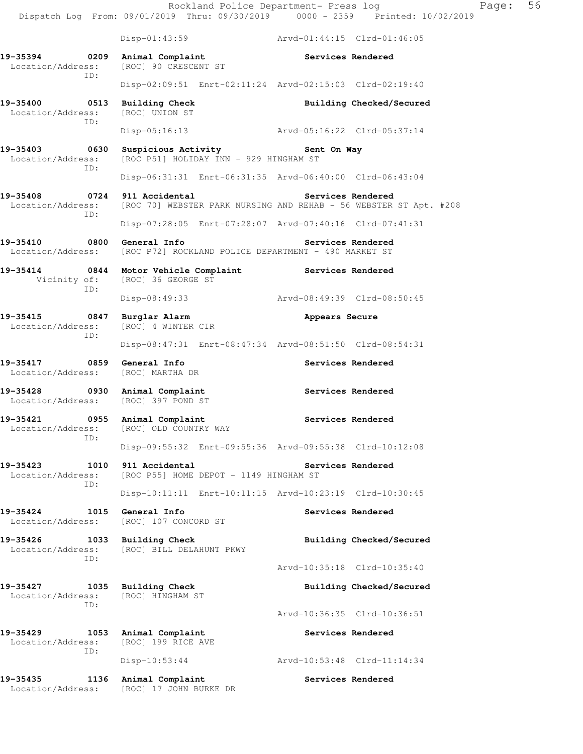Rockland Police Department- Press log Page: 56 Dispatch Log From: 09/01/2019 Thru: 09/30/2019 0000 - 2359 Printed: 10/02/2019 Disp-01:43:59 Arvd-01:44:15 Clrd-01:46:05 **19-35394 0209 Animal Complaint Services Rendered**  Location/Address: [ROC] 90 CRESCENT ST ID: Disp-02:09:51 Enrt-02:11:24 Arvd-02:15:03 Clrd-02:19:40 **19-35400 0513 Building Check Building Checked/Secured**  Location/Address: [ROC] UNION ST ID: Disp-05:16:13 Arvd-05:16:22 Clrd-05:37:14 **19-35403 0630 Suspicious Activity Sent On Way**  Location/Address: [ROC P51] HOLIDAY INN - 929 HINGHAM ST ID: Disp-06:31:31 Enrt-06:31:35 Arvd-06:40:00 Clrd-06:43:04 **19-35408 0724 911 Accidental Services Rendered**  Location/Address: [ROC 70] WEBSTER PARK NURSING AND REHAB - 56 WEBSTER ST Apt. #208 ID: Disp-07:28:05 Enrt-07:28:07 Arvd-07:40:16 Clrd-07:41:31 **19-35410 0800 General Info Services Rendered**  Location/Address: [ROC P72] ROCKLAND POLICE DEPARTMENT - 490 MARKET ST **19-35414 0844 Motor Vehicle Complaint Services Rendered**  Vicinity of: [ROC] 36 GEORGE ST ID: Disp-08:49:33 Arvd-08:49:39 Clrd-08:50:45 **19-35415 0847 Burglar Alarm Appears Secure**  Location/Address: [ROC] 4 WINTER CIR ID: Disp-08:47:31 Enrt-08:47:34 Arvd-08:51:50 Clrd-08:54:31 **19-35417 0859 General Info Services Rendered**  Location/Address: [ROC] MARTHA DR **19-35428 0930 Animal Complaint Services Rendered**  Location/Address: [ROC] 397 POND ST **19-35421 0955 Animal Complaint Services Rendered**  Location/Address: [ROC] OLD COUNTRY WAY ID: Disp-09:55:32 Enrt-09:55:36 Arvd-09:55:38 Clrd-10:12:08 **19-35423 1010 911 Accidental Services Rendered**  Location/Address: [ROC P55] HOME DEPOT - 1149 HINGHAM ST ID: Disp-10:11:11 Enrt-10:11:15 Arvd-10:23:19 Clrd-10:30:45 **19-35424 1015 General Info Services Rendered**  Location/Address: [ROC] 107 CONCORD ST **19-35426 1033 Building Check Building Checked/Secured**  Location/Address: [ROC] BILL DELAHUNT PKWY ID: Arvd-10:35:18 Clrd-10:35:40 **19-35427 1035 Building Check Building Checked/Secured**  Location/Address: [ROC] HINGHAM ST ID: Arvd-10:36:35 Clrd-10:36:51 19-35429 1053 Animal Complaint **19-35429** Services Rendered Location/Address: [ROC] 199 RICE AVE ID: Disp-10:53:44 Arvd-10:53:48 Clrd-11:14:34 **19-35435 1136 Animal Complaint Services Rendered**  Location/Address: [ROC] 17 JOHN BURKE DR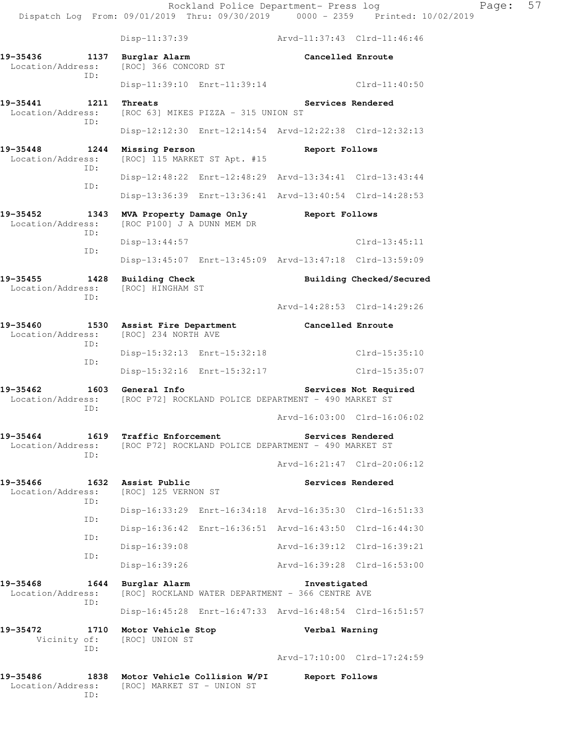Rockland Police Department- Press log Fage: 57 Dispatch Log From: 09/01/2019 Thru: 09/30/2019 0000 - 2359 Printed: 10/02/2019 Disp-11:37:39 Arvd-11:37:43 Clrd-11:46:46 **19-35436 1137 Burglar Alarm Cancelled Enroute**  Location/Address: [ROC] 366 CONCORD ST ID: Disp-11:39:10 Enrt-11:39:14 Clrd-11:40:50 **19-35441 1211 Threats Services Rendered**  Location/Address: [ROC 63] MIKES PIZZA - 315 UNION ST ID: Disp-12:12:30 Enrt-12:14:54 Arvd-12:22:38 Clrd-12:32:13 **19-35448 1244 Missing Person Report Follows**<br>
Location/Address: [ROC] 115 MARKET ST Apt. #15 [ROC] 115 MARKET ST Apt. #15 ID: Disp-12:48:22 Enrt-12:48:29 Arvd-13:34:41 Clrd-13:43:44 ID: Disp-13:36:39 Enrt-13:36:41 Arvd-13:40:54 Clrd-14:28:53 **19-35452 1343 MVA Property Damage Only Report Follows**  Location/Address: [ROC P100] J A DUNN MEM DR ID: Disp-13:44:57 Clrd-13:45:11 ID: Disp-13:45:07 Enrt-13:45:09 Arvd-13:47:18 Clrd-13:59:09 19-35455 1428 Building Check **Building Checked/Secured**  Location/Address: [ROC] HINGHAM ST ID: Arvd-14:28:53 Clrd-14:29:26 **19-35460 1530 Assist Fire Department Cancelled Enroute**  Location/Address: [ROC] 234 NORTH AVE ID: Disp-15:32:13 Enrt-15:32:18 Clrd-15:35:10 ID: Disp-15:32:16 Enrt-15:32:17 Clrd-15:35:07 **19-35462 1603 General Info Services Not Required**  Location/Address: [ROC P72] ROCKLAND POLICE DEPARTMENT - 490 MARKET ST ID: Arvd-16:03:00 Clrd-16:06:02 **19-35464 1619 Traffic Enforcement Services Rendered**  Location/Address: [ROC P72] ROCKLAND POLICE DEPARTMENT - 490 MARKET ST ID: Arvd-16:21:47 Clrd-20:06:12 **19-35466 1632 Assist Public Services Rendered**  Location/Address: [ROC] 125 VERNON ST ID: Disp-16:33:29 Enrt-16:34:18 Arvd-16:35:30 Clrd-16:51:33 ID: Disp-16:36:42 Enrt-16:36:51 Arvd-16:43:50 Clrd-16:44:30 ID: Disp-16:39:08 Arvd-16:39:12 Clrd-16:39:21 ID: Disp-16:39:26 Arvd-16:39:28 Clrd-16:53:00 19-35468 1644 Burglar Alarm **Investigated**<br>Location/Address: [ROC] ROCKLAND WATER DEPARTMENT - 366 CENTRE AVE [ROC] ROCKLAND WATER DEPARTMENT - 366 CENTRE AVE ID: Disp-16:45:28 Enrt-16:47:33 Arvd-16:48:54 Clrd-16:51:57 **19-35472 1710 Motor Vehicle Stop Verbal Warning**  Vicinity of: [ROC] UNION ST ID: Arvd-17:10:00 Clrd-17:24:59 **19-35486 1838 Motor Vehicle Collision W/PI Report Follows**  Location/Address: [ROC] MARKET ST - UNION ST ID: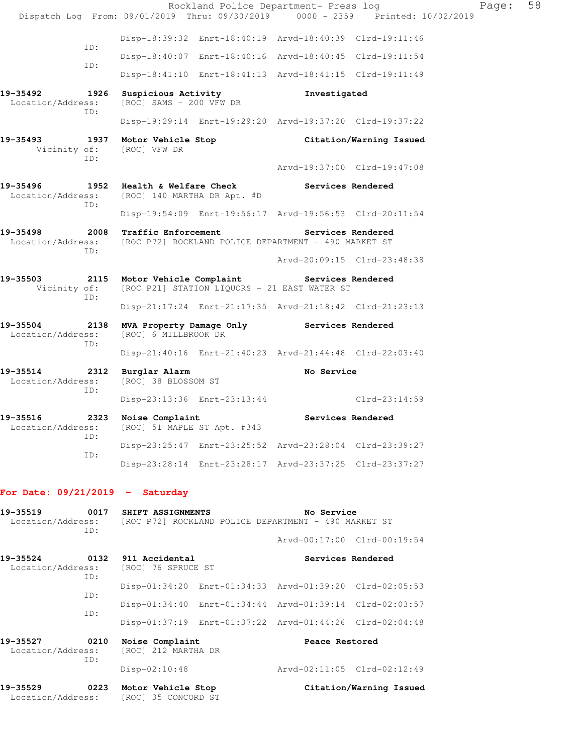Rockland Police Department- Press log Fage: 58 Dispatch Log From: 09/01/2019 Thru: 09/30/2019 0000 - 2359 Printed: 10/02/2019 Disp-18:39:32 Enrt-18:40:19 Arvd-18:40:39 Clrd-19:11:46 ID: Disp-18:40:07 Enrt-18:40:16 Arvd-18:40:45 Clrd-19:11:54 ID: Disp-18:41:10 Enrt-18:41:13 Arvd-18:41:15 Clrd-19:11:49 **19-35492 1926 Suspicious Activity Investigated**  Location/Address: [ROC] SAMS - 200 VFW DR ID: Disp-19:29:14 Enrt-19:29:20 Arvd-19:37:20 Clrd-19:37:22 **19-35493 1937 Motor Vehicle Stop Citation/Warning Issued** Vicinity of: [ROC] VFW DR Vicinity of: ID: Arvd-19:37:00 Clrd-19:47:08 **19-35496 1952 Health & Welfare Check Services Rendered**  Location/Address: [ROC] 140 MARTHA DR Apt. #D ID: Disp-19:54:09 Enrt-19:56:17 Arvd-19:56:53 Clrd-20:11:54 **19-35498 2008 Traffic Enforcement Services Rendered**  Location/Address: [ROC P72] ROCKLAND POLICE DEPARTMENT - 490 MARKET ST ID: Arvd-20:09:15 Clrd-23:48:38 **19-35503 2115 Motor Vehicle Complaint Services Rendered**  Vicinity of: [ROC P21] STATION LIQUORS - 21 EAST WATER ST ID: Disp-21:17:24 Enrt-21:17:35 Arvd-21:18:42 Clrd-21:23:13 **19-35504 2138 MVA Property Damage Only Services Rendered**  Location/Address: [ROC] 6 MILLBROOK DR ID: Disp-21:40:16 Enrt-21:40:23 Arvd-21:44:48 Clrd-22:03:40 **19-35514 2312 Burglar Alarm No Service**  Location/Address: [ROC] 38 BLOSSOM ST ID: Disp-23:13:36 Enrt-23:13:44 Clrd-23:14:59 19-35516 2323 Noise Complaint **19-35516** Services Rendered Location/Address: [ROC] 51 MAPLE ST Apt. #343 ID: Disp-23:25:47 Enrt-23:25:52 Arvd-23:28:04 Clrd-23:39:27 ID: Disp-23:28:14 Enrt-23:28:17 Arvd-23:37:25 Clrd-23:37:27 **For Date: 09/21/2019 - Saturday 19-35519 0017 SHIFT ASSIGNMENTS No Service**  Location/Address: [ROC P72] ROCKLAND POLICE DEPARTMENT - 490 MARKET ST ID: Arvd-00:17:00 Clrd-00:19:54 **19-35524 0132 911 Accidental Services Rendered**  Location/Address: [ROC] 76 SPRUCE ST ID: Disp-01:34:20 Enrt-01:34:33 Arvd-01:39:20 Clrd-02:05:53 ID: Disp-01:34:40 Enrt-01:34:44 Arvd-01:39:14 Clrd-02:03:57 ID: Disp-01:37:19 Enrt-01:37:22 Arvd-01:44:26 Clrd-02:04:48 19-35527 0210 Noise Complaint **Peace Restored** Location/Address: [ROC] 212 MARTHA DR ID: Disp-02:10:48 Arvd-02:11:05 Clrd-02:12:49 **19-35529 0223 Motor Vehicle Stop Citation/Warning Issued**  Location/Address: [ROC] 35 CONCORD ST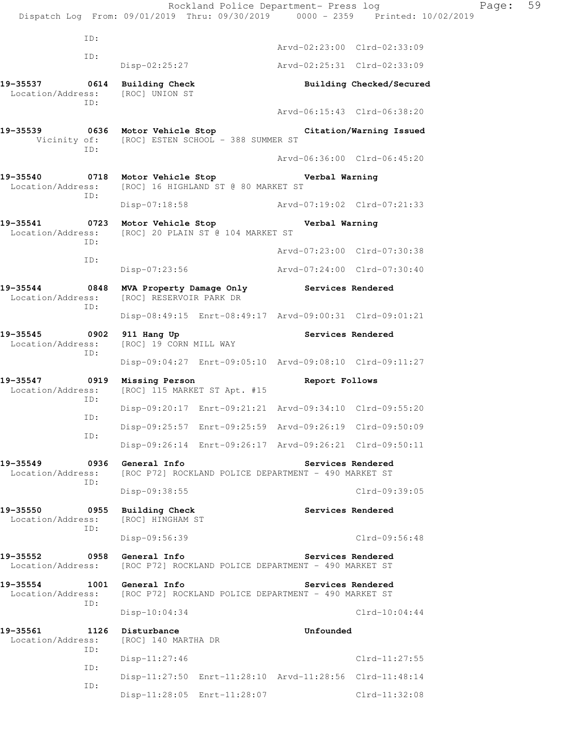Rockland Police Department- Press log Fage: 59 Dispatch Log From: 09/01/2019 Thru: 09/30/2019 0000 - 2359 Printed: 10/02/2019 ID: Arvd-02:23:00 Clrd-02:33:09 ID: Disp-02:25:27 Arvd-02:25:31 Clrd-02:33:09 19-35537 0614 Building Check **Building Checked/Secured Building Checked/Secured Example 20** Location/Address: ID: Arvd-06:15:43 Clrd-06:38:20 **19-35539 0636 Motor Vehicle Stop Citation/Warning Issued**  Vicinity of: [ROC] ESTEN SCHOOL - 388 SUMMER ST ID: Arvd-06:36:00 Clrd-06:45:20 **19-35540 0718 Motor Vehicle Stop Verbal Warning**  Location/Address: [ROC] 16 HIGHLAND ST @ 80 MARKET ST ID: Disp-07:18:58 Arvd-07:19:02 Clrd-07:21:33 **19-35541 0723 Motor Vehicle Stop Verbal Warning**  Location/Address: [ROC] 20 PLAIN ST @ 104 MARKET ST ID: Arvd-07:23:00 Clrd-07:30:38 ID: Disp-07:23:56 Arvd-07:24:00 Clrd-07:30:40 19-35544 0848 MVA Property Damage Only Services Rendered Location/Address: [ROC] RESERVOIR PARK DR [ROC] RESERVOIR PARK DR ID: Disp-08:49:15 Enrt-08:49:17 Arvd-09:00:31 Clrd-09:01:21 **19-35545 0902 911 Hang Up Services Rendered**  Location/Address: [ROC] 19 CORN MILL WAY ID: Disp-09:04:27 Enrt-09:05:10 Arvd-09:08:10 Clrd-09:11:27 **19-35547 0919 Missing Person Report Follows**  Location/Address: [ROC] 115 MARKET ST Apt. #15 ID: Disp-09:20:17 Enrt-09:21:21 Arvd-09:34:10 Clrd-09:55:20 ID: Disp-09:25:57 Enrt-09:25:59 Arvd-09:26:19 Clrd-09:50:09 ID: Disp-09:26:14 Enrt-09:26:17 Arvd-09:26:21 Clrd-09:50:11 **19-35549 0936 General Info Services Rendered**  Location/Address: [ROC P72] ROCKLAND POLICE DEPARTMENT - 490 MARKET ST ID: Disp-09:38:55 Clrd-09:39:05 **19-35550 0955 Building Check Services Rendered**  Location/Address: [ROC] HINGHAM ST ID: Disp-09:56:39 Clrd-09:56:48 **19-35552 0958 General Info Services Rendered**  Location/Address: [ROC P72] ROCKLAND POLICE DEPARTMENT - 490 MARKET ST **19-35554 1001 General Info Services Rendered**<br>Location/Address: [ROC P72] ROCKLAND POLICE DEPARTMENT - 490 MARKET ST [ROC P72] ROCKLAND POLICE DEPARTMENT - 490 MARKET ST ID: Disp-10:04:34 Clrd-10:04:44 19-35561 1126 Disturbance<br>
Location/Address: [ROC] 140 MARTHA DR [ROC] 140 MARTHA DR ID: Disp-11:27:46 Clrd-11:27:55 ID: Disp-11:27:50 Enrt-11:28:10 Arvd-11:28:56 Clrd-11:48:14 ID: Disp-11:28:05 Enrt-11:28:07 Clrd-11:32:08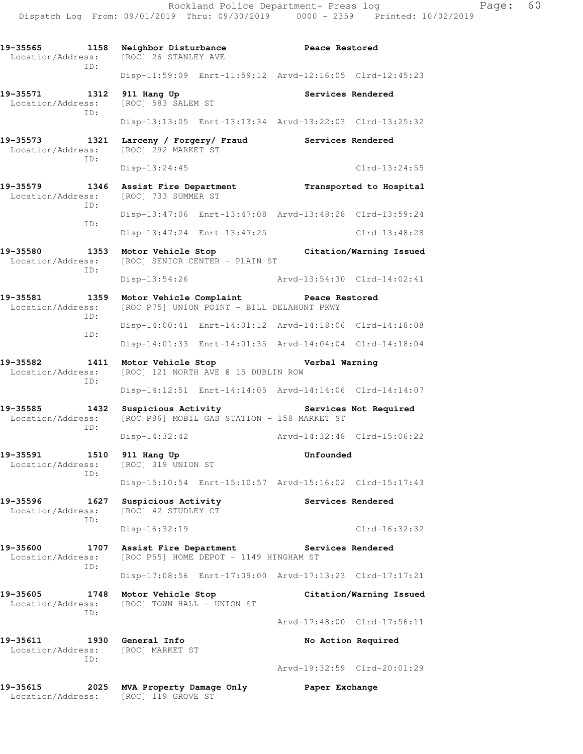Disp-13:47:24 Enrt-13:47:25 Clrd-13:48:28

Disp-13:54:26 Arvd-13:54:30 Clrd-14:02:41

Disp-14:00:41 Enrt-14:01:12 Arvd-14:18:06 Clrd-14:18:08

Disp-14:01:33 Enrt-14:01:35 Arvd-14:04:04 Clrd-14:18:04

Disp-14:12:51 Enrt-14:14:05 Arvd-14:14:06 Clrd-14:14:07

Disp-14:32:42 Arvd-14:32:48 Clrd-15:06:22

Disp-15:10:54 Enrt-15:10:57 Arvd-15:16:02 Clrd-15:17:43

Disp-16:32:19 Clrd-16:32:32

Disp-17:08:56 Enrt-17:09:00 Arvd-17:13:23 Clrd-17:17:21

[ROC] 121 NORTH AVE @ 15 DUBLIN ROW

**19-35573 1321 Larceny / Forgery/ Fraud Services Rendered**  Location/Address: [ROC] 292 MARKET ST ID: Disp-13:24:45 Clrd-13:24:55

ID:

ID:

- **19-35579 1346 Assist Fire Department Transported to Hospital Location/Address:** [ROC] 733 SUMMER ST [ROC] 733 SUMMER ST ID: Disp-13:47:06 Enrt-13:47:08 Arvd-13:48:28 Clrd-13:59:24 ID:
- **19-35580 1353 Motor Vehicle Stop Citation/Warning Issued**  Location/Address: [ROC] SENIOR CENTER - PLAIN ST ID:
- **19-35581 1359 Motor Vehicle Complaint Peace Restored**  Location/Address: [ROC P75] UNION POINT - BILL DELAHUNT PKWY ID: ID:
- **19-35582 1411 Motor Vehicle Stop Verbal Warning**<br>Location/Address: [ROC] 121 NORTH AVE @ 15 DUBLIN ROW ID:
- 19-35585 1432 Suspicious Activity Services Not Required Location/Address: [ROC P86] MOBIL GAS STATION 158 MARKET ST [ROC P86] MOBIL GAS STATION - 158 MARKET ST ID:
- **19-35591 1510 911 Hang Up Unfounded**  Location/Address: [ROC] 319 UNION ST ID:
- 19-35596 1627 Suspicious Activity **1627 Services Rendered**  Location/Address: [ROC] 42 STUDLEY CT ID:
- 19-35600 1707 Assist Fire Department **19-35600** Services Rendered Location/Address: [ROC P55] HOME DEPOT - 1149 HINGHAM ST ID:
- 
- **19-35605 1748 Motor Vehicle Stop Citation/Warning Issued**  Location/Address: [ROC] TOWN HALL - UNION ST ID:
- **19-35611 1930 General Info No Action Required**  Location/Address: [ROC] MARKET ST ID:
	-
- Arvd-19:32:59 Clrd-20:01:29

Arvd-17:48:00 Clrd-17:56:11

**19-35615 2025 MVA Property Damage Only Paper Exchange**  Location/Address: [ROC] 119 GROVE ST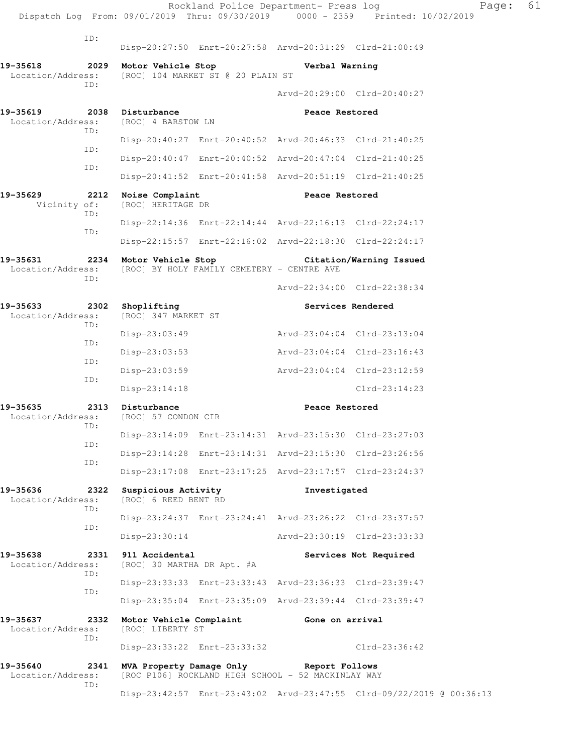|                               |             |                                                   | Rockland Police Department- Press log                   |                             | Dispatch Log From: 09/01/2019 Thru: 09/30/2019 0000 - 2359 Printed: 10/02/2019 | Page: | 61 |
|-------------------------------|-------------|---------------------------------------------------|---------------------------------------------------------|-----------------------------|--------------------------------------------------------------------------------|-------|----|
|                               | ID:         |                                                   |                                                         |                             |                                                                                |       |    |
|                               |             |                                                   | Disp-20:27:50 Enrt-20:27:58 Arvd-20:31:29 Clrd-21:00:49 |                             |                                                                                |       |    |
| 19-35618<br>Location/Address: | 2029<br>TD: | Motor Vehicle Stop                                | [ROC] 104 MARKET ST @ 20 PLAIN ST                       | Verbal Warning              |                                                                                |       |    |
|                               |             |                                                   |                                                         |                             | Arvd-20:29:00 Clrd-20:40:27                                                    |       |    |
| 19-35619<br>Location/Address: | ID:         | 2038 Disturbance<br>[ROC] 4 BARSTOW LN            |                                                         | Peace Restored              |                                                                                |       |    |
|                               | ID:         |                                                   | Disp-20:40:27 Enrt-20:40:52 Arvd-20:46:33 Clrd-21:40:25 |                             |                                                                                |       |    |
|                               | ID:         |                                                   | Disp-20:40:47 Enrt-20:40:52 Arvd-20:47:04 Clrd-21:40:25 |                             |                                                                                |       |    |
|                               |             |                                                   | Disp-20:41:52 Enrt-20:41:58 Arvd-20:51:19 Clrd-21:40:25 |                             |                                                                                |       |    |
| 19-35629<br>Vicinity of:      | 2212<br>ID: | Noise Complaint<br>[ROC] HERITAGE DR              |                                                         | Peace Restored              |                                                                                |       |    |
|                               | ID:         |                                                   | Disp-22:14:36 Enrt-22:14:44 Arvd-22:16:13 Clrd-22:24:17 |                             |                                                                                |       |    |
|                               |             |                                                   | Disp-22:15:57 Enrt-22:16:02 Arvd-22:18:30 Clrd-22:24:17 |                             |                                                                                |       |    |
| 19-35631<br>Location/Address: | 2234<br>TD: | Motor Vehicle Stop                                | [ROC] BY HOLY FAMILY CEMETERY - CENTRE AVE              |                             | Citation/Warning Issued                                                        |       |    |
|                               |             |                                                   |                                                         |                             | Arvd-22:34:00 Clrd-22:38:34                                                    |       |    |
| 19-35633<br>Location/Address: | 2302<br>ID: | Shoplifting<br>[ROC] 347 MARKET ST                |                                                         | Services Rendered           |                                                                                |       |    |
|                               | ID:         | $Disp-23:03:49$                                   |                                                         | Arvd-23:04:04 Clrd-23:13:04 |                                                                                |       |    |
|                               | ID:         | $Disp-23:03:53$                                   |                                                         | Arvd-23:04:04 Clrd-23:16:43 |                                                                                |       |    |
|                               | ID:         | Disp-23:03:59                                     |                                                         |                             | Arvd-23:04:04 Clrd-23:12:59                                                    |       |    |
|                               |             | Disp-23:14:18                                     |                                                         |                             | $Clrd-23:14:23$                                                                |       |    |
| 19-35635<br>Location/Address: | 2313<br>ID: | Disturbance<br>[ROC] 57 CONDON CIR                |                                                         | Peace Restored              |                                                                                |       |    |
|                               | ID:         |                                                   | Disp-23:14:09 Enrt-23:14:31 Arvd-23:15:30 Clrd-23:27:03 |                             |                                                                                |       |    |
|                               | ID:         |                                                   | Disp-23:14:28 Enrt-23:14:31 Arvd-23:15:30 Clrd-23:26:56 |                             |                                                                                |       |    |
|                               |             |                                                   | Disp-23:17:08 Enrt-23:17:25 Arvd-23:17:57 Clrd-23:24:37 |                             |                                                                                |       |    |
| 19-35636<br>Location/Address: | ID:         | 2322 Suspicious Activity<br>[ROC] 6 REED BENT RD  |                                                         | Investigated                |                                                                                |       |    |
|                               | ID:         |                                                   | Disp-23:24:37 Enrt-23:24:41 Arvd-23:26:22 Clrd-23:37:57 |                             |                                                                                |       |    |
|                               |             | Disp-23:30:14                                     |                                                         | Arvd-23:30:19 Clrd-23:33:33 |                                                                                |       |    |
| 19-35638<br>Location/Address: | ID:         | 2331 911 Accidental<br>[ROC] 30 MARTHA DR Apt. #A |                                                         |                             | Services Not Required                                                          |       |    |
|                               | ID:         |                                                   | Disp-23:33:33 Enrt-23:33:43 Arvd-23:36:33 Clrd-23:39:47 |                             |                                                                                |       |    |
|                               |             |                                                   | Disp-23:35:04 Enrt-23:35:09 Arvd-23:39:44 Clrd-23:39:47 |                             |                                                                                |       |    |
| 19-35637<br>Location/Address: | 2332<br>ID: | [ROC] LIBERTY ST                                  | Motor Vehicle Complaint 6one on arrival                 |                             |                                                                                |       |    |
|                               |             |                                                   | Disp-23:33:22 Enrt-23:33:32                             |                             | $Clrd-23:36:42$                                                                |       |    |
| 19-35640<br>Location/Address: | 2341<br>ID: | MVA Property Damage Only                          | [ROC P106] ROCKLAND HIGH SCHOOL - 52 MACKINLAY WAY      | Report Follows              |                                                                                |       |    |
|                               |             |                                                   |                                                         |                             | Disp-23:42:57 Enrt-23:43:02 Arvd-23:47:55 Clrd-09/22/2019 @ 00:36:13           |       |    |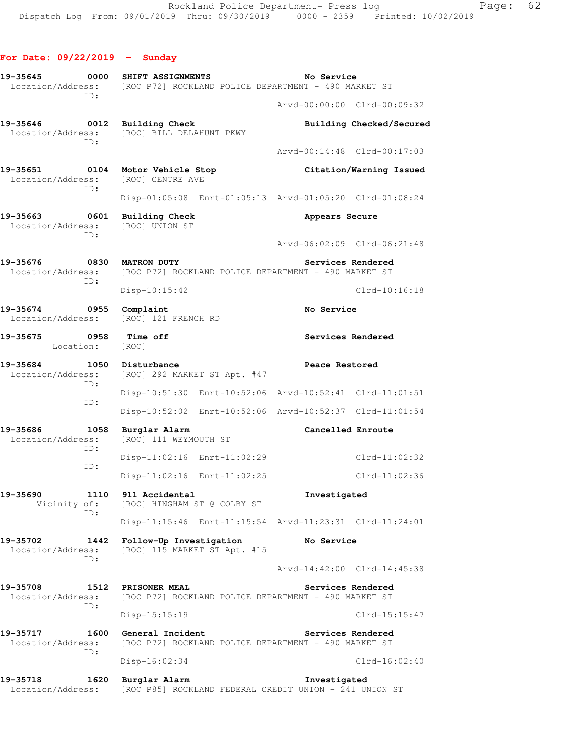| 19-35645<br>0000<br>Location/Address:        | <b>SHIFT ASSIGNMENTS</b><br>[ROC P72] ROCKLAND POLICE DEPARTMENT - 490 MARKET ST           | No Service                                              |
|----------------------------------------------|--------------------------------------------------------------------------------------------|---------------------------------------------------------|
| ID:                                          |                                                                                            | Arvd-00:00:00 Clrd-00:09:32                             |
| 19-35646<br>0012<br>Location/Address:        | <b>Building Check</b><br>[ROC] BILL DELAHUNT PKWY                                          | Building Checked/Secured                                |
| ID:                                          |                                                                                            | Arvd-00:14:48 Clrd-00:17:03                             |
| 19-35651<br>0104<br>Location/Address:<br>ID: | Motor Vehicle Stop<br>[ROC] CENTRE AVE                                                     | Citation/Warning Issued                                 |
|                                              |                                                                                            | Disp-01:05:08 Enrt-01:05:13 Arvd-01:05:20 Clrd-01:08:24 |
| 19-35663<br>0601<br>Location/Address:<br>ID: | <b>Building Check</b><br>[ROC] UNION ST                                                    | Appears Secure                                          |
|                                              |                                                                                            | Arvd-06:02:09 Clrd-06:21:48                             |
| 19-35676<br>ID:                              | 0830 MATRON DUTY<br>Location/Address: [ROC P72] ROCKLAND POLICE DEPARTMENT - 490 MARKET ST | Services Rendered                                       |
|                                              | Disp-10:15:42                                                                              | $Clrd-10:16:18$                                         |
| 19-35674<br>$\sim$ 0955<br>Location/Address: | Complaint<br>[ROC] 121 FRENCH RD                                                           | No Service                                              |
| 19-35675<br>0958<br>Location: [ROC]          | <b>Time off</b>                                                                            | Services Rendered                                       |
| 19-35684<br>ID:                              | 1050 Disturbance<br>Location/Address: [ROC] 292 MARKET ST Apt. #47                         | Peace Restored                                          |
| ID:                                          |                                                                                            | Disp-10:51:30 Enrt-10:52:06 Arvd-10:52:41 Clrd-11:01:51 |
|                                              |                                                                                            | Disp-10:52:02 Enrt-10:52:06 Arvd-10:52:37 Clrd-11:01:54 |
| 19-35686<br>1058<br>Location/Address:<br>ID: | Burglar Alarm<br>[ROC] 111 WEYMOUTH ST                                                     | Cancelled Enroute                                       |
| ID:                                          | Disp-11:02:16 Enrt-11:02:29                                                                | $Clrd-11:02:32$                                         |
|                                              | Disp-11:02:16 Enrt-11:02:25                                                                | $Clrd-11:02:36$                                         |
| 19-35690<br>Vicinity of:<br>ID:              | 1110 911 Accidental<br>[ROC] HINGHAM ST @ COLBY ST                                         | Investigated                                            |
|                                              |                                                                                            | Disp-11:15:46 Enrt-11:15:54 Arvd-11:23:31 Clrd-11:24:01 |
| 19-35702<br>1442<br>Location/Address:<br>ID: | Follow-Up Investigation<br>[ROC] 115 MARKET ST Apt. #15                                    | No Service                                              |
|                                              |                                                                                            | Arvd-14:42:00 Clrd-14:45:38                             |
| 19-35708<br>Location/Address:<br>ID:         | 1512 PRISONER MEAL<br>[ROC P72] ROCKLAND POLICE DEPARTMENT - 490 MARKET ST                 | Services Rendered                                       |
|                                              | $Disp-15:15:19$                                                                            | $Clrd-15:15:47$                                         |
| 19-35717<br>1600<br>Location/Address:<br>ID: | General Incident<br>[ROC P72] ROCKLAND POLICE DEPARTMENT - 490 MARKET ST                   | Services Rendered                                       |
|                                              | Disp-16:02:34                                                                              | $Clrd-16:02:40$                                         |
| 19-35718<br>1620<br>Location/Address:        | Burglar Alarm<br>[ROC P85] ROCKLAND FEDERAL CREDIT UNION - 241 UNION ST                    | Investigated                                            |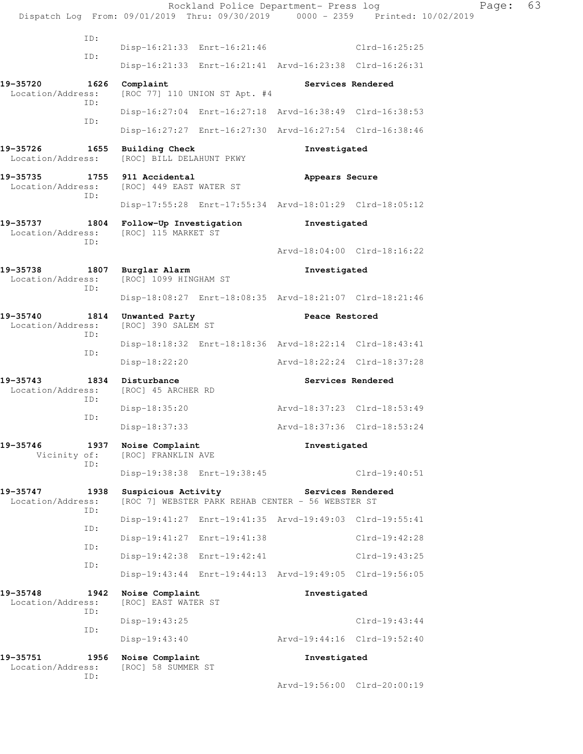|                               |             |                                                   | Rockland Police Department- Press log                   |                             | Dispatch Log From: 09/01/2019 Thru: 09/30/2019 0000 - 2359 Printed: 10/02/2019 | 63<br>Page: |
|-------------------------------|-------------|---------------------------------------------------|---------------------------------------------------------|-----------------------------|--------------------------------------------------------------------------------|-------------|
|                               | ID:         |                                                   |                                                         |                             |                                                                                |             |
|                               | ID:         |                                                   | Disp-16:21:33 Enrt-16:21:46                             |                             | Clrd-16:25:25                                                                  |             |
|                               |             |                                                   | Disp-16:21:33 Enrt-16:21:41 Arvd-16:23:38 Clrd-16:26:31 |                             |                                                                                |             |
| 19-35720<br>Location/Address: | 1626<br>ID: | Complaint                                         | [ROC 77] 110 UNION ST Apt. #4                           | Services Rendered           |                                                                                |             |
|                               | ID:         |                                                   | Disp-16:27:04 Enrt-16:27:18 Arvd-16:38:49 Clrd-16:38:53 |                             |                                                                                |             |
|                               |             |                                                   | Disp-16:27:27 Enrt-16:27:30 Arvd-16:27:54 Clrd-16:38:46 |                             |                                                                                |             |
| 19-35726<br>Location/Address: | 1655        | <b>Building Check</b><br>[ROC] BILL DELAHUNT PKWY |                                                         | Investigated                |                                                                                |             |
| 19-35735<br>Location/Address: | ID:         | 1755 911 Accidental<br>[ROC] 449 EAST WATER ST    |                                                         | Appears Secure              |                                                                                |             |
|                               |             |                                                   | Disp-17:55:28 Enrt-17:55:34 Arvd-18:01:29 Clrd-18:05:12 |                             |                                                                                |             |
| 19-35737<br>Location/Address: | 1804<br>ID: | Follow-Up Investigation<br>[ROC] 115 MARKET ST    |                                                         | Investigated                |                                                                                |             |
|                               |             |                                                   |                                                         |                             | Arvd-18:04:00 Clrd-18:16:22                                                    |             |
| 19-35738<br>Location/Address: | ID:         | 1807 Burglar Alarm<br>[ROC] 1099 HINGHAM ST       |                                                         | Investigated                |                                                                                |             |
|                               |             |                                                   | Disp-18:08:27 Enrt-18:08:35 Arvd-18:21:07 Clrd-18:21:46 |                             |                                                                                |             |
| 19-35740<br>Location/Address: | 1814<br>ID: | Unwanted Party<br>[ROC] 390 SALEM ST              |                                                         | Peace Restored              |                                                                                |             |
|                               | ID:         |                                                   | Disp-18:18:32 Enrt-18:18:36 Arvd-18:22:14 Clrd-18:43:41 |                             |                                                                                |             |
|                               |             | $Disp-18:22:20$                                   |                                                         |                             | Arvd-18:22:24 Clrd-18:37:28                                                    |             |
| 19-35743<br>Location/Address: |             | 1834 Disturbance<br>[ROC] 45 ARCHER RD            |                                                         | Services Rendered           |                                                                                |             |
|                               | ID:         | Disp-18:35:20                                     |                                                         | Arvd-18:37:23 Clrd-18:53:49 |                                                                                |             |
|                               | ID:         | Disp-18:37:33                                     |                                                         |                             | Arvd-18:37:36 Clrd-18:53:24                                                    |             |
| 19-35746<br>Vicinity of:      | 1937        | Noise Complaint<br>[ROC] FRANKLIN AVE             |                                                         | Investigated                |                                                                                |             |
|                               | ID:         |                                                   | Disp-19:38:38 Enrt-19:38:45                             |                             | $Clrd-19:40:51$                                                                |             |
| 19-35747<br>Location/Address: | 1938        | Suspicious Activity                               | [ROC 7] WEBSTER PARK REHAB CENTER - 56 WEBSTER ST       | Services Rendered           |                                                                                |             |
|                               | ID:         |                                                   | Disp-19:41:27 Enrt-19:41:35 Arvd-19:49:03 Clrd-19:55:41 |                             |                                                                                |             |
|                               | ID:         |                                                   | Disp-19:41:27 Enrt-19:41:38                             |                             | $Clrd-19:42:28$                                                                |             |
|                               | ID:         |                                                   | Disp-19:42:38 Enrt-19:42:41                             |                             | $Clrd-19:43:25$                                                                |             |
|                               | ID:         |                                                   | Disp-19:43:44 Enrt-19:44:13 Arvd-19:49:05 Clrd-19:56:05 |                             |                                                                                |             |
| 19-35748<br>Location/Address: | 1942        | Noise Complaint<br>[ROC] EAST WATER ST            |                                                         | Investigated                |                                                                                |             |
|                               | ID:         | Disp-19:43:25                                     |                                                         |                             | $Clrd-19:43:44$                                                                |             |
|                               | ID:         | $Disp-19:43:40$                                   |                                                         |                             | Arvd-19:44:16 Clrd-19:52:40                                                    |             |
| 19-35751<br>Location/Address: | 1956        | Noise Complaint<br>[ROC] 58 SUMMER ST             |                                                         | Investigated                |                                                                                |             |
|                               | ID:         |                                                   |                                                         |                             | Arvd-19:56:00 Clrd-20:00:19                                                    |             |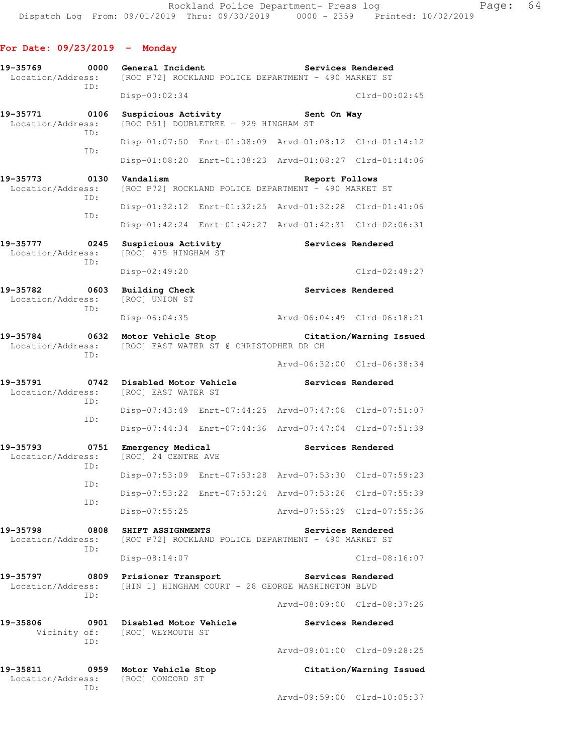## **For Date: 09/23/2019 - Monday**

| 19-35769<br>0000<br>Location/Address:        | General Incident                                              | [ROC P72] ROCKLAND POLICE DEPARTMENT - 490 MARKET ST                   | Services Rendered           |
|----------------------------------------------|---------------------------------------------------------------|------------------------------------------------------------------------|-----------------------------|
| ID:                                          | $Disp-00:02:34$                                               |                                                                        | $Clrd-00:02:45$             |
| 19-35771<br>0106<br>Location/Address:        | Suspicious Activity<br>[ROC P51] DOUBLETREE - 929 HINGHAM ST  | Sent On Way                                                            |                             |
| ID:                                          |                                                               | Disp-01:07:50 Enrt-01:08:09 Arvd-01:08:12 Clrd-01:14:12                |                             |
| ID:                                          |                                                               | Disp-01:08:20 Enrt-01:08:23 Arvd-01:08:27 Clrd-01:14:06                |                             |
| 0130<br>19-35773<br>Location/Address:<br>ID: | Vandalism                                                     | Report Follows<br>[ROC P72] ROCKLAND POLICE DEPARTMENT - 490 MARKET ST |                             |
|                                              |                                                               | Disp-01:32:12 Enrt-01:32:25 Arvd-01:32:28 Clrd-01:41:06                |                             |
| ID:                                          |                                                               | Disp-01:42:24 Enrt-01:42:27 Arvd-01:42:31 Clrd-02:06:31                |                             |
| 19-35777<br>0245<br>Location/Address:        | Suspicious Activity<br>[ROC] 475 HINGHAM ST                   |                                                                        | Services Rendered           |
| ID:                                          | Disp-02:49:20                                                 |                                                                        | $Clrd-02:49:27$             |
| 19-35782<br>0603<br>Location/Address:        | <b>Building Check</b><br>[ROC] UNION ST                       |                                                                        | Services Rendered           |
| ID:                                          | Disp-06:04:35                                                 |                                                                        | Arvd-06:04:49 Clrd-06:18:21 |
| 19-35784<br>0632<br>Location/Address:        | Motor Vehicle Stop<br>[ROC] EAST WATER ST @ CHRISTOPHER DR CH |                                                                        | Citation/Warning Issued     |
| ID:                                          |                                                               |                                                                        | Arvd-06:32:00 Clrd-06:38:34 |
| 19-35791<br>0742<br>Location/Address:<br>ID: | Disabled Motor Vehicle<br>[ROC] EAST WATER ST                 |                                                                        | Services Rendered           |
| ID:                                          |                                                               | Disp-07:43:49 Enrt-07:44:25 Arvd-07:47:08 Clrd-07:51:07                |                             |
|                                              | $Disp-07:44:34$                                               | Enrt-07:44:36 Arvd-07:47:04 Clrd-07:51:39                              |                             |
| 19-35793<br>0751<br>Location/Address:<br>ID: | Emergency Medical<br>[ROC] 24 CENTRE AVE                      |                                                                        | Services Rendered           |
| ID:                                          |                                                               | Disp-07:53:09 Enrt-07:53:28 Arvd-07:53:30 Clrd-07:59:23                |                             |
| ID:                                          |                                                               | Disp-07:53:22 Enrt-07:53:24 Arvd-07:53:26 Clrd-07:55:39                |                             |
|                                              | Disp-07:55:25                                                 |                                                                        | Arvd-07:55:29 Clrd-07:55:36 |
| 19-35798<br>0808<br>Location/Address:<br>ID: | SHIFT ASSIGNMENTS                                             | [ROC P72] ROCKLAND POLICE DEPARTMENT - 490 MARKET ST                   | Services Rendered           |
|                                              | Disp-08:14:07                                                 |                                                                        | $Clrd-08:16:07$             |
| 19-35797<br>ID:                              | 0809<br>Prisioner Transport                                   | Location/Address: [HIN 1] HINGHAM COURT - 28 GEORGE WASHINGTON BLVD    | Services Rendered           |
|                                              |                                                               |                                                                        | Arvd-08:09:00 Clrd-08:37:26 |
| 19-35806<br>ID:                              | 0901 Disabled Motor Vehicle<br>Vicinity of: [ROC] WEYMOUTH ST |                                                                        | Services Rendered           |
|                                              |                                                               |                                                                        | Arvd-09:01:00 Clrd-09:28:25 |
| 19-35811<br>0959<br>Location/Address:        | Motor Vehicle Stop<br>[ROC] CONCORD ST                        |                                                                        | Citation/Warning Issued     |
| ID:                                          |                                                               |                                                                        | Arvd-09:59:00 Clrd-10:05:37 |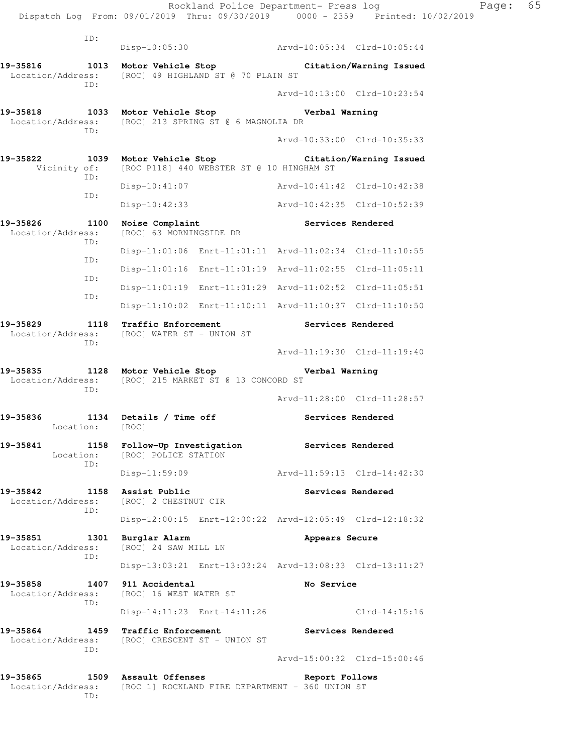|                                               | Dispatch Log From: 09/01/2019 Thru: 09/30/2019 0000 - 2359 Printed: 10/02/2019                                                                                                                                                                                                                                       |                                                                                                                                                                                                                                                                                                                                                                                                                                                                                                                                                                                                                                                                                                                                                                                                                                                                                                                                                 |
|-----------------------------------------------|----------------------------------------------------------------------------------------------------------------------------------------------------------------------------------------------------------------------------------------------------------------------------------------------------------------------|-------------------------------------------------------------------------------------------------------------------------------------------------------------------------------------------------------------------------------------------------------------------------------------------------------------------------------------------------------------------------------------------------------------------------------------------------------------------------------------------------------------------------------------------------------------------------------------------------------------------------------------------------------------------------------------------------------------------------------------------------------------------------------------------------------------------------------------------------------------------------------------------------------------------------------------------------|
|                                               |                                                                                                                                                                                                                                                                                                                      |                                                                                                                                                                                                                                                                                                                                                                                                                                                                                                                                                                                                                                                                                                                                                                                                                                                                                                                                                 |
|                                               |                                                                                                                                                                                                                                                                                                                      | Arvd-10:05:34 Clrd-10:05:44                                                                                                                                                                                                                                                                                                                                                                                                                                                                                                                                                                                                                                                                                                                                                                                                                                                                                                                     |
|                                               |                                                                                                                                                                                                                                                                                                                      | Citation/Warning Issued                                                                                                                                                                                                                                                                                                                                                                                                                                                                                                                                                                                                                                                                                                                                                                                                                                                                                                                         |
|                                               |                                                                                                                                                                                                                                                                                                                      | Arvd-10:13:00 Clrd-10:23:54                                                                                                                                                                                                                                                                                                                                                                                                                                                                                                                                                                                                                                                                                                                                                                                                                                                                                                                     |
|                                               |                                                                                                                                                                                                                                                                                                                      | Verbal Warning                                                                                                                                                                                                                                                                                                                                                                                                                                                                                                                                                                                                                                                                                                                                                                                                                                                                                                                                  |
|                                               |                                                                                                                                                                                                                                                                                                                      | Arvd-10:33:00 Clrd-10:35:33                                                                                                                                                                                                                                                                                                                                                                                                                                                                                                                                                                                                                                                                                                                                                                                                                                                                                                                     |
|                                               |                                                                                                                                                                                                                                                                                                                      | Citation/Warning Issued                                                                                                                                                                                                                                                                                                                                                                                                                                                                                                                                                                                                                                                                                                                                                                                                                                                                                                                         |
| $Disp-10:41:07$                               |                                                                                                                                                                                                                                                                                                                      | Arvd-10:41:42 Clrd-10:42:38                                                                                                                                                                                                                                                                                                                                                                                                                                                                                                                                                                                                                                                                                                                                                                                                                                                                                                                     |
| Disp-10:42:33                                 |                                                                                                                                                                                                                                                                                                                      | Arvd-10:42:35 Clrd-10:52:39                                                                                                                                                                                                                                                                                                                                                                                                                                                                                                                                                                                                                                                                                                                                                                                                                                                                                                                     |
| Noise Complaint                               |                                                                                                                                                                                                                                                                                                                      | Services Rendered                                                                                                                                                                                                                                                                                                                                                                                                                                                                                                                                                                                                                                                                                                                                                                                                                                                                                                                               |
|                                               |                                                                                                                                                                                                                                                                                                                      |                                                                                                                                                                                                                                                                                                                                                                                                                                                                                                                                                                                                                                                                                                                                                                                                                                                                                                                                                 |
|                                               |                                                                                                                                                                                                                                                                                                                      |                                                                                                                                                                                                                                                                                                                                                                                                                                                                                                                                                                                                                                                                                                                                                                                                                                                                                                                                                 |
|                                               |                                                                                                                                                                                                                                                                                                                      |                                                                                                                                                                                                                                                                                                                                                                                                                                                                                                                                                                                                                                                                                                                                                                                                                                                                                                                                                 |
|                                               |                                                                                                                                                                                                                                                                                                                      |                                                                                                                                                                                                                                                                                                                                                                                                                                                                                                                                                                                                                                                                                                                                                                                                                                                                                                                                                 |
|                                               |                                                                                                                                                                                                                                                                                                                      | Services Rendered                                                                                                                                                                                                                                                                                                                                                                                                                                                                                                                                                                                                                                                                                                                                                                                                                                                                                                                               |
|                                               |                                                                                                                                                                                                                                                                                                                      | Arvd-11:19:30 Clrd-11:19:40                                                                                                                                                                                                                                                                                                                                                                                                                                                                                                                                                                                                                                                                                                                                                                                                                                                                                                                     |
|                                               |                                                                                                                                                                                                                                                                                                                      | Verbal Warning                                                                                                                                                                                                                                                                                                                                                                                                                                                                                                                                                                                                                                                                                                                                                                                                                                                                                                                                  |
|                                               |                                                                                                                                                                                                                                                                                                                      | Arvd-11:28:00 Clrd-11:28:57                                                                                                                                                                                                                                                                                                                                                                                                                                                                                                                                                                                                                                                                                                                                                                                                                                                                                                                     |
| [ROC]                                         |                                                                                                                                                                                                                                                                                                                      | Services Rendered                                                                                                                                                                                                                                                                                                                                                                                                                                                                                                                                                                                                                                                                                                                                                                                                                                                                                                                               |
|                                               |                                                                                                                                                                                                                                                                                                                      | Services Rendered                                                                                                                                                                                                                                                                                                                                                                                                                                                                                                                                                                                                                                                                                                                                                                                                                                                                                                                               |
| Disp-11:59:09                                 |                                                                                                                                                                                                                                                                                                                      | Arvd-11:59:13 Clrd-14:42:30                                                                                                                                                                                                                                                                                                                                                                                                                                                                                                                                                                                                                                                                                                                                                                                                                                                                                                                     |
| Assist Public                                 |                                                                                                                                                                                                                                                                                                                      | Services Rendered                                                                                                                                                                                                                                                                                                                                                                                                                                                                                                                                                                                                                                                                                                                                                                                                                                                                                                                               |
|                                               |                                                                                                                                                                                                                                                                                                                      |                                                                                                                                                                                                                                                                                                                                                                                                                                                                                                                                                                                                                                                                                                                                                                                                                                                                                                                                                 |
| Burglar Alarm                                 |                                                                                                                                                                                                                                                                                                                      | Appears Secure                                                                                                                                                                                                                                                                                                                                                                                                                                                                                                                                                                                                                                                                                                                                                                                                                                                                                                                                  |
|                                               |                                                                                                                                                                                                                                                                                                                      |                                                                                                                                                                                                                                                                                                                                                                                                                                                                                                                                                                                                                                                                                                                                                                                                                                                                                                                                                 |
| 911 Accidental                                | No Service                                                                                                                                                                                                                                                                                                           |                                                                                                                                                                                                                                                                                                                                                                                                                                                                                                                                                                                                                                                                                                                                                                                                                                                                                                                                                 |
|                                               |                                                                                                                                                                                                                                                                                                                      | $Clrd-14:15:16$                                                                                                                                                                                                                                                                                                                                                                                                                                                                                                                                                                                                                                                                                                                                                                                                                                                                                                                                 |
|                                               |                                                                                                                                                                                                                                                                                                                      | Services Rendered                                                                                                                                                                                                                                                                                                                                                                                                                                                                                                                                                                                                                                                                                                                                                                                                                                                                                                                               |
|                                               |                                                                                                                                                                                                                                                                                                                      | Arvd-15:00:32 Clrd-15:00:46                                                                                                                                                                                                                                                                                                                                                                                                                                                                                                                                                                                                                                                                                                                                                                                                                                                                                                                     |
| Location/Address:<br>ID:<br>ID:<br>ID:<br>ID: | $Disp-10:05:30$<br>1013<br>Location/Address:<br>1033<br>Location/Address:<br>1039<br>Vicinity of:<br>1100<br>1118<br>Location/Address:<br>1128<br>Location/Address:<br>1134<br>1158<br>Location:<br>1158<br>Location/Address:<br>1301<br>Location/Address:<br>1407<br>Location/Address:<br>1459<br>Location/Address: | Motor Vehicle Stop<br>[ROC] 49 HIGHLAND ST @ 70 PLAIN ST<br>Motor Vehicle Stop<br>[ROC] 213 SPRING ST @ 6 MAGNOLIA DR<br>Motor Vehicle Stop<br>[ROC P118] 440 WEBSTER ST @ 10 HINGHAM ST<br>[ROC] 63 MORNINGSIDE DR<br>Disp-11:01:06 Enrt-11:01:11 Arvd-11:02:34 Clrd-11:10:55<br>Disp-11:01:16 Enrt-11:01:19 Arvd-11:02:55 Clrd-11:05:11<br>Disp-11:01:19 Enrt-11:01:29 Arvd-11:02:52 Clrd-11:05:51<br>Disp-11:10:02 Enrt-11:10:11 Arvd-11:10:37 Clrd-11:10:50<br>Traffic Enforcement<br>[ROC] WATER ST - UNION ST<br>Motor Vehicle Stop<br>[ROC] 215 MARKET ST @ 13 CONCORD ST<br>Details / Time off<br>Follow-Up Investigation<br>[ROC] POLICE STATION<br>[ROC] 2 CHESTNUT CIR<br>Disp-12:00:15 Enrt-12:00:22 Arvd-12:05:49 Clrd-12:18:32<br>[ROC] 24 SAW MILL LN<br>Disp-13:03:21 Enrt-13:03:24 Arvd-13:08:33 Clrd-13:11:27<br>[ROC] 16 WEST WATER ST<br>Disp-14:11:23 Enrt-14:11:26<br>Traffic Enforcement<br>[ROC] CRESCENT ST - UNION ST |

ID:

Page:  $65$ <br>19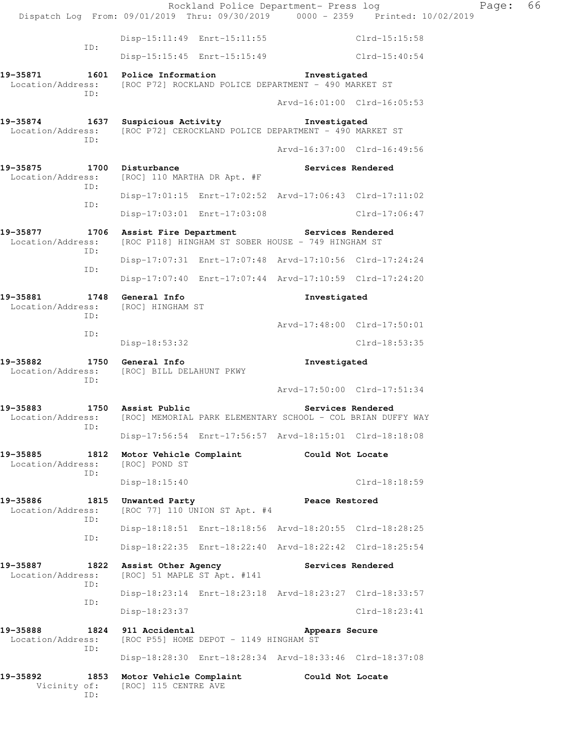|                                                                                             |                                                    | Rockland Police Department- Press log                   |                   | Dispatch Log From: 09/01/2019 Thru: 09/30/2019 0000 - 2359 Printed: 10/02/2019   | Page: | 66 |  |
|---------------------------------------------------------------------------------------------|----------------------------------------------------|---------------------------------------------------------|-------------------|----------------------------------------------------------------------------------|-------|----|--|
|                                                                                             |                                                    | Disp-15:11:49 Enrt-15:11:55                             |                   | Clrd-15:15:58                                                                    |       |    |  |
| ID:                                                                                         |                                                    | Disp-15:15:45 Enrt-15:15:49                             |                   | Clrd-15:40:54                                                                    |       |    |  |
| 19-35871<br>Location/Address: [ROC P72] ROCKLAND POLICE DEPARTMENT - 490 MARKET ST          | 1601 Police Information                            |                                                         | Investigated      |                                                                                  |       |    |  |
| ID:                                                                                         |                                                    |                                                         |                   | Arvd-16:01:00 Clrd-16:05:53                                                      |       |    |  |
| 19-35874<br>Location/Address: [ROC P72] CEROCKLAND POLICE DEPARTMENT - 490 MARKET ST<br>ID: | 1637 Suspicious Activity                           |                                                         | Investigated      |                                                                                  |       |    |  |
|                                                                                             |                                                    |                                                         |                   | Arvd-16:37:00 Clrd-16:49:56                                                      |       |    |  |
| 19-35875<br>1700<br>Location/Address:<br>ID:                                                | Disturbance<br>[ROC] 110 MARTHA DR Apt. #F         |                                                         | Services Rendered |                                                                                  |       |    |  |
| ID:                                                                                         |                                                    | Disp-17:01:15 Enrt-17:02:52 Arvd-17:06:43 Clrd-17:11:02 |                   |                                                                                  |       |    |  |
|                                                                                             |                                                    | Disp-17:03:01 Enrt-17:03:08                             |                   | Clrd-17:06:47                                                                    |       |    |  |
| 19-35877<br>Location/Address:                                                               | 1706 Assist Fire Department Services Rendered      | [ROC P118] HINGHAM ST SOBER HOUSE - 749 HINGHAM ST      |                   |                                                                                  |       |    |  |
| ID:                                                                                         |                                                    | Disp-17:07:31 Enrt-17:07:48 Arvd-17:10:56 Clrd-17:24:24 |                   |                                                                                  |       |    |  |
| ID:                                                                                         |                                                    | Disp-17:07:40 Enrt-17:07:44 Arvd-17:10:59 Clrd-17:24:20 |                   |                                                                                  |       |    |  |
| 19-35881<br>1748<br>Location/Address:                                                       | General Info                                       | Investigated<br>[ROC] HINGHAM ST                        |                   |                                                                                  |       |    |  |
| ID:                                                                                         |                                                    |                                                         |                   | Arvd-17:48:00 Clrd-17:50:01                                                      |       |    |  |
| ID:                                                                                         | Disp-18:53:32                                      |                                                         |                   | $Clrd-18:53:35$                                                                  |       |    |  |
| 1750<br>19-35882<br>Location/Address:                                                       | General Info<br>[ROC] BILL DELAHUNT PKWY           |                                                         | Investigated      |                                                                                  |       |    |  |
| ID:                                                                                         |                                                    |                                                         |                   | Arvd-17:50:00 Clrd-17:51:34                                                      |       |    |  |
| 19-35883<br>Location/Address:                                                               | 1750 Assist Public                                 |                                                         |                   | Services Rendered<br>[ROC] MEMORIAL PARK ELEMENTARY SCHOOL - COL BRIAN DUFFY WAY |       |    |  |
| ID:                                                                                         |                                                    | Disp-17:56:54 Enrt-17:56:57 Arvd-18:15:01 Clrd-18:18:08 |                   |                                                                                  |       |    |  |
| 19-35885<br>1812<br>Location/Address:                                                       | Motor Vehicle Complaint<br>[ROC] POND ST           |                                                         | Could Not Locate  |                                                                                  |       |    |  |
| ID:                                                                                         | Disp-18:15:40                                      |                                                         |                   | $Clrd-18:18:59$                                                                  |       |    |  |
| 19-35886<br>1815<br>Location/Address:                                                       | Unwanted Party                                     | [ROC 77] 110 UNION ST Apt. #4                           | Peace Restored    |                                                                                  |       |    |  |
| ID:                                                                                         |                                                    | Disp-18:18:51 Enrt-18:18:56 Arvd-18:20:55 Clrd-18:28:25 |                   |                                                                                  |       |    |  |
| ID:                                                                                         |                                                    | Disp-18:22:35 Enrt-18:22:40 Arvd-18:22:42 Clrd-18:25:54 |                   |                                                                                  |       |    |  |
| 19-35887<br>1822<br>Location/Address:                                                       | Assist Other Agency<br>[ROC] 51 MAPLE ST Apt. #141 |                                                         | Services Rendered |                                                                                  |       |    |  |
| ID:                                                                                         |                                                    | Disp-18:23:14 Enrt-18:23:18 Arvd-18:23:27 Clrd-18:33:57 |                   |                                                                                  |       |    |  |
| ID:                                                                                         | $Disp-18:23:37$                                    |                                                         |                   | $Clrd-18:23:41$                                                                  |       |    |  |
| 19-35888<br>1824<br>Location/Address:                                                       | 911 Accidental                                     | [ROC P55] HOME DEPOT - 1149 HINGHAM ST                  | Appears Secure    |                                                                                  |       |    |  |
| ID:                                                                                         |                                                    | Disp-18:28:30 Enrt-18:28:34 Arvd-18:33:46 Clrd-18:37:08 |                   |                                                                                  |       |    |  |
| 19-35892<br>1853<br>Vicinity of:<br>ID:                                                     | Motor Vehicle Complaint<br>[ROC] 115 CENTRE AVE    |                                                         | Could Not Locate  |                                                                                  |       |    |  |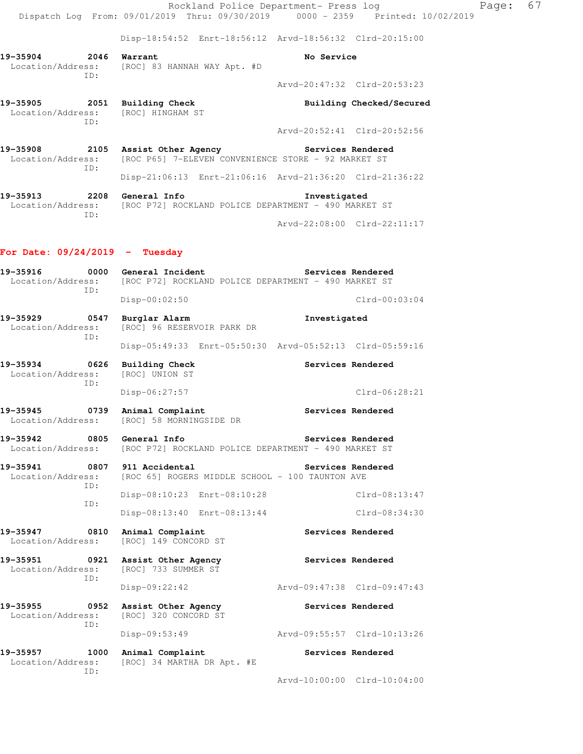Rockland Police Department- Press log Fage: 67 Dispatch Log From: 09/01/2019 Thru: 09/30/2019 0000 - 2359 Printed: 10/02/2019 Disp-18:54:52 Enrt-18:56:12 Arvd-18:56:32 Clrd-20:15:00 **19-35904 2046 Warrant No Service**  Location/Address: [ROC] 83 HANNAH WAY Apt. #D ID: Arvd-20:47:32 Clrd-20:53:23 19-35905 2051 Building Check **Building Checked/Secured**  Location/Address: [ROC] HINGHAM ST ID: Arvd-20:52:41 Clrd-20:52:56 **19-35908 2105 Assist Other Agency Services Rendered**  Location/Address: [ROC P65] 7-ELEVEN CONVENIENCE STORE - 92 MARKET ST ID: Disp-21:06:13 Enrt-21:06:16 Arvd-21:36:20 Clrd-21:36:22 **19-35913 2208 General Info Investigated**  Location/Address: [ROC P72] ROCKLAND POLICE DEPARTMENT - 490 MARKET ST ID: Arvd-22:08:00 Clrd-22:11:17 **For Date: 09/24/2019 - Tuesday 19-35916 0000 General Incident Services Rendered**<br>Location/Address: [ROC P72] ROCKLAND POLICE DEPARTMENT - 490 MARKET ST [ROC P72] ROCKLAND POLICE DEPARTMENT - 490 MARKET ST ID: Disp-00:02:50 Clrd-00:03:04 **19-35929 0547 Burglar Alarm Investigated**  Location/Address: [ROC] 96 RESERVOIR PARK DR ID: Disp-05:49:33 Enrt-05:50:30 Arvd-05:52:13 Clrd-05:59:16 **19-35934 0626 Building Check Services Rendered**  Location/Address: [ROC] UNION ST ID: Disp-06:27:57 Clrd-06:28:21 19-35945 **0739** Animal Complaint **Complaint** Services Rendered Location/Address: [ROC] 58 MORNINGSIDE DR **19-35942 0805 General Info Services Rendered**  Location/Address: [ROC P72] ROCKLAND POLICE DEPARTMENT - 490 MARKET ST **19-35941 0807 911 Accidental Services Rendered**  Location/Address: [ROC 65] ROGERS MIDDLE SCHOOL - 100 TAUNTON AVE ID: Disp-08:10:23 Enrt-08:10:28 Clrd-08:13:47 ID: Disp-08:13:40 Enrt-08:13:44 Clrd-08:34:30 **19-35947 0810 Animal Complaint Services Rendered**  Location/Address: [ROC] 149 CONCORD ST **19-35951 0921 Assist Other Agency Services Rendered**  Location/Address: [ROC] 733 SUMMER ST ID: Disp-09:22:42 Arvd-09:47:38 Clrd-09:47:43 19-35955 **0952** Assist Other Agency **Services Rendered**  Location/Address: [ROC] 320 CONCORD ST ID: Disp-09:53:49 Arvd-09:55:57 Clrd-10:13:26 19-35957 1000 Animal Complaint **Services Rendered**  Location/Address: [ROC] 34 MARTHA DR Apt. #E ID: Arvd-10:00:00 Clrd-10:04:00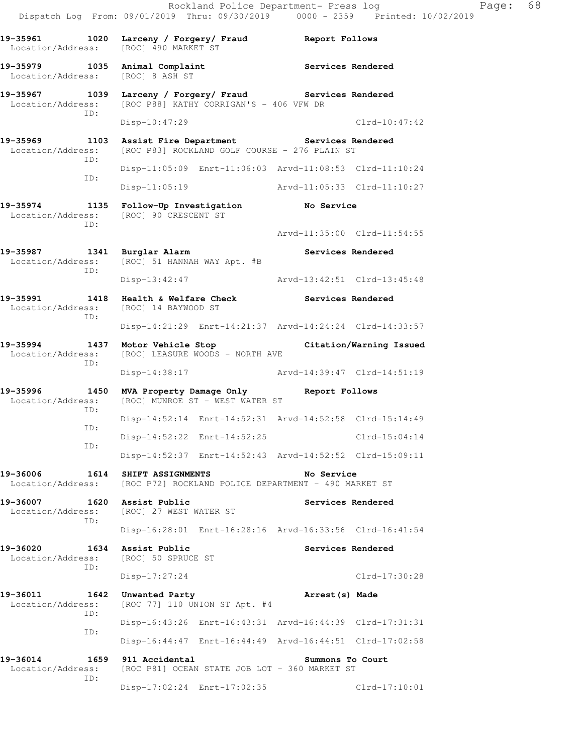Rockland Police Department- Press log Fage: 68 Dispatch Log From: 09/01/2019 Thru: 09/30/2019 0000 - 2359 Printed: 10/02/2019 **19-35961 1020 Larceny / Forgery/ Fraud Report Follows**  Location/Address: [ROC] 490 MARKET ST 19-35979 1035 Animal Complaint **Services Rendered**  Location/Address: [ROC] 8 ASH ST 19-35967 1039 Larceny / Forgery/ Fraud Services Rendered Location/Address: [ROC P88] KATHY CORRIGAN'S - 406 VFW DR [ROC P88] KATHY CORRIGAN'S - 406 VFW DR ID: Disp-10:47:29 Clrd-10:47:42 19-35969 1103 Assist Fire Department **Services Rendered** Location/Address: [ROC P83] ROCKLAND GOLF COURSE - 276 PLAIN ST [ROC P83] ROCKLAND GOLF COURSE - 276 PLAIN ST ID: Disp-11:05:09 Enrt-11:06:03 Arvd-11:08:53 Clrd-11:10:24 ID: Disp-11:05:19 Arvd-11:05:33 Clrd-11:10:27 **19-35974 1135 Follow-Up Investigation No Service**  Location/Address: [ROC] 90 CRESCENT ST ID: Arvd-11:35:00 Clrd-11:54:55 **19-35987 1341 Burglar Alarm Services Rendered**  Location/Address: [ROC] 51 HANNAH WAY Apt. #B ID: Disp-13:42:47 Arvd-13:42:51 Clrd-13:45:48 **19-35991 1418 Health & Welfare Check Services Rendered**  Location/Address: [ROC] 14 BAYWOOD ST ID: Disp-14:21:29 Enrt-14:21:37 Arvd-14:24:24 Clrd-14:33:57 **19-35994 1437 Motor Vehicle Stop Citation/Warning Issued**  Location/Address: [ROC] LEASURE WOODS - NORTH AVE ID: Disp-14:38:17 Arvd-14:39:47 Clrd-14:51:19 **19-35996 1450 MVA Property Damage Only Report Follows**  Location/Address: [ROC] MUNROE ST - WEST WATER ST ID: Disp-14:52:14 Enrt-14:52:31 Arvd-14:52:58 Clrd-15:14:49 ID: Disp-14:52:22 Enrt-14:52:25 Clrd-15:04:14 ID: Disp-14:52:37 Enrt-14:52:43 Arvd-14:52:52 Clrd-15:09:11 **19-36006 1614 SHIFT ASSIGNMENTS No Service**  Location/Address: [ROC P72] ROCKLAND POLICE DEPARTMENT - 490 MARKET ST **19-36007 1620 Assist Public Services Rendered**  Location/Address: [ROC] 27 WEST WATER ST ID: Disp-16:28:01 Enrt-16:28:16 Arvd-16:33:56 Clrd-16:41:54 19-36020 1634 Assist Public **19-36020** Services Rendered Location/Address: [ROC] 50 SPRUCE ST ID: Disp-17:27:24 Clrd-17:30:28 **19-36011 1642 Unwanted Party Arrest(s) Made**  Location/Address: [ROC 77] 110 UNION ST Apt. #4 ID: Disp-16:43:26 Enrt-16:43:31 Arvd-16:44:39 Clrd-17:31:31 ID: Disp-16:44:47 Enrt-16:44:49 Arvd-16:44:51 Clrd-17:02:58 **19-36014 1659 911 Accidental Summons To Court**<br>
Location/Address: [ROC P81] OCEAN STATE JOB LOT - 360 MARKET ST [ROC P81] OCEAN STATE JOB LOT - 360 MARKET ST ID:

Disp-17:02:24 Enrt-17:02:35 Clrd-17:10:01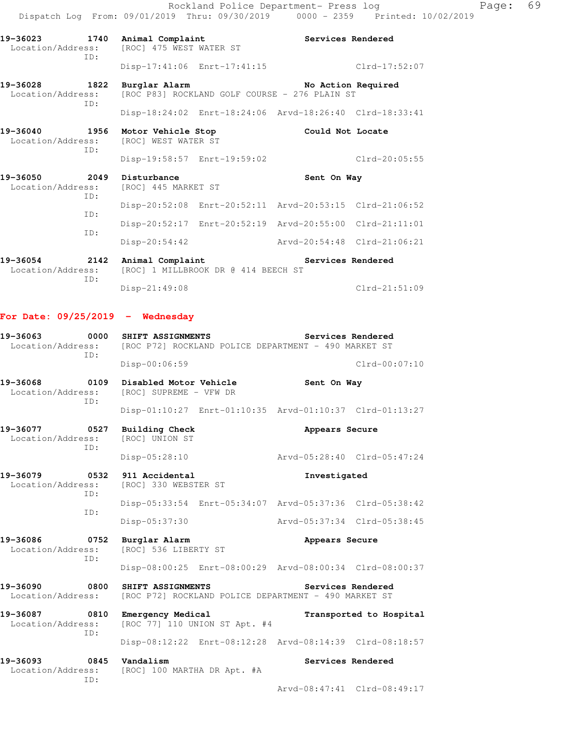Rockland Police Department- Press log Fage: 69 Dispatch Log From: 09/01/2019 Thru: 09/30/2019 0000 - 2359 Printed: 10/02/2019

19-36023 1740 Animal Complaint **19-36023** Services Rendered Location/Address: [ROC] 475 WEST WATER ST ID: Disp-17:41:06 Enrt-17:41:15 Clrd-17:52:07 19-36028 1822 Burglar Alarm **No Action Required**  Location/Address: [ROC P83] ROCKLAND GOLF COURSE - 276 PLAIN ST ID: Disp-18:24:02 Enrt-18:24:06 Arvd-18:26:40 Clrd-18:33:41 **19-36040 1956 Motor Vehicle Stop Could Not Locate**  Location/Address: [ROC] WEST WATER ST ID: Disp-19:58:57 Enrt-19:59:02 Clrd-20:05:55 **19-36050 2049 Disturbance Sent On Way**  Location/Address: [ROC] 445 MARKET ST ID: Disp-20:52:08 Enrt-20:52:11 Arvd-20:53:15 Clrd-21:06:52 ID: Disp-20:52:17 Enrt-20:52:19 Arvd-20:55:00 Clrd-21:11:01 ID: Disp-20:54:42 Arvd-20:54:48 Clrd-21:06:21

**19-36054 2142 Animal Complaint Services Rendered**  Location/Address: [ROC] 1 MILLBROOK DR @ 414 BEECH ST ID: Disp-21:49:08 Clrd-21:51:09

### **For Date: 09/25/2019 - Wednesday**

| 19-36063<br>TD:                                                         | 0000 SHIFT ASSIGNMENTS                                                  | Services Rendered<br>Location/Address: [ROC P72] ROCKLAND POLICE DEPARTMENT - 490 MARKET ST |  |  |  |
|-------------------------------------------------------------------------|-------------------------------------------------------------------------|---------------------------------------------------------------------------------------------|--|--|--|
|                                                                         | Disp-00:06:59                                                           | $Clrd-00:07:10$                                                                             |  |  |  |
| 19-36068<br>ID:                                                         | 0109 Disabled Motor Vehicle<br>Location/Address: [ROC] SUPREME - VFW DR | Sent On Way                                                                                 |  |  |  |
|                                                                         |                                                                         | Disp-01:10:27 Enrt-01:10:35 Arvd-01:10:37 Clrd-01:13:27                                     |  |  |  |
| 19-36077 0527 Building Check<br>Location/Address: [ROC] UNION ST<br>ID: |                                                                         | Appears Secure                                                                              |  |  |  |
|                                                                         | Disp-05:28:10                                                           | Arvd-05:28:40 Clrd-05:47:24                                                                 |  |  |  |
| 19-36079 0532 911 Accidental<br>TD:                                     | Investigated<br>Location/Address: [ROC] 330 WEBSTER ST                  |                                                                                             |  |  |  |
| TD:                                                                     |                                                                         | Disp-05:33:54 Enrt-05:34:07 Arvd-05:37:36 Clrd-05:38:42                                     |  |  |  |
|                                                                         | Disp-05:37:30                                                           | Arvd-05:37:34 Clrd-05:38:45                                                                 |  |  |  |
| 19-36086<br>ID:                                                         | 0752 Burglar Alarm<br>Location/Address: [ROC] 536 LIBERTY ST            | Appears Secure                                                                              |  |  |  |

**19-36090 0800 SHIFT ASSIGNMENTS Services Rendered**  Location/Address: [ROC P72] ROCKLAND POLICE DEPARTMENT - 490 MARKET ST **19-36087 0810 Emergency Medical Transported to Hospital** 

Disp-08:00:25 Enrt-08:00:29 Arvd-08:00:34 Clrd-08:00:37

 Location/Address: [ROC 77] 110 UNION ST Apt. #4 ID: Disp-08:12:22 Enrt-08:12:28 Arvd-08:14:39 Clrd-08:18:57 **19-36093** 0845 Vandalism **Services Rendered** 

 Location/Address: [ROC] 100 MARTHA DR Apt. #A ID:

Arvd-08:47:41 Clrd-08:49:17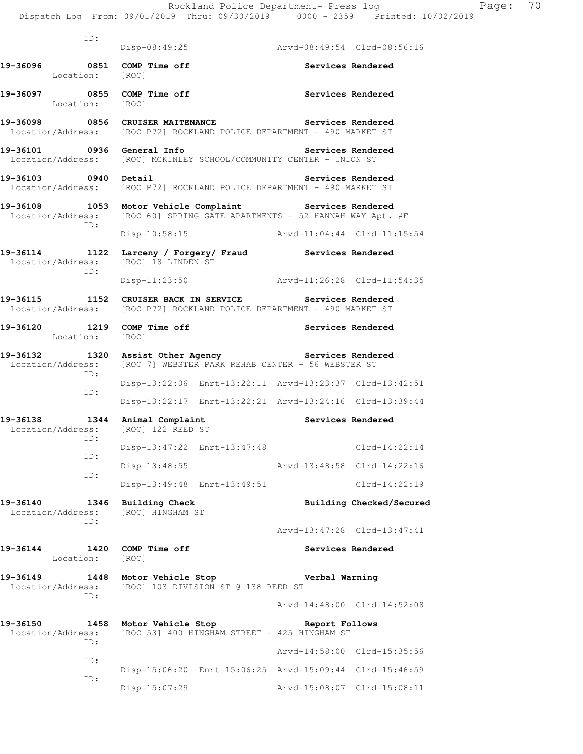|                                                                                                                                      |                                    |                                                                                        | Rockland Police Department- Press log<br>Dispatch Log From: 09/01/2019 Thru: 09/30/2019 0000 - 2359 Printed: 10/02/2019 | Page: | 70 |
|--------------------------------------------------------------------------------------------------------------------------------------|------------------------------------|----------------------------------------------------------------------------------------|-------------------------------------------------------------------------------------------------------------------------|-------|----|
| ID:                                                                                                                                  |                                    |                                                                                        |                                                                                                                         |       |    |
|                                                                                                                                      |                                    | Disp-08:49:25 Arvd-08:49:54 Clrd-08:56:16                                              |                                                                                                                         |       |    |
| 19-36096 0851 COMP Time off<br>Location: [ROC]                                                                                       |                                    |                                                                                        | Services Rendered                                                                                                       |       |    |
| 19-36097 0855 COMP Time off<br>Location: [ROC]                                                                                       |                                    |                                                                                        | Services Rendered                                                                                                       |       |    |
| 19-36098 0856 CRUISER MAITENANCE Services Rendered<br>Location/Address: [ROC P72] ROCKLAND POLICE DEPARTMENT - 490 MARKET ST         |                                    |                                                                                        |                                                                                                                         |       |    |
| 19-36101 0936 General Info<br>Location/Address: [ROC] MCKINLEY SCHOOL/COMMUNITY CENTER - UNION ST                                    |                                    |                                                                                        | Services Rendered                                                                                                       |       |    |
| 19-36103 0940 Detail<br>Location/Address: [ROC P72] ROCKLAND POLICE DEPARTMENT - 490 MARKET ST                                       |                                    |                                                                                        | Services Rendered                                                                                                       |       |    |
| 19-36108 1053 Motor Vehicle Complaint Services Rendered<br>Location/Address: [ROC 60] SPRING GATE APARTMENTS - 52 HANNAH WAY Apt. #F |                                    |                                                                                        |                                                                                                                         |       |    |
| ID:                                                                                                                                  |                                    | Disp-10:58:15 Arvd-11:04:44 Clrd-11:15:54                                              |                                                                                                                         |       |    |
| 19-36114 1122 Larceny / Forgery / Fraud Services Rendered<br>Location/Address: [ROC] 18 LINDEN ST                                    |                                    |                                                                                        |                                                                                                                         |       |    |
| ID:                                                                                                                                  |                                    | Disp-11:23:50 Arvd-11:26:28 Clrd-11:54:35                                              |                                                                                                                         |       |    |
| 19-36115 1152 CRUISER BACK IN SERVICE Services Rendered<br>Location/Address: [ROC P72] ROCKLAND POLICE DEPARTMENT - 490 MARKET ST    |                                    |                                                                                        |                                                                                                                         |       |    |
| 19-36120 1219 COMP Time off<br>Location: [ROC]                                                                                       |                                    |                                                                                        | Services Rendered                                                                                                       |       |    |
| 19-36132 1320 Assist Other Agency Services Rendered<br>Location/Address: [ROC 7] WEBSTER PARK REHAB CENTER - 56 WEBSTER ST           |                                    |                                                                                        |                                                                                                                         |       |    |
| ID:<br>ID:                                                                                                                           |                                    | Disp-13:22:06 Enrt-13:22:11 Arvd-13:23:37 Clrd-13:42:51                                |                                                                                                                         |       |    |
|                                                                                                                                      |                                    | Disp-13:22:17 Enrt-13:22:21 Arvd-13:24:16 Clrd-13:39:44                                |                                                                                                                         |       |    |
| 19-36138 1344 Animal Complaint<br>Location/Address:<br>ID:                                                                           | [ROC] 122 REED ST                  |                                                                                        | Services Rendered                                                                                                       |       |    |
| ID:                                                                                                                                  |                                    | Disp-13:47:22 Enrt-13:47:48 Clrd-14:22:14                                              |                                                                                                                         |       |    |
| ID:                                                                                                                                  |                                    | Disp-13:48:55 Arvd-13:48:58 Clrd-14:22:16                                              |                                                                                                                         |       |    |
|                                                                                                                                      | Disp-13:49:48 Enrt-13:49:51        |                                                                                        | $Clrd-14:22:19$                                                                                                         |       |    |
| 19-36140<br>1346<br>Location/Address:<br>ID:                                                                                         | Building Check<br>[ROC] HINGHAM ST |                                                                                        | Building Checked/Secured                                                                                                |       |    |
|                                                                                                                                      |                                    |                                                                                        | Arvd-13:47:28 Clrd-13:47:41                                                                                             |       |    |
| 19-36144<br>Location: [ROC]                                                                                                          | 1420 COMP Time off                 |                                                                                        | Services Rendered                                                                                                       |       |    |
| Location/Address: [ROC] 103 DIVISION ST @ 138 REED ST<br>ID:                                                                         |                                    |                                                                                        |                                                                                                                         |       |    |
|                                                                                                                                      |                                    |                                                                                        | Arvd-14:48:00 Clrd-14:52:08                                                                                             |       |    |
| 19-36150<br>Location/Address:<br>ID:                                                                                                 |                                    | 1458 Motor Vehicle Stop Neport Follows<br>[ROC 53] 400 HINGHAM STREET - 425 HINGHAM ST |                                                                                                                         |       |    |
| ID:                                                                                                                                  |                                    |                                                                                        | Arvd-14:58:00 Clrd-15:35:56                                                                                             |       |    |
| ID:                                                                                                                                  |                                    | Disp-15:06:20 Enrt-15:06:25 Arvd-15:09:44 Clrd-15:46:59                                |                                                                                                                         |       |    |
|                                                                                                                                      | Disp-15:07:29                      |                                                                                        | Arvd-15:08:07 Clrd-15:08:11                                                                                             |       |    |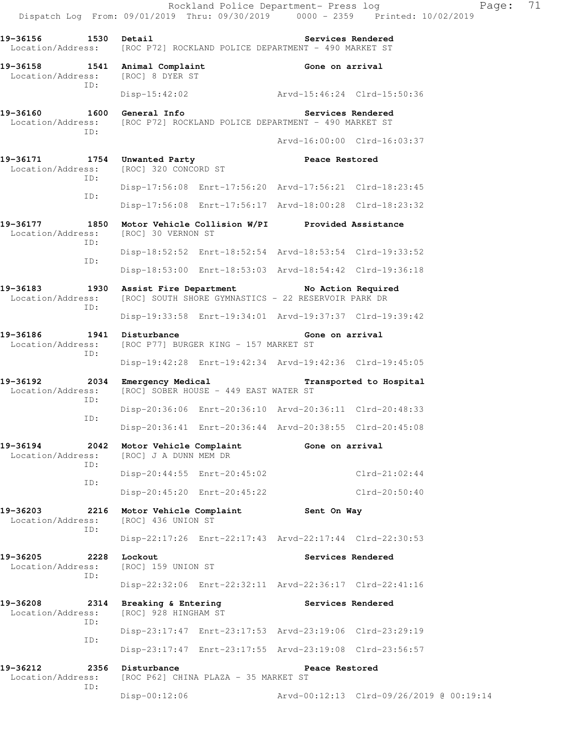Location/Address: [ROC P72] ROCKLAND POLICE DEPARTMENT - 490 MARKET ST **19-36158 1541 Animal Complaint Gone on arrival**<br>
Location/Address: [ROC] 8 DYER ST Location/Address: ID: Disp-15:42:02 Arvd-15:46:24 Clrd-15:50:36 **19-36160 1600 General Info Services Rendered**  Location/Address: [ROC P72] ROCKLAND POLICE DEPARTMENT - 490 MARKET ST ID: Arvd-16:00:00 Clrd-16:03:37 **19-36171 1754 Unwanted Party Peace Restored**  Location/Address: [ROC] 320 CONCORD ST ID: Disp-17:56:08 Enrt-17:56:20 Arvd-17:56:21 Clrd-18:23:45 ID: Disp-17:56:08 Enrt-17:56:17 Arvd-18:00:28 Clrd-18:23:32 **19-36177 1850 Motor Vehicle Collision W/PI Provided Assistance**  Location/Address: [ROC] 30 VERNON ST ID: Disp-18:52:52 Enrt-18:52:54 Arvd-18:53:54 Clrd-19:33:52 ID: Disp-18:53:00 Enrt-18:53:03 Arvd-18:54:42 Clrd-19:36:18 **19-36183 1930 Assist Fire Department No Action Required**  Location/Address: [ROC] SOUTH SHORE GYMNASTICS - 22 RESERVOIR PARK DR ID: Disp-19:33:58 Enrt-19:34:01 Arvd-19:37:37 Clrd-19:39:42 19-36186 1941 Disturbance **1941 Disturbance 1941** Sone on arrival Location/Address: [ROC P77] BURGER KING - 157 MARKET ST ID: Disp-19:42:28 Enrt-19:42:34 Arvd-19:42:36 Clrd-19:45:05 **19-36192 2034 Emergency Medical Transported to Hospital**  Location/Address: [ROC] SOBER HOUSE - 449 EAST WATER ST ID: Disp-20:36:06 Enrt-20:36:10 Arvd-20:36:11 Clrd-20:48:33 ID: Disp-20:36:41 Enrt-20:36:44 Arvd-20:38:55 Clrd-20:45:08 19-36194 2042 Motor Vehicle Complaint **Gone on arrival**  Location/Address: [ROC] J A DUNN MEM DR ID: Disp-20:44:55 Enrt-20:45:02 Clrd-21:02:44 ID: Disp-20:45:20 Enrt-20:45:22 Clrd-20:50:40 **19-36203 2216 Motor Vehicle Complaint Sent On Way**  Location/Address: [ROC] 436 UNION ST ID: Disp-22:17:26 Enrt-22:17:43 Arvd-22:17:44 Clrd-22:30:53 19-36205 2228 Lockout **Services Rendered Services Rendered Services Rendered** Location/Address: ID: Disp-22:32:06 Enrt-22:32:11 Arvd-22:36:17 Clrd-22:41:16 **19-36208 2314 Breaking & Entering Services Rendered**  Location/Address: [ROC] 928 HINGHAM ST ID: Disp-23:17:47 Enrt-23:17:53 Arvd-23:19:06 Clrd-23:29:19 ID: Disp-23:17:47 Enrt-23:17:55 Arvd-23:19:08 Clrd-23:56:57 **19-36212 2356 Disturbance Peace Restored**  Location/Address: [ROC P62] CHINA PLAZA - 35 MARKET ST ID: Disp-00:12:06 Arvd-00:12:13 Clrd-09/26/2019 @ 00:19:14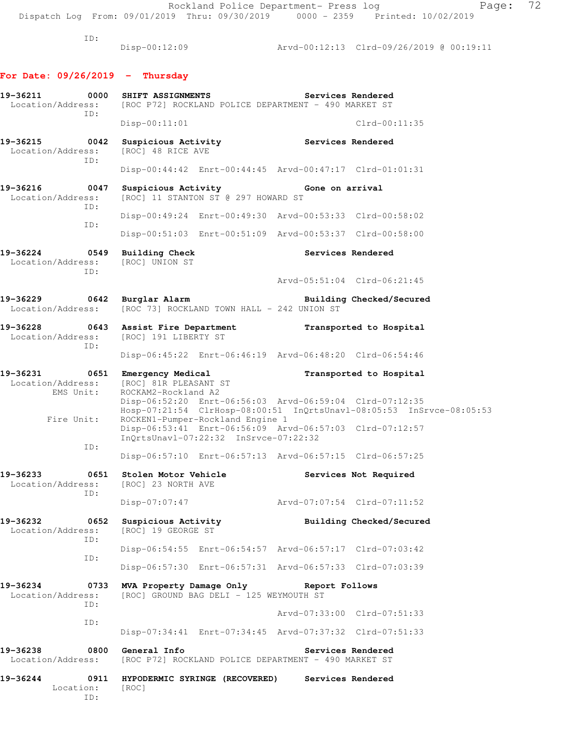ID:

Disp-00:12:09 Arvd-00:12:13 Clrd-09/26/2019 @ 00:19:11

### **For Date: 09/26/2019 - Thursday**

| ID:                                                      | 19-36211 0000 SHIFT ASSIGNMENTS<br>Services Rendered<br>Location/Address: [ROC P72] ROCKLAND POLICE DEPARTMENT - 490 MARKET ST                       |                          |                                                                      |  |  |
|----------------------------------------------------------|------------------------------------------------------------------------------------------------------------------------------------------------------|--------------------------|----------------------------------------------------------------------|--|--|
|                                                          | $Disp-00:11:01$                                                                                                                                      |                          | $Clrd-00:11:35$                                                      |  |  |
| 19-36215 0042<br>Location/Address:<br>ID:                | Suspicious Activity<br>[ROC] 48 RICE AVE                                                                                                             | Services Rendered        |                                                                      |  |  |
|                                                          | Disp-00:44:42 Enrt-00:44:45 Arvd-00:47:17 Clrd-01:01:31                                                                                              |                          |                                                                      |  |  |
| 19-36216 0047<br>Location/Address:<br>ID:                | Suspicious Activity <b>Example 3</b> Gone on arrival<br>[ROC] 11 STANTON ST @ 297 HOWARD ST                                                          |                          |                                                                      |  |  |
| ID:                                                      | Disp-00:49:24 Enrt-00:49:30 Arvd-00:53:33 Clrd-00:58:02                                                                                              |                          |                                                                      |  |  |
|                                                          | Disp-00:51:03 Enrt-00:51:09 Arvd-00:53:37 Clrd-00:58:00                                                                                              |                          |                                                                      |  |  |
| 19-36224 0549<br>Location/Address: [ROC] UNION ST<br>ID: | <b>Building Check</b>                                                                                                                                |                          | Services Rendered                                                    |  |  |
|                                                          |                                                                                                                                                      |                          | Arvd-05:51:04 Clrd-06:21:45                                          |  |  |
| 19-36229 0642 Burglar Alarm                              | Location/Address: [ROC 73] ROCKLAND TOWN HALL - 242 UNION ST                                                                                         |                          | Building Checked/Secured                                             |  |  |
| ID:                                                      | 19-36228 0643 Assist Fire Department Transported to Hospital<br>Location/Address: [ROC] 191 LIBERTY ST                                               |                          |                                                                      |  |  |
|                                                          | Disp-06:45:22 Enrt-06:46:19 Arvd-06:48:20 Clrd-06:54:46                                                                                              |                          |                                                                      |  |  |
| 19-36231 0651<br>Location/Address:<br>EMS Unit:          | Emergency Medical Transported to Hospital<br>[ROC] 81R PLEASANT ST<br>ROCKAM2-Rockland A2<br>Disp-06:52:20 Enrt-06:56:03 Arvd-06:59:04 Clrd-07:12:35 |                          |                                                                      |  |  |
| Fire Unit:                                               | ROCKEN1-Pumper-Rockland Engine 1<br>Disp-06:53:41 Enrt-06:56:09 Arvd-06:57:03 Clrd-07:12:57                                                          |                          | Hosp-07:21:54 ClrHosp-08:00:51 InQrtsUnavl-08:05:53 InSrvce-08:05:53 |  |  |
| ID:                                                      | InQrtsUnavl-07:22:32 InSrvce-07:22:32                                                                                                                |                          |                                                                      |  |  |
|                                                          | Disp-06:57:10 Enrt-06:57:13 Arvd-06:57:15 Clrd-06:57:25                                                                                              |                          |                                                                      |  |  |
| 19-36233 0651<br>Location/Address:<br>ID:                | Stolen Motor Vehicle Services Not Required<br>[ROC] 23 NORTH AVE                                                                                     |                          |                                                                      |  |  |
|                                                          | Disp-07:07:47 Arvd-07:07:54 Clrd-07:11:52                                                                                                            |                          |                                                                      |  |  |
| 19-36232<br>0652<br>Location/Address:<br>ID:             | Suspicious Activity<br>[ROC] 19 GEORGE ST                                                                                                            | Building Checked/Secured |                                                                      |  |  |
|                                                          | Disp-06:54:55 Enrt-06:54:57 Arvd-06:57:17 Clrd-07:03:42                                                                                              |                          |                                                                      |  |  |
| ID:                                                      | Disp-06:57:30 Enrt-06:57:31 Arvd-06:57:33 Clrd-07:03:39                                                                                              |                          |                                                                      |  |  |
| 19-36234<br>0733<br>Location/Address:<br>ID:             | MVA Property Damage Only Report Follows<br>[ROC] GROUND BAG DELI - 125 WEYMOUTH ST                                                                   |                          |                                                                      |  |  |
| ID:                                                      |                                                                                                                                                      |                          | Arvd-07:33:00 Clrd-07:51:33                                          |  |  |
|                                                          | Disp-07:34:41 Enrt-07:34:45 Arvd-07:37:32 Clrd-07:51:33                                                                                              |                          |                                                                      |  |  |
| 19-36238<br>0800<br>Location/Address:                    | General Info<br>[ROC P72] ROCKLAND POLICE DEPARTMENT - 490 MARKET ST                                                                                 |                          | Services Rendered                                                    |  |  |
| 19-36244<br>0911<br>Location:<br>ID:                     | HYPODERMIC SYRINGE (RECOVERED)<br>[ROC]                                                                                                              | Services Rendered        |                                                                      |  |  |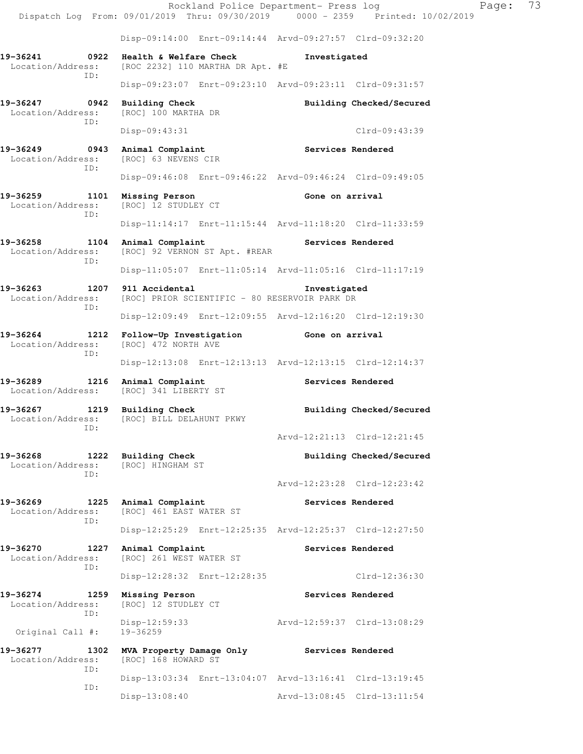Rockland Police Department- Press log Fage: 73 Dispatch Log From: 09/01/2019 Thru: 09/30/2019 0000 - 2359 Printed: 10/02/2019 Disp-09:14:00 Enrt-09:14:44 Arvd-09:27:57 Clrd-09:32:20 **19-36241 0922 Health & Welfare Check Investigated**  Location/Address: [ROC 2232] 110 MARTHA DR Apt. #E ID: Disp-09:23:07 Enrt-09:23:10 Arvd-09:23:11 Clrd-09:31:57 **19-36247 0942 Building Check Building Checked/Secured**  Location/Address: [ROC] 100 MARTHA DR ID: Disp-09:43:31 Clrd-09:43:39 **19-36249 0943 Animal Complaint Complaint Services Rendered Services Rendered** [ROC] 63 NEVENS CIR ID: Disp-09:46:08 Enrt-09:46:22 Arvd-09:46:24 Clrd-09:49:05 **19-36259 1101 Missing Person Gone on arrival**<br>
Location/Address: [ROC] 12 STUDLEY CT Location/Address: ID: Disp-11:14:17 Enrt-11:15:44 Arvd-11:18:20 Clrd-11:33:59 **19-36258 1104 Animal Complaint Services Rendered**  Location/Address: [ROC] 92 VERNON ST Apt. #REAR ID: Disp-11:05:07 Enrt-11:05:14 Arvd-11:05:16 Clrd-11:17:19 **19-36263 1207 911 Accidental Investigated**  Location/Address: [ROC] PRIOR SCIENTIFIC - 80 RESERVOIR PARK DR ID: Disp-12:09:49 Enrt-12:09:55 Arvd-12:16:20 Clrd-12:19:30 **19-36264 1212 Follow-Up Investigation Gone on arrival**  Location/Address: [ROC] 472 NORTH AVE ID: Disp-12:13:08 Enrt-12:13:13 Arvd-12:13:15 Clrd-12:14:37 19-36289 1216 Animal Complaint **Services Rendered** Location/Address: [ROC] 341 LIBERTY ST Location/Address: **19-36267 1219 Building Check Building Checked/Secured**  Location/Address: [ROC] BILL DELAHUNT PKWY ID: Arvd-12:21:13 Clrd-12:21:45 19-36268 1222 Building Check **Building Checked/Secured**  Location/Address: [ROC] HINGHAM ST ID: Arvd-12:23:28 Clrd-12:23:42 19-36269 1225 Animal Complaint **Services Rendered**  Location/Address: [ROC] 461 EAST WATER ST ID: Disp-12:25:29 Enrt-12:25:35 Arvd-12:25:37 Clrd-12:27:50 19-36270 1227 Animal Complaint **19-36270** Services Rendered Location/Address: [ROC] 261 WEST WATER ST ID: Disp-12:28:32 Enrt-12:28:35 Clrd-12:36:30 **19-36274 1259 Missing Person Services Rendered**  Location/Address: [ROC] 12 STUDLEY CT ID: Disp-12:59:33 Arvd-12:59:37 Clrd-13:08:29 Original Call #: **19-36277 1302 MVA Property Damage Only Services Rendered**  Location/Address: [ROC] 168 HOWARD ST ID: Disp-13:03:34 Enrt-13:04:07 Arvd-13:16:41 Clrd-13:19:45 ID: Disp-13:08:40 Arvd-13:08:45 Clrd-13:11:54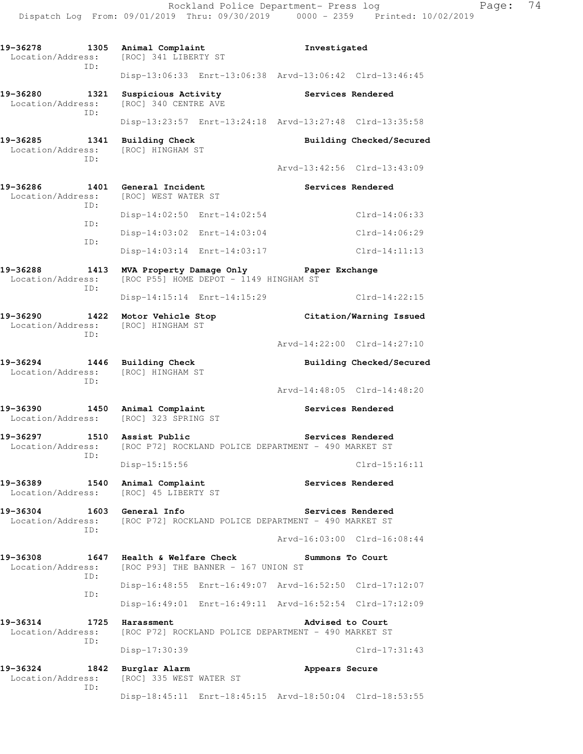**19-36278 1305 Animal Complaint Investigated**  Location/Address: [ROC] 341 LIBERTY ST ID: Disp-13:06:33 Enrt-13:06:38 Arvd-13:06:42 Clrd-13:46:45 19-36280 1321 Suspicious Activity **19-36280** Services Rendered Location/Address: [ROC] 340 CENTRE AVE ID: Disp-13:23:57 Enrt-13:24:18 Arvd-13:27:48 Clrd-13:35:58 19-36285 1341 Building Check **Building Checked/Secured**  Location/Address: [ROC] HINGHAM ST ID: Arvd-13:42:56 Clrd-13:43:09 19-36286 1401 General Incident **Services Rendered**  Location/Address: [ROC] WEST WATER ST ID: Disp-14:02:50 Enrt-14:02:54 Clrd-14:06:33 ID: Disp-14:03:02 Enrt-14:03:04 Clrd-14:06:29 ID: Disp-14:03:14 Enrt-14:03:17 Clrd-14:11:13 **19-36288 1413 MVA Property Damage Only Paper Exchange**  Location/Address: [ROC P55] HOME DEPOT - 1149 HINGHAM ST ID: Disp-14:15:14 Enrt-14:15:29 Clrd-14:22:15 **19-36290 1422 Motor Vehicle Stop Citation/Warning Issued**  Location/Address: [ROC] HINGHAM ST ID: Arvd-14:22:00 Clrd-14:27:10 19-36294 1446 Building Check **Building Checked/Secured**  Location/Address: [ROC] HINGHAM ST ID: Arvd-14:48:05 Clrd-14:48:20 19-36390 1450 Animal Complaint **Services Rendered**  Location/Address: [ROC] 323 SPRING ST 19-36297 1510 Assist Public **19-36297** Services Rendered Location/Address: [ROC P72] ROCKLAND POLICE DEPARTMENT - 490 MARKET ST ID: Disp-15:15:56 Clrd-15:16:11 **19-36389 1540 Animal Complaint Services Rendered**  Location/Address: [ROC] 45 LIBERTY ST **19-36304 1603 General Info Services Rendered**  Location/Address: [ROC P72] ROCKLAND POLICE DEPARTMENT - 490 MARKET ST ID: Arvd-16:03:00 Clrd-16:08:44 **19-36308 1647 Health & Welfare Check Summons To Court**  Location/Address: [ROC P93] THE BANNER - 167 UNION ST ID: Disp-16:48:55 Enrt-16:49:07 Arvd-16:52:50 Clrd-17:12:07 ID: Disp-16:49:01 Enrt-16:49:11 Arvd-16:52:54 Clrd-17:12:09 **19-36314 1725 Harassment Advised to Court**  Location/Address: [ROC P72] ROCKLAND POLICE DEPARTMENT - 490 MARKET ST ID: Disp-17:30:39 Clrd-17:31:43 **19-36324 1842 Burglar Alarm Appears Secure**  Location/Address: [ROC] 335 WEST WATER ST ID: Disp-18:45:11 Enrt-18:45:15 Arvd-18:50:04 Clrd-18:53:55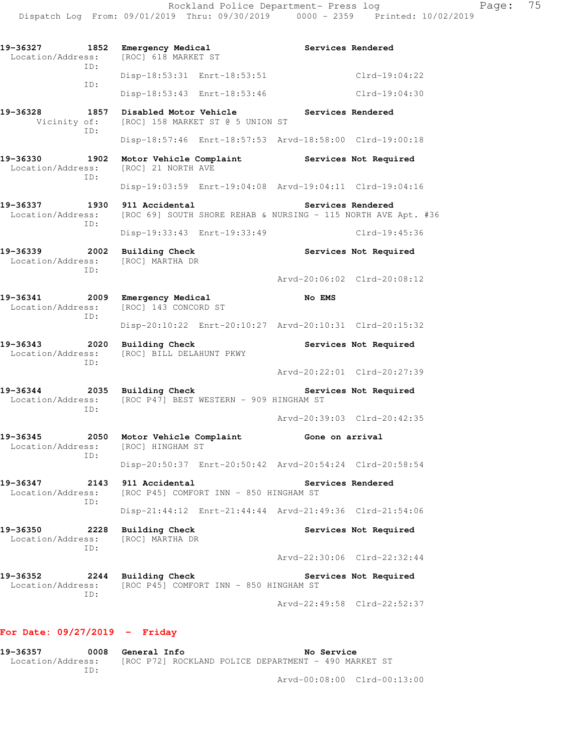| 19-36327<br>Location/Address:      | 1852        | Emergency Medical<br>[ROC] 618 MARKET ST  |                                                               |                 | Services Rendered           |
|------------------------------------|-------------|-------------------------------------------|---------------------------------------------------------------|-----------------|-----------------------------|
|                                    | TD:         |                                           | Disp-18:53:31 Enrt-18:53:51                                   |                 | Clrd-19:04:22               |
|                                    | ID:         |                                           | Disp-18:53:43 Enrt-18:53:46                                   |                 | Clrd-19:04:30               |
| 19-36328<br>Vicinity of:           | 1857        |                                           | Disabled Motor Vehicle<br>[ROC] 158 MARKET ST @ 5 UNION ST    |                 | Services Rendered           |
|                                    | ID:         |                                           | Disp-18:57:46 Enrt-18:57:53 Arvd-18:58:00 Clrd-19:00:18       |                 |                             |
| 19-36330<br>Location/Address:      | 1902<br>ID: | [ROC] 21 NORTH AVE                        | Motor Vehicle Complaint                                       |                 | Services Not Required       |
|                                    |             |                                           | Disp-19:03:59 Enrt-19:04:08 Arvd-19:04:11 Clrd-19:04:16       |                 |                             |
| 19-36337<br>Location/Address:      | 1930<br>ID: | 911 Accidental                            | [ROC 69] SOUTH SHORE REHAB & NURSING - 115 NORTH AVE Apt. #36 |                 | Services Rendered           |
|                                    |             |                                           | Disp-19:33:43 Enrt-19:33:49                                   |                 | $Clrd-19:45:36$             |
| 19-36339<br>Location/Address:      | 2002<br>TD: | <b>Building Check</b><br>[ROC] MARTHA DR  |                                                               |                 | Services Not Required       |
|                                    |             |                                           |                                                               |                 | Arvd-20:06:02 Clrd-20:08:12 |
| 19-36341<br>Location/Address:      | 2009<br>ID: | Emergency Medical<br>[ROC] 143 CONCORD ST |                                                               | No EMS          |                             |
|                                    |             |                                           | Disp-20:10:22 Enrt-20:10:27 Arvd-20:10:31 Clrd-20:15:32       |                 |                             |
| 19-36343<br>Location/Address:      | 2020<br>ID: | <b>Building Check</b>                     | [ROC] BILL DELAHUNT PKWY                                      |                 | Services Not Required       |
|                                    |             |                                           |                                                               |                 | Arvd-20:22:01 Clrd-20:27:39 |
| 19-36344<br>Location/Address:      | 2035<br>TD: | <b>Building Check</b>                     | [ROC P47] BEST WESTERN - 909 HINGHAM ST                       |                 | Services Not Required       |
|                                    |             |                                           |                                                               |                 | Arvd-20:39:03 Clrd-20:42:35 |
| 19-36345 2050<br>Location/Address: | ID:         | [ROC] HINGHAM ST                          | Motor Vehicle Complaint                                       | Gone on arrival |                             |
|                                    |             |                                           | Disp-20:50:37 Enrt-20:50:42 Arvd-20:54:24 Clrd-20:58:54       |                 |                             |
| 19-36347<br>Location/Address:      | 2143<br>ID: | 911 Accidental                            | [ROC P45] COMFORT INN - 850 HINGHAM ST                        |                 | Services Rendered           |
|                                    |             |                                           | Disp-21:44:12 Enrt-21:44:44 Arvd-21:49:36 Clrd-21:54:06       |                 |                             |
| 19-36350<br>Location/Address:      | 2228<br>ID: | <b>Building Check</b><br>[ROC] MARTHA DR  |                                                               |                 | Services Not Required       |
|                                    |             |                                           |                                                               |                 | Arvd-22:30:06 Clrd-22:32:44 |
| 19-36352<br>Location/Address:      | 2244<br>TD: | <b>Building Check</b>                     | [ROC P45] COMFORT INN - 850 HINGHAM ST                        |                 | Services Not Required       |
|                                    |             |                                           |                                                               |                 | Arvd-22:49:58 Clrd-22:52:37 |

## **For Date: 09/27/2019 - Friday**

| 19-36357          | 0008 | General Info                                         | No Service |                             |
|-------------------|------|------------------------------------------------------|------------|-----------------------------|
| Location/Address: |      | [ROC P72] ROCKLAND POLICE DEPARTMENT - 490 MARKET ST |            |                             |
|                   | TD.  |                                                      |            |                             |
|                   |      |                                                      |            | Arvd-00:08:00 Clrd-00:13:00 |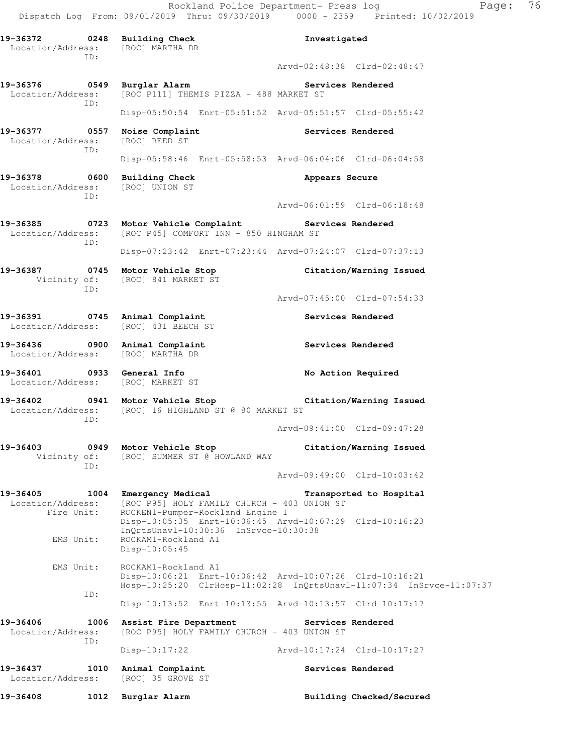Rockland Police Department- Press log Page: 76 Dispatch Log From: 09/01/2019 Thru: 09/30/2019 0000 - 2359 Printed: 10/02/2019 **19-36372 0248 Building Check Investigated**  Location/Address: [ROC] MARTHA DR ID: Arvd-02:48:38 Clrd-02:48:47 **19-36376 0549 Burglar Alarm Services Rendered**  Location/Address: [ROC P111] THEMIS PIZZA - 488 MARKET ST ID: Disp-05:50:54 Enrt-05:51:52 Arvd-05:51:57 Clrd-05:55:42 **19-36377 0557 Noise Complaint Services Rendered**  Location/Address: [ROC] REED ST ID: Disp-05:58:46 Enrt-05:58:53 Arvd-06:04:06 Clrd-06:04:58 **19-36378 0600 Building Check Appears Secure**  Location/Address: [ROC] UNION ST ID: Arvd-06:01:59 Clrd-06:18:48 19-36385 **0723** Motor Vehicle Complaint **Services Rendered**  Location/Address: [ROC P45] COMFORT INN - 850 HINGHAM ST ID: Disp-07:23:42 Enrt-07:23:44 Arvd-07:24:07 Clrd-07:37:13 **19-36387 0745 Motor Vehicle Stop Citation/Warning Issued**  Vicinity of: [ROC] 841 MARKET ST ID: Arvd-07:45:00 Clrd-07:54:33 **19-36391 0745 Animal Complaint Services Rendered**  Location/Address: [ROC] 431 BEECH ST 19-36436 **0900** Animal Complaint **Complaint** Services Rendered Location/Address: [ROC] MARTHA DR **19-36401 0933 General Info No Action Required**  Location/Address: [ROC] MARKET ST **19-36402 0941 Motor Vehicle Stop Citation/Warning Issued**  Location/Address: [ROC] 16 HIGHLAND ST @ 80 MARKET ST ID: Arvd-09:41:00 Clrd-09:47:28 **19-36403 0949 Motor Vehicle Stop Citation/Warning Issued**  Vicinity of: [ROC] SUMMER ST @ HOWLAND WAY ID: Arvd-09:49:00 Clrd-10:03:42 **19-36405 1004 Emergency Medical Transported to Hospital**  Location/Address: [ROC P95] HOLY FAMILY CHURCH - 403 UNION ST<br>Fire Unit: ROCKEN1-Pumper-Rockland Engine 1 ROCKEN1-Pumper-Rockland Engine 1 Disp-10:05:35 Enrt-10:06:45 Arvd-10:07:29 Clrd-10:16:23 InQrtsUnavl-10:30:36 InSrvce-10:30:38 EMS Unit: ROCKAM1-Rockland A1 Disp-10:05:45 EMS Unit: ROCKAM1-Rockland A1 Disp-10:06:21 Enrt-10:06:42 Arvd-10:07:26 Clrd-10:16:21 Hosp-10:25:20 ClrHosp-11:02:28 InQrtsUnavl-11:07:34 InSrvce-11:07:37 ID: Disp-10:13:52 Enrt-10:13:55 Arvd-10:13:57 Clrd-10:17:17 **19-36406 1006 Assist Fire Department Services Rendered**  Location/Address: [ROC P95] HOLY FAMILY CHURCH - 403 UNION ST ID: Disp-10:17:22 Arvd-10:17:24 Clrd-10:17:27

**19-36437 1010 Animal Complaint Services Rendered**  Location/Address: [ROC] 35 GROVE ST

19-36408 1012 Burglar Alarm **19-36408** Building Checked/Secured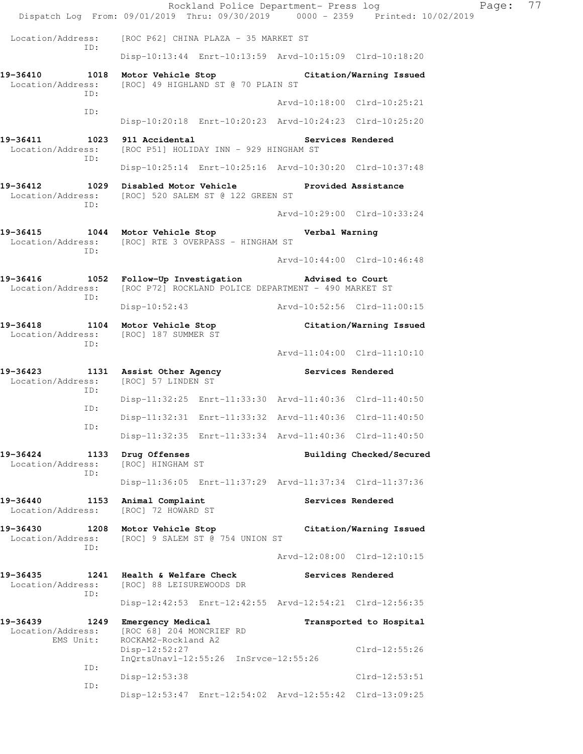Rockland Police Department- Press log Fage: 77 Dispatch Log From: 09/01/2019 Thru: 09/30/2019 0000 - 2359 Printed: 10/02/2019 Location/Address: [ROC P62] CHINA PLAZA - 35 MARKET ST ID: Disp-10:13:44 Enrt-10:13:59 Arvd-10:15:09 Clrd-10:18:20 **19-36410 1018 Motor Vehicle Stop Citation/Warning Issued**  Location/Address: [ROC] 49 HIGHLAND ST @ 70 PLAIN ST ID: Arvd-10:18:00 Clrd-10:25:21 ID: Disp-10:20:18 Enrt-10:20:23 Arvd-10:24:23 Clrd-10:25:20 **19-36411 1023 911 Accidental Services Rendered**  Location/Address: [ROC P51] HOLIDAY INN - 929 HINGHAM ST ID: Disp-10:25:14 Enrt-10:25:16 Arvd-10:30:20 Clrd-10:37:48 **19-36412 1029 Disabled Motor Vehicle Provided Assistance**  Location/Address: [ROC] 520 SALEM ST @ 122 GREEN ST ID: Arvd-10:29:00 Clrd-10:33:24 **19-36415 1044 Motor Vehicle Stop Verbal Warning**  Location/Address: [ROC] RTE 3 OVERPASS - HINGHAM ST ID: Arvd-10:44:00 Clrd-10:46:48 **19-36416 1052 Follow-Up Investigation Advised to Court**  Location/Address: [ROC P72] ROCKLAND POLICE DEPARTMENT - 490 MARKET ST ID: Disp-10:52:43 Arvd-10:52:56 Clrd-11:00:15 **19-36418 1104 Motor Vehicle Stop Citation/Warning Issued**  Location/Address: [ROC] 187 SUMMER ST ID: Arvd-11:04:00 Clrd-11:10:10 **19-36423 1131 Assist Other Agency Services Rendered**  Location/Address: [ROC] 57 LINDEN ST ID: Disp-11:32:25 Enrt-11:33:30 Arvd-11:40:36 Clrd-11:40:50 ID: Disp-11:32:31 Enrt-11:33:32 Arvd-11:40:36 Clrd-11:40:50 ID: Disp-11:32:35 Enrt-11:33:34 Arvd-11:40:36 Clrd-11:40:50 19-36424 1133 Drug Offenses **1996 12 Building Checked/Secured**  Location/Address: [ROC] HINGHAM ST ID: Disp-11:36:05 Enrt-11:37:29 Arvd-11:37:34 Clrd-11:37:36 **19-36440 1153 Animal Complaint Services Rendered** Location/Address: [ROC] 72 HOWARD ST [ROC] 72 HOWARD ST **19-36430 1208 Motor Vehicle Stop Citation/Warning Issued**  Location/Address: [ROC] 9 SALEM ST @ 754 UNION ST ID: Arvd-12:08:00 Clrd-12:10:15 **19-36435 1241 Health & Welfare Check Services Rendered**  Location/Address: [ROC] 88 LEISUREWOODS DR ID: Disp-12:42:53 Enrt-12:42:55 Arvd-12:54:21 Clrd-12:56:35 **19-36439 1249 Emergency Medical Transported to Hospital**  Location/Address: [ROC 68] 204 MONCRIEF RD EMS Unit: ROCKAM2-Rockland A2 Disp-12:52:27 Clrd-12:55:26 InQrtsUnavl-12:55:26 InSrvce-12:55:26 ID: Disp-12:53:38 Clrd-12:53:51 ID: Disp-12:53:47 Enrt-12:54:02 Arvd-12:55:42 Clrd-13:09:25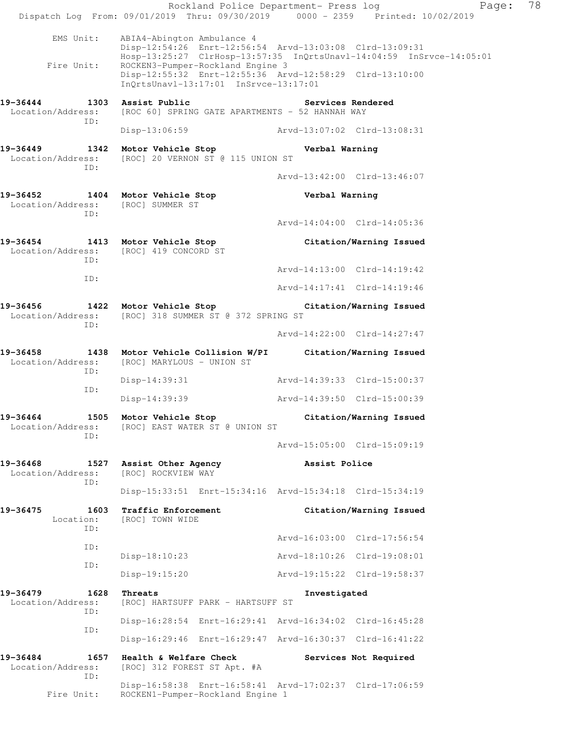Rockland Police Department- Press log Fage: 78 Dispatch Log From: 09/01/2019 Thru: 09/30/2019 0000 - 2359 Printed: 10/02/2019 EMS Unit: ABIA4-Abington Ambulance 4 Disp-12:54:26 Enrt-12:56:54 Arvd-13:03:08 Clrd-13:09:31 Hosp-13:25:27 ClrHosp-13:57:35 InQrtsUnavl-14:04:59 InSrvce-14:05:01 Fire Unit: ROCKEN3-Pumper-Rockland Engine 3 Disp-12:55:32 Enrt-12:55:36 Arvd-12:58:29 Clrd-13:10:00 InQrtsUnavl-13:17:01 InSrvce-13:17:01 **19-36444 1303 Assist Public Services Rendered**  Location/Address: [ROC 60] SPRING GATE APARTMENTS - 52 HANNAH WAY ID: Disp-13:06:59 Arvd-13:07:02 Clrd-13:08:31 **19-36449 1342 Motor Vehicle Stop Verbal Warning**  Location/Address: [ROC] 20 VERNON ST @ 115 UNION ST ID: Arvd-13:42:00 Clrd-13:46:07 **19-36452 1404 Motor Vehicle Stop Verbal Warning**  Location/Address: [ROC] SUMMER ST ID: Arvd-14:04:00 Clrd-14:05:36 **19-36454 1413 Motor Vehicle Stop Citation/Warning Issued**  Location/Address: [ROC] 419 CONCORD ST ID: Arvd-14:13:00 Clrd-14:19:42 ID: Arvd-14:17:41 Clrd-14:19:46 **19-36456 1422 Motor Vehicle Stop Citation/Warning Issued**  Location/Address: [ROC] 318 SUMMER ST @ 372 SPRING ST ID: Arvd-14:22:00 Clrd-14:27:47 **19-36458 1438 Motor Vehicle Collision W/PI Citation/Warning Issued**  Location/Address: [ROC] MARYLOUS - UNION ST ID: Disp-14:39:31 Arvd-14:39:33 Clrd-15:00:37 ID: Disp-14:39:39 Arvd-14:39:50 Clrd-15:00:39 **19-36464 1505 Motor Vehicle Stop Citation/Warning Issued**  Location/Address: [ROC] EAST WATER ST @ UNION ST ID: Arvd-15:05:00 Clrd-15:09:19 **19-36468 1527 Assist Other Agency Assist Police**  Location/Address: [ROC] ROCKVIEW WAY ID: Disp-15:33:51 Enrt-15:34:16 Arvd-15:34:18 Clrd-15:34:19 **19-36475 1603 Traffic Enforcement Citation/Warning Issued**  Location: [ROC] TOWN WIDE ID: Arvd-16:03:00 Clrd-17:56:54 ID: Disp-18:10:23 Arvd-18:10:26 Clrd-19:08:01 ID: Disp-19:15:20 Arvd-19:15:22 Clrd-19:58:37 **19-36479 1628 Threats Investigated**  Location/Address: [ROC] HARTSUFF PARK - HARTSUFF ST ID: Disp-16:28:54 Enrt-16:29:41 Arvd-16:34:02 Clrd-16:45:28 ID: Disp-16:29:46 Enrt-16:29:47 Arvd-16:30:37 Clrd-16:41:22 **19-36484 1657 Health & Welfare Check Services Not Required**  Location/Address: [ROC] 312 FOREST ST Apt. #A ID: Disp-16:58:38 Enrt-16:58:41 Arvd-17:02:37 Clrd-17:06:59 Fire Unit: ROCKEN1-Pumper-Rockland Engine 1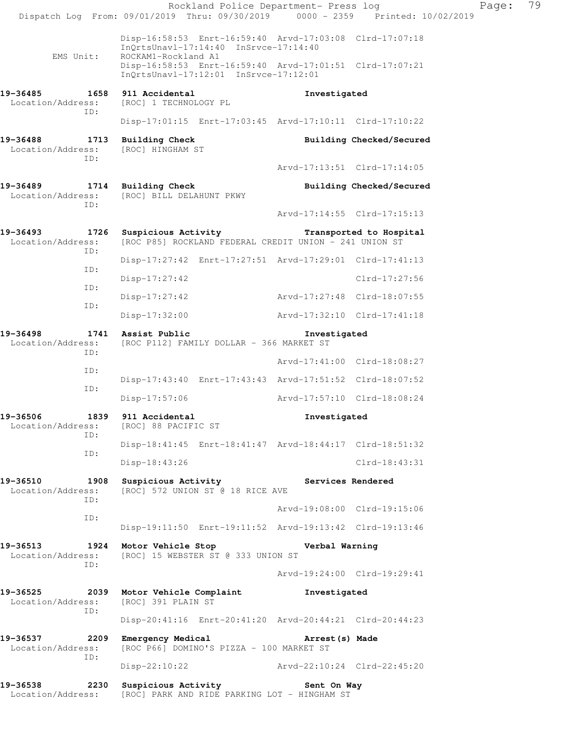Rockland Police Department- Press log Fage: 79 Dispatch Log From: 09/01/2019 Thru: 09/30/2019 0000 - 2359 Printed: 10/02/2019 Disp-16:58:53 Enrt-16:59:40 Arvd-17:03:08 Clrd-17:07:18 InQrtsUnavl-17:14:40 InSrvce-17:14:40<br>EMS Unit: ROCKAM1-Rockland A1 ROCKAM1-Rockland A1 Disp-16:58:53 Enrt-16:59:40 Arvd-17:01:51 Clrd-17:07:21 InQrtsUnavl-17:12:01 InSrvce-17:12:01 **19-36485 1658 911 Accidental Investigated**  Location/Address: [ROC] 1 TECHNOLOGY PL ID: Disp-17:01:15 Enrt-17:03:45 Arvd-17:10:11 Clrd-17:10:22 **19-36488 1713 Building Check Building Checked/Secured**  Location/Address: [ROC] HINGHAM ST ID: Arvd-17:13:51 Clrd-17:14:05 19-36489 1714 Building Check **Building Checked/Secured**  Location/Address: [ROC] BILL DELAHUNT PKWY ID: Arvd-17:14:55 Clrd-17:15:13 **19-36493 1726 Suspicious Activity Transported to Hospital**  Location/Address: [ROC P85] ROCKLAND FEDERAL CREDIT UNION - 241 UNION ST ID: Disp-17:27:42 Enrt-17:27:51 Arvd-17:29:01 Clrd-17:41:13 ID: Disp-17:27:42 Clrd-17:27:56 ID: Disp-17:27:42 Arvd-17:27:48 Clrd-18:07:55 ID: Disp-17:32:00 Arvd-17:32:10 Clrd-17:41:18 **19-36498 1741 Assist Public Investigated**  Location/Address: [ROC P112] FAMILY DOLLAR - 366 MARKET ST ID: Arvd-17:41:00 Clrd-18:08:27 ID: Disp-17:43:40 Enrt-17:43:43 Arvd-17:51:52 Clrd-18:07:52 ID: Disp-17:57:06 Arvd-17:57:10 Clrd-18:08:24 **19-36506 1839 911 Accidental 1839 Investigated Investigated Investigated** Location/Address: ID: Disp-18:41:45 Enrt-18:41:47 Arvd-18:44:17 Clrd-18:51:32 ID: Disp-18:43:26 Clrd-18:43:31 19-36510 1908 Suspicious Activity **Services Rendered** Location/Address: [ROC] 572 UNION ST @ 18 RICE AVE ID: Arvd-19:08:00 Clrd-19:15:06 ID: Disp-19:11:50 Enrt-19:11:52 Arvd-19:13:42 Clrd-19:13:46 **19-36513 1924 Motor Vehicle Stop Verbal Warning**<br>
Location/Address: [ROC] 15 WEBSTER ST @ 333 UNION ST [ROC] 15 WEBSTER ST @ 333 UNION ST ID: Arvd-19:24:00 Clrd-19:29:41 **19-36525 2039 Motor Vehicle Complaint Investigated**  [ROC] 391 PLAIN ST ID: Disp-20:41:16 Enrt-20:41:20 Arvd-20:44:21 Clrd-20:44:23 **19-36537 2209 Emergency Medical Arrest(s) Made**  Location/Address: [ROC P66] DOMINO'S PIZZA - 100 MARKET ST ID: Disp-22:10:22 Arvd-22:10:24 Clrd-22:45:20 **19-36538 2230 Suspicious Activity Sent On Way**  Location/Address: [ROC] PARK AND RIDE PARKING LOT - HINGHAM ST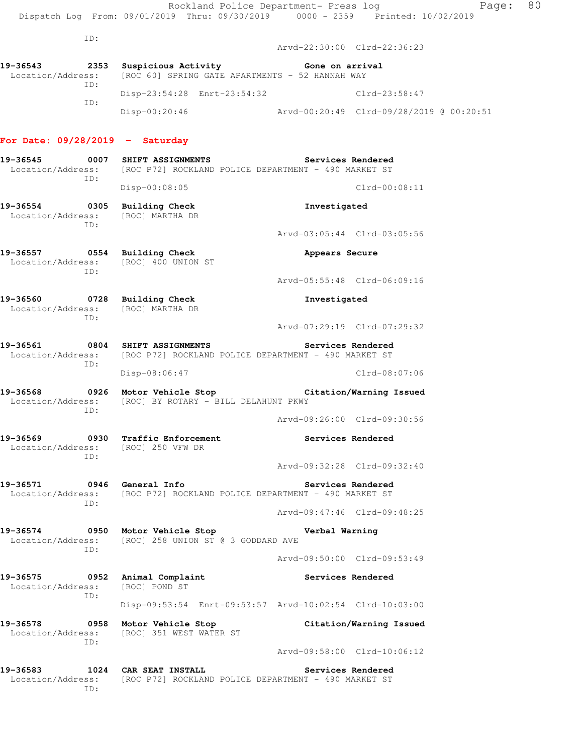Arvd-22:30:00 Clrd-22:36:23

**19-36543 2353 Suspicious Activity Gone on arrival**  Location/Address: [ROC 60] SPRING GATE APARTMENTS - 52 HANNAH WAY ID: Disp-23:54:28 Enrt-23:54:32 Clrd-23:58:47 ID: Disp-00:20:46 Arvd-00:20:49 Clrd-09/28/2019 @ 00:20:51

## **For Date: 09/28/2019 - Saturday**

- **19-36545 0007 SHIFT ASSIGNMENTS Services Rendered**  Location/Address: [ROC P72] ROCKLAND POLICE DEPARTMENT - 490 MARKET ST ID: Disp-00:08:05 Clrd-00:08:11 **19-36554 0305 Building Check Investigated**  Location/Address: [ROC] MARTHA DR ID: Arvd-03:05:44 Clrd-03:05:56 **19-36557 0554 Building Check Appears Secure**  Location/Address: [ROC] 400 UNION ST ID: Arvd-05:55:48 Clrd-06:09:16 **19-36560 0728 Building Check Investigated**  Location/Address: [ROC] MARTHA DR ID: Arvd-07:29:19 Clrd-07:29:32 19-36561 0804 SHIFT ASSIGNMENTS **Services Rendered**  Location/Address: [ROC P72] ROCKLAND POLICE DEPARTMENT - 490 MARKET ST ID: Disp-08:06:47 Clrd-08:07:06 **19-36568 0926 Motor Vehicle Stop Citation/Warning Issued**  Location/Address: [ROC] BY ROTARY - BILL DELAHUNT PKWY ID: Arvd-09:26:00 Clrd-09:30:56 **19-36569 0930 Traffic Enforcement Services Rendered**  Location/Address: [ROC] 250 VFW DR ID: Arvd-09:32:28 Clrd-09:32:40 **19-36571 0946 General Info Services Rendered**  Location/Address: [ROC P72] ROCKLAND POLICE DEPARTMENT - 490 MARKET ST ID: Arvd-09:47:46 Clrd-09:48:25 **19-36574 0950 Motor Vehicle Stop Verbal Warning**  Location/Address: [ROC] 258 UNION ST @ 3 GODDARD AVE ID: Arvd-09:50:00 Clrd-09:53:49 **19-36575 0952 Animal Complaint Services Rendered**  Location/Address: [ROC] POND ST ID: Disp-09:53:54 Enrt-09:53:57 Arvd-10:02:54 Clrd-10:03:00 **19-36578 0958 Motor Vehicle Stop Citation/Warning Issued**  Location/Address: [ROC] 351 WEST WATER ST ID: Arvd-09:58:00 Clrd-10:06:12 **19-36583 1024 CAR SEAT INSTALL Services Rendered** 
	- Location/Address: [ROC P72] ROCKLAND POLICE DEPARTMENT 490 MARKET ST ID: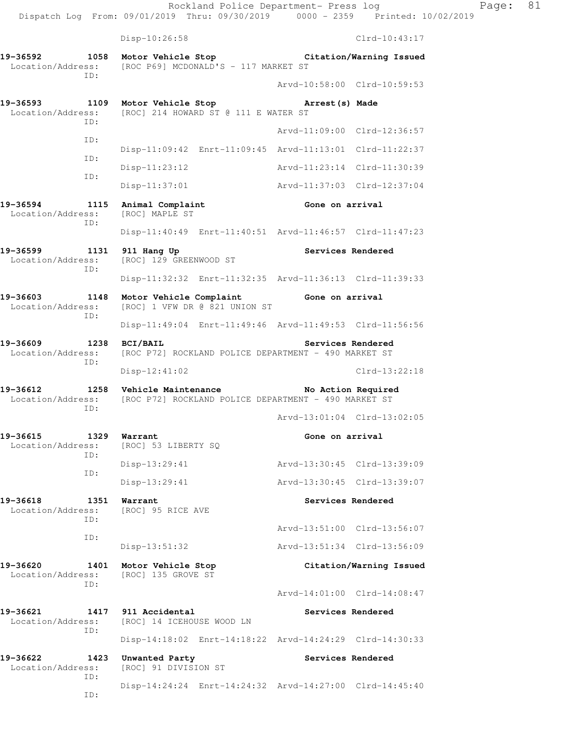Rockland Police Department- Press log Fage: 81 Dispatch Log From: 09/01/2019 Thru: 09/30/2019 0000 - 2359 Printed: 10/02/2019 Disp-10:26:58 Clrd-10:43:17 **19-36592 1058 Motor Vehicle Stop Citation/Warning Issued**  Location/Address: [ROC P69] MCDONALD'S - 117 MARKET ST ID: Arvd-10:58:00 Clrd-10:59:53 **19-36593 1109 Motor Vehicle Stop Arrest(s) Made**  Location/Address: [ROC] 214 HOWARD ST @ 111 E WATER ST ID: Arvd-11:09:00 Clrd-12:36:57 ID: Disp-11:09:42 Enrt-11:09:45 Arvd-11:13:01 Clrd-11:22:37 ID: Disp-11:23:12 Arvd-11:23:14 Clrd-11:30:39 ID: Disp-11:37:01 Arvd-11:37:03 Clrd-12:37:04 19-36594 1115 Animal Complaint **Gone on arrival**  Location/Address: [ROC] MAPLE ST ID: Disp-11:40:49 Enrt-11:40:51 Arvd-11:46:57 Clrd-11:47:23 19-36599 1131 911 Hang Up **Services Rendered**  Location/Address: [ROC] 129 GREENWOOD ST ID: Disp-11:32:32 Enrt-11:32:35 Arvd-11:36:13 Clrd-11:39:33

**19-36603 1148 Motor Vehicle Complaint Gone on arrival**  Location/Address: [ROC] 1 VFW DR @ 821 UNION ST ID: Disp-11:49:04 Enrt-11:49:46 Arvd-11:49:53 Clrd-11:56:56

19-36609 1238 BCI/BAIL Services Rendered Location/Address: [ROC P72] ROCKLAND POLICE DEPARTMENT - 490 MARKET ST ID: Disp-12:41:02 Clrd-13:22:18

19-36612 1258 Vehicle Maintenance No Action Required Location/Address: [ROC P72] ROCKLAND POLICE DEPARTMENT - 490 MARKET ST ID:

**19-36615 1329 Warrant Gone on arrival**  Location/Address: [ROC] 53 LIBERTY SQ ID: Disp-13:29:41 Arvd-13:30:45 Clrd-13:39:09 ID: Disp-13:29:41 Arvd-13:30:45 Clrd-13:39:07

19-36618 1351 Warrant **Services Rendered Services Rendered Intervalse Services Rendered**  Arvd-13:51:00 Clrd-13:56:07 Disp-13:51:32 Arvd-13:51:34 Clrd-13:56:09 **19-36620 1401 Motor Vehicle Stop Citation/Warning Issued** 

Disp-14:24:24 Enrt-14:24:32 Arvd-14:27:00 Clrd-14:45:40

Arvd-13:01:04 Clrd-13:02:05

Arvd-14:01:00 Clrd-14:08:47

Location/Address: [ROC] 135 GROVE ST ID:

**19-36621 1417 911 Accidental Services Rendered**  Location/Address: [ROC] 14 ICEHOUSE WOOD LN ID: Disp-14:18:02 Enrt-14:18:22 Arvd-14:24:29 Clrd-14:30:33

**19-36622 1423 Unwanted Party Services Rendered**  Location/Address: [ROC] 91 DIVISION ST ID:

Location/Address:

ID:

ID:

ID: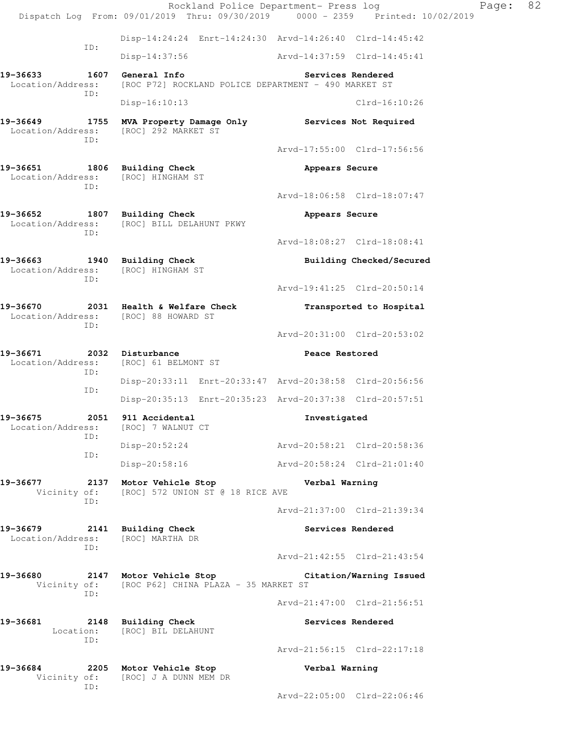Rockland Police Department- Press log Fage: 82 Dispatch Log From: 09/01/2019 Thru: 09/30/2019 0000 - 2359 Printed: 10/02/2019 Disp-14:24:24 Enrt-14:24:30 Arvd-14:26:40 Clrd-14:45:42 ID: Disp-14:37:56 Arvd-14:37:59 Clrd-14:45:41 **19-36633 1607 General Info Services Rendered**  Location/Address: [ROC P72] ROCKLAND POLICE DEPARTMENT - 490 MARKET ST ID: Disp-16:10:13 Clrd-16:10:26 **19-36649 1755 MVA Property Damage Only Services Not Required**  Location/Address: [ROC] 292 MARKET ST ID: Arvd-17:55:00 Clrd-17:56:56 **19-36651 1806 Building Check Appears Secure**  Location/Address: [ROC] HINGHAM ST ID: Arvd-18:06:58 Clrd-18:07:47 **19-36652 1807 Building Check Appears Secure**  Location/Address: [ROC] BILL DELAHUNT PKWY ID: Arvd-18:08:27 Clrd-18:08:41 **19-36663 1940 Building Check Building Checked/Secured**  Location/Address: [ROC] HINGHAM ST ID: Arvd-19:41:25 Clrd-20:50:14 **19-36670 2031 Health & Welfare Check Transported to Hospital**  Location/Address: [ROC] 88 HOWARD ST ID: Arvd-20:31:00 Clrd-20:53:02 19-36671 2032 Disturbance **Peace Restored**  Location/Address: [ROC] 61 BELMONT ST ID: Disp-20:33:11 Enrt-20:33:47 Arvd-20:38:58 Clrd-20:56:56 ID: Disp-20:35:13 Enrt-20:35:23 Arvd-20:37:38 Clrd-20:57:51 **19-36675 2051 911 Accidental Investigated**  Location/Address: [ROC] 7 WALNUT CT ID: Disp-20:52:24 Arvd-20:58:21 Clrd-20:58:36 ID: Disp-20:58:16 Arvd-20:58:24 Clrd-21:01:40 **19-36677 2137 Motor Vehicle Stop Verbal Warning**  Vicinity of: [ROC] 572 UNION ST @ 18 RICE AVE ID: Arvd-21:37:00 Clrd-21:39:34 **19-36679 2141 Building Check Services Rendered**  Location/Address: [ROC] MARTHA DR ID: Arvd-21:42:55 Clrd-21:43:54 **19-36680 2147 Motor Vehicle Stop Citation/Warning Issued**  Vicinity of: [ROC P62] CHINA PLAZA - 35 MARKET ST ID: Arvd-21:47:00 Clrd-21:56:51 **19-36681 2148 Building Check Services Rendered**  Location: [ROC] BIL DELAHUNT ID: Arvd-21:56:15 Clrd-22:17:18 **19-36684 2205 Motor Vehicle Stop Verbal Warning**  Vicinity of: [ROC] J A DUNN MEM DR ID: Arvd-22:05:00 Clrd-22:06:46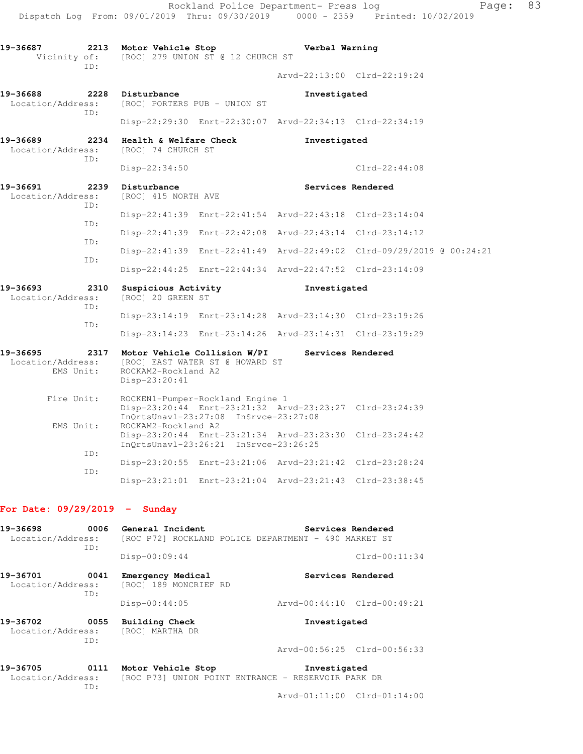|                                                    | Rockland Police Department- Press log<br>Dispatch Log From: 09/01/2019 Thru: 09/30/2019 0000 - 2359 Printed: 10/02/2019 |                                                                                      | Page:                       | 83 |  |  |  |
|----------------------------------------------------|-------------------------------------------------------------------------------------------------------------------------|--------------------------------------------------------------------------------------|-----------------------------|----|--|--|--|
| 19-36687<br>2213<br>Vicinity of:                   | Motor Vehicle Stop<br>[ROC] 279 UNION ST @ 12 CHURCH ST                                                                 | Verbal Warning                                                                       |                             |    |  |  |  |
| TD:                                                |                                                                                                                         |                                                                                      | Arvd-22:13:00 Clrd-22:19:24 |    |  |  |  |
| 19-36688<br>Location/Address:                      | 2228 Disturbance<br>[ROC] PORTERS PUB - UNION ST                                                                        | Investigated                                                                         |                             |    |  |  |  |
| ID:                                                | Disp-22:29:30 Enrt-22:30:07 Arvd-22:34:13 Clrd-22:34:19                                                                 |                                                                                      |                             |    |  |  |  |
| 19-36689<br>2234<br>Location/Address:              | Health & Welfare Check<br>[ROC] 74 CHURCH ST                                                                            | Investigated                                                                         |                             |    |  |  |  |
| TD:                                                | $Disp-22:34:50$                                                                                                         |                                                                                      | $Clrd-22:44:08$             |    |  |  |  |
| 19-36691<br>Location/Address:<br>ID:               | 2239 Disturbance<br>[ROC] 415 NORTH AVE                                                                                 | Services Rendered                                                                    |                             |    |  |  |  |
|                                                    | Disp-22:41:39 Enrt-22:41:54 Arvd-22:43:18 Clrd-23:14:04                                                                 |                                                                                      |                             |    |  |  |  |
| ID:                                                | Disp-22:41:39 Enrt-22:42:08 Arvd-22:43:14 Clrd-23:14:12                                                                 |                                                                                      |                             |    |  |  |  |
| ID:                                                | Disp-22:41:39 Enrt-22:41:49 Arvd-22:49:02 Clrd-09/29/2019 @ 00:24:21                                                    |                                                                                      |                             |    |  |  |  |
| ID:                                                | Disp-22:44:25 Enrt-22:44:34 Arvd-22:47:52 Clrd-23:14:09                                                                 |                                                                                      |                             |    |  |  |  |
| 19-36693<br>2310<br>Location/Address:<br>ID:       | Suspicious Activity<br>[ROC] 20 GREEN ST                                                                                | Investigated                                                                         |                             |    |  |  |  |
| ID:                                                | Disp-23:14:19 Enrt-23:14:28 Arvd-23:14:30 Clrd-23:19:26                                                                 |                                                                                      |                             |    |  |  |  |
|                                                    | Disp-23:14:23 Enrt-23:14:26 Arvd-23:14:31 Clrd-23:19:29                                                                 |                                                                                      |                             |    |  |  |  |
| 19-36695<br>2317<br>Location/Address:<br>EMS Unit: | ROCKAM2-Rockland A2<br>Disp-23:20:41                                                                                    | Motor Vehicle Collision W/PI<br>Services Rendered<br>[ROC] EAST WATER ST @ HOWARD ST |                             |    |  |  |  |
| Fire Unit:                                         | ROCKEN1-Pumper-Rockland Engine 1<br>Disp-23:20:44 Enrt-23:21:32 Arvd-23:23:27 Clrd-23:24:39                             |                                                                                      |                             |    |  |  |  |
| EMS Unit:                                          | InOrtsUnav1-23:27:08 InSrvce-23:27:08<br>ROCKAM2-Rockland A2<br>Disp-23:20:44 Enrt-23:21:34 Arvd-23:23:30 Clrd-23:24:42 |                                                                                      |                             |    |  |  |  |
| ID:                                                | InQrtsUnav1-23:26:21 InSrvce-23:26:25                                                                                   |                                                                                      |                             |    |  |  |  |
| ID:                                                | Disp-23:20:55 Enrt-23:21:06 Arvd-23:21:42 Clrd-23:28:24                                                                 |                                                                                      |                             |    |  |  |  |
|                                                    | Disp-23:21:01 Enrt-23:21:04 Arvd-23:21:43 Clrd-23:38:45                                                                 |                                                                                      |                             |    |  |  |  |

## **For Date: 09/29/2019 - Sunday**

| 19-36698                                     | 0006        | General Incident                                     | Services Rendered                                                  |                   |                             |  |  |
|----------------------------------------------|-------------|------------------------------------------------------|--------------------------------------------------------------------|-------------------|-----------------------------|--|--|
| Location/Address:<br>ID:                     |             | [ROC P72] ROCKLAND POLICE DEPARTMENT - 490 MARKET ST |                                                                    |                   |                             |  |  |
|                                              |             | $Disp-00:09:44$                                      |                                                                    |                   | $Clrd-00:11:34$             |  |  |
| 19-36701<br>Location/Address:                | 0041<br>ID: | Emergency Medical<br>[ROC] 189 MONCRIEF RD           |                                                                    | Services Rendered |                             |  |  |
|                                              |             | $Disp-00:44:05$                                      |                                                                    |                   | Arvd-00:44:10 Clrd-00:49:21 |  |  |
| 19-36702<br>0055<br>Location/Address:<br>TD: |             | <b>Building Check</b><br>[ROC] MARTHA DR             | Investigated                                                       |                   |                             |  |  |
|                                              |             |                                                      |                                                                    |                   | Arvd-00:56:25 Clrd-00:56:33 |  |  |
| 19-36705<br>0111<br>Location/Address:<br>ID: |             | Motor Vehicle Stop                                   | Investigated<br>[ROC P73] UNION POINT ENTRANCE - RESERVOIR PARK DR |                   |                             |  |  |
|                                              |             |                                                      |                                                                    |                   | Arvd-01:11:00 Clrd-01:14:00 |  |  |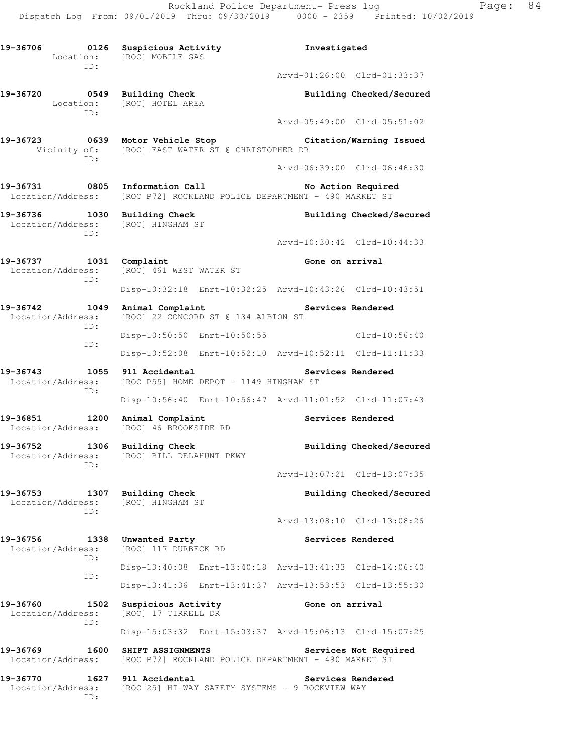Arvd-05:49:00 Clrd-05:51:02

Arvd-06:39:00 Clrd-06:46:30

Arvd-10:30:42 Clrd-10:44:33

**19-36720 0549 Building Check Building Checked/Secured**  Location: [ROC] HOTEL AREA ID:

ID:

Location: [ROC] MOBILE GAS

- **19-36723 0639 Motor Vehicle Stop Citation/Warning Issued**  Vicinity of: [ROC] EAST WATER ST @ CHRISTOPHER DR ID:
- 19-36731 0805 Information Call **No Action Required** Location/Address: [ROC P72] ROCKLAND POLICE DEPARTMENT - 490 MARKET ST
- 19-36736 1030 Building Check **Building Checked/Secured**  Location/Address: [ROC] HINGHAM ST ID:
- 19-36737 1031 Complaint **19-36737** 1031 Complaint Location/Address: [ROC] 461 WEST WATER ST ID: Disp-10:32:18 Enrt-10:32:25 Arvd-10:43:26 Clrd-10:43:51
- 19-36742 1049 Animal Complaint **19-36742** Services Rendered Location/Address: [ROC] 22 CONCORD ST @ 134 ALBION ST ID: Disp-10:50:50 Enrt-10:50:55 Clrd-10:56:40 ID:
	- Disp-10:52:08 Enrt-10:52:10 Arvd-10:52:11 Clrd-11:11:33
- 19-36743 1055 911 Accidental **19-36743** Services Rendered Location/Address: [ROC P55] HOME DEPOT - 1149 HINGHAM ST ID:
- Disp-10:56:40 Enrt-10:56:47 Arvd-11:01:52 Clrd-11:07:43 19-36851 1200 Animal Complaint **19-36851** Services Rendered
- Location/Address: [ROC] 46 BROOKSIDE RD 19-36752 1306 Building Check **Building Checked/Secured**
- Location/Address: [ROC] BILL DELAHUNT PKWY ID: Arvd-13:07:21 Clrd-13:07:35
- 19-36753 1307 Building Check **Building Checked/Secured**  Location/Address: [ROC] HINGHAM ST ID: Arvd-13:08:10 Clrd-13:08:26
	- 19-36756 1338 Unwanted Party **19-36756** Services Rendered Location/Address: [ROC] 117 DURBECK RD ID: Disp-13:40:08 Enrt-13:40:18 Arvd-13:41:33 Clrd-14:06:40 ID: Disp-13:41:36 Enrt-13:41:37 Arvd-13:53:53 Clrd-13:55:30
	- 19-36760 1502 Suspicious Activity **19-36760** Gone on arrival Location/Address: [ROC] 17 TIRRELL DR ID:
		- Disp-15:03:32 Enrt-15:03:37 Arvd-15:06:13 Clrd-15:07:25
	- 19-36769 1600 SHIFT ASSIGNMENTS **Services Not Required** Location/Address: [ROC P72] ROCKLAND POLICE DEPARTMENT - 490 MARKET ST
	- **19-36770 1627 911 Accidental Services Rendered**  Location/Address: [ROC 25] HI-WAY SAFETY SYSTEMS - 9 ROCKVIEW WAY ID: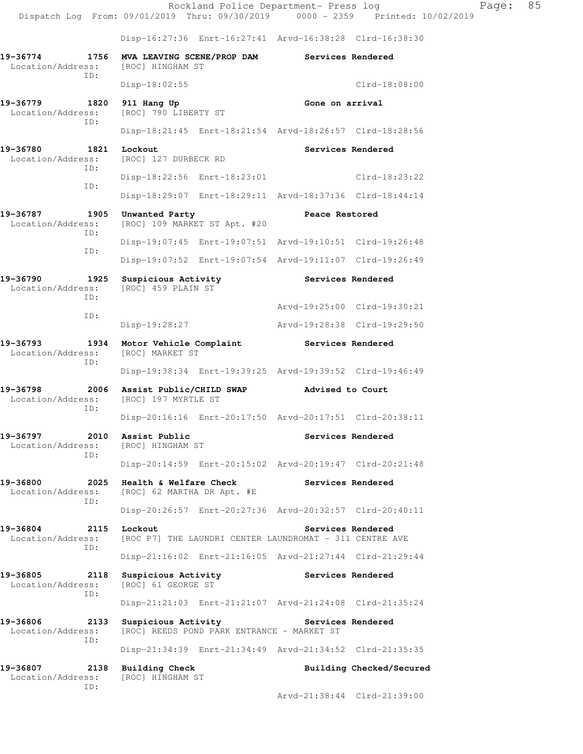Disp-16:27:36 Enrt-16:27:41 Arvd-16:38:28 Clrd-16:38:30

| 19-36774<br>Location/Address: [ROC] HINGHAM ST | 1756        | MVA LEAVING SCENE/PROP DAM                                                              |                                                         | Services Rendered |                             |  |
|------------------------------------------------|-------------|-----------------------------------------------------------------------------------------|---------------------------------------------------------|-------------------|-----------------------------|--|
|                                                | ID:         | $Disp-18:02:55$                                                                         |                                                         |                   | $Clrd-18:08:00$             |  |
| 19-36779<br>1820<br>Location/Address:          |             | 911 Hang Up<br>[ROC] 790 LIBERTY ST                                                     |                                                         | Gone on arrival   |                             |  |
|                                                | ID:         |                                                                                         | Disp-18:21:45 Enrt-18:21:54 Arvd-18:26:57 Clrd-18:28:56 |                   |                             |  |
| 19-36780<br>Location/Address:                  | 1821        | Lockout<br>[ROC] 127 DURBECK RD                                                         |                                                         |                   | Services Rendered           |  |
|                                                | ID:<br>ID:  | Disp-18:22:56 Enrt-18:23:01                                                             |                                                         |                   | $C1rd-18:23:22$             |  |
|                                                |             |                                                                                         | Disp-18:29:07 Enrt-18:29:11 Arvd-18:37:36 Clrd-18:44:14 |                   |                             |  |
| 19-36787<br>Location/Address:                  | 1905<br>ID: | Unwanted Party<br>[ROC] 109 MARKET ST Apt. #20                                          |                                                         | Peace Restored    |                             |  |
|                                                | ID:         |                                                                                         | Disp-19:07:45 Enrt-19:07:51 Arvd-19:10:51 Clrd-19:26:48 |                   |                             |  |
|                                                |             |                                                                                         | Disp-19:07:52 Enrt-19:07:54 Arvd-19:11:07 Clrd-19:26:49 |                   |                             |  |
| 19-36790<br>Location/Address:                  | 1925<br>TD: | Suspicious Activity<br>[ROC] 459 PLAIN ST                                               |                                                         |                   | Services Rendered           |  |
|                                                | ID:         |                                                                                         |                                                         |                   | Arvd-19:25:00 Clrd-19:30:21 |  |
|                                                |             | Disp-19:28:27                                                                           |                                                         |                   | Arvd-19:28:38 Clrd-19:29:50 |  |
| 19-36793<br>Location/Address:                  | 1934<br>ID: | Motor Vehicle Complaint<br>[ROC] MARKET ST                                              |                                                         |                   | Services Rendered           |  |
|                                                |             |                                                                                         | Disp-19:38:34 Enrt-19:39:25 Arvd-19:39:52 Clrd-19:46:49 |                   |                             |  |
| 19-36798<br>Location/Address:                  | 2006<br>ID: | Assist Public/CHILD SWAP<br>[ROC] 197 MYRTLE ST                                         |                                                         | Advised to Court  |                             |  |
|                                                |             |                                                                                         | Disp-20:16:16 Enrt-20:17:50 Arvd-20:17:51 Clrd-20:38:11 |                   |                             |  |
| 19-36797<br>Location/Address:                  | 2010<br>ID: | Assist Public<br>[ROC] HINGHAM ST                                                       |                                                         |                   | Services Rendered           |  |
|                                                |             |                                                                                         | Disp-20:14:59 Enrt-20:15:02 Arvd-20:19:47 Clrd-20:21:48 |                   |                             |  |
| 19-36800<br>Location/Address:                  | 2025<br>TD: | Health & Welfare Check<br>[ROC] 62 MARTHA DR Apt. #E                                    |                                                         | Services Rendered |                             |  |
|                                                |             |                                                                                         | Disp-20:26:57 Enrt-20:27:36 Arvd-20:32:57 Clrd-20:40:11 |                   |                             |  |
| 19-36804<br>Location/Address:                  | 2115<br>ID: | Services Rendered<br>Lockout<br>[ROC P7] THE LAUNDRI CENTER LAUNDROMAT - 311 CENTRE AVE |                                                         |                   |                             |  |
|                                                |             |                                                                                         | Disp-21:16:02 Enrt-21:16:05 Arvd-21:27:44 Clrd-21:29:44 |                   |                             |  |
| 19-36805<br>Location/Address:                  | 2118<br>ID: | Suspicious Activity<br>[ROC] 61 GEORGE ST                                               |                                                         | Services Rendered |                             |  |
|                                                |             |                                                                                         | Disp-21:21:03 Enrt-21:21:07 Arvd-21:24:08 Clrd-21:35:24 |                   |                             |  |
| 19-36806<br>Location/Address:                  | 2133<br>ID: | Suspicious Activity                                                                     | [ROC] REEDS POND PARK ENTRANCE - MARKET ST              | Services Rendered |                             |  |
|                                                |             |                                                                                         | Disp-21:34:39 Enrt-21:34:49 Arvd-21:34:52 Clrd-21:35:35 |                   |                             |  |
| 19-36807<br>Location/Address:                  | 2138<br>ID: | Building Check<br>[ROC] HINGHAM ST                                                      |                                                         |                   | Building Checked/Secured    |  |
|                                                |             |                                                                                         |                                                         |                   |                             |  |

Arvd-21:38:44 Clrd-21:39:00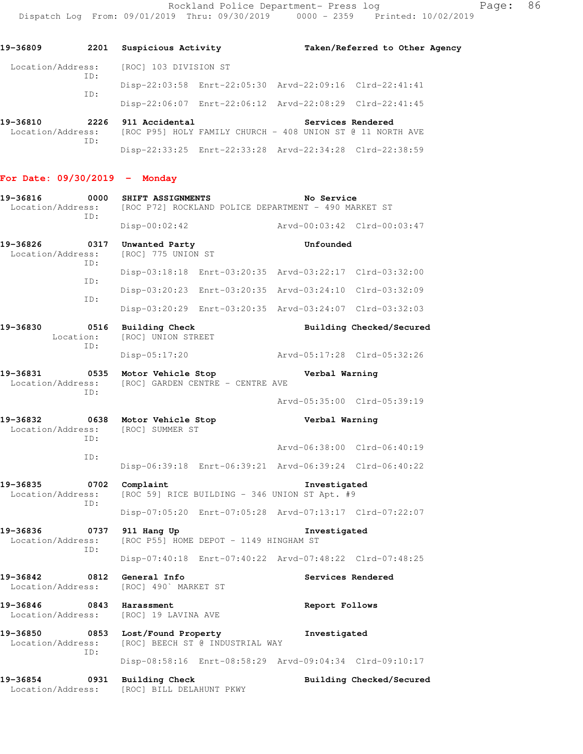Rockland Police Department- Press log Fage: 86

| 19-36809                                                                                 | 2201        | Suspicious Activity                                     |                                                                                      | Taken/Referred to Other Agency |  |
|------------------------------------------------------------------------------------------|-------------|---------------------------------------------------------|--------------------------------------------------------------------------------------|--------------------------------|--|
| Location/Address: [ROC] 103 DIVISION ST                                                  |             |                                                         |                                                                                      |                                |  |
| ID:<br>ID:                                                                               |             | Disp-22:03:58 Enrt-22:05:30 Arvd-22:09:16 Clrd-22:41:41 |                                                                                      |                                |  |
|                                                                                          |             |                                                         | Disp-22:06:07 Enrt-22:06:12 Arvd-22:08:29 Clrd-22:41:45                              |                                |  |
| 19-36810<br>Location/Address: [ROC P95] HOLY FAMILY CHURCH - 408 UNION ST @ 11 NORTH AVE | ID:         | 2226 911 Accidental                                     | Services Rendered                                                                    |                                |  |
|                                                                                          |             |                                                         | Disp-22:33:25 Enrt-22:33:28 Arvd-22:34:28 Clrd-22:38:59                              |                                |  |
| For Date: $09/30/2019$ - Monday                                                          |             |                                                         |                                                                                      |                                |  |
| 19-36816                                                                                 | 0000<br>ID: | SHIFT ASSIGNMENTS                                       | No Service<br>Location/Address: [ROC P72] ROCKLAND POLICE DEPARTMENT - 490 MARKET ST |                                |  |

 Disp-00:02:42 Arvd-00:03:42 Clrd-00:03:47 **19-36826 0317 Unwanted Party Unfounded**  Location/Address: [ROC] 775 UNION ST ID: Disp-03:18:18 Enrt-03:20:35 Arvd-03:22:17 Clrd-03:32:00 ID: Disp-03:20:23 Enrt-03:20:35 Arvd-03:24:10 Clrd-03:32:09 ID: Disp-03:20:29 Enrt-03:20:35 Arvd-03:24:07 Clrd-03:32:03 **19-36830 0516 Building Check Building Checked/Secured**  Location: [ROC] UNION STREET ID: Disp-05:17:20 Arvd-05:17:28 Clrd-05:32:26 **19-36831 0535 Motor Vehicle Stop Verbal Warning**  Location/Address: [ROC] GARDEN CENTRE - CENTRE AVE ID: Arvd-05:35:00 Clrd-05:39:19 **19-36832 0638 Motor Vehicle Stop Verbal Warning**  Location/Address: [ROC] SUMMER ST ID: Arvd-06:38:00 Clrd-06:40:19 ID: Disp-06:39:18 Enrt-06:39:21 Arvd-06:39:24 Clrd-06:40:22 **19-36835 0702 Complaint Investigated**  Location/Address: [ROC 59] RICE BUILDING - 346 UNION ST Apt. #9 ID: Disp-07:05:20 Enrt-07:05:28 Arvd-07:13:17 Clrd-07:22:07

ID:

**19-36836 0737 911 Hang Up Investigated**  [ROC P55] HOME DEPOT - 1149 HINGHAM ST Disp-07:40:18 Enrt-07:40:22 Arvd-07:48:22 Clrd-07:48:25

**19-36842 0812 General Info Services Rendered**  Location/Address: [ROC] 490` MARKET ST

**19-36846 0843 Harassment Report Follows**  Location/Address: [ROC] 19 LAVINA AVE

**19-36850 0853 Lost/Found Property Investigated**  Location/Address: [ROC] BEECH ST @ INDUSTRIAL WAY ID:

Disp-08:58:16 Enrt-08:58:29 Arvd-09:04:34 Clrd-09:10:17

Location/Address: [ROC] BILL DELAHUNT PKWY

**19-36854 0931 Building Check Building Checked/Secured**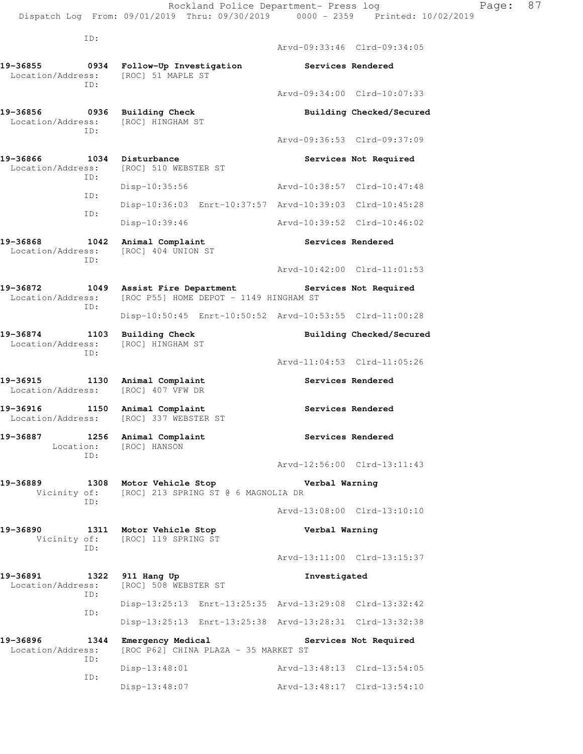Rockland Police Department- Press log Page: 87 Dispatch Log From: 09/01/2019 Thru: 09/30/2019 0000 - 2359 Printed: 10/02/2019

 ID: Arvd-09:33:46 Clrd-09:34:05 **19-36855 0934 Follow-Up Investigation Services Rendered**  Location/Address: [ROC] 51 MAPLE ST ID: Arvd-09:34:00 Clrd-10:07:33 **19-36856 0936 Building Check Building Checked/Secured**  Location/Address: [ROC] HINGHAM ST ID: Arvd-09:36:53 Clrd-09:37:09 **19-36866 1034 Disturbance Services Not Required**  Location/Address: [ROC] 510 WEBSTER ST ID: Disp-10:35:56 Arvd-10:38:57 Clrd-10:47:48 ID: Disp-10:36:03 Enrt-10:37:57 Arvd-10:39:03 Clrd-10:45:28 ID: Disp-10:39:46 Arvd-10:39:52 Clrd-10:46:02 19-36868 1042 Animal Complaint **Services Rendered**  Location/Address: [ROC] 404 UNION ST ID: Arvd-10:42:00 Clrd-11:01:53 **19-36872 1049 Assist Fire Department Services Not Required**  Location/Address: [ROC P55] HOME DEPOT - 1149 HINGHAM ST ID: Disp-10:50:45 Enrt-10:50:52 Arvd-10:53:55 Clrd-11:00:28 19-36874 1103 Building Check **Building Checked/Secured**  Location/Address: [ROC] HINGHAM ST ID: Arvd-11:04:53 Clrd-11:05:26 **19-36915 1130 Animal Complaint Services Rendered**  Location/Address: [ROC] 407 VFW DR 19-36916 1150 Animal Complaint **19-36916** Services Rendered Location/Address: [ROC] 337 WEBSTER ST **19-36887 1256 Animal Complaint Services Rendered**  Location: [ROC] HANSON ID: Arvd-12:56:00 Clrd-13:11:43 **19-36889 1308 Motor Vehicle Stop Verbal Warning**  Vicinity of: [ROC] 213 SPRING ST @ 6 MAGNOLIA DR ID: Arvd-13:08:00 Clrd-13:10:10 **19-36890 1311 Motor Vehicle Stop Verbal Warning**  Vicinity of: [ROC] 119 SPRING ST ID: Arvd-13:11:00 Clrd-13:15:37 **19-36891 1322 911 Hang Up Investigated**  Location/Address: [ROC] 508 WEBSTER ST ID: Disp-13:25:13 Enrt-13:25:35 Arvd-13:29:08 Clrd-13:32:42 ID: Disp-13:25:13 Enrt-13:25:38 Arvd-13:28:31 Clrd-13:32:38 **19-36896 1344 Emergency Medical Services Not Required**  Location/Address: [ROC P62] CHINA PLAZA - 35 MARKET ST ID: Disp-13:48:01 Arvd-13:48:13 Clrd-13:54:05 ID: Disp-13:48:07 Arvd-13:48:17 Clrd-13:54:10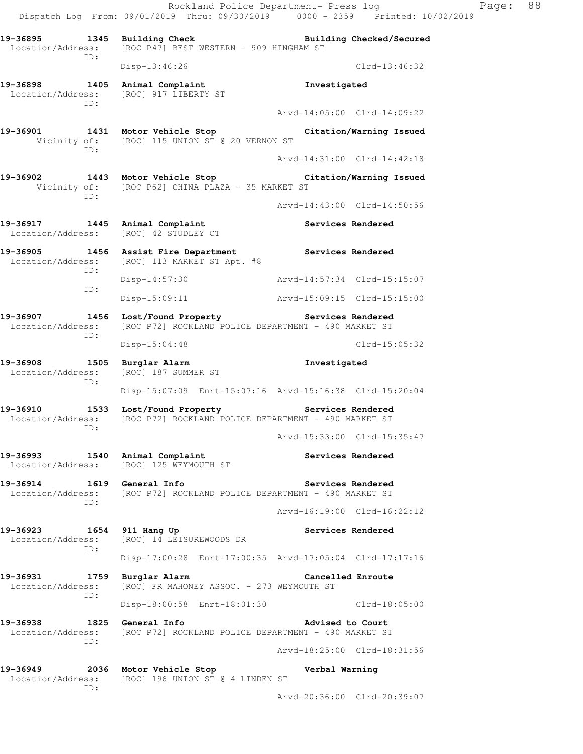Rockland Police Department- Press log Page: 88 Dispatch Log From: 09/01/2019 Thru: 09/30/2019 0000 - 2359 Printed: 10/02/2019 19-36895 1345 Building Check **Building Checked/Secured**  Location/Address: [ROC P47] BEST WESTERN - 909 HINGHAM ST ID: Disp-13:46:26 Clrd-13:46:32 **19-36898 1405 Animal Complaint Investigated**  Location/Address: [ROC] 917 LIBERTY ST ID: Arvd-14:05:00 Clrd-14:09:22 **19-36901 1431 Motor Vehicle Stop Citation/Warning Issued**  Vicinity of: [ROC] 115 UNION ST @ 20 VERNON ST ID: Arvd-14:31:00 Clrd-14:42:18 **19-36902 1443 Motor Vehicle Stop Citation/Warning Issued**  Vicinity of: [ROC P62] CHINA PLAZA - 35 MARKET ST ID: Arvd-14:43:00 Clrd-14:50:56 **19-36917 1445 Animal Complaint Services Rendered**  Location/Address: [ROC] 42 STUDLEY CT 19-36905 1456 Assist Fire Department **Services Rendered** Location/Address: [ROC] 113 MARKET ST Apt. #8 [ROC] 113 MARKET ST Apt. #8 ID: Disp-14:57:30 Arvd-14:57:34 Clrd-15:15:07 ID: Disp-15:09:11 Arvd-15:09:15 Clrd-15:15:00 **19-36907 1456 Lost/Found Property Services Rendered**  Location/Address: [ROC P72] ROCKLAND POLICE DEPARTMENT - 490 MARKET ST ID: Disp-15:04:48 Clrd-15:05:32 **19-36908 1505 Burglar Alarm Investigated**  Location/Address: [ROC] 187 SUMMER ST ID: Disp-15:07:09 Enrt-15:07:16 Arvd-15:16:38 Clrd-15:20:04 **19-36910 1533 Lost/Found Property Services Rendered**  Location/Address: [ROC P72] ROCKLAND POLICE DEPARTMENT - 490 MARKET ST ID: Arvd-15:33:00 Clrd-15:35:47 19-36993 1540 Animal Complaint **19-36993** Services Rendered Location/Address: [ROC] 125 WEYMOUTH ST **19-36914 1619 General Info Services Rendered**  Location/Address: [ROC P72] ROCKLAND POLICE DEPARTMENT - 490 MARKET ST ID: Arvd-16:19:00 Clrd-16:22:12 **19-36923 1654 911 Hang Up Services Rendered**  Location/Address: [ROC] 14 LEISUREWOODS DR ID: Disp-17:00:28 Enrt-17:00:35 Arvd-17:05:04 Clrd-17:17:16 **19-36931 1759 Burglar Alarm Cancelled Enroute**  Location/Address: [ROC] FR MAHONEY ASSOC. - 273 WEYMOUTH ST ID: Disp-18:00:58 Enrt-18:01:30 Clrd-18:05:00 **19-36938 1825 General Info Advised to Court**  Location/Address: [ROC P72] ROCKLAND POLICE DEPARTMENT - 490 MARKET ST ID: Arvd-18:25:00 Clrd-18:31:56 **19-36949 2036 Motor Vehicle Stop Verbal Warning**  Location/Address: [ROC] 196 UNION ST @ 4 LINDEN ST

ID:

Arvd-20:36:00 Clrd-20:39:07